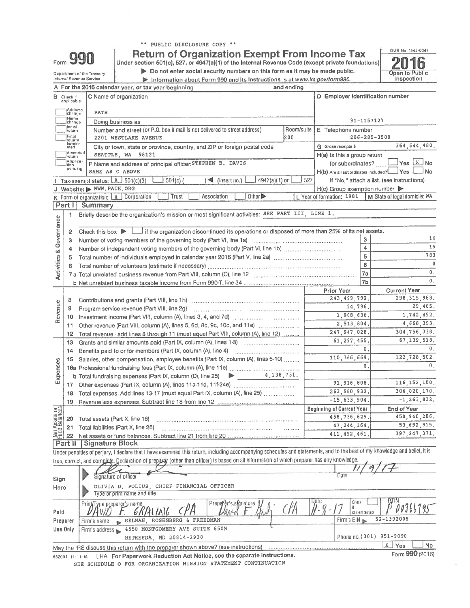|  |  | ** PUBLIC DISCLOSURE COPY ** |  |  |
|--|--|------------------------------|--|--|
|--|--|------------------------------|--|--|

| Form 990                   | <b>Return of Organization Exempt From Income Tax</b><br>Under section 501(c), 527, or 4947(a)(1) of the Internal Revenue Code (except private foundations) |
|----------------------------|------------------------------------------------------------------------------------------------------------------------------------------------------------|
| Department of the Treasury | Do not enter social security numbers on this form as it may be made public.                                                                                |
| Internal Revenue Service   | Information about Form 990 and its Instructions is at www.irs.gov/form990.                                                                                 |



|                         |                                 | A For the 2016 calendar year, or tax year beginning                                                                                                                                                                                                                                                                                                                                                                                      | and ending    |                                                |                                            |
|-------------------------|---------------------------------|------------------------------------------------------------------------------------------------------------------------------------------------------------------------------------------------------------------------------------------------------------------------------------------------------------------------------------------------------------------------------------------------------------------------------------------|---------------|------------------------------------------------|--------------------------------------------|
|                         | <b>B</b> Check if<br>applicable | C Name of organization                                                                                                                                                                                                                                                                                                                                                                                                                   |               | D Employer Identification number               |                                            |
|                         | Address<br>∣changs              | PATH                                                                                                                                                                                                                                                                                                                                                                                                                                     |               |                                                |                                            |
|                         | Name<br>change)                 | Doing business as                                                                                                                                                                                                                                                                                                                                                                                                                        |               | 91-1157127                                     |                                            |
|                         | Initial <br>return              | Number and street (or P.O. box if mall is not delivered to street address)                                                                                                                                                                                                                                                                                                                                                               | Room/suite    | E Telephone number                             |                                            |
|                         | Fina <br>returry/               | 2201 WESTLAKE AVENUE                                                                                                                                                                                                                                                                                                                                                                                                                     | 1200          | $206 - 285 - 3500$                             |                                            |
|                         | termin-<br>ated                 | City or town, state or province, country, and ZIP or foreign postal code                                                                                                                                                                                                                                                                                                                                                                 |               | G Gross receipts \$                            | 364,644,480.                               |
|                         | Amended<br>ratum                | SEATTLE, WA 98121                                                                                                                                                                                                                                                                                                                                                                                                                        |               | H(a) Is this a group return                    |                                            |
|                         | Applica                         | F Name and address of principal officer: STEPHEN B. DAVIS                                                                                                                                                                                                                                                                                                                                                                                |               | for subordinates?                              | $\sqrt{}$ Yes $\lfloor x \rfloor$ No       |
|                         | pending                         | SAME AS C ABOVE                                                                                                                                                                                                                                                                                                                                                                                                                          |               | H(b) Are all subordinates included? Ves        | J Nol                                      |
|                         |                                 | 4947(a)(1) or<br>Tax exempt status; $\lfloor x \rfloor$ 501(c)(3)<br>$501(c)$ (<br>$\blacktriangleleft$<br>(inset no.)                                                                                                                                                                                                                                                                                                                   | 527           |                                                | If "No," attach a list. (see instructions) |
|                         |                                 | J Website: WWW.PATH.ORG                                                                                                                                                                                                                                                                                                                                                                                                                  |               | $H(c)$ Group exemption number $\triangleright$ |                                            |
|                         |                                 | Association<br>Other $\blacktriangleright$<br>Trust<br>$K$ Form of organization: $X$ Corporation                                                                                                                                                                                                                                                                                                                                         |               | L Year of formation; 1981                      | M State of logal domicile: WA              |
|                         | Part I                          | Summary                                                                                                                                                                                                                                                                                                                                                                                                                                  |               |                                                |                                            |
|                         | 1                               | Briefly describe the organization's mission or most significant activities: SEE PART III, LINE 1.                                                                                                                                                                                                                                                                                                                                        |               |                                                |                                            |
| Governance              |                                 |                                                                                                                                                                                                                                                                                                                                                                                                                                          |               |                                                |                                            |
|                         | $\overline{2}$                  | Check this box ▶ │ │ if the organization discontinued its operations or disposed of more than 25% of its net assets.                                                                                                                                                                                                                                                                                                                     |               |                                                |                                            |
|                         | 3                               |                                                                                                                                                                                                                                                                                                                                                                                                                                          |               |                                                | 16                                         |
|                         | 4                               | Number of independent voting members of the governing body (Part VI, line 1b)                                                                                                                                                                                                                                                                                                                                                            |               | 4                                              | 15                                         |
|                         | 5                               |                                                                                                                                                                                                                                                                                                                                                                                                                                          |               | 5                                              | 783                                        |
|                         | 6                               |                                                                                                                                                                                                                                                                                                                                                                                                                                          |               | 6                                              | $\mathbf{0}$                               |
| <b>Activities &amp;</b> |                                 |                                                                                                                                                                                                                                                                                                                                                                                                                                          |               | 7a                                             | 0.                                         |
|                         |                                 |                                                                                                                                                                                                                                                                                                                                                                                                                                          |               | 7 <sub>b</sub>                                 | 0.                                         |
|                         |                                 |                                                                                                                                                                                                                                                                                                                                                                                                                                          |               | <b>Prior Year</b>                              | <b>Current Year</b>                        |
| Revenue                 | 8                               |                                                                                                                                                                                                                                                                                                                                                                                                                                          |               | 243, 499, 792                                  | 298, 315, 988.                             |
|                         | 9                               |                                                                                                                                                                                                                                                                                                                                                                                                                                          |               | 24,796                                         | 29,465.                                    |
|                         | 10                              |                                                                                                                                                                                                                                                                                                                                                                                                                                          |               | 1,908,636                                      | 1,742,492.                                 |
|                         | 11                              | Other revenue (Part VIII, column (A), lines 5, 6d, 8c, 9c, 10c, and 11e)                                                                                                                                                                                                                                                                                                                                                                 |               | 2,513,804.                                     | 4,668,393.                                 |
|                         | 12                              | Total revenue - add lines 8 through 11 (must equal Part VIII, column (A), line 12)                                                                                                                                                                                                                                                                                                                                                       |               | 247, 947, 028,                                 | 304, 756, 338.                             |
|                         | 13                              | Grants and similar amounts paid (Part IX, column (A), lines 1-3)                                                                                                                                                                                                                                                                                                                                                                         |               | 61, 297, 455,                                  | 67, 139, 518.                              |
|                         | 14                              |                                                                                                                                                                                                                                                                                                                                                                                                                                          |               | 0                                              | 0.                                         |
|                         | 15                              | Salaries, other compensation, employee benefits (Part IX, column (A), lines 5-10)                                                                                                                                                                                                                                                                                                                                                        | 110, 366, 669 | 122,728,502.                                   |                                            |
|                         |                                 |                                                                                                                                                                                                                                                                                                                                                                                                                                          |               |                                                | 0.                                         |
| Expenses                |                                 | 4,138,731.<br><b>b</b> Total fundraising expenses (Part IX, column (D), line 25)<br>$\begin{picture}(20,20)(-0.0,0.0) \put(0,0){\line(1,0){10}} \put(0,0){\line(1,0){10}} \put(0,0){\line(1,0){10}} \put(0,0){\line(1,0){10}} \put(0,0){\line(1,0){10}} \put(0,0){\line(1,0){10}} \put(0,0){\line(1,0){10}} \put(0,0){\line(1,0){10}} \put(0,0){\line(1,0){10}} \put(0,0){\line(1,0){10}} \put(0,0){\line(1,0){10}} \put(0,0){\line(1,0$ |               |                                                |                                            |
|                         | 17                              |                                                                                                                                                                                                                                                                                                                                                                                                                                          |               | 91, 916, 808,                                  | 116, 152, 150.                             |
|                         | 18                              | Total expenses. Add lines 13-17 (must equal Part IX, column (A), line 25)                                                                                                                                                                                                                                                                                                                                                                |               | 263,580,932.                                   | 306,020,170.                               |
|                         | 19                              |                                                                                                                                                                                                                                                                                                                                                                                                                                          |               | $-15,633,904.$                                 | $-1, 263, 832.$                            |
|                         |                                 |                                                                                                                                                                                                                                                                                                                                                                                                                                          |               | <b>Beginning of Current Year</b>               | <b>End of Year</b>                         |
|                         | 20                              | Total assets (Part X, line 16)                                                                                                                                                                                                                                                                                                                                                                                                           |               | 458, 736, 625,                                 | 450,940,286.                               |
| t Assets or             | 21                              | Total liabilities (Part X, line 26)<br>an industrial to the state.                                                                                                                                                                                                                                                                                                                                                                       |               | 47, 244, 164.                                  | 53,692,915.                                |
| 쁿                       |                                 |                                                                                                                                                                                                                                                                                                                                                                                                                                          |               | 411, 492, 461                                  | 397,247,371.                               |
|                         | Part II                         | Signature Block                                                                                                                                                                                                                                                                                                                                                                                                                          |               |                                                |                                            |
|                         |                                 | Under penalties of perjury, I declare that I have examined this return, including accompanying schedules and statements, and to the best of my knowledge and belief, it is                                                                                                                                                                                                                                                               |               |                                                |                                            |
|                         |                                 | true, correct, and complate. Declaration of preparar (other than officer) is based on all information of which preparer has any knowledge.                                                                                                                                                                                                                                                                                               |               |                                                |                                            |
|                         |                                 |                                                                                                                                                                                                                                                                                                                                                                                                                                          |               |                                                |                                            |
| Sign                    |                                 | Signature of officer                                                                                                                                                                                                                                                                                                                                                                                                                     |               | Date                                           |                                            |
| Here                    |                                 | OLIVIA D. POLIUS. CHIEF FINANCIAL OFFICER                                                                                                                                                                                                                                                                                                                                                                                                |               |                                                |                                            |
|                         |                                 | Type or print name and title                                                                                                                                                                                                                                                                                                                                                                                                             |               |                                                |                                            |
|                         |                                 | Preparer's signature<br>Print(Type preparer's name,                                                                                                                                                                                                                                                                                                                                                                                      |               | Date<br>Check                                  |                                            |
| Paid                    |                                 | 4L/A)6<br>671                                                                                                                                                                                                                                                                                                                                                                                                                            | CPF           | И<br>self-employed                             | 00366995                                   |
|                         | Preparer                        | GELMAN, ROSENBERG & FREEDMAN<br>Firm's name                                                                                                                                                                                                                                                                                                                                                                                              |               | Firm's $EIN \triangleright$                    | 52-1392008                                 |
|                         | Use Only                        | 4550 MONTGOMERY AVE SUITE 650N<br>Firm's address                                                                                                                                                                                                                                                                                                                                                                                         |               |                                                |                                            |
|                         |                                 | BETHESDA, MD 20814-2930                                                                                                                                                                                                                                                                                                                                                                                                                  |               | Phone no. (301) 951-9090                       |                                            |

<u>. . . . . . . . . . . . .</u>

May the IRS discuss this return with the preparer shown above? (see instructions) 632001 11-11-16 LHA For Paperwork Reduction Act Notice, see the separate instructions. SEE SCHEDULE O FOR ORGANIZATION MISSION STATEMENT CONTINUATION

 $X \vert Y$ es  $\overline{\phantom{a}}$  No Form 990 (2016)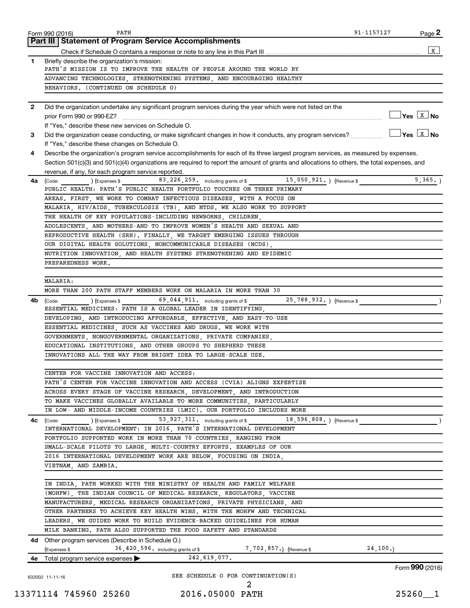|              | PATH<br>Form 990 (2016)                                                                                                                         | 91-1157127 | Page 2                              |
|--------------|-------------------------------------------------------------------------------------------------------------------------------------------------|------------|-------------------------------------|
|              | <b>Part III Statement of Program Service Accomplishments</b>                                                                                    |            |                                     |
|              |                                                                                                                                                 |            | X                                   |
| 1.           | Briefly describe the organization's mission:                                                                                                    |            |                                     |
|              | PATH'S MISSION IS TO IMPROVE THE HEALTH OF PEOPLE AROUND THE WORLD BY                                                                           |            |                                     |
|              | ADVANCING TECHNOLOGIES, STRENGTHENING SYSTEMS, AND ENCOURAGING HEALTHY                                                                          |            |                                     |
|              | BEHAVIORS. (CONTINUED ON SCHEDULE O)                                                                                                            |            |                                     |
| $\mathbf{2}$ |                                                                                                                                                 |            |                                     |
|              | Did the organization undertake any significant program services during the year which were not listed on the<br>prior Form 990 or 990-EZ?       |            | $\sqrt{}$ Yes $\boxed{\text{x}}$ No |
|              | If "Yes," describe these new services on Schedule O.                                                                                            |            |                                     |
| 3            | Did the organization cease conducting, or make significant changes in how it conducts, any program services?                                    |            | $\overline{Y}$ es $\overline{X}$ No |
|              | If "Yes," describe these changes on Schedule O.                                                                                                 |            |                                     |
| 4            | Describe the organization's program service accomplishments for each of its three largest program services, as measured by expenses.            |            |                                     |
|              | Section 501(c)(3) and 501(c)(4) organizations are required to report the amount of grants and allocations to others, the total expenses, and    |            |                                     |
|              | revenue, if any, for each program service reported.                                                                                             |            |                                     |
| 4a           | $\frac{15,050,921}{15,050,921}$ (Expenses \$ $\frac{83,226,259}{15,050,921}$ including grants of \$ $\frac{15,050,921}{15,050,921}$ (Revenue \$ |            | 5,365.                              |
|              | PUBLIC HEALTH: PATH'S PUBLIC HEALTH PORTFOLIO TOUCHES ON THREE PRIMARY                                                                          |            |                                     |
|              | AREAS. FIRST, WE WORK TO COMBAT INFECTIOUS DISEASES, WITH A FOCUS ON                                                                            |            |                                     |
|              | MALARIA, HIV/AIDS, TUBERCULOSIS (TB), AND NTDS. WE ALSO WORK TO SUPPORT                                                                         |            |                                     |
|              | THE HEALTH OF KEY POPULATIONS-INCLUDING NEWBORNS, CHILDREN,                                                                                     |            |                                     |
|              | ADOLESCENTS, AND MOTHERS-AND TO IMPROVE WOMEN'S HEALTH AND SEXUAL AND                                                                           |            |                                     |
|              | REPRODUCTIVE HEALTH (SRH). FINALLY, WE TARGET EMERGING ISSUES THROUGH                                                                           |            |                                     |
|              | OUR DIGITAL HEALTH SOLUTIONS, NONCOMMUNICABLE DISEASES (NCDS),                                                                                  |            |                                     |
|              | NUTRITION INNOVATION, AND HEALTH SYSTEMS STRENGTHENING AND EPIDEMIC                                                                             |            |                                     |
|              | PREPAREDNESS WORK.                                                                                                                              |            |                                     |
|              |                                                                                                                                                 |            |                                     |
|              | MALARIA:                                                                                                                                        |            |                                     |
|              | MORE THAN 200 PATH STAFF MEMBERS WORK ON MALARIA IN MORE THAN 30                                                                                |            |                                     |
| 4b           | 25,788,932.) (Revenue \$<br>$69,044,911.$ including grants of \$<br>(Expenses \$<br>(Code:                                                      |            |                                     |
|              | ESSENTIAL MEDICINES: PATH IS A GLOBAL LEADER IN IDENTIFYING,                                                                                    |            |                                     |
|              | DEVELOPING, AND INTRODUCING AFFORDABLE, EFFECTIVE, AND EASY-TO-USE                                                                              |            |                                     |
|              | ESSENTIAL MEDICINES, SUCH AS VACCINES AND DRUGS. WE WORK WITH                                                                                   |            |                                     |
|              | GOVERNMENTS, NONGOVERNMENTAL ORGANIZATIONS, PRIVATE COMPANIES,                                                                                  |            |                                     |
|              | EDUCATIONAL INSTITUTIONS, AND OTHER GROUPS TO SHEPHERD THESE                                                                                    |            |                                     |
|              | INNOVATIONS ALL THE WAY FROM BRIGHT IDEA TO LARGE-SCALE USE.                                                                                    |            |                                     |
|              |                                                                                                                                                 |            |                                     |
|              | CENTER FOR VACCINE INNOVATION AND ACCESS:                                                                                                       |            |                                     |
|              | PATH'S CENTER FOR VACCINE INNOVATION AND ACCESS (CVIA) ALIGNS EXPERTISE                                                                         |            |                                     |
|              | ACROSS EVERY STAGE OF VACCINE RESEARCH, DEVELOPMENT, AND INTRODUCTION                                                                           |            |                                     |
|              | TO MAKE VACCINES GLOBALLY AVAILABLE TO MORE COMMUNITIES, PARTICULARLY                                                                           |            |                                     |
|              | IN LOW- AND MIDDLE-INCOME COUNTRIES (LMIC). OUR PORTFOLIO INCLUDES MORE                                                                         |            |                                     |
|              |                                                                                                                                                 |            |                                     |
|              | INTERNATIONAL DEVELOPMENT: IN 2016, PATH'S INTERNATIONAL DEVELOPMENT                                                                            |            |                                     |
|              | PORTFOLIO SUPPORTED WORK IN MORE THAN 70 COUNTRIES, RANGING FROM                                                                                |            |                                     |
|              | SMALL-SCALE PILOTS TO LARGE MULTI-COUNTRY EFFORTS. EXAMPLES OF OUR                                                                              |            |                                     |
|              | 2016 INTERNATIONAL DEVELOPMENT WORK ARE BELOW, FOCUSING ON INDIA,                                                                               |            |                                     |
|              | VIETNAM, AND ZAMBIA.                                                                                                                            |            |                                     |
|              |                                                                                                                                                 |            |                                     |
|              | IN INDIA, PATH WORKED WITH THE MINISTRY OF HEALTH AND FAMILY WELFARE                                                                            |            |                                     |
|              | (MOHFW), THE INDIAN COUNCIL OF MEDICAL RESEARCH, REGULATORS, VACCINE                                                                            |            |                                     |
|              | MANUFACTURERS, MEDICAL RESEARCH ORGANIZATIONS, PRIVATE PHYSICIANS, AND                                                                          |            |                                     |
|              | OTHER PARTNERS TO ACHIEVE KEY HEALTH WINS. WITH THE MOHFW AND TECHNICAL                                                                         |            |                                     |
|              | LEADERS, WE GUIDED WORK TO BUILD EVIDENCE-BACKED GUIDELINES FOR HUMAN                                                                           |            |                                     |
|              | MILK BANKING. PATH ALSO SUPPORTED THE FOOD SAFETY AND STANDARDS                                                                                 |            |                                     |
|              | <b>4d</b> Other program services (Describe in Schedule O.)                                                                                      |            |                                     |
|              | (Expenses \$ 36,420,596. including grants of \$<br>$7,702,857.$ ) (Revenue \$24,100.)<br>$242,619,077$ .                                        |            |                                     |
|              | 4e Total program service expenses $\blacktriangleright$                                                                                         |            | Form 990 (2016)                     |
|              | SEE SCHEDULE O FOR CONTINUATION(S)<br>632002 11-11-16                                                                                           |            |                                     |
|              | 2                                                                                                                                               |            |                                     |

13371114 745960 25260 2016.05000 PATH 25260\_\_1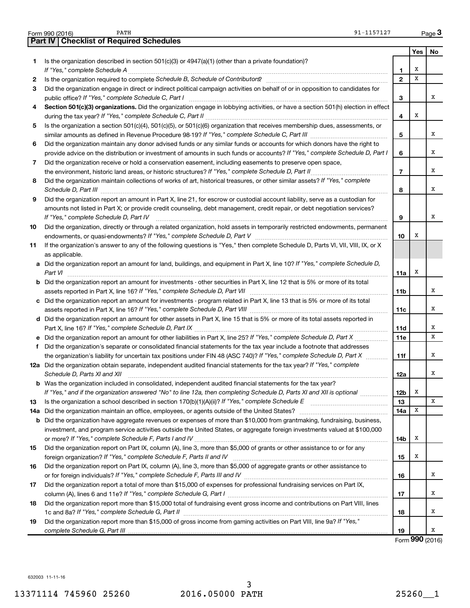|     | PATH<br>91-1157127<br>Form 990 (2016)                                                                                                              |                 |     | Page 3 |
|-----|----------------------------------------------------------------------------------------------------------------------------------------------------|-----------------|-----|--------|
|     | <b>Part IV   Checklist of Required Schedules</b>                                                                                                   |                 |     |        |
|     |                                                                                                                                                    |                 | Yes | No     |
| 1.  | Is the organization described in section 501(c)(3) or 4947(a)(1) (other than a private foundation)?                                                | 1               | х   |        |
| 2   |                                                                                                                                                    | $\mathbf{2}$    | X   |        |
| 3   | Did the organization engage in direct or indirect political campaign activities on behalf of or in opposition to candidates for                    |                 |     |        |
|     |                                                                                                                                                    | 3               |     | x      |
| 4   | Section 501(c)(3) organizations. Did the organization engage in lobbying activities, or have a section 501(h) election in effect                   |                 |     |        |
|     |                                                                                                                                                    | 4               | х   |        |
| 5   | Is the organization a section 501(c)(4), 501(c)(5), or 501(c)(6) organization that receives membership dues, assessments, or                       |                 |     |        |
|     |                                                                                                                                                    | 5               |     | x      |
| 6   | Did the organization maintain any donor advised funds or any similar funds or accounts for which donors have the right to                          |                 |     |        |
|     | provide advice on the distribution or investment of amounts in such funds or accounts? If "Yes," complete Schedule D, Part I                       | 6               |     | x      |
| 7   | Did the organization receive or hold a conservation easement, including easements to preserve open space,                                          |                 |     |        |
|     |                                                                                                                                                    | $\overline{7}$  |     | х      |
| 8   | Did the organization maintain collections of works of art, historical treasures, or other similar assets? If "Yes," complete                       |                 |     |        |
|     |                                                                                                                                                    | 8               |     | х      |
| 9   | Did the organization report an amount in Part X, line 21, for escrow or custodial account liability, serve as a custodian for                      |                 |     |        |
|     | amounts not listed in Part X; or provide credit counseling, debt management, credit repair, or debt negotiation services?                          |                 |     |        |
|     | If "Yes," complete Schedule D, Part IV                                                                                                             | 9               |     | x      |
| 10  | Did the organization, directly or through a related organization, hold assets in temporarily restricted endowments, permanent                      |                 |     |        |
|     |                                                                                                                                                    | 10              | х   |        |
| 11  | If the organization's answer to any of the following questions is "Yes," then complete Schedule D, Parts VI, VII, VIII, IX, or X<br>as applicable. |                 |     |        |
|     | a Did the organization report an amount for land, buildings, and equipment in Part X, line 10? If "Yes," complete Schedule D,                      |                 |     |        |
|     | Part VI                                                                                                                                            | 11a             | х   |        |
|     | <b>b</b> Did the organization report an amount for investments - other securities in Part X, line 12 that is 5% or more of its total               |                 |     |        |
|     |                                                                                                                                                    | 11b             |     | x      |
|     | c Did the organization report an amount for investments - program related in Part X, line 13 that is 5% or more of its total                       |                 |     |        |
|     |                                                                                                                                                    | 11c             |     | x      |
|     | d Did the organization report an amount for other assets in Part X, line 15 that is 5% or more of its total assets reported in                     |                 |     |        |
|     |                                                                                                                                                    | 11d             |     | x      |
|     |                                                                                                                                                    | 11 <sub>e</sub> |     | x      |
| f.  | Did the organization's separate or consolidated financial statements for the tax year include a footnote that addresses                            |                 |     |        |
|     | the organization's liability for uncertain tax positions under FIN 48 (ASC 740)? If "Yes," complete Schedule D, Part X                             | 11f             |     | X      |
|     | 12a Did the organization obtain separate, independent audited financial statements for the tax year? If "Yes," complete                            |                 |     | X      |
|     | Schedule D, Parts XI and XII<br>b Was the organization included in consolidated, independent audited financial statements for the tax year?        | 12a             |     |        |
|     | If "Yes," and if the organization answered "No" to line 12a, then completing Schedule D, Parts XI and XII is optional                              | <b>12b</b>      | х   |        |
| 13  | Is the organization a school described in section $170(b)(1)(A)(ii)$ ? If "Yes," complete Schedule E                                               | 13              |     | x      |
| 14a | Did the organization maintain an office, employees, or agents outside of the United States?                                                        | 14a             | Х   |        |
|     | <b>b</b> Did the organization have aggregate revenues or expenses of more than \$10,000 from grantmaking, fundraising, business,                   |                 |     |        |
|     | investment, and program service activities outside the United States, or aggregate foreign investments valued at \$100,000                         |                 |     |        |
|     |                                                                                                                                                    | 14b             | х   |        |
| 15  | Did the organization report on Part IX, column (A), line 3, more than \$5,000 of grants or other assistance to or for any                          |                 |     |        |
|     |                                                                                                                                                    | 15              | Х   |        |
| 16  | Did the organization report on Part IX, column (A), line 3, more than \$5,000 of aggregate grants or other assistance to                           |                 |     |        |
|     |                                                                                                                                                    | 16              |     | X      |
| 17  | Did the organization report a total of more than \$15,000 of expenses for professional fundraising services on Part IX,                            |                 |     |        |
|     |                                                                                                                                                    | 17              |     | X      |
| 18  | Did the organization report more than \$15,000 total of fundraising event gross income and contributions on Part VIII, lines                       |                 |     |        |
|     |                                                                                                                                                    | 18              |     | x      |
| 19  | Did the organization report more than \$15,000 of gross income from gaming activities on Part VIII, line 9a? If "Yes,"                             |                 |     |        |
|     |                                                                                                                                                    | 19              |     | х      |

Form (2016) **990**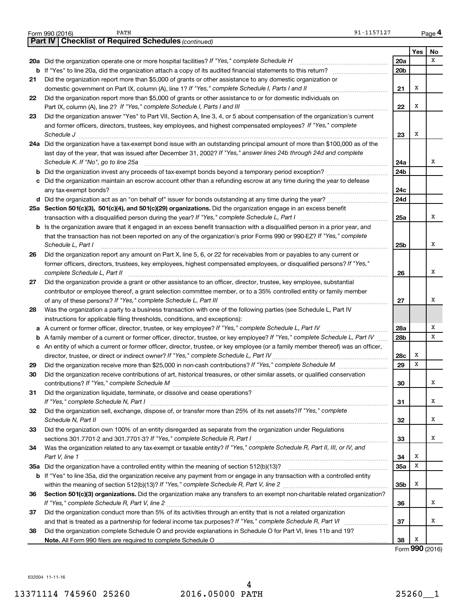|    | 91-1157127<br>PATH<br>Form 990 (2016)                                                                                                                                                                                                                                                                                                                               |                  |     | Page 4           |
|----|---------------------------------------------------------------------------------------------------------------------------------------------------------------------------------------------------------------------------------------------------------------------------------------------------------------------------------------------------------------------|------------------|-----|------------------|
|    | <b>Checklist of Required Schedules (continued)</b><br>Part IV                                                                                                                                                                                                                                                                                                       |                  |     |                  |
|    |                                                                                                                                                                                                                                                                                                                                                                     |                  | Yes | No               |
|    | 20a Did the organization operate one or more hospital facilities? If "Yes," complete Schedule H                                                                                                                                                                                                                                                                     | 20a              |     | x                |
|    |                                                                                                                                                                                                                                                                                                                                                                     | 20 <sub>b</sub>  |     |                  |
| 21 | Did the organization report more than \$5,000 of grants or other assistance to any domestic organization or                                                                                                                                                                                                                                                         |                  |     |                  |
|    |                                                                                                                                                                                                                                                                                                                                                                     | 21               | Х   |                  |
| 22 | Did the organization report more than \$5,000 of grants or other assistance to or for domestic individuals on                                                                                                                                                                                                                                                       |                  |     |                  |
|    |                                                                                                                                                                                                                                                                                                                                                                     | 22               | х   |                  |
| 23 | Did the organization answer "Yes" to Part VII, Section A, line 3, 4, or 5 about compensation of the organization's current                                                                                                                                                                                                                                          |                  |     |                  |
|    | and former officers, directors, trustees, key employees, and highest compensated employees? If "Yes," complete                                                                                                                                                                                                                                                      | 23               | х   |                  |
|    | Schedule J <b>Martin Communication Contract Contract Contract Contract Contract Contract Contract Contract Contract Contract Contract Contract Contract Contract Contract Contract Contract Contract Contract Contract Contract </b><br>24a Did the organization have a tax-exempt bond issue with an outstanding principal amount of more than \$100,000 as of the |                  |     |                  |
|    | last day of the year, that was issued after December 31, 2002? If "Yes," answer lines 24b through 24d and complete                                                                                                                                                                                                                                                  |                  |     |                  |
|    | Schedule K. If "No", go to line 25a                                                                                                                                                                                                                                                                                                                                 | 24a              |     | x                |
|    |                                                                                                                                                                                                                                                                                                                                                                     | 24b              |     |                  |
|    | c Did the organization maintain an escrow account other than a refunding escrow at any time during the year to defease                                                                                                                                                                                                                                              |                  |     |                  |
|    |                                                                                                                                                                                                                                                                                                                                                                     | 24c              |     |                  |
|    |                                                                                                                                                                                                                                                                                                                                                                     | 24d              |     |                  |
|    | 25a Section 501(c)(3), 501(c)(4), and 501(c)(29) organizations. Did the organization engage in an excess benefit                                                                                                                                                                                                                                                    |                  |     |                  |
|    |                                                                                                                                                                                                                                                                                                                                                                     | 25a              |     | x                |
|    | b Is the organization aware that it engaged in an excess benefit transaction with a disqualified person in a prior year, and                                                                                                                                                                                                                                        |                  |     |                  |
|    | that the transaction has not been reported on any of the organization's prior Forms 990 or 990-EZ? If "Yes," complete                                                                                                                                                                                                                                               |                  |     |                  |
|    | Schedule L, Part I                                                                                                                                                                                                                                                                                                                                                  | 25b              |     | X                |
| 26 | Did the organization report any amount on Part X, line 5, 6, or 22 for receivables from or payables to any current or                                                                                                                                                                                                                                               |                  |     |                  |
|    | former officers, directors, trustees, key employees, highest compensated employees, or disqualified persons? If "Yes,"                                                                                                                                                                                                                                              |                  |     |                  |
|    |                                                                                                                                                                                                                                                                                                                                                                     | 26               |     | х                |
| 27 | Did the organization provide a grant or other assistance to an officer, director, trustee, key employee, substantial                                                                                                                                                                                                                                                |                  |     |                  |
|    | contributor or employee thereof, a grant selection committee member, or to a 35% controlled entity or family member                                                                                                                                                                                                                                                 |                  |     | х                |
| 28 |                                                                                                                                                                                                                                                                                                                                                                     | 27               |     |                  |
|    | Was the organization a party to a business transaction with one of the following parties (see Schedule L, Part IV<br>instructions for applicable filing thresholds, conditions, and exceptions):                                                                                                                                                                    |                  |     |                  |
|    | a A current or former officer, director, trustee, or key employee? If "Yes," complete Schedule L, Part IV                                                                                                                                                                                                                                                           | 28a              |     | х                |
|    | <b>b</b> A family member of a current or former officer, director, trustee, or key employee? If "Yes," complete Schedule L, Part IV                                                                                                                                                                                                                                 | 28b              |     | x                |
|    | c An entity of which a current or former officer, director, trustee, or key employee (or a family member thereof) was an officer,                                                                                                                                                                                                                                   |                  |     |                  |
|    |                                                                                                                                                                                                                                                                                                                                                                     | 28c              | х   |                  |
| 29 | Did the organization receive more than \$25,000 in non-cash contributions? If "Yes," complete Schedule M                                                                                                                                                                                                                                                            | 29               | X   |                  |
| 30 | Did the organization receive contributions of art, historical treasures, or other similar assets, or qualified conservation                                                                                                                                                                                                                                         |                  |     |                  |
|    |                                                                                                                                                                                                                                                                                                                                                                     | 30               |     | Χ                |
| 31 | Did the organization liquidate, terminate, or dissolve and cease operations?                                                                                                                                                                                                                                                                                        |                  |     |                  |
|    |                                                                                                                                                                                                                                                                                                                                                                     | 31               |     | x                |
| 32 | Did the organization sell, exchange, dispose of, or transfer more than 25% of its net assets? If "Yes," complete                                                                                                                                                                                                                                                    |                  |     |                  |
|    |                                                                                                                                                                                                                                                                                                                                                                     | 32               |     | x                |
| 33 | Did the organization own 100% of an entity disregarded as separate from the organization under Regulations                                                                                                                                                                                                                                                          |                  |     | x                |
|    | Was the organization related to any tax-exempt or taxable entity? If "Yes," complete Schedule R, Part II, III, or IV, and                                                                                                                                                                                                                                           | 33               |     |                  |
| 34 | Part V, line 1                                                                                                                                                                                                                                                                                                                                                      | 34               | х   |                  |
|    |                                                                                                                                                                                                                                                                                                                                                                     | 35a              | X   |                  |
|    | b If "Yes" to line 35a, did the organization receive any payment from or engage in any transaction with a controlled entity                                                                                                                                                                                                                                         |                  |     |                  |
|    |                                                                                                                                                                                                                                                                                                                                                                     | 35b              | х   |                  |
| 36 | Section 501(c)(3) organizations. Did the organization make any transfers to an exempt non-charitable related organization?                                                                                                                                                                                                                                          |                  |     |                  |
|    |                                                                                                                                                                                                                                                                                                                                                                     | 36               |     | x                |
| 37 | Did the organization conduct more than 5% of its activities through an entity that is not a related organization                                                                                                                                                                                                                                                    |                  |     |                  |
|    |                                                                                                                                                                                                                                                                                                                                                                     | 37               |     | x                |
| 38 | Did the organization complete Schedule O and provide explanations in Schedule O for Part VI, lines 11b and 19?                                                                                                                                                                                                                                                      |                  |     |                  |
|    |                                                                                                                                                                                                                                                                                                                                                                     | 38               | х   | $000$ ( $0010$ ) |
|    |                                                                                                                                                                                                                                                                                                                                                                     | $r_{\text{max}}$ |     |                  |

Form (2016) **990**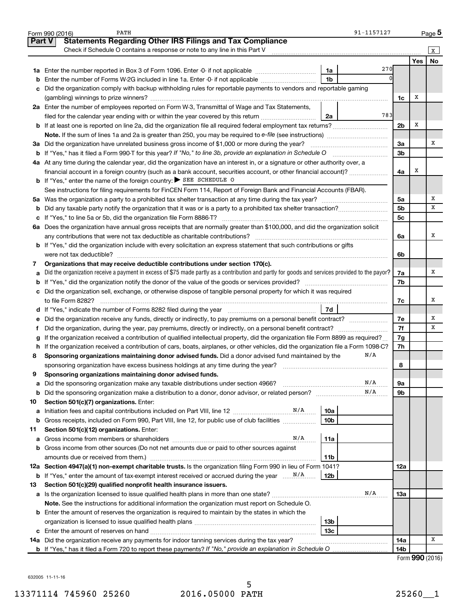|               | PATH<br>91-1157127<br>Form 990 (2016)                                                                                                           |                 |            | Page 5                 |
|---------------|-------------------------------------------------------------------------------------------------------------------------------------------------|-----------------|------------|------------------------|
| <b>Part V</b> | <b>Statements Regarding Other IRS Filings and Tax Compliance</b>                                                                                |                 |            |                        |
|               | Check if Schedule O contains a response or note to any line in this Part V                                                                      |                 |            | x                      |
|               |                                                                                                                                                 |                 | <b>Yes</b> | <b>No</b>              |
|               | 270<br>1a                                                                                                                                       |                 |            |                        |
| b             | 1 <sub>b</sub><br>Enter the number of Forms W-2G included in line 1a. Enter -0- if not applicable                                               |                 |            |                        |
| с             | Did the organization comply with backup withholding rules for reportable payments to vendors and reportable gaming                              |                 |            |                        |
|               |                                                                                                                                                 | 1c              | Х          |                        |
|               | 2a Enter the number of employees reported on Form W-3, Transmittal of Wage and Tax Statements,                                                  |                 |            |                        |
|               | 783<br>filed for the calendar year ending with or within the year covered by this return <i>[[[[[[[[[[[[[[]]]]</i> ]<br>2a                      |                 |            |                        |
|               |                                                                                                                                                 | 2 <sub>b</sub>  | Х          |                        |
|               |                                                                                                                                                 |                 |            |                        |
|               | 3a Did the organization have unrelated business gross income of \$1,000 or more during the year?                                                | За              |            | х                      |
| b             | If "Yes," has it filed a Form 990 T for this year? If "No," to line 3b, provide an explanation in Schedule O manumerrous                        | 3b              |            |                        |
|               | 4a At any time during the calendar year, did the organization have an interest in, or a signature or other authority over, a                    |                 |            |                        |
|               | financial account in a foreign country (such as a bank account, securities account, or other financial account)?                                | 4a              | х          |                        |
|               | <b>b</b> If "Yes," enter the name of the foreign country: $\triangleright$ SEE SCHEDULE O                                                       |                 |            |                        |
|               | See instructions for filing requirements for FinCEN Form 114, Report of Foreign Bank and Financial Accounts (FBAR).                             |                 |            |                        |
|               |                                                                                                                                                 | 5a              |            | х                      |
| b             |                                                                                                                                                 | 5 <sub>b</sub>  |            | x                      |
|               |                                                                                                                                                 | 5c              |            |                        |
| с             | 6a Does the organization have annual gross receipts that are normally greater than \$100,000, and did the organization solicit                  |                 |            |                        |
|               |                                                                                                                                                 |                 |            | x                      |
|               | <b>b</b> If "Yes," did the organization include with every solicitation an express statement that such contributions or gifts                   | 6а              |            |                        |
|               |                                                                                                                                                 |                 |            |                        |
|               |                                                                                                                                                 | 6b              |            |                        |
| 7             | Organizations that may receive deductible contributions under section 170(c).                                                                   |                 |            | х                      |
| а             | Did the organization receive a payment in excess of \$75 made partly as a contribution and partly for goods and services provided to the payor? | 7a              |            |                        |
| b             |                                                                                                                                                 | 7b              |            |                        |
|               | c Did the organization sell, exchange, or otherwise dispose of tangible personal property for which it was required                             |                 |            |                        |
|               |                                                                                                                                                 | 7c              |            | х                      |
|               | 7d                                                                                                                                              |                 |            |                        |
| е             |                                                                                                                                                 | 7е              |            | х                      |
| f.            | Did the organization, during the year, pay premiums, directly or indirectly, on a personal benefit contract?                                    | 7f              |            | x                      |
| g             | If the organization received a contribution of qualified intellectual property, did the organization file Form 8899 as required?                | 7g              |            |                        |
|               | h If the organization received a contribution of cars, boats, airplanes, or other vehicles, did the organization file a Form 1098-C?            | 7h              |            |                        |
| 8             | N/A<br>Sponsoring organizations maintaining donor advised funds. Did a donor advised fund maintained by the                                     |                 |            |                        |
|               | sponsoring organization have excess business holdings at any time during the year?                                                              | 8               |            |                        |
|               | Sponsoring organizations maintaining donor advised funds.                                                                                       |                 |            |                        |
| а             | N/A<br>Did the sponsoring organization make any taxable distributions under section 4966?                                                       | 9а              |            |                        |
| b             | N/A                                                                                                                                             | 9b              |            |                        |
| 10            | Section 501(c)(7) organizations. Enter:                                                                                                         |                 |            |                        |
| а             | N/A<br>10a<br>Initiation fees and capital contributions included on Part VIII, line 12                                                          |                 |            |                        |
| b             | Gross receipts, included on Form 990, Part VIII, line 12, for public use of club facilities<br>10 <sub>b</sub>                                  |                 |            |                        |
| 11            | Section 501(c)(12) organizations. Enter:                                                                                                        |                 |            |                        |
| а             | N/A<br>11a                                                                                                                                      |                 |            |                        |
| b             | Gross income from other sources (Do not net amounts due or paid to other sources against                                                        |                 |            |                        |
|               | amounts due or received from them.)<br>11b                                                                                                      |                 |            |                        |
|               | 12a Section 4947(a)(1) non-exempt charitable trusts. Is the organization filing Form 990 in lieu of Form 1041?                                  | 12a             |            |                        |
| b             | If "Yes," enter the amount of tax-exempt interest received or accrued during the year<br>12b                                                    |                 |            |                        |
| 13            | Section 501(c)(29) qualified nonprofit health insurance issuers.                                                                                |                 |            |                        |
|               | N/A<br>a Is the organization licensed to issue qualified health plans in more than one state?                                                   | 13a             |            |                        |
|               | Note. See the instructions for additional information the organization must report on Schedule O.                                               |                 |            |                        |
|               | <b>b</b> Enter the amount of reserves the organization is required to maintain by the states in which the                                       |                 |            |                        |
|               | 13 <sub>b</sub>                                                                                                                                 |                 |            |                        |
| с             | 13с                                                                                                                                             |                 |            |                        |
|               | 14a Did the organization receive any payments for indoor tanning services during the tax year?                                                  | 14a             |            | х                      |
|               |                                                                                                                                                 | 14 <sub>b</sub> |            |                        |
|               |                                                                                                                                                 |                 |            | $0.00 \times 10^{-10}$ |

| Form 990 (2016) |
|-----------------|
|-----------------|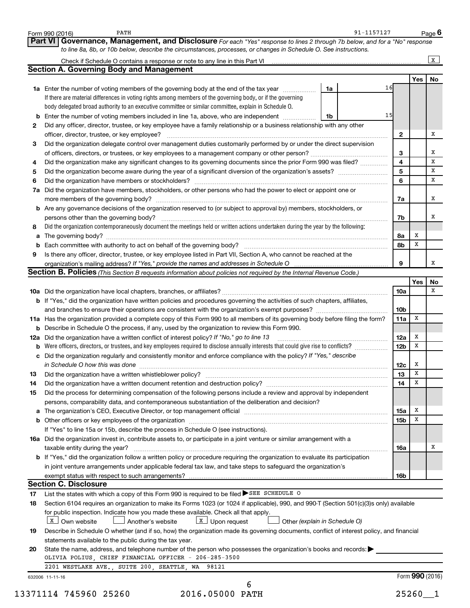|                      |                                                                                                                                                                               |    | Part VI Governance, Management, and Disclosure For each "Yes" response to lines 2 through 7b below, and for a "No" response |                 |                 |              |
|----------------------|-------------------------------------------------------------------------------------------------------------------------------------------------------------------------------|----|-----------------------------------------------------------------------------------------------------------------------------|-----------------|-----------------|--------------|
|                      | to line 8a, 8b, or 10b below, describe the circumstances, processes, or changes in Schedule O. See instructions.                                                              |    |                                                                                                                             |                 |                 |              |
|                      | <b>Section A. Governing Body and Management</b>                                                                                                                               |    |                                                                                                                             |                 |                 | $\mathbf{x}$ |
|                      |                                                                                                                                                                               |    |                                                                                                                             |                 | Yes             | No           |
|                      | 1a Enter the number of voting members of the governing body at the end of the tax year                                                                                        | 1a | 16                                                                                                                          |                 |                 |              |
|                      | If there are material differences in voting rights among members of the governing body, or if the governing                                                                   |    |                                                                                                                             |                 |                 |              |
|                      | body delegated broad authority to an executive committee or similar committee, explain in Schedule O.                                                                         |    |                                                                                                                             |                 |                 |              |
|                      | <b>b</b> Enter the number of voting members included in line 1a, above, who are independent                                                                                   | 1b | 15                                                                                                                          |                 |                 |              |
| 2                    | Did any officer, director, trustee, or key employee have a family relationship or a business relationship with any other                                                      |    |                                                                                                                             |                 |                 |              |
|                      | officer, director, trustee, or key employee?                                                                                                                                  |    |                                                                                                                             | $\mathbf{2}$    |                 |              |
| З                    | Did the organization delegate control over management duties customarily performed by or under the direct supervision                                                         |    |                                                                                                                             |                 |                 |              |
|                      |                                                                                                                                                                               |    |                                                                                                                             | 3               |                 |              |
| 4                    | Did the organization make any significant changes to its governing documents since the prior Form 990 was filed?                                                              |    |                                                                                                                             | 4               |                 |              |
| 5                    |                                                                                                                                                                               |    |                                                                                                                             | 5               |                 |              |
| 6                    |                                                                                                                                                                               |    |                                                                                                                             | 6               |                 |              |
| 7a                   | Did the organization have members, stockholders, or other persons who had the power to elect or appoint one or                                                                |    |                                                                                                                             |                 |                 |              |
|                      |                                                                                                                                                                               |    |                                                                                                                             |                 |                 |              |
|                      | more members of the governing body?                                                                                                                                           |    |                                                                                                                             | 7a              |                 |              |
|                      | <b>b</b> Are any governance decisions of the organization reserved to (or subject to approval by) members, stockholders, or                                                   |    |                                                                                                                             |                 |                 |              |
|                      | persons other than the governing body?                                                                                                                                        |    |                                                                                                                             | 7b              |                 |              |
| 8                    | Did the organization contemporaneously document the meetings held or written actions undertaken during the year by the following:                                             |    |                                                                                                                             |                 |                 |              |
| a                    |                                                                                                                                                                               |    |                                                                                                                             | 8а              | X               |              |
|                      |                                                                                                                                                                               |    |                                                                                                                             | 8b              | х               |              |
| 9                    | Is there any officer, director, trustee, or key employee listed in Part VII, Section A, who cannot be reached at the                                                          |    |                                                                                                                             |                 |                 |              |
|                      |                                                                                                                                                                               |    |                                                                                                                             | 9               |                 |              |
|                      | <b>Section B. Policies</b> (This Section B requests information about policies not required by the Internal Revenue Code.)                                                    |    |                                                                                                                             |                 |                 |              |
|                      |                                                                                                                                                                               |    |                                                                                                                             |                 | Yes             |              |
|                      |                                                                                                                                                                               |    |                                                                                                                             | 10a             |                 |              |
|                      | b If "Yes," did the organization have written policies and procedures governing the activities of such chapters, affiliates,                                                  |    |                                                                                                                             |                 |                 |              |
|                      |                                                                                                                                                                               |    |                                                                                                                             | 10 <sub>b</sub> |                 |              |
|                      | 11a Has the organization provided a complete copy of this Form 990 to all members of its governing body before filing the form?                                               |    |                                                                                                                             | 11a             | х               |              |
|                      | <b>b</b> Describe in Schedule O the process, if any, used by the organization to review this Form 990.                                                                        |    |                                                                                                                             |                 |                 |              |
|                      | 12a Did the organization have a written conflict of interest policy? If "No," go to line 13                                                                                   |    |                                                                                                                             | 12a             | х               |              |
|                      | <b>b</b> Were officers, directors, or trustees, and key employees required to disclose annually interests that could give rise to conflicts?                                  |    |                                                                                                                             | 12 <sub>b</sub> | х               |              |
|                      | Did the organization regularly and consistently monitor and enforce compliance with the policy? If "Yes," describe                                                            |    |                                                                                                                             |                 |                 |              |
|                      | in Schedule O how this was done                                                                                                                                               |    |                                                                                                                             | 12c             | х               |              |
| 13                   |                                                                                                                                                                               |    |                                                                                                                             | 13              | х               |              |
| 14                   | Did the organization have a written document retention and destruction policy? [11] manufaction in the organization have a written document retention and destruction policy? |    |                                                                                                                             | 14              | х               |              |
| 15                   | Did the process for determining compensation of the following persons include a review and approval by independent                                                            |    |                                                                                                                             |                 |                 |              |
|                      | persons, comparability data, and contemporaneous substantiation of the deliberation and decision?                                                                             |    |                                                                                                                             |                 |                 |              |
|                      |                                                                                                                                                                               |    |                                                                                                                             | 15a             | Х               |              |
| а                    |                                                                                                                                                                               |    |                                                                                                                             |                 | X               |              |
|                      |                                                                                                                                                                               |    |                                                                                                                             | 15 <sub>b</sub> |                 |              |
|                      | If "Yes" to line 15a or 15b, describe the process in Schedule O (see instructions).                                                                                           |    |                                                                                                                             |                 |                 |              |
|                      | <b>16a</b> Did the organization invest in, contribute assets to, or participate in a joint venture or similar arrangement with a                                              |    |                                                                                                                             |                 |                 |              |
|                      | taxable entity during the year?                                                                                                                                               |    |                                                                                                                             | 16a             |                 |              |
|                      | b If "Yes," did the organization follow a written policy or procedure requiring the organization to evaluate its participation                                                |    |                                                                                                                             |                 |                 |              |
|                      | in joint venture arrangements under applicable federal tax law, and take steps to safeguard the organization's                                                                |    |                                                                                                                             |                 |                 |              |
|                      |                                                                                                                                                                               |    |                                                                                                                             | 16b             |                 |              |
|                      | <b>Section C. Disclosure</b>                                                                                                                                                  |    |                                                                                                                             |                 |                 |              |
|                      | List the states with which a copy of this Form 990 is required to be filed SEE SCHEDULE O                                                                                     |    |                                                                                                                             |                 |                 |              |
|                      | Section 6104 requires an organization to make its Forms 1023 (or 1024 if applicable), 990, and 990-T (Section 501(c)(3)s only) available                                      |    |                                                                                                                             |                 |                 |              |
|                      | for public inspection. Indicate how you made these available. Check all that apply.                                                                                           |    |                                                                                                                             |                 |                 |              |
|                      | X   Own website<br>$\boxed{\texttt{X}}$ Upon request<br>Another's website                                                                                                     |    | Other (explain in Schedule O)                                                                                               |                 |                 |              |
|                      |                                                                                                                                                                               |    |                                                                                                                             |                 |                 |              |
|                      |                                                                                                                                                                               |    |                                                                                                                             |                 |                 |              |
|                      | Describe in Schedule O whether (and if so, how) the organization made its governing documents, conflict of interest policy, and financial                                     |    |                                                                                                                             |                 |                 |              |
|                      | statements available to the public during the tax year.                                                                                                                       |    |                                                                                                                             |                 |                 |              |
| 17<br>18<br>19<br>20 | State the name, address, and telephone number of the person who possesses the organization's books and records:                                                               |    |                                                                                                                             |                 |                 |              |
|                      | OLIVIA POLIUS, CHIEF FINANCIAL OFFICER - 206-285-3500                                                                                                                         |    |                                                                                                                             |                 |                 |              |
|                      | 2201 WESTLAKE AVE., SUITE 200, SEATTLE, WA 98121                                                                                                                              |    |                                                                                                                             |                 |                 |              |
|                      | 632006 11-11-16<br>6                                                                                                                                                          |    |                                                                                                                             |                 | Form 990 (2016) |              |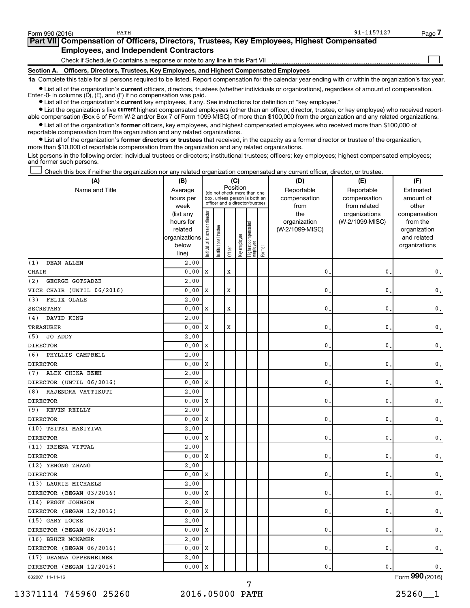$\Box$ 

| Part VII Compensation of Officers, Directors, Trustees, Key Employees, Highest Compensated |  |
|--------------------------------------------------------------------------------------------|--|
| <b>Employees, and Independent Contractors</b>                                              |  |
| Check if Schedule O contains a response or note to any line in this Part VII               |  |

**Section A. Officers, Directors, Trustees, Key Employees, and Highest Compensated Employees**

**1a**  Complete this table for all persons required to be listed. Report compensation for the calendar year ending with or within the organization's tax year.

**•** List all of the organization's current officers, directors, trustees (whether individuals or organizations), regardless of amount of compensation.

Enter -0- in columns  $(D)$ ,  $(E)$ , and  $(F)$  if no compensation was paid.

**•** List all of the organization's **current** key employees, if any. See instructions for definition of "key employee."

**•** List the organization's five current highest compensated employees (other than an officer, director, trustee, or key employee) who received reportable compensation (Box 5 of Form W-2 and/or Box 7 of Form 1099-MISC) of more than \$100,000 from the organization and any related organizations.

**•** List all of the organization's former officers, key employees, and highest compensated employees who received more than \$100,000 of reportable compensation from the organization and any related organizations.

**•** List all of the organization's former directors or trustees that received, in the capacity as a former director or trustee of the organization, more than \$10,000 of reportable compensation from the organization and any related organizations.

List persons in the following order: individual trustees or directors; institutional trustees; officers; key employees; highest compensated employees; and former such persons.

Check this box if neither the organization nor any related organization compensated any current officer, director, or trustee.  $\Box$ 

| Position<br>Name and Title<br>Reportable<br>Reportable<br>Average<br>Estimated<br>(do not check more than one<br>hours per<br>compensation<br>compensation<br>amount of<br>box, unless person is both an<br>officer and a director/trustee)<br>from related<br>other<br>week<br>from<br>Individual trustee or director<br>the<br>organizations<br>compensation<br>(list any<br>(W-2/1099-MISC)<br>hours for<br>organization<br>from the<br>Highest compensated<br>employee<br>Institutional trustee<br>related<br>(W-2/1099-MISC)<br>organization<br>Key employee<br>organizations<br>and related<br>below<br>organizations<br>Former<br>Officer<br>line)<br>(1)<br>DEAN ALLEN<br>2,00<br>$\mathbf X$<br>$\mathbf x$<br>0.00<br>CHAIR<br>0<br>0<br>$\mathbf{0}$ .<br>GEORGE GOTSADZE<br>2,00<br>(2)<br>0.00<br>0<br>VICE CHAIR (UNTIL 06/2016)<br>X<br>X<br>$\mathbf{0}$ .<br>$\mathfrak o$ .<br>FELIX OLALE<br>2,00<br>(3)<br>0.00<br><b>SECRETARY</b><br>X<br>X<br>0<br>0<br>$\mathbf{0}$ .<br>2,00<br>DAVID KING<br>(4)<br>0.00<br>TREASURER<br>X<br>X<br>$\mathbf{0}$ .<br>0<br>$\mathbf 0$ .<br>JO ADDY<br>2,00<br>(5)<br>0.00<br>$\mathbf x$<br><b>DIRECTOR</b><br>0<br>0<br>$\mathbf 0$ .<br>PHYLLIS CAMPBELL<br>2,00<br>(6)<br><b>DIRECTOR</b><br>0.00<br>$\mathbf X$<br>0<br>$\pmb{0}$<br>$\mathbf{0}$ .<br>ALEX CHIKA EZEH<br>2,00<br>(7)<br>0.00<br>0<br>DIRECTOR (UNTIL 06/2016)<br>X<br>0<br>$\mathbf{0}$ .<br>RAJENDRA VATTIKUTI<br>2,00<br>(8)<br>0.00<br>$\mathbf X$<br><b>DIRECTOR</b><br>0<br>0<br>$\mathbf{0}$ .<br>KEVIN REILLY<br>2,00<br>(9)<br>0.00<br>$\mathbf X$<br>$\mathbf{0}$ .<br><b>DIRECTOR</b><br>0<br>$\mathbf{0}$ .<br>(10) TSITSI MASIYIWA<br>2,00<br>0.00<br>$\mathbf x$<br>0<br><b>DIRECTOR</b><br>0<br>$\mathbf{0}$ .<br>2.00<br>(11) IREENA VITTAL<br>0.00<br>$\mathbf{0}$<br><b>DIRECTOR</b><br>X<br>0<br>$\mathbf{0}$ .<br>2,00<br>(12) YEHONG ZHANG<br>0.00<br>$\mathbf x$<br><b>DIRECTOR</b><br>$\mathbf 0$<br>0<br>$\mathbf{0}$ .<br>2,00<br>(13) LAURIE MICHAELS<br>0.00<br>X<br>$\mathbf{0}$<br>0<br>DIRECTOR (BEGAN 03/2016)<br>$\mathbf{0}$ .<br>(14) PEGGY JOHNSON<br>2,00<br>DIRECTOR (BEGAN 12/2016)<br>0.00<br>X<br>0<br>0<br>$\mathbf{0}$ .<br>2,00<br>(15) GARY LOCKE<br>DIRECTOR (BEGAN 06/2016)<br>0.00<br>X<br>0<br>0<br>$\mathbf{0}$ .<br>(16) BRUCE MCNAMER<br>2.00<br>0.00<br>X<br>$\mathbf{0}$ .<br>DIRECTOR (BEGAN 06/2016)<br>0<br>$\mathbf{0}$ .<br>(17) DEANNA OPPENHEIMER<br>2.00<br>0.00<br>X<br>$\mathbf{0}$<br>DIRECTOR (BEGAN 12/2016)<br>0<br>0.<br>Form 990 (2016)<br>632007 11-11-16 | (A) | (B) |  | (C) |  | (D) | (E) | (F) |
|---------------------------------------------------------------------------------------------------------------------------------------------------------------------------------------------------------------------------------------------------------------------------------------------------------------------------------------------------------------------------------------------------------------------------------------------------------------------------------------------------------------------------------------------------------------------------------------------------------------------------------------------------------------------------------------------------------------------------------------------------------------------------------------------------------------------------------------------------------------------------------------------------------------------------------------------------------------------------------------------------------------------------------------------------------------------------------------------------------------------------------------------------------------------------------------------------------------------------------------------------------------------------------------------------------------------------------------------------------------------------------------------------------------------------------------------------------------------------------------------------------------------------------------------------------------------------------------------------------------------------------------------------------------------------------------------------------------------------------------------------------------------------------------------------------------------------------------------------------------------------------------------------------------------------------------------------------------------------------------------------------------------------------------------------------------------------------------------------------------------------------------------------------------------------------------------------------------------------------------------------------------------------------------------------------------------------------------------------------------------------------------------------------------------------------------------------------------------------------------------------------------------------------------------------------------|-----|-----|--|-----|--|-----|-----|-----|
|                                                                                                                                                                                                                                                                                                                                                                                                                                                                                                                                                                                                                                                                                                                                                                                                                                                                                                                                                                                                                                                                                                                                                                                                                                                                                                                                                                                                                                                                                                                                                                                                                                                                                                                                                                                                                                                                                                                                                                                                                                                                                                                                                                                                                                                                                                                                                                                                                                                                                                                                                               |     |     |  |     |  |     |     |     |
|                                                                                                                                                                                                                                                                                                                                                                                                                                                                                                                                                                                                                                                                                                                                                                                                                                                                                                                                                                                                                                                                                                                                                                                                                                                                                                                                                                                                                                                                                                                                                                                                                                                                                                                                                                                                                                                                                                                                                                                                                                                                                                                                                                                                                                                                                                                                                                                                                                                                                                                                                               |     |     |  |     |  |     |     |     |
|                                                                                                                                                                                                                                                                                                                                                                                                                                                                                                                                                                                                                                                                                                                                                                                                                                                                                                                                                                                                                                                                                                                                                                                                                                                                                                                                                                                                                                                                                                                                                                                                                                                                                                                                                                                                                                                                                                                                                                                                                                                                                                                                                                                                                                                                                                                                                                                                                                                                                                                                                               |     |     |  |     |  |     |     |     |
|                                                                                                                                                                                                                                                                                                                                                                                                                                                                                                                                                                                                                                                                                                                                                                                                                                                                                                                                                                                                                                                                                                                                                                                                                                                                                                                                                                                                                                                                                                                                                                                                                                                                                                                                                                                                                                                                                                                                                                                                                                                                                                                                                                                                                                                                                                                                                                                                                                                                                                                                                               |     |     |  |     |  |     |     |     |
|                                                                                                                                                                                                                                                                                                                                                                                                                                                                                                                                                                                                                                                                                                                                                                                                                                                                                                                                                                                                                                                                                                                                                                                                                                                                                                                                                                                                                                                                                                                                                                                                                                                                                                                                                                                                                                                                                                                                                                                                                                                                                                                                                                                                                                                                                                                                                                                                                                                                                                                                                               |     |     |  |     |  |     |     |     |
|                                                                                                                                                                                                                                                                                                                                                                                                                                                                                                                                                                                                                                                                                                                                                                                                                                                                                                                                                                                                                                                                                                                                                                                                                                                                                                                                                                                                                                                                                                                                                                                                                                                                                                                                                                                                                                                                                                                                                                                                                                                                                                                                                                                                                                                                                                                                                                                                                                                                                                                                                               |     |     |  |     |  |     |     |     |
|                                                                                                                                                                                                                                                                                                                                                                                                                                                                                                                                                                                                                                                                                                                                                                                                                                                                                                                                                                                                                                                                                                                                                                                                                                                                                                                                                                                                                                                                                                                                                                                                                                                                                                                                                                                                                                                                                                                                                                                                                                                                                                                                                                                                                                                                                                                                                                                                                                                                                                                                                               |     |     |  |     |  |     |     |     |
|                                                                                                                                                                                                                                                                                                                                                                                                                                                                                                                                                                                                                                                                                                                                                                                                                                                                                                                                                                                                                                                                                                                                                                                                                                                                                                                                                                                                                                                                                                                                                                                                                                                                                                                                                                                                                                                                                                                                                                                                                                                                                                                                                                                                                                                                                                                                                                                                                                                                                                                                                               |     |     |  |     |  |     |     |     |
|                                                                                                                                                                                                                                                                                                                                                                                                                                                                                                                                                                                                                                                                                                                                                                                                                                                                                                                                                                                                                                                                                                                                                                                                                                                                                                                                                                                                                                                                                                                                                                                                                                                                                                                                                                                                                                                                                                                                                                                                                                                                                                                                                                                                                                                                                                                                                                                                                                                                                                                                                               |     |     |  |     |  |     |     |     |
|                                                                                                                                                                                                                                                                                                                                                                                                                                                                                                                                                                                                                                                                                                                                                                                                                                                                                                                                                                                                                                                                                                                                                                                                                                                                                                                                                                                                                                                                                                                                                                                                                                                                                                                                                                                                                                                                                                                                                                                                                                                                                                                                                                                                                                                                                                                                                                                                                                                                                                                                                               |     |     |  |     |  |     |     |     |
|                                                                                                                                                                                                                                                                                                                                                                                                                                                                                                                                                                                                                                                                                                                                                                                                                                                                                                                                                                                                                                                                                                                                                                                                                                                                                                                                                                                                                                                                                                                                                                                                                                                                                                                                                                                                                                                                                                                                                                                                                                                                                                                                                                                                                                                                                                                                                                                                                                                                                                                                                               |     |     |  |     |  |     |     |     |
|                                                                                                                                                                                                                                                                                                                                                                                                                                                                                                                                                                                                                                                                                                                                                                                                                                                                                                                                                                                                                                                                                                                                                                                                                                                                                                                                                                                                                                                                                                                                                                                                                                                                                                                                                                                                                                                                                                                                                                                                                                                                                                                                                                                                                                                                                                                                                                                                                                                                                                                                                               |     |     |  |     |  |     |     |     |
|                                                                                                                                                                                                                                                                                                                                                                                                                                                                                                                                                                                                                                                                                                                                                                                                                                                                                                                                                                                                                                                                                                                                                                                                                                                                                                                                                                                                                                                                                                                                                                                                                                                                                                                                                                                                                                                                                                                                                                                                                                                                                                                                                                                                                                                                                                                                                                                                                                                                                                                                                               |     |     |  |     |  |     |     |     |
|                                                                                                                                                                                                                                                                                                                                                                                                                                                                                                                                                                                                                                                                                                                                                                                                                                                                                                                                                                                                                                                                                                                                                                                                                                                                                                                                                                                                                                                                                                                                                                                                                                                                                                                                                                                                                                                                                                                                                                                                                                                                                                                                                                                                                                                                                                                                                                                                                                                                                                                                                               |     |     |  |     |  |     |     |     |
|                                                                                                                                                                                                                                                                                                                                                                                                                                                                                                                                                                                                                                                                                                                                                                                                                                                                                                                                                                                                                                                                                                                                                                                                                                                                                                                                                                                                                                                                                                                                                                                                                                                                                                                                                                                                                                                                                                                                                                                                                                                                                                                                                                                                                                                                                                                                                                                                                                                                                                                                                               |     |     |  |     |  |     |     |     |
|                                                                                                                                                                                                                                                                                                                                                                                                                                                                                                                                                                                                                                                                                                                                                                                                                                                                                                                                                                                                                                                                                                                                                                                                                                                                                                                                                                                                                                                                                                                                                                                                                                                                                                                                                                                                                                                                                                                                                                                                                                                                                                                                                                                                                                                                                                                                                                                                                                                                                                                                                               |     |     |  |     |  |     |     |     |
|                                                                                                                                                                                                                                                                                                                                                                                                                                                                                                                                                                                                                                                                                                                                                                                                                                                                                                                                                                                                                                                                                                                                                                                                                                                                                                                                                                                                                                                                                                                                                                                                                                                                                                                                                                                                                                                                                                                                                                                                                                                                                                                                                                                                                                                                                                                                                                                                                                                                                                                                                               |     |     |  |     |  |     |     |     |
|                                                                                                                                                                                                                                                                                                                                                                                                                                                                                                                                                                                                                                                                                                                                                                                                                                                                                                                                                                                                                                                                                                                                                                                                                                                                                                                                                                                                                                                                                                                                                                                                                                                                                                                                                                                                                                                                                                                                                                                                                                                                                                                                                                                                                                                                                                                                                                                                                                                                                                                                                               |     |     |  |     |  |     |     |     |
|                                                                                                                                                                                                                                                                                                                                                                                                                                                                                                                                                                                                                                                                                                                                                                                                                                                                                                                                                                                                                                                                                                                                                                                                                                                                                                                                                                                                                                                                                                                                                                                                                                                                                                                                                                                                                                                                                                                                                                                                                                                                                                                                                                                                                                                                                                                                                                                                                                                                                                                                                               |     |     |  |     |  |     |     |     |
|                                                                                                                                                                                                                                                                                                                                                                                                                                                                                                                                                                                                                                                                                                                                                                                                                                                                                                                                                                                                                                                                                                                                                                                                                                                                                                                                                                                                                                                                                                                                                                                                                                                                                                                                                                                                                                                                                                                                                                                                                                                                                                                                                                                                                                                                                                                                                                                                                                                                                                                                                               |     |     |  |     |  |     |     |     |
|                                                                                                                                                                                                                                                                                                                                                                                                                                                                                                                                                                                                                                                                                                                                                                                                                                                                                                                                                                                                                                                                                                                                                                                                                                                                                                                                                                                                                                                                                                                                                                                                                                                                                                                                                                                                                                                                                                                                                                                                                                                                                                                                                                                                                                                                                                                                                                                                                                                                                                                                                               |     |     |  |     |  |     |     |     |
|                                                                                                                                                                                                                                                                                                                                                                                                                                                                                                                                                                                                                                                                                                                                                                                                                                                                                                                                                                                                                                                                                                                                                                                                                                                                                                                                                                                                                                                                                                                                                                                                                                                                                                                                                                                                                                                                                                                                                                                                                                                                                                                                                                                                                                                                                                                                                                                                                                                                                                                                                               |     |     |  |     |  |     |     |     |
|                                                                                                                                                                                                                                                                                                                                                                                                                                                                                                                                                                                                                                                                                                                                                                                                                                                                                                                                                                                                                                                                                                                                                                                                                                                                                                                                                                                                                                                                                                                                                                                                                                                                                                                                                                                                                                                                                                                                                                                                                                                                                                                                                                                                                                                                                                                                                                                                                                                                                                                                                               |     |     |  |     |  |     |     |     |
|                                                                                                                                                                                                                                                                                                                                                                                                                                                                                                                                                                                                                                                                                                                                                                                                                                                                                                                                                                                                                                                                                                                                                                                                                                                                                                                                                                                                                                                                                                                                                                                                                                                                                                                                                                                                                                                                                                                                                                                                                                                                                                                                                                                                                                                                                                                                                                                                                                                                                                                                                               |     |     |  |     |  |     |     |     |
|                                                                                                                                                                                                                                                                                                                                                                                                                                                                                                                                                                                                                                                                                                                                                                                                                                                                                                                                                                                                                                                                                                                                                                                                                                                                                                                                                                                                                                                                                                                                                                                                                                                                                                                                                                                                                                                                                                                                                                                                                                                                                                                                                                                                                                                                                                                                                                                                                                                                                                                                                               |     |     |  |     |  |     |     |     |
|                                                                                                                                                                                                                                                                                                                                                                                                                                                                                                                                                                                                                                                                                                                                                                                                                                                                                                                                                                                                                                                                                                                                                                                                                                                                                                                                                                                                                                                                                                                                                                                                                                                                                                                                                                                                                                                                                                                                                                                                                                                                                                                                                                                                                                                                                                                                                                                                                                                                                                                                                               |     |     |  |     |  |     |     |     |
|                                                                                                                                                                                                                                                                                                                                                                                                                                                                                                                                                                                                                                                                                                                                                                                                                                                                                                                                                                                                                                                                                                                                                                                                                                                                                                                                                                                                                                                                                                                                                                                                                                                                                                                                                                                                                                                                                                                                                                                                                                                                                                                                                                                                                                                                                                                                                                                                                                                                                                                                                               |     |     |  |     |  |     |     |     |
|                                                                                                                                                                                                                                                                                                                                                                                                                                                                                                                                                                                                                                                                                                                                                                                                                                                                                                                                                                                                                                                                                                                                                                                                                                                                                                                                                                                                                                                                                                                                                                                                                                                                                                                                                                                                                                                                                                                                                                                                                                                                                                                                                                                                                                                                                                                                                                                                                                                                                                                                                               |     |     |  |     |  |     |     |     |
|                                                                                                                                                                                                                                                                                                                                                                                                                                                                                                                                                                                                                                                                                                                                                                                                                                                                                                                                                                                                                                                                                                                                                                                                                                                                                                                                                                                                                                                                                                                                                                                                                                                                                                                                                                                                                                                                                                                                                                                                                                                                                                                                                                                                                                                                                                                                                                                                                                                                                                                                                               |     |     |  |     |  |     |     |     |
|                                                                                                                                                                                                                                                                                                                                                                                                                                                                                                                                                                                                                                                                                                                                                                                                                                                                                                                                                                                                                                                                                                                                                                                                                                                                                                                                                                                                                                                                                                                                                                                                                                                                                                                                                                                                                                                                                                                                                                                                                                                                                                                                                                                                                                                                                                                                                                                                                                                                                                                                                               |     |     |  |     |  |     |     |     |
|                                                                                                                                                                                                                                                                                                                                                                                                                                                                                                                                                                                                                                                                                                                                                                                                                                                                                                                                                                                                                                                                                                                                                                                                                                                                                                                                                                                                                                                                                                                                                                                                                                                                                                                                                                                                                                                                                                                                                                                                                                                                                                                                                                                                                                                                                                                                                                                                                                                                                                                                                               |     |     |  |     |  |     |     |     |
|                                                                                                                                                                                                                                                                                                                                                                                                                                                                                                                                                                                                                                                                                                                                                                                                                                                                                                                                                                                                                                                                                                                                                                                                                                                                                                                                                                                                                                                                                                                                                                                                                                                                                                                                                                                                                                                                                                                                                                                                                                                                                                                                                                                                                                                                                                                                                                                                                                                                                                                                                               |     |     |  |     |  |     |     |     |
|                                                                                                                                                                                                                                                                                                                                                                                                                                                                                                                                                                                                                                                                                                                                                                                                                                                                                                                                                                                                                                                                                                                                                                                                                                                                                                                                                                                                                                                                                                                                                                                                                                                                                                                                                                                                                                                                                                                                                                                                                                                                                                                                                                                                                                                                                                                                                                                                                                                                                                                                                               |     |     |  |     |  |     |     |     |
|                                                                                                                                                                                                                                                                                                                                                                                                                                                                                                                                                                                                                                                                                                                                                                                                                                                                                                                                                                                                                                                                                                                                                                                                                                                                                                                                                                                                                                                                                                                                                                                                                                                                                                                                                                                                                                                                                                                                                                                                                                                                                                                                                                                                                                                                                                                                                                                                                                                                                                                                                               |     |     |  |     |  |     |     |     |
|                                                                                                                                                                                                                                                                                                                                                                                                                                                                                                                                                                                                                                                                                                                                                                                                                                                                                                                                                                                                                                                                                                                                                                                                                                                                                                                                                                                                                                                                                                                                                                                                                                                                                                                                                                                                                                                                                                                                                                                                                                                                                                                                                                                                                                                                                                                                                                                                                                                                                                                                                               |     |     |  |     |  |     |     |     |
|                                                                                                                                                                                                                                                                                                                                                                                                                                                                                                                                                                                                                                                                                                                                                                                                                                                                                                                                                                                                                                                                                                                                                                                                                                                                                                                                                                                                                                                                                                                                                                                                                                                                                                                                                                                                                                                                                                                                                                                                                                                                                                                                                                                                                                                                                                                                                                                                                                                                                                                                                               |     |     |  |     |  |     |     |     |
|                                                                                                                                                                                                                                                                                                                                                                                                                                                                                                                                                                                                                                                                                                                                                                                                                                                                                                                                                                                                                                                                                                                                                                                                                                                                                                                                                                                                                                                                                                                                                                                                                                                                                                                                                                                                                                                                                                                                                                                                                                                                                                                                                                                                                                                                                                                                                                                                                                                                                                                                                               |     |     |  |     |  |     |     |     |
|                                                                                                                                                                                                                                                                                                                                                                                                                                                                                                                                                                                                                                                                                                                                                                                                                                                                                                                                                                                                                                                                                                                                                                                                                                                                                                                                                                                                                                                                                                                                                                                                                                                                                                                                                                                                                                                                                                                                                                                                                                                                                                                                                                                                                                                                                                                                                                                                                                                                                                                                                               |     |     |  |     |  |     |     |     |
|                                                                                                                                                                                                                                                                                                                                                                                                                                                                                                                                                                                                                                                                                                                                                                                                                                                                                                                                                                                                                                                                                                                                                                                                                                                                                                                                                                                                                                                                                                                                                                                                                                                                                                                                                                                                                                                                                                                                                                                                                                                                                                                                                                                                                                                                                                                                                                                                                                                                                                                                                               |     |     |  |     |  |     |     |     |
|                                                                                                                                                                                                                                                                                                                                                                                                                                                                                                                                                                                                                                                                                                                                                                                                                                                                                                                                                                                                                                                                                                                                                                                                                                                                                                                                                                                                                                                                                                                                                                                                                                                                                                                                                                                                                                                                                                                                                                                                                                                                                                                                                                                                                                                                                                                                                                                                                                                                                                                                                               |     |     |  |     |  |     |     |     |
|                                                                                                                                                                                                                                                                                                                                                                                                                                                                                                                                                                                                                                                                                                                                                                                                                                                                                                                                                                                                                                                                                                                                                                                                                                                                                                                                                                                                                                                                                                                                                                                                                                                                                                                                                                                                                                                                                                                                                                                                                                                                                                                                                                                                                                                                                                                                                                                                                                                                                                                                                               |     |     |  |     |  |     |     |     |
|                                                                                                                                                                                                                                                                                                                                                                                                                                                                                                                                                                                                                                                                                                                                                                                                                                                                                                                                                                                                                                                                                                                                                                                                                                                                                                                                                                                                                                                                                                                                                                                                                                                                                                                                                                                                                                                                                                                                                                                                                                                                                                                                                                                                                                                                                                                                                                                                                                                                                                                                                               |     |     |  |     |  |     |     |     |
|                                                                                                                                                                                                                                                                                                                                                                                                                                                                                                                                                                                                                                                                                                                                                                                                                                                                                                                                                                                                                                                                                                                                                                                                                                                                                                                                                                                                                                                                                                                                                                                                                                                                                                                                                                                                                                                                                                                                                                                                                                                                                                                                                                                                                                                                                                                                                                                                                                                                                                                                                               |     |     |  |     |  |     |     |     |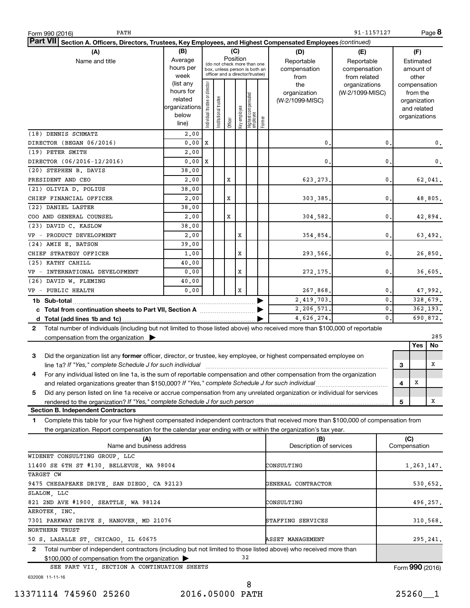| PATH<br>Form 990 (2016)                                                                                                                      |               |                               |                                                              |         |              |                                   |        |                         | 91-1157127      |           |                 | Page 8   |
|----------------------------------------------------------------------------------------------------------------------------------------------|---------------|-------------------------------|--------------------------------------------------------------|---------|--------------|-----------------------------------|--------|-------------------------|-----------------|-----------|-----------------|----------|
| Part VII Section A. Officers, Directors, Trustees, Key Employees, and Highest Compensated Employees (continued)                              |               |                               |                                                              |         |              |                                   |        |                         |                 |           |                 |          |
| (B)<br>(A)<br>(C)<br>(D)<br>(E)                                                                                                              |               |                               |                                                              |         |              |                                   |        |                         |                 |           | (F)             |          |
| Name and title                                                                                                                               | Average       | Position                      |                                                              |         |              |                                   |        | Reportable              | Reportable      | Estimated |                 |          |
|                                                                                                                                              | hours per     |                               | (do not check more than one<br>box, unless person is both an |         |              |                                   |        | compensation            | compensation    |           | amount of       |          |
|                                                                                                                                              | week          |                               |                                                              |         |              | officer and a director/trustee)   |        | from                    | from related    |           | other           |          |
|                                                                                                                                              | (list any     |                               |                                                              |         |              |                                   |        | the                     | organizations   |           | compensation    |          |
|                                                                                                                                              | hours for     |                               |                                                              |         |              |                                   |        | organization            | (W-2/1099-MISC) |           | from the        |          |
|                                                                                                                                              | related       |                               |                                                              |         |              |                                   |        | (W-2/1099-MISC)         |                 |           | organization    |          |
|                                                                                                                                              | organizations |                               |                                                              |         |              |                                   |        |                         |                 |           | and related     |          |
|                                                                                                                                              | below         | ndividual trustee or director | Institutional trustee                                        |         | Key employee | Highest compensated<br>  employee | Former |                         |                 |           | organizations   |          |
|                                                                                                                                              | line)         |                               |                                                              | Officer |              |                                   |        |                         |                 |           |                 |          |
| (18) DENNIS SCHMATZ                                                                                                                          | 2,00          |                               |                                                              |         |              |                                   |        |                         |                 |           |                 |          |
| DIRECTOR (BEGAN 06/2016)                                                                                                                     | 0.00          | X                             |                                                              |         |              |                                   |        | $\mathbf 0$ .           | 0.              |           |                 | 0.       |
| (19) PETER SMITH                                                                                                                             | 2,00          |                               |                                                              |         |              |                                   |        |                         |                 |           |                 |          |
| DIRECTOR (06/2016-12/2016)                                                                                                                   | 0.00          | X                             |                                                              |         |              |                                   |        | $\mathbf 0$ .           | $\mathbf{0}$    |           |                 | 0.       |
| (20) STEPHEN B. DAVIS                                                                                                                        | 38.00         |                               |                                                              |         |              |                                   |        |                         |                 |           |                 |          |
| PRESIDENT AND CEO                                                                                                                            | 2,00          |                               |                                                              | x       |              |                                   |        | 623, 273.               | 0.              |           |                 | 62,041.  |
| (21) OLIVIA D. POLIUS                                                                                                                        | 38.00         |                               |                                                              |         |              |                                   |        |                         |                 |           |                 |          |
| CHIEF FINANCIAL OFFICER                                                                                                                      | 2,00          |                               |                                                              | x       |              |                                   |        | 303,385.                | 0.              |           |                 | 48,805.  |
| (22) DANIEL LASTER                                                                                                                           | 38.00         |                               |                                                              |         |              |                                   |        |                         |                 |           |                 |          |
| COO AND GENERAL COUNSEL                                                                                                                      | 2,00          |                               |                                                              | x       |              |                                   |        | 304,582.                | 0.              |           |                 | 42,894.  |
| (23) DAVID C. KASLOW                                                                                                                         | 38.00         |                               |                                                              |         |              |                                   |        |                         |                 |           |                 |          |
| VP - PRODUCT DEVELOPMENT                                                                                                                     | 2,00          |                               |                                                              |         | x            |                                   |        | 354,854.                | 0.              |           |                 | 63,492.  |
| (24) AMIE E. BATSON                                                                                                                          | 39.00         |                               |                                                              |         |              |                                   |        |                         |                 |           |                 |          |
|                                                                                                                                              |               |                               |                                                              |         |              |                                   |        |                         |                 |           |                 |          |
| CHIEF STRATEGY OFFICER                                                                                                                       | 1,00          |                               |                                                              |         | x            |                                   |        | 293,566.                | 0.              |           |                 | 26,850.  |
| (25) KATHY CAHILL                                                                                                                            | 40.00         |                               |                                                              |         |              |                                   |        |                         |                 |           |                 |          |
| VP - INTERNATIONAL DEVELOPMENT                                                                                                               | 0.00          |                               |                                                              |         | x            |                                   |        | 272, 175.               | 0.              |           |                 | 36,605.  |
| (26) DAVID W. FLEMING                                                                                                                        | 40.00         |                               |                                                              |         |              |                                   |        |                         |                 |           |                 |          |
| VP - PUBLIC HEALTH                                                                                                                           | 0.00          |                               |                                                              |         | X            |                                   |        | 267,868.                | 0.              |           |                 | 47,992.  |
|                                                                                                                                              |               |                               |                                                              |         |              |                                   |        | 2,419,703.              | $\mathbf{0}$ .  |           |                 | 328,679. |
|                                                                                                                                              |               |                               |                                                              |         |              |                                   |        | 2,206,571.              | $\mathbf{0}$ .  |           |                 | 362,193. |
|                                                                                                                                              |               |                               |                                                              |         |              |                                   |        | 4,626,274.              | $\mathbf{0}$ .  |           |                 | 690,872. |
| Total number of individuals (including but not limited to those listed above) who received more than \$100,000 of reportable<br>$\mathbf{2}$ |               |                               |                                                              |         |              |                                   |        |                         |                 |           |                 |          |
| compensation from the organization $\blacktriangleright$                                                                                     |               |                               |                                                              |         |              |                                   |        |                         |                 |           |                 | 285      |
|                                                                                                                                              |               |                               |                                                              |         |              |                                   |        |                         |                 |           | Yes             | No       |
| 3<br>Did the organization list any former officer, director, or trustee, key employee, or highest compensated employee on                    |               |                               |                                                              |         |              |                                   |        |                         |                 |           |                 |          |
|                                                                                                                                              |               |                               |                                                              |         |              |                                   |        |                         |                 | 3         |                 | х        |
| For any individual listed on line 1a, is the sum of reportable compensation and other compensation from the organization                     |               |                               |                                                              |         |              |                                   |        |                         |                 |           |                 |          |
| and related organizations greater than \$150,000? If "Yes," complete Schedule J for such individual                                          |               |                               |                                                              |         |              |                                   |        |                         |                 | 4         | X               |          |
| Did any person listed on line 1a receive or accrue compensation from any unrelated organization or individual for services<br>5              |               |                               |                                                              |         |              |                                   |        |                         |                 |           |                 |          |
|                                                                                                                                              |               |                               |                                                              |         |              |                                   |        |                         |                 | 5         |                 | х        |
| <b>Section B. Independent Contractors</b>                                                                                                    |               |                               |                                                              |         |              |                                   |        |                         |                 |           |                 |          |
| Complete this table for your five highest compensated independent contractors that received more than \$100,000 of compensation from<br>1    |               |                               |                                                              |         |              |                                   |        |                         |                 |           |                 |          |
| the organization. Report compensation for the calendar year ending with or within the organization's tax year.                               |               |                               |                                                              |         |              |                                   |        |                         |                 |           |                 |          |
| (A)                                                                                                                                          |               |                               |                                                              |         |              |                                   |        | (B)                     |                 |           | (C)             |          |
| Name and business address                                                                                                                    |               |                               |                                                              |         |              |                                   |        | Description of services |                 |           | Compensation    |          |
| WIDENET CONSULTING GROUP, LLC                                                                                                                |               |                               |                                                              |         |              |                                   |        |                         |                 |           |                 |          |
| 11400 SE 6TH ST #130, BELLEVUE, WA 98004                                                                                                     |               |                               |                                                              |         |              |                                   |        | CONSULTING              |                 |           | 1, 263, 147.    |          |
|                                                                                                                                              |               |                               |                                                              |         |              |                                   |        |                         |                 |           |                 |          |
| TARGET CW                                                                                                                                    |               |                               |                                                              |         |              |                                   |        |                         |                 |           |                 |          |
| 9475 CHESAPEAKE DRIVE, SAN DIEGO, CA 92123                                                                                                   |               |                               |                                                              |         |              |                                   |        | GENERAL CONTRACTOR      |                 |           |                 | 530,652. |
| SLALOM, LLC                                                                                                                                  |               |                               |                                                              |         |              |                                   |        |                         |                 |           |                 |          |
| 821 2ND AVE #1900, SEATTLE, WA 98124<br>CONSULTING                                                                                           |               |                               |                                                              |         |              |                                   |        |                         |                 | 496,257.  |                 |          |
| AEROTEK, INC.                                                                                                                                |               |                               |                                                              |         |              |                                   |        |                         |                 |           |                 |          |
| 7301 PARKWAY DRIVE S, HANOVER, MD 21076<br>STAFFING SERVICES                                                                                 |               |                               |                                                              |         |              |                                   |        |                         |                 |           | 310,568.        |          |
| NORTHERN TRUST                                                                                                                               |               |                               |                                                              |         |              |                                   |        |                         |                 |           |                 |          |
| 50 S. LASALLE ST, CHICAGO, IL 60675                                                                                                          |               |                               |                                                              |         |              |                                   |        | <b>ASSET MANAGEMENT</b> |                 |           |                 | 295,241. |
| Total number of independent contractors (including but not limited to those listed above) who received more than<br>$\mathbf{2}$             |               |                               |                                                              |         |              |                                   |        |                         |                 |           |                 |          |
| \$100,000 of compensation from the organization                                                                                              |               |                               |                                                              |         |              | 32                                |        |                         |                 |           |                 |          |
| SEE PART VII, SECTION A CONTINUATION SHEETS                                                                                                  |               |                               |                                                              |         |              |                                   |        |                         |                 |           | Form 990 (2016) |          |
| 632008 11-11-16                                                                                                                              |               |                               |                                                              |         |              |                                   |        |                         |                 |           |                 |          |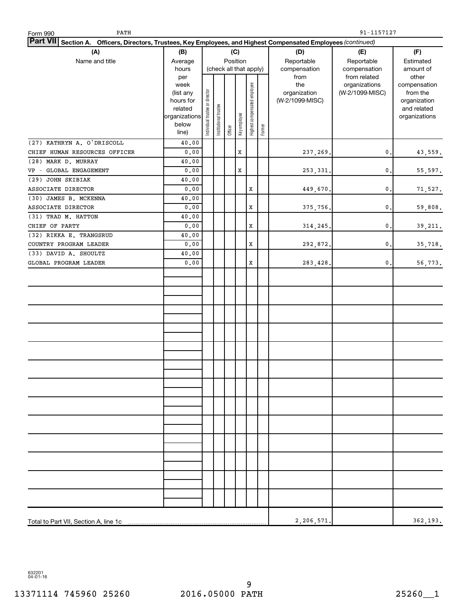| PATH<br>Form 990                                                                                                |                      |                                |                       |         |                        | 91-1157127                   |        |                 |                   |                             |
|-----------------------------------------------------------------------------------------------------------------|----------------------|--------------------------------|-----------------------|---------|------------------------|------------------------------|--------|-----------------|-------------------|-----------------------------|
| Part VII Section A. Officers, Directors, Trustees, Key Employees, and Highest Compensated Employees (continued) |                      |                                |                       |         |                        |                              |        |                 |                   |                             |
| (A)                                                                                                             | (B)                  |                                |                       |         | (C)                    |                              |        | (D)             | (F)               |                             |
| Name and title                                                                                                  | Average              |                                |                       |         | Position               |                              |        | Reportable      | (E)<br>Reportable | Estimated                   |
|                                                                                                                 | hours                |                                |                       |         | (check all that apply) |                              |        | compensation    | compensation      | amount of                   |
|                                                                                                                 | per                  |                                |                       |         |                        |                              |        | from            | from related      | other                       |
|                                                                                                                 | week                 |                                |                       |         |                        |                              |        | the             | organizations     | compensation                |
|                                                                                                                 | (list any            |                                |                       |         |                        |                              |        | organization    | (W-2/1099-MISC)   | from the                    |
|                                                                                                                 | hours for<br>related |                                |                       |         |                        |                              |        | (W-2/1099-MISC) |                   | organization<br>and related |
|                                                                                                                 | organizations        | Individual trustee or director | Institutional trustee |         |                        | Highest compensated employee |        |                 |                   | organizations               |
|                                                                                                                 | below                |                                |                       |         | Key employee           |                              |        |                 |                   |                             |
|                                                                                                                 | line)                |                                |                       | Officer |                        |                              | Former |                 |                   |                             |
| (27) KATHRYN A. O'DRISCOLL                                                                                      | 40.00                |                                |                       |         |                        |                              |        |                 |                   |                             |
| CHIEF HUMAN RESOURCES OFFICER                                                                                   | 0.00                 |                                |                       |         | $\mathbf x$            |                              |        | 237,269.        | $\mathbf 0$ .     | 43,559.                     |
| (28) MARK D. MURRAY                                                                                             | 40.00                |                                |                       |         |                        |                              |        |                 |                   |                             |
| VP - GLOBAL ENGAGEMENT                                                                                          | 0.00                 |                                |                       |         | X                      |                              |        | 253,331.        | $\mathbf 0$ .     | 55,597.                     |
| (29) JOHN SKIBIAK                                                                                               | 40.00                |                                |                       |         |                        |                              |        |                 |                   |                             |
| ASSOCIATE DIRECTOR                                                                                              | 0.00                 |                                |                       |         |                        | X                            |        | 449,670.        | $\mathbf{0}$ .    | 71,527.                     |
| (30) JAMES B. MCKENNA                                                                                           | 40.00                |                                |                       |         |                        |                              |        |                 |                   |                             |
| ASSOCIATE DIRECTOR                                                                                              | 0.00                 |                                |                       |         |                        | X                            |        | 375,756.        | $\mathbf{0}$ .    | 59,808.                     |
| (31) TRAD M. HATTON                                                                                             | 40.00                |                                |                       |         |                        |                              |        |                 |                   |                             |
| CHIEF OF PARTY                                                                                                  | 0.00                 |                                |                       |         |                        | X                            |        | 314,245.        | $\mathbf{0}$ .    | 39,211.                     |
| (32) RIKKA E. TRANGSRUD                                                                                         | 40.00                |                                |                       |         |                        |                              |        |                 |                   |                             |
| COUNTRY PROGRAM LEADER                                                                                          | 0.00                 |                                |                       |         |                        | X                            |        | 292,872.        | $\mathbf{0}$ .    | 35,718.                     |
| (33) DAVID A. SHOULTZ                                                                                           | 40.00                |                                |                       |         |                        |                              |        |                 |                   |                             |
| GLOBAL PROGRAM LEADER                                                                                           | 0.00                 |                                |                       |         |                        | X                            |        | 283,428.        | 0.                | 56,773.                     |
|                                                                                                                 |                      |                                |                       |         |                        |                              |        |                 |                   |                             |
|                                                                                                                 |                      |                                |                       |         |                        |                              |        |                 |                   |                             |
|                                                                                                                 |                      |                                |                       |         |                        |                              |        |                 |                   |                             |
|                                                                                                                 |                      |                                |                       |         |                        |                              |        |                 |                   |                             |
|                                                                                                                 |                      |                                |                       |         |                        |                              |        |                 |                   |                             |
|                                                                                                                 |                      |                                |                       |         |                        |                              |        |                 |                   |                             |
|                                                                                                                 |                      |                                |                       |         |                        |                              |        |                 |                   |                             |
|                                                                                                                 |                      |                                |                       |         |                        |                              |        |                 |                   |                             |
|                                                                                                                 |                      |                                |                       |         |                        |                              |        |                 |                   |                             |
|                                                                                                                 |                      |                                |                       |         |                        |                              |        |                 |                   |                             |
|                                                                                                                 |                      |                                |                       |         |                        |                              |        |                 |                   |                             |
|                                                                                                                 |                      |                                |                       |         |                        |                              |        |                 |                   |                             |
|                                                                                                                 |                      |                                |                       |         |                        |                              |        |                 |                   |                             |
|                                                                                                                 |                      |                                |                       |         |                        |                              |        |                 |                   |                             |
|                                                                                                                 |                      |                                |                       |         |                        |                              |        |                 |                   |                             |
|                                                                                                                 |                      |                                |                       |         |                        |                              |        |                 |                   |                             |
|                                                                                                                 |                      |                                |                       |         |                        |                              |        |                 |                   |                             |
|                                                                                                                 |                      |                                |                       |         |                        |                              |        |                 |                   |                             |
|                                                                                                                 |                      |                                |                       |         |                        |                              |        |                 |                   |                             |
|                                                                                                                 |                      |                                |                       |         |                        |                              |        |                 |                   |                             |
|                                                                                                                 |                      |                                |                       |         |                        |                              |        |                 |                   |                             |
|                                                                                                                 |                      |                                |                       |         |                        |                              |        |                 |                   |                             |
|                                                                                                                 |                      |                                |                       |         |                        |                              |        |                 |                   |                             |
|                                                                                                                 |                      |                                |                       |         |                        |                              |        |                 |                   |                             |
|                                                                                                                 |                      |                                |                       |         |                        |                              |        |                 |                   |                             |
|                                                                                                                 |                      |                                |                       |         |                        |                              |        |                 |                   |                             |
|                                                                                                                 |                      |                                |                       |         |                        |                              |        | 2,206,571.      |                   | 362,193.                    |

632201 04-01-16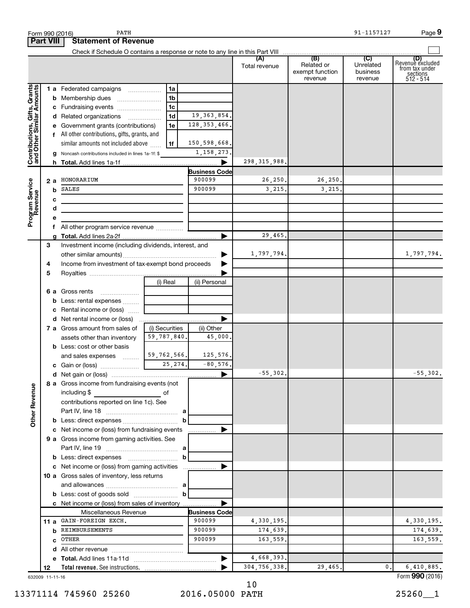|                                                           |      |    | PATH<br>Form 990 (2016)                                                 |                               |                       |                |                                          | 91-1157127                       | Page 9                                                                     |
|-----------------------------------------------------------|------|----|-------------------------------------------------------------------------|-------------------------------|-----------------------|----------------|------------------------------------------|----------------------------------|----------------------------------------------------------------------------|
| <b>Part VIII</b>                                          |      |    | <b>Statement of Revenue</b>                                             |                               |                       |                |                                          |                                  |                                                                            |
|                                                           |      |    |                                                                         |                               |                       | (A)            | (B)                                      | (C)                              |                                                                            |
|                                                           |      |    |                                                                         |                               |                       | Total revenue  | Related or<br>exempt function<br>revenue | Unrelated<br>business<br>revenue | ( <b>D)</b><br>Revenue excluded<br>from tax under<br>sections<br>512 - 514 |
|                                                           |      |    | 1 a Federated campaigns                                                 | 1a                            |                       |                |                                          |                                  |                                                                            |
| Contributions, Gifts, Grants<br>and Other Similar Amounts |      |    | <b>b</b> Membership dues                                                | 1 <sub>b</sub>                |                       |                |                                          |                                  |                                                                            |
|                                                           |      |    | c Fundraising events                                                    | 1 <sub>c</sub>                |                       |                |                                          |                                  |                                                                            |
|                                                           |      |    | d Related organizations                                                 | 1d                            | 19, 363, 854.         |                |                                          |                                  |                                                                            |
|                                                           |      |    | e Government grants (contributions)                                     | 1e                            | 128, 353, 466.        |                |                                          |                                  |                                                                            |
|                                                           |      |    | f All other contributions, gifts, grants, and                           |                               |                       |                |                                          |                                  |                                                                            |
|                                                           |      |    | similar amounts not included above                                      | l 1f                          | 150,598,668.          |                |                                          |                                  |                                                                            |
|                                                           |      |    | <b>g</b> Noncash contributions included in lines 1a-1f: \$              |                               | 1, 158, 273.          | 298, 315, 988. |                                          |                                  |                                                                            |
|                                                           |      |    |                                                                         |                               | <b>Business Code</b>  |                |                                          |                                  |                                                                            |
|                                                           |      |    | 2 a HONORARIUM                                                          |                               | 900099                | 26, 250.       | 26,250.                                  |                                  |                                                                            |
|                                                           |      | b  | SALES                                                                   |                               | 900099                | 3,215.         | 3,215.                                   |                                  |                                                                            |
|                                                           |      | с  |                                                                         |                               |                       |                |                                          |                                  |                                                                            |
| Program Service<br>Revenue                                |      | d  |                                                                         |                               |                       |                |                                          |                                  |                                                                            |
|                                                           |      | е  |                                                                         |                               |                       |                |                                          |                                  |                                                                            |
|                                                           |      | f. | All other program service revenue                                       |                               |                       |                |                                          |                                  |                                                                            |
|                                                           |      |    |                                                                         |                               |                       | 29,465.        |                                          |                                  |                                                                            |
|                                                           | 3    |    | Investment income (including dividends, interest, and                   |                               |                       |                |                                          |                                  |                                                                            |
|                                                           |      |    |                                                                         |                               |                       | 1,797,794.     |                                          |                                  | 1,797,794.                                                                 |
|                                                           | 4    |    | Income from investment of tax-exempt bond proceeds                      |                               |                       |                |                                          |                                  |                                                                            |
|                                                           | 5    |    |                                                                         |                               |                       |                |                                          |                                  |                                                                            |
|                                                           |      |    |                                                                         | (i) Real                      | (ii) Personal         |                |                                          |                                  |                                                                            |
|                                                           |      |    | 6 a Gross rents                                                         |                               |                       |                |                                          |                                  |                                                                            |
|                                                           |      |    | <b>b</b> Less: rental expenses                                          |                               |                       |                |                                          |                                  |                                                                            |
|                                                           |      |    | c Rental income or (loss)                                               |                               |                       |                |                                          |                                  |                                                                            |
|                                                           |      |    |                                                                         |                               |                       |                |                                          |                                  |                                                                            |
|                                                           |      |    | 7 a Gross amount from sales of                                          | (i) Securities<br>59,787,840. | (ii) Other<br>45,000. |                |                                          |                                  |                                                                            |
|                                                           |      |    | assets other than inventory<br><b>b</b> Less: cost or other basis       |                               |                       |                |                                          |                                  |                                                                            |
|                                                           |      |    | and sales expenses                                                      | 59,762,566.                   | 125,576.              |                |                                          |                                  |                                                                            |
|                                                           |      |    | c Gain or (loss)                                                        | 25,274.                       | $-80,576.$            |                |                                          |                                  |                                                                            |
|                                                           |      |    |                                                                         |                               |                       | $-55,302.$     |                                          |                                  | $-55,302.$                                                                 |
|                                                           |      |    | 8 a Gross income from fundraising events (not                           |                               |                       |                |                                          |                                  |                                                                            |
|                                                           |      |    | including \$                                                            |                               |                       |                |                                          |                                  |                                                                            |
|                                                           |      |    | contributions reported on line 1c). See                                 |                               |                       |                |                                          |                                  |                                                                            |
|                                                           |      |    |                                                                         |                               |                       |                |                                          |                                  |                                                                            |
| <b>Other Revenue</b>                                      |      |    |                                                                         | b                             |                       |                |                                          |                                  |                                                                            |
|                                                           |      |    | c Net income or (loss) from fundraising events                          |                               | .                     |                |                                          |                                  |                                                                            |
|                                                           |      |    | 9 a Gross income from gaming activities. See                            |                               |                       |                |                                          |                                  |                                                                            |
|                                                           |      |    |                                                                         |                               |                       |                |                                          |                                  |                                                                            |
|                                                           |      |    |                                                                         | $\mathbf b$                   |                       |                |                                          |                                  |                                                                            |
|                                                           |      |    | c Net income or (loss) from gaming activities                           |                               |                       |                |                                          |                                  |                                                                            |
|                                                           |      |    | 10 a Gross sales of inventory, less returns                             |                               |                       |                |                                          |                                  |                                                                            |
|                                                           |      |    |                                                                         |                               |                       |                |                                          |                                  |                                                                            |
|                                                           |      |    |                                                                         | b                             |                       |                |                                          |                                  |                                                                            |
|                                                           |      |    | c Net income or (loss) from sales of inventory<br>Miscellaneous Revenue |                               | <b>Business Code</b>  |                |                                          |                                  |                                                                            |
|                                                           | 11 a |    | GAIN-FOREIGN EXCH.                                                      |                               | 900099                | 4,330,195.     |                                          |                                  | 4,330,195.                                                                 |
|                                                           |      | b  | REIMBURSEMENTS                                                          |                               | 900099                | 174,639.       |                                          |                                  | 174,639.                                                                   |
|                                                           |      | c  | OTHER                                                                   |                               | 900099                | 163,559.       |                                          |                                  | 163,559.                                                                   |
|                                                           |      |    |                                                                         |                               |                       |                |                                          |                                  |                                                                            |
|                                                           |      |    |                                                                         |                               |                       | 4,668,393.     |                                          |                                  |                                                                            |
|                                                           | 12   |    |                                                                         |                               |                       | 304, 756, 338. | 29,465.                                  | 0.                               | 6,410,885.                                                                 |
| 632009 11-11-16                                           |      |    |                                                                         |                               |                       |                |                                          |                                  | Form 990 (2016)                                                            |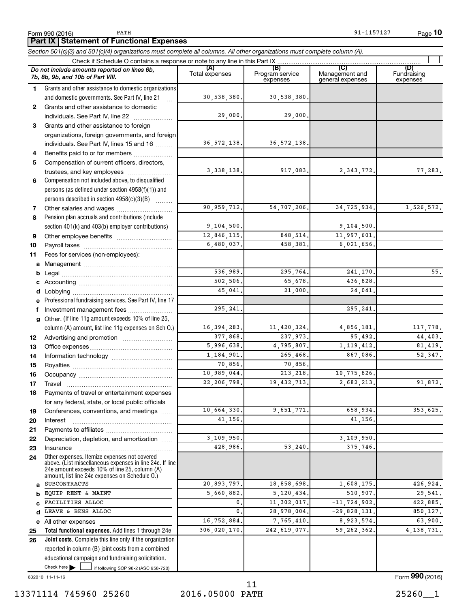**10**

## **Part IX Statement of Functional Expenses**

*Section 501(c)(3) and 501(c)(4) organizations must complete all columns. All other organizations must complete column (A).*

|              | Do not include amounts reported on lines 6b,<br>7b, 8b, 9b, and 10b of Part VIII.                                                                                                                           | (A)<br>Total expenses | (B)<br>Program service<br>expenses | (C)<br>Management and<br>general expenses | (D)<br>Fundraising<br>expenses |
|--------------|-------------------------------------------------------------------------------------------------------------------------------------------------------------------------------------------------------------|-----------------------|------------------------------------|-------------------------------------------|--------------------------------|
| 1.           | Grants and other assistance to domestic organizations                                                                                                                                                       |                       |                                    |                                           |                                |
|              | and domestic governments. See Part IV, line 21                                                                                                                                                              | 30,538,380.           | 30,538,380.                        |                                           |                                |
| $\mathbf{2}$ | Grants and other assistance to domestic                                                                                                                                                                     |                       |                                    |                                           |                                |
|              | individuals. See Part IV, line 22                                                                                                                                                                           | 29,000.               | 29,000.                            |                                           |                                |
| 3            | Grants and other assistance to foreign                                                                                                                                                                      |                       |                                    |                                           |                                |
|              | organizations, foreign governments, and foreign                                                                                                                                                             |                       |                                    |                                           |                                |
|              | individuals. See Part IV, lines 15 and 16                                                                                                                                                                   | 36, 572, 138.         | 36, 572, 138.                      |                                           |                                |
| 4            | Benefits paid to or for members                                                                                                                                                                             |                       |                                    |                                           |                                |
| 5            | Compensation of current officers, directors,                                                                                                                                                                |                       |                                    |                                           |                                |
|              | trustees, and key employees                                                                                                                                                                                 | 3, 338, 138.          | 917,083.                           | 2, 343, 772.                              | 77,283.                        |
| 6            | Compensation not included above, to disqualified                                                                                                                                                            |                       |                                    |                                           |                                |
|              | persons (as defined under section 4958(f)(1)) and                                                                                                                                                           |                       |                                    |                                           |                                |
|              | persons described in section 4958(c)(3)(B)                                                                                                                                                                  |                       |                                    |                                           |                                |
| 7            |                                                                                                                                                                                                             | 90, 959, 712.         | 54,707,206.                        | 34,725,934.                               | 1,526,572.                     |
| 8            | Pension plan accruals and contributions (include                                                                                                                                                            |                       |                                    |                                           |                                |
|              | section 401(k) and 403(b) employer contributions)                                                                                                                                                           | 9,104,500.            |                                    | 9,104,500.                                |                                |
| 9            |                                                                                                                                                                                                             | 12,846,115.           | 848,514.                           | 11,997,601.                               |                                |
| 10           |                                                                                                                                                                                                             | 6,480,037.            | 458,381.                           | 6,021,656.                                |                                |
| 11           | Fees for services (non-employees):                                                                                                                                                                          |                       |                                    |                                           |                                |
| a            |                                                                                                                                                                                                             |                       |                                    |                                           |                                |
| b            |                                                                                                                                                                                                             | 536,989.              | 295,764.                           | 241,170.                                  | 55.                            |
| c            |                                                                                                                                                                                                             | 502,506.              | 65,678.                            | 436,828.                                  |                                |
| d            |                                                                                                                                                                                                             | 45,041.               | 21,000.                            | 24,041.                                   |                                |
| е            | Professional fundraising services. See Part IV, line 17                                                                                                                                                     |                       |                                    |                                           |                                |
| f            | Investment management fees                                                                                                                                                                                  | 295, 241.             |                                    | 295,241                                   |                                |
| g            | Other. (If line 11g amount exceeds 10% of line 25,                                                                                                                                                          |                       |                                    |                                           |                                |
|              | column (A) amount, list line 11g expenses on Sch O.)                                                                                                                                                        | 16, 394, 283.         | 11,420,324.                        | 4,856,181.                                | 117,778.                       |
| 12           |                                                                                                                                                                                                             | 377,868.              | 237,973.                           | 95,492.                                   | 44,403.                        |
| 13           |                                                                                                                                                                                                             | 5,996,638.            | 4,795,807.                         | 1, 119, 412.                              | 81,419.                        |
| 14           |                                                                                                                                                                                                             | 1,184,901.            | 265,468.                           | 867,086.                                  | 52,347.                        |
| 15           |                                                                                                                                                                                                             | 70,856.               | 70,856.                            |                                           |                                |
| 16           |                                                                                                                                                                                                             | 10,989,044.           | 213, 218.                          | 10,775,826.                               |                                |
| 17           |                                                                                                                                                                                                             | 22, 206, 798.         | 19, 432, 713.                      | 2,682,213.                                | 91,872.                        |
| 18           | Payments of travel or entertainment expenses                                                                                                                                                                |                       |                                    |                                           |                                |
|              | for any federal, state, or local public officials                                                                                                                                                           |                       |                                    |                                           |                                |
| 19           | Conferences, conventions, and meetings                                                                                                                                                                      | 10,664,330.           | 9,651,771                          | 658,934                                   | 353,625.                       |
| 20           | Interest                                                                                                                                                                                                    | 41,156.               |                                    | 41,156                                    |                                |
| 21           |                                                                                                                                                                                                             |                       |                                    |                                           |                                |
| 22           | Depreciation, depletion, and amortization                                                                                                                                                                   | 3,109,950.            |                                    | 3,109,950                                 |                                |
| 23           | Insurance                                                                                                                                                                                                   | 428,986.              | 53,240.                            | 375,746.                                  |                                |
| 24           | Other expenses. Itemize expenses not covered<br>above. (List miscellaneous expenses in line 24e. If line<br>24e amount exceeds 10% of line 25, column (A)<br>amount, list line 24e expenses on Schedule O.) |                       |                                    |                                           |                                |
| a            | <b>SUBCONTRACTS</b>                                                                                                                                                                                         | 20,893,797.           | 18,858,698.                        | 1,608,175.                                | 426,924.                       |
| b            | EQUIP RENT & MAINT                                                                                                                                                                                          | 5,660,882.            | 5, 120, 434.                       | 510,907.                                  | 29,541.                        |
| c            | FACILITIES ALLOC                                                                                                                                                                                            | 0.                    | 11,302,017.                        | $-11, 724, 902$                           | 422,885.                       |
| d            | LEAVE & BENS ALLOC                                                                                                                                                                                          | 0.                    | 28,978,004.                        | $-29,828,131.$                            | 850,127.                       |
|              | e All other expenses                                                                                                                                                                                        | 16,752,884.           | 7,765,410.                         | 8,923,574.                                | 63,900.                        |
| 25           | Total functional expenses. Add lines 1 through 24e                                                                                                                                                          | 306,020,170.          | 242,619,077.                       | 59, 262, 362.                             | 4, 138, 731.                   |
| 26           | <b>Joint costs.</b> Complete this line only if the organization                                                                                                                                             |                       |                                    |                                           |                                |
|              | reported in column (B) joint costs from a combined                                                                                                                                                          |                       |                                    |                                           |                                |
|              | educational campaign and fundraising solicitation.                                                                                                                                                          |                       |                                    |                                           |                                |
|              | Check here $\blacktriangleright$<br>if following SOP 98-2 (ASC 958-720)                                                                                                                                     |                       |                                    |                                           |                                |

632010 11-11-16

Form (2016) **990**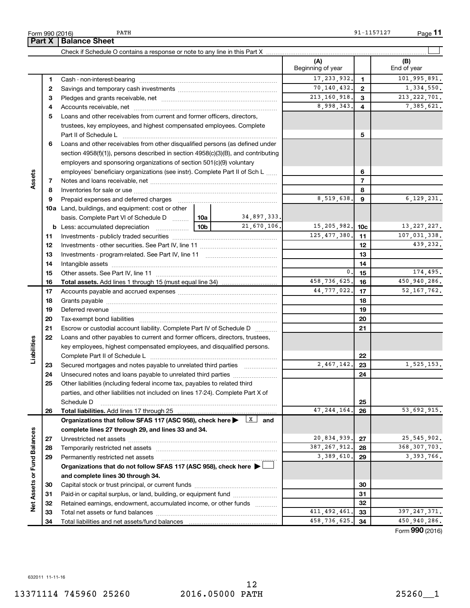632011 11-11-16

Form 990 (2016) PATH

**Part X Balance Sheet**

**11**

|                             |    |                                                                                                                |                 |                         | (A)<br>Beginning of year |                 | (B)<br>End of year |
|-----------------------------|----|----------------------------------------------------------------------------------------------------------------|-----------------|-------------------------|--------------------------|-----------------|--------------------|
|                             | 1  |                                                                                                                |                 |                         | 17, 233, 932.            | 1               | 101,995,891.       |
|                             | 2  |                                                                                                                |                 |                         | 70,140,432.              | $\mathbf{2}$    | 1,334,550.         |
|                             | З  |                                                                                                                |                 |                         | 213, 160, 918.           | 3               | 213, 222, 701.     |
|                             | 4  |                                                                                                                |                 |                         | 8,998,343.               | 4               | 7,385,621.         |
|                             | 5  | Loans and other receivables from current and former officers, directors,                                       |                 |                         |                          |                 |                    |
|                             |    | trustees, key employees, and highest compensated employees. Complete                                           |                 |                         |                          |                 |                    |
|                             |    | Part II of Schedule Latin and Communication of Schedule Latin and Communication of Schedule Latin and Schedule |                 |                         |                          | 5               |                    |
|                             | 6  | Loans and other receivables from other disqualified persons (as defined under                                  |                 |                         |                          |                 |                    |
|                             |    | section 4958(f)(1)), persons described in section 4958(c)(3)(B), and contributing                              |                 |                         |                          |                 |                    |
|                             |    | employers and sponsoring organizations of section 501(c)(9) voluntary                                          |                 |                         |                          |                 |                    |
|                             |    | employees' beneficiary organizations (see instr). Complete Part II of Sch L                                    |                 |                         |                          | 6               |                    |
| Assets                      | 7  |                                                                                                                |                 |                         |                          | 7               |                    |
|                             | 8  |                                                                                                                |                 |                         |                          | 8               |                    |
|                             | 9  | Prepaid expenses and deferred charges                                                                          |                 |                         | 8,519,638.               | 9               | 6,129,231.         |
|                             |    | 10a Land, buildings, and equipment: cost or other                                                              |                 |                         |                          |                 |                    |
|                             |    | basis. Complete Part VI of Schedule D                                                                          | 10a             | 34,897,333.             |                          |                 |                    |
|                             |    | <b>b</b> Less: accumulated depreciation                                                                        | 10 <sub>b</sub> | 21,670,106.             | 15, 205, 982.            | 10 <sub>c</sub> | 13, 227, 227.      |
|                             | 11 |                                                                                                                |                 |                         | 125, 477, 380.           | 11              | 107,031,338.       |
|                             | 12 |                                                                                                                |                 |                         |                          | 12              | 439,232.           |
|                             | 13 |                                                                                                                |                 |                         |                          | 13              |                    |
|                             | 14 |                                                                                                                |                 |                         |                          | 14              |                    |
|                             | 15 |                                                                                                                | $\mathbf{0}$    | 15                      | 174,495.                 |                 |                    |
|                             | 16 |                                                                                                                |                 |                         | 458,736,625.             | 16              | 450,940,286.       |
|                             | 17 |                                                                                                                |                 | 44,777,022.             | 17                       | 52, 167, 762.   |                    |
|                             | 18 |                                                                                                                |                 |                         |                          | 18              |                    |
|                             | 19 |                                                                                                                |                 |                         |                          | 19              |                    |
|                             | 20 |                                                                                                                |                 |                         | 20                       |                 |                    |
|                             | 21 | Escrow or custodial account liability. Complete Part IV of Schedule D                                          |                 |                         |                          | 21              |                    |
|                             | 22 | Loans and other payables to current and former officers, directors, trustees,                                  |                 |                         |                          |                 |                    |
| Liabilities                 |    | key employees, highest compensated employees, and disqualified persons.                                        |                 |                         |                          |                 |                    |
|                             |    |                                                                                                                |                 |                         |                          | 22              |                    |
|                             | 23 | Secured mortgages and notes payable to unrelated third parties                                                 |                 |                         | 2,467,142.               | 23              | 1,525,153.         |
|                             | 24 | Unsecured notes and loans payable to unrelated third parties                                                   |                 |                         |                          | 24              |                    |
|                             | 25 | Other liabilities (including federal income tax, payables to related third                                     |                 |                         |                          |                 |                    |
|                             |    | parties, and other liabilities not included on lines 17-24). Complete Part X of                                |                 |                         |                          |                 |                    |
|                             |    | Schedule D                                                                                                     |                 |                         |                          | 25              |                    |
|                             | 26 |                                                                                                                |                 |                         | 47, 244, 164             | 26              | 53,692,915.        |
|                             |    | Organizations that follow SFAS 117 (ASC 958), check here >                                                     |                 | $\lfloor x \rfloor$ and |                          |                 |                    |
|                             |    | complete lines 27 through 29, and lines 33 and 34.                                                             |                 |                         |                          |                 |                    |
|                             | 27 |                                                                                                                |                 |                         | 20,834,939.              | 27              | 25, 545, 902.      |
|                             | 28 |                                                                                                                |                 |                         | 387, 267, 912.           | 28              | 368, 307, 703.     |
|                             | 29 | Permanently restricted net assets                                                                              |                 |                         | 3,389,610.               | 29              | 3, 393, 766.       |
|                             |    | Organizations that do not follow SFAS 117 (ASC 958), check here $\blacktriangleright$                          |                 |                         |                          |                 |                    |
|                             |    | and complete lines 30 through 34.                                                                              |                 |                         |                          |                 |                    |
|                             | 30 |                                                                                                                |                 |                         | 30                       |                 |                    |
| Net Assets or Fund Balances | 31 | Paid-in or capital surplus, or land, building, or equipment fund                                               |                 |                         |                          | 31              |                    |
|                             | 32 | Retained earnings, endowment, accumulated income, or other funds                                               |                 |                         |                          | 32              |                    |
|                             | 33 |                                                                                                                |                 |                         | 411, 492, 461            | 33              | 397, 247, 371.     |
|                             | 34 |                                                                                                                |                 |                         | 458, 736, 625            | 34              | 450,940,286.       |

Form (2016) **990**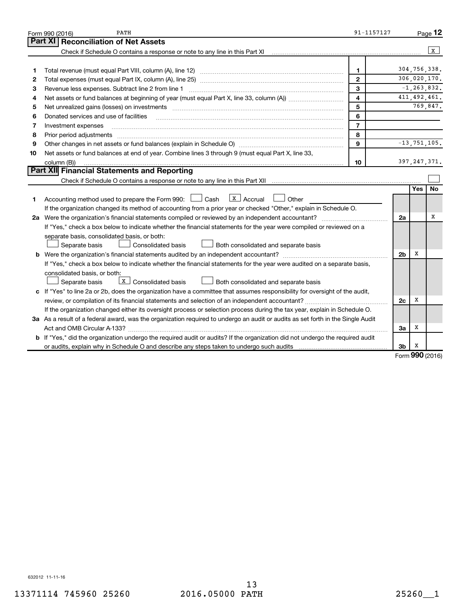|    | PATH<br>Form 990 (2016)                                                                                                                                                                                                        | 91-1157127     |    |            | Page 12          |
|----|--------------------------------------------------------------------------------------------------------------------------------------------------------------------------------------------------------------------------------|----------------|----|------------|------------------|
|    | Part XI<br><b>Reconciliation of Net Assets</b>                                                                                                                                                                                 |                |    |            |                  |
|    | Check if Schedule O contains a response or note to any line in this Part XI                                                                                                                                                    |                |    |            | $\mathbf{x}$     |
|    |                                                                                                                                                                                                                                |                |    |            |                  |
| 1  |                                                                                                                                                                                                                                | $\mathbf{1}$   |    |            | 304,756,338.     |
| 2  |                                                                                                                                                                                                                                | $\mathbf{2}$   |    |            | 306,020,170.     |
| З  | Revenue less expenses. Subtract line 2 from line 1                                                                                                                                                                             | 3              |    |            | $-1, 263, 832.$  |
| 4  |                                                                                                                                                                                                                                | $\overline{4}$ |    |            | 411, 492, 461.   |
| 5  | Net unrealized gains (losses) on investments [11] matter in the contract of the contract of the contract of the contract of the contract of the contract of the contract of the contract of the contract of the contract of th | 5              |    |            | 769,847.         |
| 6  | Donated services and use of facilities                                                                                                                                                                                         | 6              |    |            |                  |
| 7  | Investment expenses                                                                                                                                                                                                            | $\overline{7}$ |    |            |                  |
| 8  | Prior period adjustments [111] matter contracts and adjustments and account and account of the contracts and account of the contracts and account of the contracts and account of the contracts and account of the contracts a | 8              |    |            |                  |
| 9  |                                                                                                                                                                                                                                | $\mathbf{9}$   |    |            | $-13, 751, 105.$ |
| 10 | Net assets or fund balances at end of year. Combine lines 3 through 9 (must equal Part X, line 33,                                                                                                                             |                |    |            |                  |
|    | column (B))                                                                                                                                                                                                                    | 10             |    |            | 397, 247, 371.   |
|    | Part XII Financial Statements and Reporting                                                                                                                                                                                    |                |    |            |                  |
|    |                                                                                                                                                                                                                                |                |    |            |                  |
|    |                                                                                                                                                                                                                                |                |    | <b>Yes</b> | No               |
| 1. | $\lfloor x \rfloor$ Accrual<br>Accounting method used to prepare the Form 990: $\Box$ Cash<br>Other                                                                                                                            |                |    |            |                  |
|    | If the organization changed its method of accounting from a prior year or checked "Other," explain in Schedule O.                                                                                                              |                |    |            |                  |
|    | 2a Were the organization's financial statements compiled or reviewed by an independent accountant?                                                                                                                             |                | 2a |            | x                |
|    | If "Yes," check a box below to indicate whether the financial statements for the year were compiled or reviewed on a                                                                                                           |                |    |            |                  |
|    | separate basis, consolidated basis, or both:                                                                                                                                                                                   |                |    |            |                  |
|    | Separate basis<br>Consolidated basis<br>Both consolidated and separate basis                                                                                                                                                   |                |    |            |                  |
|    |                                                                                                                                                                                                                                |                |    |            |                  |
|    | If "Yes," check a box below to indicate whether the financial statements for the year were audited on a separate basis,                                                                                                        |                |    |            |                  |
|    | consolidated basis, or both:                                                                                                                                                                                                   |                |    |            |                  |
|    | $X$ Consolidated basis<br>Both consolidated and separate basis<br>Separate basis                                                                                                                                               |                |    |            |                  |
|    | c If "Yes" to line 2a or 2b, does the organization have a committee that assumes responsibility for oversight of the audit,                                                                                                    |                |    |            |                  |
|    |                                                                                                                                                                                                                                |                | 2c | x          |                  |
|    | If the organization changed either its oversight process or selection process during the tax year, explain in Schedule O.                                                                                                      |                |    |            |                  |
|    | 3a As a result of a federal award, was the organization required to undergo an audit or audits as set forth in the Single Audit                                                                                                |                |    |            |                  |
|    | Act and OMB Circular A-133?                                                                                                                                                                                                    |                | За | х          |                  |
|    | b If "Yes," did the organization undergo the required audit or audits? If the organization did not undergo the required audit                                                                                                  |                |    |            |                  |
|    |                                                                                                                                                                                                                                |                | 3b | x          |                  |
|    |                                                                                                                                                                                                                                |                |    |            | $000 \text{ m}$  |

Form (2016) **990**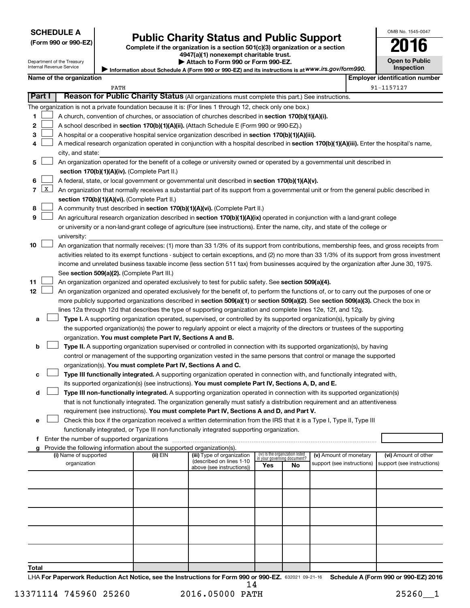Department of the Treasury Internal Revenue Service

 $\Box$  $\Box$  $\Box$  $\Box$ 

**8 9**

**a**

**d**

| (Form 990 or 990-EZ |  |  |  |  |
|---------------------|--|--|--|--|
|---------------------|--|--|--|--|

## **Public Charity Status and Public Support** 2016

Complete if the organization is a section 501(c)(3) organization or a section **4947(a)(1) nonexempt charitable trust.**

|  |  |  |  | $5 + 1$ (a) Tronckchip chanalized a ast. |  |
|--|--|--|--|------------------------------------------|--|
|  |  |  |  | Attach to Form 990 or Form 990-EZ.       |  |

| LV                    | . . |
|-----------------------|-----|
| <b>Open to Public</b> |     |
| <b>Inspection</b>     |     |

OMB No. 1545-0047

|  | Namo of the organizati. |
|--|-------------------------|

city, and state:

Information about Schedule A (Form 990 or 990-EZ) and its instructions is at WWW.irs.gov/form990. **| Attach to Form 990 or Form 990-EZ.** 

**Name of the organization Employer identification number** A church, convention of churches, or association of churches described in **section 170(b)(1)(A)(i).** A school described in **section 170(b)(1)(A)(ii).** (Attach Schedule E (Form 990 or 990-EZ).) A hospital or a cooperative hospital service organization described in section 170(b)(1)(A)(iii). A medical research organization operated in conjunction with a hospital described in **section 170(b)(1)(A)(iii).** Enter the hospital's name, **Part I** | Reason for Public Charity Status (All organizations must complete this part.) See instructions. The organization is not a private foundation because it is: (For lines 1 through 12, check only one box.) An organization operated for the benefit of a college or university owned or operated by a governmental unit described in PATH 91-1157127

| 5 L I | An organization operated for the benefit of a college or university owned or operated by a governmental unit des |
|-------|------------------------------------------------------------------------------------------------------------------|
|       | section 170(b)(1)(A)(iv). (Complete Part II.)                                                                    |

**6** A federal, state, or local government or governmental unit described in **section 170(b)(1)(A)(v).** 

|  | 7 $\boxed{X}$ An organization that normally receives a substantial part of its support from a governmental unit or from the general public described in |
|--|---------------------------------------------------------------------------------------------------------------------------------------------------------|
|  | section 170(b)(1)(A)(vi). (Complete Part II.)                                                                                                           |

A community trust described in **section 170(b)(1)(A)(vi).** (Complete Part II.)  $\Box$ 

|  | An agricultural research organization described in section 170(b)(1)(A)(ix) operated in conjunction with a land-grant college  |
|--|--------------------------------------------------------------------------------------------------------------------------------|
|  | or university or a non-land-grant college of agriculture (see instructions). Enter the name, city, and state of the college or |
|  | university:                                                                                                                    |

| 10 $\Box$ | An organization that normally receives: (1) more than 33 1/3% of its support from contributions, membership fees, and gross receipts from     |
|-----------|-----------------------------------------------------------------------------------------------------------------------------------------------|
|           | activities related to its exempt functions - subject to certain exceptions, and (2) no more than 33 1/3% of its support from gross investment |
|           | income and unrelated business taxable income (less section 511 tax) from businesses acquired by the organization after June 30, 1975.         |
|           | See section 509(a)(2). (Complete Part III.)                                                                                                   |

**11** An organization organized and operated exclusively to test for public safety. See **section 509(a)(4).**  $\Box$ 

|  | An organization organized and operated exclusively for the benefit of, to perform the functions of, or to carry out the purposes of one or |
|--|--------------------------------------------------------------------------------------------------------------------------------------------|
|  | more publicly supported organizations described in section 509(a)(1) or section 509(a)(2). See section 509(a)(3). Check the box in         |
|  | lines 12a through 12d that describes the type of supporting organization and complete lines 12e, 12f, and 12g.                             |

|  | <b>If ype I.</b> A supporting organization operated, supervised, or controlled by its supported organization(s), typically by giving |
|--|--------------------------------------------------------------------------------------------------------------------------------------|
|  | the supported organization(s) the power to regularly appoint or elect a majority of the directors or trustees of the supporting      |
|  | organization. You must complete Part IV, Sections A and B.                                                                           |

#### **b Type II.** A supporting organization supervised or controlled in connection with its supported organization(s), by having organization(s). You must complete Part IV, Sections A and C. control or management of the supporting organization vested in the same persons that control or manage the supported

|  | c <b>□ Type III functionally integrated.</b> A supporting organization operated in connection with, and functionally integrated with, |
|--|---------------------------------------------------------------------------------------------------------------------------------------|
|  | its supported organization(s) (see instructions). You must complete Part IV, Sections A, D, and E.                                    |

**Type III non-functionally integrated.** A supporting organization operated in connection with its supported organization(s) requirement (see instructions). **You must complete Part IV, Sections A and D, and Part V.** that is not functionally integrated. The organization generally must satisfy a distribution requirement and an attentiveness  $\Box$ 

|  | e □ Check this box if the organization received a written determination from the IRS that it is a Type I, Type II, Type III |
|--|-----------------------------------------------------------------------------------------------------------------------------|
|  | functionally integrated, or Type III non-functionally integrated supporting organization.                                   |

**f** Enter the number of supported organizations ~~~~~~~~~~~~~~~~~~~~~~~~~~~~~~~~~~~~~

(iv) Is the organization liste in your governing document? **(i)** Name of supported **and iii) (iii) EIN (iii)** Type of organization  $\begin{bmatrix} |W| \text{ is the originalization} \\ |W| \text{ is the original solution} \end{bmatrix}$  **(v)** Amount of monetary **(vi)** organization (described on lines 1-10 above (see instructions)) (v) Amount of monetary support (see instructions) (vi) Amount of other support (see instructions) (ii) EIN **g Yes No Total** Provide the following information about the supported organization(s).

LHA For Paperwork Reduction Act Notice, see the Instructions for Form 990 or 990-EZ. 632021 09-21-16 Schedule A (Form 990 or 990-EZ) 2016

14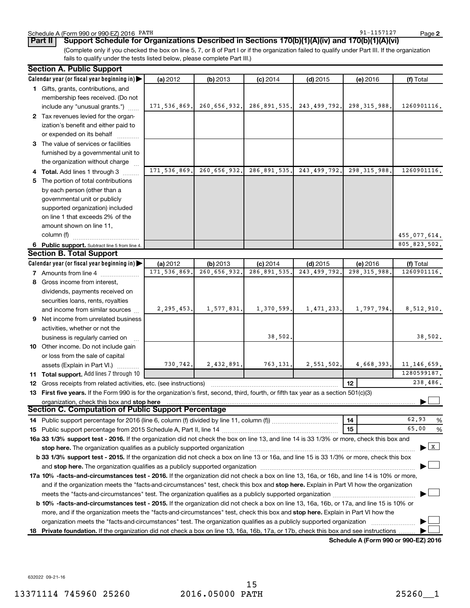|    | <b>Section A. Public Support</b>                                                                                                           |                |                |              |                                        |                                      |                              |
|----|--------------------------------------------------------------------------------------------------------------------------------------------|----------------|----------------|--------------|----------------------------------------|--------------------------------------|------------------------------|
|    | Calendar year (or fiscal year beginning in)                                                                                                | (a) 2012       | (b) 2013       | $(c)$ 2014   | $(d)$ 2015                             | (e) 2016                             | (f) Total                    |
|    | 1 Gifts, grants, contributions, and                                                                                                        |                |                |              |                                        |                                      |                              |
|    | membership fees received. (Do not                                                                                                          |                |                |              |                                        |                                      |                              |
|    | include any "unusual grants.")                                                                                                             | 171,536,869.   |                |              | 260,656,932. 286,891,535. 243,499,792. | 298, 315, 988.                       | 1260901116.                  |
|    | 2 Tax revenues levied for the organ-                                                                                                       |                |                |              |                                        |                                      |                              |
|    | ization's benefit and either paid to                                                                                                       |                |                |              |                                        |                                      |                              |
|    | or expended on its behalf                                                                                                                  |                |                |              |                                        |                                      |                              |
|    | 3 The value of services or facilities                                                                                                      |                |                |              |                                        |                                      |                              |
|    | furnished by a governmental unit to                                                                                                        |                |                |              |                                        |                                      |                              |
|    | the organization without charge                                                                                                            |                |                |              |                                        |                                      |                              |
|    | <b>Total.</b> Add lines 1 through 3                                                                                                        | 171, 536, 869. | 260, 656, 932. |              | 286,891,535. 243,499,792.              | 298, 315, 988.                       | 1260901116.                  |
|    | 5 The portion of total contributions                                                                                                       |                |                |              |                                        |                                      |                              |
|    | by each person (other than a                                                                                                               |                |                |              |                                        |                                      |                              |
|    | governmental unit or publicly                                                                                                              |                |                |              |                                        |                                      |                              |
|    | supported organization) included                                                                                                           |                |                |              |                                        |                                      |                              |
|    | on line 1 that exceeds 2% of the                                                                                                           |                |                |              |                                        |                                      |                              |
|    | amount shown on line 11,                                                                                                                   |                |                |              |                                        |                                      |                              |
|    | column (f)                                                                                                                                 |                |                |              |                                        |                                      | 455,077,614.                 |
|    | 6 Public support. Subtract line 5 from line 4.                                                                                             |                |                |              |                                        |                                      | 805, 823, 502.               |
|    | <b>Section B. Total Support</b>                                                                                                            |                |                |              |                                        |                                      |                              |
|    | Calendar year (or fiscal year beginning in)                                                                                                | (a) 2012       | (b) 2013       | $(c)$ 2014   | $(d)$ 2015                             | (e) 2016                             | (f) Total                    |
|    | 7 Amounts from line 4                                                                                                                      | 171, 536, 869. | 260,656,932.   | 286,891,535. | 243, 499, 792.                         | 298, 315, 988.                       | 1260901116.                  |
| 8  | Gross income from interest,                                                                                                                |                |                |              |                                        |                                      |                              |
|    | dividends, payments received on                                                                                                            |                |                |              |                                        |                                      |                              |
|    | securities loans, rents, royalties                                                                                                         |                |                |              |                                        |                                      |                              |
|    | and income from similar sources                                                                                                            | 2, 295, 453.   | 1,577,831.     | 1,370,599.   | 1,471,233.                             | 1,797,794.                           | 8,512,910.                   |
| 9  | Net income from unrelated business                                                                                                         |                |                |              |                                        |                                      |                              |
|    | activities, whether or not the                                                                                                             |                |                |              |                                        |                                      |                              |
|    | business is regularly carried on                                                                                                           |                |                | 38,502.      |                                        |                                      | 38,502.                      |
|    | 10 Other income. Do not include gain                                                                                                       |                |                |              |                                        |                                      |                              |
|    | or loss from the sale of capital                                                                                                           | 730,742.       | 2,432,891.     | 763,131.     | 2,551,502.                             | 4,668,393.                           |                              |
|    | assets (Explain in Part VI.)                                                                                                               |                |                |              |                                        |                                      | 11, 146, 659.<br>1280599187. |
|    | 11 Total support. Add lines 7 through 10<br>Gross receipts from related activities, etc. (see instructions)                                |                |                |              |                                        | 12                                   | 238,486.                     |
| 12 | 13 First five years. If the Form 990 is for the organization's first, second, third, fourth, or fifth tax year as a section 501(c)(3)      |                |                |              |                                        |                                      |                              |
|    | organization, check this box and stop here                                                                                                 |                |                |              |                                        |                                      |                              |
|    | <b>Section C. Computation of Public Support Percentage</b>                                                                                 |                |                |              |                                        |                                      |                              |
|    |                                                                                                                                            |                |                |              |                                        | 14                                   | 62.93<br>%                   |
| 15 |                                                                                                                                            |                |                |              |                                        | 15                                   | 65.00<br>%                   |
|    | 16a 33 1/3% support test - 2016. If the organization did not check the box on line 13, and line 14 is 33 1/3% or more, check this box and  |                |                |              |                                        |                                      |                              |
|    |                                                                                                                                            |                |                |              |                                        |                                      | $\mathbf{x}$                 |
|    | b 33 1/3% support test - 2015. If the organization did not check a box on line 13 or 16a, and line 15 is 33 1/3% or more, check this box   |                |                |              |                                        |                                      |                              |
|    |                                                                                                                                            |                |                |              |                                        |                                      |                              |
|    | 17a 10% -facts-and-circumstances test - 2016. If the organization did not check a box on line 13, 16a, or 16b, and line 14 is 10% or more, |                |                |              |                                        |                                      |                              |
|    | and if the organization meets the "facts-and-circumstances" test, check this box and stop here. Explain in Part VI how the organization    |                |                |              |                                        |                                      |                              |
|    |                                                                                                                                            |                |                |              |                                        |                                      |                              |
|    | b 10% -facts-and-circumstances test - 2015. If the organization did not check a box on line 13, 16a, 16b, or 17a, and line 15 is 10% or    |                |                |              |                                        |                                      |                              |
|    | more, and if the organization meets the "facts-and-circumstances" test, check this box and stop here. Explain in Part VI how the           |                |                |              |                                        |                                      |                              |
|    | organization meets the "facts-and-circumstances" test. The organization qualifies as a publicly supported organization                     |                |                |              |                                        |                                      |                              |
|    | 18 Private foundation. If the organization did not check a box on line 13, 16a, 16b, 17a, or 17b, check this box and see instructions      |                |                |              |                                        |                                      |                              |
|    |                                                                                                                                            |                |                |              |                                        | Schedule A (Form 990 or 990-EZ) 2016 |                              |

(Complete only if you checked the box on line 5, 7, or 8 of Part I or if the organization failed to qualify under Part III. If the organization fails to qualify under the tests listed below, please complete Part III.) **Part II Support Schedule for Organizations Described in Sections 170(b)(1)(A)(iv) and 170(b)(1)(A)(vi)**

632022 09-21-16

**2**

91-1157127

Schedule A (Form 990 or 990-EZ) 2016 PATH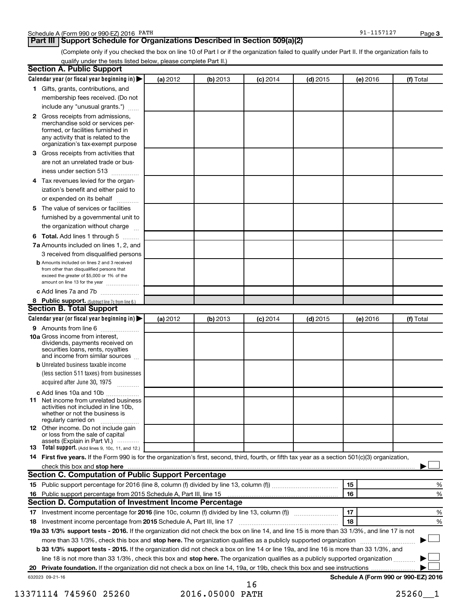## **Part III Support Schedule for Organizations Described in Section 509(a)(2)**

**Page 3** 91-1157127

(Complete only if you checked the box on line 10 of Part I or if the organization failed to qualify under Part II. If the organization fails to qualify under the tests listed below, please complete Part II.)

| <b>Section A. Public Support</b>                                                                                                                                                                                                    |          |          |            |            |          |                                              |
|-------------------------------------------------------------------------------------------------------------------------------------------------------------------------------------------------------------------------------------|----------|----------|------------|------------|----------|----------------------------------------------|
| Calendar year (or fiscal year beginning in)                                                                                                                                                                                         | (a) 2012 | (b) 2013 | $(c)$ 2014 | $(d)$ 2015 | (e) 2016 | (f) Total                                    |
| 1 Gifts, grants, contributions, and                                                                                                                                                                                                 |          |          |            |            |          |                                              |
| membership fees received. (Do not                                                                                                                                                                                                   |          |          |            |            |          |                                              |
| include any "unusual grants.")                                                                                                                                                                                                      |          |          |            |            |          |                                              |
| 2 Gross receipts from admissions,<br>merchandise sold or services per-<br>formed, or facilities furnished in<br>any activity that is related to the                                                                                 |          |          |            |            |          |                                              |
| organization's tax-exempt purpose                                                                                                                                                                                                   |          |          |            |            |          |                                              |
| <b>3</b> Gross receipts from activities that                                                                                                                                                                                        |          |          |            |            |          |                                              |
| are not an unrelated trade or bus-                                                                                                                                                                                                  |          |          |            |            |          |                                              |
| iness under section 513                                                                                                                                                                                                             |          |          |            |            |          |                                              |
| 4 Tax revenues levied for the organ-<br>ization's benefit and either paid to                                                                                                                                                        |          |          |            |            |          |                                              |
| or expended on its behalf                                                                                                                                                                                                           |          |          |            |            |          |                                              |
| 5 The value of services or facilities                                                                                                                                                                                               |          |          |            |            |          |                                              |
| furnished by a governmental unit to                                                                                                                                                                                                 |          |          |            |            |          |                                              |
| the organization without charge                                                                                                                                                                                                     |          |          |            |            |          |                                              |
| <b>6 Total.</b> Add lines 1 through 5                                                                                                                                                                                               |          |          |            |            |          |                                              |
| 7a Amounts included on lines 1, 2, and                                                                                                                                                                                              |          |          |            |            |          |                                              |
| 3 received from disqualified persons                                                                                                                                                                                                |          |          |            |            |          |                                              |
| <b>b</b> Amounts included on lines 2 and 3 received<br>from other than disqualified persons that<br>exceed the greater of \$5,000 or 1% of the<br>amount on line 13 for the year                                                    |          |          |            |            |          |                                              |
| c Add lines 7a and 7b                                                                                                                                                                                                               |          |          |            |            |          |                                              |
| 8 Public support. (Subtract line 7c from line 6.)                                                                                                                                                                                   |          |          |            |            |          |                                              |
| <b>Section B. Total Support</b>                                                                                                                                                                                                     |          |          |            |            |          |                                              |
| Calendar year (or fiscal year beginning in)                                                                                                                                                                                         | (a) 2012 | (b) 2013 | $(c)$ 2014 | $(d)$ 2015 | (e) 2016 | (f) Total                                    |
| <b>9</b> Amounts from line 6                                                                                                                                                                                                        |          |          |            |            |          |                                              |
| <b>10a</b> Gross income from interest,<br>dividends, payments received on<br>securities loans, rents, royalties<br>and income from similar sources                                                                                  |          |          |            |            |          |                                              |
| <b>b</b> Unrelated business taxable income                                                                                                                                                                                          |          |          |            |            |          |                                              |
| (less section 511 taxes) from businesses<br>acquired after June 30, 1975                                                                                                                                                            |          |          |            |            |          |                                              |
| c Add lines 10a and 10b                                                                                                                                                                                                             |          |          |            |            |          |                                              |
| <b>11</b> Net income from unrelated business<br>activities not included in line 10b.<br>whether or not the business is<br>regularly carried on                                                                                      |          |          |            |            |          |                                              |
| <b>12</b> Other income. Do not include gain<br>or loss from the sale of capital<br>assets (Explain in Part VI.)                                                                                                                     |          |          |            |            |          |                                              |
| <b>13</b> Total support. (Add lines 9, 10c, 11, and 12.)                                                                                                                                                                            |          |          |            |            |          |                                              |
| 14 First five years. If the Form 990 is for the organization's first, second, third, fourth, or fifth tax year as a section 501(c)(3) organization,                                                                                 |          |          |            |            |          |                                              |
| check this box and stop here <i>manufacture and content to the state of the state and</i> stop here and stop here and stop here and stop here and stop the state of the state of the state of the state of the state of the state o |          |          |            |            |          |                                              |
| <b>Section C. Computation of Public Support Percentage</b>                                                                                                                                                                          |          |          |            |            |          |                                              |
|                                                                                                                                                                                                                                     |          |          |            |            | 15       | ℅                                            |
| 16 Public support percentage from 2015 Schedule A, Part III, line 15                                                                                                                                                                |          |          |            |            | 16       | %                                            |
| Section D. Computation of Investment Income Percentage                                                                                                                                                                              |          |          |            |            |          |                                              |
|                                                                                                                                                                                                                                     |          |          |            |            | 17       | %                                            |
| 18 Investment income percentage from 2015 Schedule A, Part III, line 17                                                                                                                                                             |          |          |            |            | 18       | %                                            |
| 19a 33 1/3% support tests - 2016. If the organization did not check the box on line 14, and line 15 is more than 33 1/3%, and line 17 is not                                                                                        |          |          |            |            |          |                                              |
| more than 33 1/3%, check this box and stop here. The organization qualifies as a publicly supported organization                                                                                                                    |          |          |            |            |          | <u> 1986 - John Bernstein, skriuwer en s</u> |
| b 33 1/3% support tests - 2015. If the organization did not check a box on line 14 or line 19a, and line 16 is more than 33 1/3%, and                                                                                               |          |          |            |            |          |                                              |
| line 18 is not more than 33 1/3%, check this box and stop here. The organization qualifies as a publicly supported organization                                                                                                     |          |          |            |            |          |                                              |
|                                                                                                                                                                                                                                     |          |          |            |            |          |                                              |
| 632023 09-21-16                                                                                                                                                                                                                     |          |          |            |            |          | Schedule A (Form 990 or 990-EZ) 2016         |
|                                                                                                                                                                                                                                     |          |          | 16         |            |          |                                              |

13371114 745960 25260 2016.05000 PATH 25260\_\_1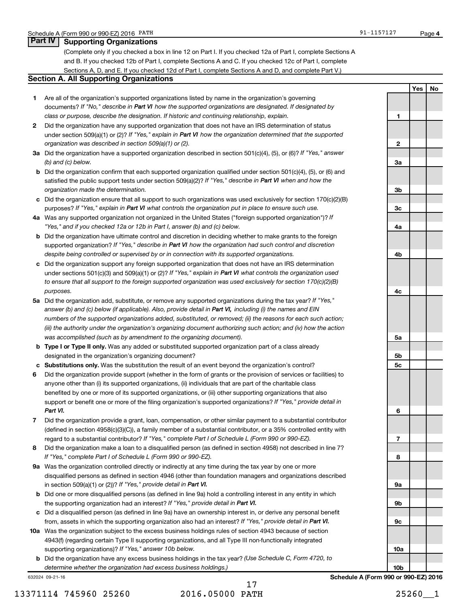## **Part IV Supporting Organizations**

(Complete only if you checked a box in line 12 on Part I. If you checked 12a of Part I, complete Sections A and B. If you checked 12b of Part I, complete Sections A and C. If you checked 12c of Part I, complete Sections A, D, and E. If you checked 12d of Part I, complete Sections A and D, and complete Part V.)

## **Section A. All Supporting Organizations**

- **1** Are all of the organization's supported organizations listed by name in the organization's governing documents? If "No," describe in Part VI how the supported organizations are designated. If designated by *class or purpose, describe the designation. If historic and continuing relationship, explain.*
- **2** Did the organization have any supported organization that does not have an IRS determination of status under section 509(a)(1) or (2)? If "Yes," explain in Part VI how the organization determined that the supported *organization was described in section 509(a)(1) or (2).*
- **3a** Did the organization have a supported organization described in section 501(c)(4), (5), or (6)? If "Yes," answer *(b) and (c) below.*
- **b** Did the organization confirm that each supported organization qualified under section 501(c)(4), (5), or (6) and satisfied the public support tests under section 509(a)(2)? If "Yes," describe in Part VI when and how the *organization made the determination.*
- **c** Did the organization ensure that all support to such organizations was used exclusively for section 170(c)(2)(B) purposes? If "Yes," explain in Part VI what controls the organization put in place to ensure such use.
- **4 a** *If* Was any supported organization not organized in the United States ("foreign supported organization")? *"Yes," and if you checked 12a or 12b in Part I, answer (b) and (c) below.*
- **b** Did the organization have ultimate control and discretion in deciding whether to make grants to the foreign supported organization? If "Yes," describe in Part VI how the organization had such control and discretion *despite being controlled or supervised by or in connection with its supported organizations.*
- **c** Did the organization support any foreign supported organization that does not have an IRS determination under sections 501(c)(3) and 509(a)(1) or (2)? If "Yes," explain in Part VI what controls the organization used *to ensure that all support to the foreign supported organization was used exclusively for section 170(c)(2)(B) purposes.*
- **5a** Did the organization add, substitute, or remove any supported organizations during the tax year? If "Yes," answer (b) and (c) below (if applicable). Also, provide detail in Part VI, including (i) the names and EIN *numbers of the supported organizations added, substituted, or removed; (ii) the reasons for each such action; (iii) the authority under the organization's organizing document authorizing such action; and (iv) how the action was accomplished (such as by amendment to the organizing document).*
- **b Type I or Type II only.** Was any added or substituted supported organization part of a class already designated in the organization's organizing document?
- **c Substitutions only.**  Was the substitution the result of an event beyond the organization's control?
- **6** Did the organization provide support (whether in the form of grants or the provision of services or facilities) to support or benefit one or more of the filing organization's supported organizations? If "Yes," provide detail in anyone other than (i) its supported organizations, (ii) individuals that are part of the charitable class benefited by one or more of its supported organizations, or (iii) other supporting organizations that also *Part VI.*
- **7** Did the organization provide a grant, loan, compensation, or other similar payment to a substantial contributor regard to a substantial contributor? If "Yes," complete Part I of Schedule L (Form 990 or 990-EZ). (defined in section 4958(c)(3)(C)), a family member of a substantial contributor, or a 35% controlled entity with
- **8** Did the organization make a loan to a disqualified person (as defined in section 4958) not described in line 7? *If "Yes," complete Part I of Schedule L (Form 990 or 990-EZ).*
- **9 a** Was the organization controlled directly or indirectly at any time during the tax year by one or more in section 509(a)(1) or (2))? If "Yes," provide detail in Part VI. disqualified persons as defined in section 4946 (other than foundation managers and organizations described
- **b** Did one or more disqualified persons (as defined in line 9a) hold a controlling interest in any entity in which the supporting organization had an interest? If "Yes," provide detail in Part VI.
- **c** Did a disqualified person (as defined in line 9a) have an ownership interest in, or derive any personal benefit from, assets in which the supporting organization also had an interest? If "Yes," provide detail in Part VI.
- **10 a** Was the organization subject to the excess business holdings rules of section 4943 because of section supporting organizations)? If "Yes," answer 10b below. 4943(f) (regarding certain Type II supporting organizations, and all Type III non-functionally integrated
	- **b** Did the organization have any excess business holdings in the tax year? (Use Schedule C, Form 4720, to *determine whether the organization had excess business holdings.)*

632024 09-21-16

17



**Yes No**

**Schedule A (Form 990 or 990-EZ) 2016**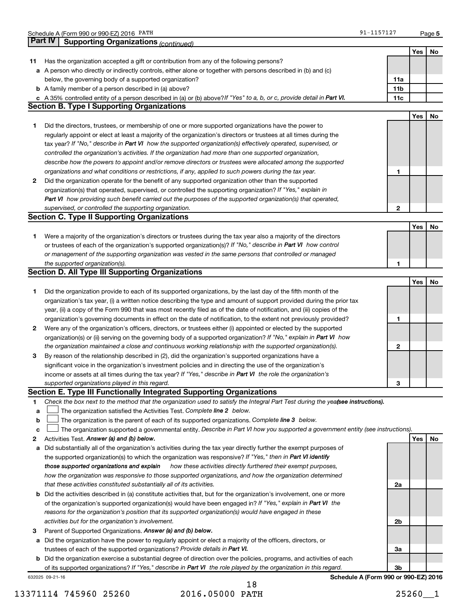|    | Schedule A (Form 990 or 990-EZ) 2016 PATH                                                                                                                                                                                               | 91-1157127                           |     | Page 5 |
|----|-----------------------------------------------------------------------------------------------------------------------------------------------------------------------------------------------------------------------------------------|--------------------------------------|-----|--------|
|    | Part IV<br><b>Supporting Organizations (continued)</b>                                                                                                                                                                                  |                                      |     |        |
|    |                                                                                                                                                                                                                                         |                                      | Yes | No     |
| 11 | Has the organization accepted a gift or contribution from any of the following persons?                                                                                                                                                 |                                      |     |        |
|    | a A person who directly or indirectly controls, either alone or together with persons described in (b) and (c)                                                                                                                          |                                      |     |        |
|    | below, the governing body of a supported organization?                                                                                                                                                                                  | 11a                                  |     |        |
|    | <b>b</b> A family member of a person described in (a) above?                                                                                                                                                                            | 11 <sub>b</sub>                      |     |        |
|    | c A 35% controlled entity of a person described in (a) or (b) above? If "Yes" to a, b, or c, provide detail in Part VI.                                                                                                                 | 11c                                  |     |        |
|    | <b>Section B. Type I Supporting Organizations</b>                                                                                                                                                                                       |                                      |     |        |
|    |                                                                                                                                                                                                                                         |                                      | Yes | No     |
| 1  | Did the directors, trustees, or membership of one or more supported organizations have the power to                                                                                                                                     |                                      |     |        |
|    | regularly appoint or elect at least a majority of the organization's directors or trustees at all times during the                                                                                                                      |                                      |     |        |
|    | tax year? If "No," describe in Part VI how the supported organization(s) effectively operated, supervised, or                                                                                                                           |                                      |     |        |
|    | controlled the organization's activities. If the organization had more than one supported organization,                                                                                                                                 |                                      |     |        |
|    | describe how the powers to appoint and/or remove directors or trustees were allocated among the supported                                                                                                                               |                                      |     |        |
|    | organizations and what conditions or restrictions, if any, applied to such powers during the tax year.                                                                                                                                  | 1                                    |     |        |
| 2  | Did the organization operate for the benefit of any supported organization other than the supported                                                                                                                                     |                                      |     |        |
|    | organization(s) that operated, supervised, or controlled the supporting organization? If "Yes," explain in                                                                                                                              |                                      |     |        |
|    | Part VI how providing such benefit carried out the purposes of the supported organization(s) that operated,                                                                                                                             |                                      |     |        |
|    | supervised, or controlled the supporting organization.                                                                                                                                                                                  | $\mathbf{2}$                         |     |        |
|    | <b>Section C. Type II Supporting Organizations</b>                                                                                                                                                                                      |                                      |     |        |
|    |                                                                                                                                                                                                                                         |                                      | Yes | No     |
| 1  | Were a majority of the organization's directors or trustees during the tax year also a majority of the directors                                                                                                                        |                                      |     |        |
|    | or trustees of each of the organization's supported organization(s)? If "No," describe in Part VI how control                                                                                                                           |                                      |     |        |
|    | or management of the supporting organization was vested in the same persons that controlled or managed                                                                                                                                  |                                      |     |        |
|    | the supported organization(s).<br><b>Section D. All Type III Supporting Organizations</b>                                                                                                                                               | 1                                    |     |        |
|    |                                                                                                                                                                                                                                         |                                      | Yes | No     |
|    |                                                                                                                                                                                                                                         |                                      |     |        |
| 1  | Did the organization provide to each of its supported organizations, by the last day of the fifth month of the<br>organization's tax year, (i) a written notice describing the type and amount of support provided during the prior tax |                                      |     |        |
|    | year, (ii) a copy of the Form 990 that was most recently filed as of the date of notification, and (iii) copies of the                                                                                                                  |                                      |     |        |
|    | organization's governing documents in effect on the date of notification, to the extent not previously provided?                                                                                                                        | 1                                    |     |        |
| 2  | Were any of the organization's officers, directors, or trustees either (i) appointed or elected by the supported                                                                                                                        |                                      |     |        |
|    | organization(s) or (ii) serving on the governing body of a supported organization? If "No," explain in Part VI how                                                                                                                      |                                      |     |        |
|    | the organization maintained a close and continuous working relationship with the supported organization(s).                                                                                                                             | 2                                    |     |        |
| 3  | By reason of the relationship described in (2), did the organization's supported organizations have a                                                                                                                                   |                                      |     |        |
|    | significant voice in the organization's investment policies and in directing the use of the organization's                                                                                                                              |                                      |     |        |
|    | income or assets at all times during the tax year? If "Yes," describe in Part VI the role the organization's                                                                                                                            |                                      |     |        |
|    | supported organizations played in this regard.                                                                                                                                                                                          | 3                                    |     |        |
|    | Section E. Type III Functionally Integrated Supporting Organizations                                                                                                                                                                    |                                      |     |        |
| 1  | Check the box next to the method that the organization used to satisfy the Integral Part Test during the yeafsee instructions).                                                                                                         |                                      |     |        |
| a  | The organization satisfied the Activities Test. Complete line 2 below.                                                                                                                                                                  |                                      |     |        |
| b  | The organization is the parent of each of its supported organizations. Complete line 3 below.                                                                                                                                           |                                      |     |        |
| c  | The organization supported a governmental entity. Describe in Part VI how you supported a government entity (see instructions).                                                                                                         |                                      |     |        |
| 2  | Activities Test. Answer (a) and (b) below.                                                                                                                                                                                              |                                      | Yes | No     |
| а  | Did substantially all of the organization's activities during the tax year directly further the exempt purposes of                                                                                                                      |                                      |     |        |
|    | the supported organization(s) to which the organization was responsive? If "Yes," then in Part VI identify                                                                                                                              |                                      |     |        |
|    | those supported organizations and explain<br>how these activities directly furthered their exempt purposes,                                                                                                                             |                                      |     |        |
|    | how the organization was responsive to those supported organizations, and how the organization determined                                                                                                                               |                                      |     |        |
|    | that these activities constituted substantially all of its activities.                                                                                                                                                                  | 2a                                   |     |        |
|    | <b>b</b> Did the activities described in (a) constitute activities that, but for the organization's involvement, one or more                                                                                                            |                                      |     |        |
|    | of the organization's supported organization(s) would have been engaged in? If "Yes," explain in Part VI the                                                                                                                            |                                      |     |        |
|    | reasons for the organization's position that its supported organization(s) would have engaged in these                                                                                                                                  |                                      |     |        |
|    | activities but for the organization's involvement.                                                                                                                                                                                      | 2b                                   |     |        |
| 3  | Parent of Supported Organizations. Answer (a) and (b) below.                                                                                                                                                                            |                                      |     |        |
| a  | Did the organization have the power to regularly appoint or elect a majority of the officers, directors, or                                                                                                                             |                                      |     |        |
|    | trustees of each of the supported organizations? Provide details in Part VI.                                                                                                                                                            | За                                   |     |        |
|    | <b>b</b> Did the organization exercise a substantial degree of direction over the policies, programs, and activities of each                                                                                                            |                                      |     |        |
|    | of its supported organizations? If "Yes," describe in Part VI the role played by the organization in this regard.                                                                                                                       | 3b                                   |     |        |
|    | 632025 09-21-16                                                                                                                                                                                                                         | Schedule A (Form 990 or 990-EZ) 2016 |     |        |
|    | 10                                                                                                                                                                                                                                      |                                      |     |        |

13371114 745960 25260 2016.05000 PATH 25260\_\_1

18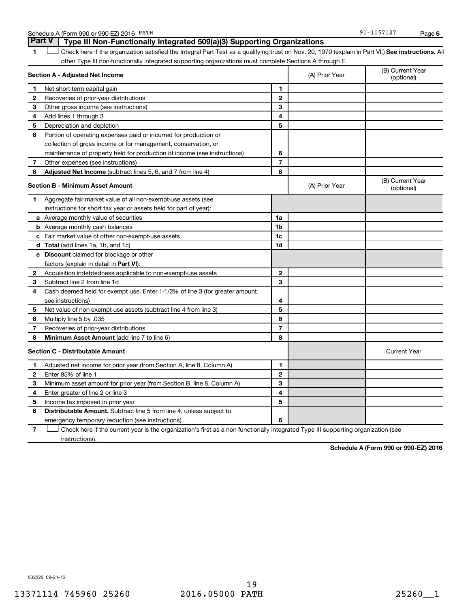**Section A - Adjusted Net Income 1 2 3 4 5 6 7 8 1 2 3 4 5 6 7 Adjusted Net Income** (subtract lines 5, 6, and 7 from line 4) **8 8 Section B - Minimum Asset Amount 1 2 3 4 5 6 7 8 a** Average monthly value of securities **b** Average monthly cash balances **c** Fair market value of other non-exempt-use assets **d Total**  (add lines 1a, 1b, and 1c) **e Discount** claimed for blockage or other **1a 1b 1c 1d 2 3 4 5 6 7 8** factors (explain in detail in Part VI): **Minimum Asset Amount**  (add line 7 to line 6) **Section C - Distributable Amount 1 2 3 4 5 6 1 2 3 4 5 6** Distributable Amount. Subtract line 5 from line 4, unless subject to other Type III non-functionally integrated supporting organizations must complete Sections A through E. (B) Current Year (A) Prior Year Net short-term capital gain Recoveries of prior-year distributions Other gross income (see instructions) Add lines 1 through 3 Depreciation and depletion Portion of operating expenses paid or incurred for production or collection of gross income or for management, conservation, or maintenance of property held for production of income (see instructions) Other expenses (see instructions) (B) Current Year  $(A)$  Prior Year  $\left\{\n\begin{array}{ccc}\n\end{array}\n\right\}$  (optional) Aggregate fair market value of all non-exempt-use assets (see instructions for short tax year or assets held for part of year): Acquisition indebtedness applicable to non-exempt-use assets Subtract line 2 from line 1d Cash deemed held for exempt use. Enter 1-1/2% of line 3 (for greater amount, see instructions) Net value of non-exempt-use assets (subtract line 4 from line 3) Multiply line 5 by .035 Recoveries of prior-year distributions Current Year Adjusted net income for prior year (from Section A, line 8, Column A) Enter 85% of line 1 Minimum asset amount for prior year (from Section B, line 8, Column A) Enter greater of line 2 or line 3 Income tax imposed in prior year emergency temporary reduction (see instructions)

**7** Check here if the current year is the organization's first as a non-functionally integrated Type III supporting organization (see † instructions).

**Schedule A (Form 990 or 990-EZ) 2016**

632026 09-21-16

## Schedule A (Form 990 or 990-EZ) 2016 PATH

**Part V Type III Non-Functionally Integrated 509(a)(3) Supporting Organizations** 

**1 Letter or if the organization satisfied the Integral Part Test as a qualifying trust on Nov. 20, 1970 (explain in Part VI.) See instructions. All**  $\Box$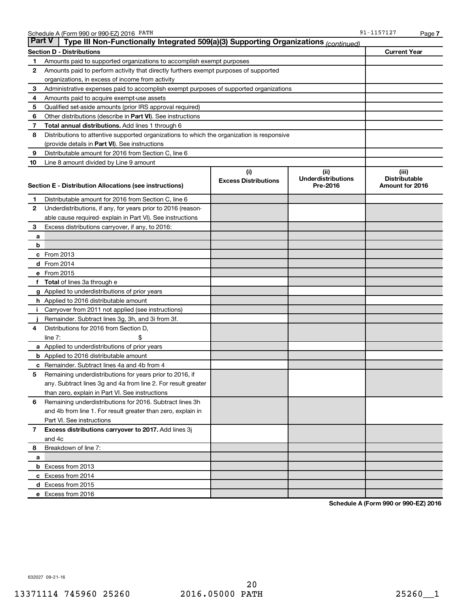| Schedule A (Form 990 or 990-EZ) 2016 PATH | 91-1157127                                                                                           | Page 7                             |                                               |                                                  |  |  |  |
|-------------------------------------------|------------------------------------------------------------------------------------------------------|------------------------------------|-----------------------------------------------|--------------------------------------------------|--|--|--|
|                                           | <b>Part V</b><br>Type III Non-Functionally Integrated 509(a)(3) Supporting Organizations (continued) |                                    |                                               |                                                  |  |  |  |
| Section D - Distributions                 | <b>Current Year</b>                                                                                  |                                    |                                               |                                                  |  |  |  |
| 1                                         | Amounts paid to supported organizations to accomplish exempt purposes                                |                                    |                                               |                                                  |  |  |  |
| 2                                         | Amounts paid to perform activity that directly furthers exempt purposes of supported                 |                                    |                                               |                                                  |  |  |  |
|                                           | organizations, in excess of income from activity                                                     |                                    |                                               |                                                  |  |  |  |
| З                                         | Administrative expenses paid to accomplish exempt purposes of supported organizations                |                                    |                                               |                                                  |  |  |  |
| 4                                         | Amounts paid to acquire exempt-use assets                                                            |                                    |                                               |                                                  |  |  |  |
| 5                                         | Qualified set-aside amounts (prior IRS approval required)                                            |                                    |                                               |                                                  |  |  |  |
| 6                                         | Other distributions (describe in Part VI). See instructions                                          |                                    |                                               |                                                  |  |  |  |
| 7                                         | Total annual distributions. Add lines 1 through 6                                                    |                                    |                                               |                                                  |  |  |  |
| 8                                         | Distributions to attentive supported organizations to which the organization is responsive           |                                    |                                               |                                                  |  |  |  |
|                                           | (provide details in Part VI). See instructions                                                       |                                    |                                               |                                                  |  |  |  |
| 9                                         | Distributable amount for 2016 from Section C, line 6                                                 |                                    |                                               |                                                  |  |  |  |
| 10                                        | Line 8 amount divided by Line 9 amount                                                               |                                    |                                               |                                                  |  |  |  |
|                                           | Section E - Distribution Allocations (see instructions)                                              | (i)<br><b>Excess Distributions</b> | (ii)<br><b>Underdistributions</b><br>Pre-2016 | (iii)<br><b>Distributable</b><br>Amount for 2016 |  |  |  |
| 1.                                        | Distributable amount for 2016 from Section C, line 6                                                 |                                    |                                               |                                                  |  |  |  |
| 2                                         | Underdistributions, if any, for years prior to 2016 (reason-                                         |                                    |                                               |                                                  |  |  |  |
|                                           | able cause required-explain in Part VI). See instructions                                            |                                    |                                               |                                                  |  |  |  |
| 3                                         | Excess distributions carryover, if any, to 2016:                                                     |                                    |                                               |                                                  |  |  |  |
| а                                         |                                                                                                      |                                    |                                               |                                                  |  |  |  |
| b                                         |                                                                                                      |                                    |                                               |                                                  |  |  |  |
|                                           | c From 2013                                                                                          |                                    |                                               |                                                  |  |  |  |
|                                           | d From 2014                                                                                          |                                    |                                               |                                                  |  |  |  |
|                                           | e From 2015                                                                                          |                                    |                                               |                                                  |  |  |  |
|                                           | f Total of lines 3a through e                                                                        |                                    |                                               |                                                  |  |  |  |
|                                           | g Applied to underdistributions of prior years                                                       |                                    |                                               |                                                  |  |  |  |
|                                           | h Applied to 2016 distributable amount                                                               |                                    |                                               |                                                  |  |  |  |
| Ť.                                        | Carryover from 2011 not applied (see instructions)                                                   |                                    |                                               |                                                  |  |  |  |
|                                           | Remainder. Subtract lines 3g, 3h, and 3i from 3f.                                                    |                                    |                                               |                                                  |  |  |  |
| 4                                         | Distributions for 2016 from Section D.                                                               |                                    |                                               |                                                  |  |  |  |
|                                           | line $7:$                                                                                            |                                    |                                               |                                                  |  |  |  |
|                                           | a Applied to underdistributions of prior years                                                       |                                    |                                               |                                                  |  |  |  |
|                                           | <b>b</b> Applied to 2016 distributable amount                                                        |                                    |                                               |                                                  |  |  |  |
|                                           | c Remainder. Subtract lines 4a and 4b from 4                                                         |                                    |                                               |                                                  |  |  |  |
|                                           | Remaining underdistributions for years prior to 2016, if                                             |                                    |                                               |                                                  |  |  |  |
|                                           | any. Subtract lines 3g and 4a from line 2. For result greater                                        |                                    |                                               |                                                  |  |  |  |
|                                           | than zero, explain in Part VI. See instructions                                                      |                                    |                                               |                                                  |  |  |  |
| 6                                         | Remaining underdistributions for 2016. Subtract lines 3h                                             |                                    |                                               |                                                  |  |  |  |
|                                           | and 4b from line 1. For result greater than zero, explain in                                         |                                    |                                               |                                                  |  |  |  |
|                                           | Part VI. See instructions                                                                            |                                    |                                               |                                                  |  |  |  |
| $\mathbf{7}$                              | Excess distributions carryover to 2017. Add lines 3j                                                 |                                    |                                               |                                                  |  |  |  |
|                                           | and 4c                                                                                               |                                    |                                               |                                                  |  |  |  |
| 8                                         | Breakdown of line 7:                                                                                 |                                    |                                               |                                                  |  |  |  |
| а                                         |                                                                                                      |                                    |                                               |                                                  |  |  |  |
|                                           | <b>b</b> Excess from 2013                                                                            |                                    |                                               |                                                  |  |  |  |
|                                           | c Excess from 2014                                                                                   |                                    |                                               |                                                  |  |  |  |
|                                           | d Excess from 2015                                                                                   |                                    |                                               |                                                  |  |  |  |
|                                           | e Excess from 2016                                                                                   |                                    |                                               |                                                  |  |  |  |

**Schedule A (Form 990 or 990-EZ) 2016**

91-1157127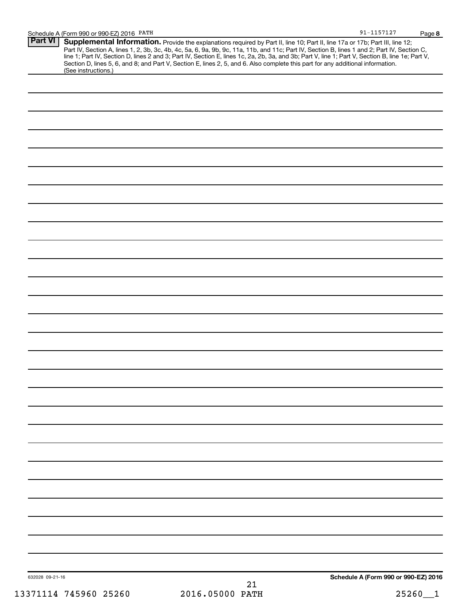|                 | Schedule A (Form 990 or 990-EZ) 2016 PATH                                                                                                                                                                                                                                                                                                                                                                                                                                                                                                                                                   | $91 - 1157127$                       | Page 8 |
|-----------------|---------------------------------------------------------------------------------------------------------------------------------------------------------------------------------------------------------------------------------------------------------------------------------------------------------------------------------------------------------------------------------------------------------------------------------------------------------------------------------------------------------------------------------------------------------------------------------------------|--------------------------------------|--------|
| <b>Part VI</b>  | Supplemental Information. Provide the explanations required by Part II, line 10; Part II, line 17a or 17b; Part III, line 12;<br>Part IV, Section A, lines 1, 2, 3b, 3c, 4b, 4c, 5a, 6, 9a, 9b, 9c, 11a, 11b, and 11c; Part IV, Section B, lines 1 and 2; Part IV, Section C,<br>line 1; Part IV, Section D, lines 2 and 3; Part IV, Section E, lines 1c, 2a, 2b, 3a, and 3b; Part V, line 1; Part V, Section B, line 1e; Part V,<br>Section D, lines 5, 6, and 8; and Part V, Section E, lines 2, 5, and 6. Also complete this part for any additional information.<br>(See instructions.) |                                      |        |
|                 |                                                                                                                                                                                                                                                                                                                                                                                                                                                                                                                                                                                             |                                      |        |
|                 |                                                                                                                                                                                                                                                                                                                                                                                                                                                                                                                                                                                             |                                      |        |
|                 |                                                                                                                                                                                                                                                                                                                                                                                                                                                                                                                                                                                             |                                      |        |
|                 |                                                                                                                                                                                                                                                                                                                                                                                                                                                                                                                                                                                             |                                      |        |
|                 |                                                                                                                                                                                                                                                                                                                                                                                                                                                                                                                                                                                             |                                      |        |
|                 |                                                                                                                                                                                                                                                                                                                                                                                                                                                                                                                                                                                             |                                      |        |
|                 |                                                                                                                                                                                                                                                                                                                                                                                                                                                                                                                                                                                             |                                      |        |
|                 |                                                                                                                                                                                                                                                                                                                                                                                                                                                                                                                                                                                             |                                      |        |
|                 |                                                                                                                                                                                                                                                                                                                                                                                                                                                                                                                                                                                             |                                      |        |
|                 |                                                                                                                                                                                                                                                                                                                                                                                                                                                                                                                                                                                             |                                      |        |
|                 |                                                                                                                                                                                                                                                                                                                                                                                                                                                                                                                                                                                             |                                      |        |
|                 |                                                                                                                                                                                                                                                                                                                                                                                                                                                                                                                                                                                             |                                      |        |
|                 |                                                                                                                                                                                                                                                                                                                                                                                                                                                                                                                                                                                             |                                      |        |
|                 |                                                                                                                                                                                                                                                                                                                                                                                                                                                                                                                                                                                             |                                      |        |
|                 |                                                                                                                                                                                                                                                                                                                                                                                                                                                                                                                                                                                             |                                      |        |
|                 |                                                                                                                                                                                                                                                                                                                                                                                                                                                                                                                                                                                             |                                      |        |
|                 |                                                                                                                                                                                                                                                                                                                                                                                                                                                                                                                                                                                             |                                      |        |
|                 |                                                                                                                                                                                                                                                                                                                                                                                                                                                                                                                                                                                             |                                      |        |
|                 |                                                                                                                                                                                                                                                                                                                                                                                                                                                                                                                                                                                             |                                      |        |
|                 |                                                                                                                                                                                                                                                                                                                                                                                                                                                                                                                                                                                             |                                      |        |
|                 |                                                                                                                                                                                                                                                                                                                                                                                                                                                                                                                                                                                             |                                      |        |
|                 |                                                                                                                                                                                                                                                                                                                                                                                                                                                                                                                                                                                             |                                      |        |
|                 |                                                                                                                                                                                                                                                                                                                                                                                                                                                                                                                                                                                             |                                      |        |
|                 |                                                                                                                                                                                                                                                                                                                                                                                                                                                                                                                                                                                             |                                      |        |
|                 |                                                                                                                                                                                                                                                                                                                                                                                                                                                                                                                                                                                             |                                      |        |
|                 |                                                                                                                                                                                                                                                                                                                                                                                                                                                                                                                                                                                             |                                      |        |
|                 |                                                                                                                                                                                                                                                                                                                                                                                                                                                                                                                                                                                             |                                      |        |
|                 |                                                                                                                                                                                                                                                                                                                                                                                                                                                                                                                                                                                             | Schedule A (Form 990 or 990-EZ) 2016 |        |
| 632028 09-21-16 | 21                                                                                                                                                                                                                                                                                                                                                                                                                                                                                                                                                                                          |                                      |        |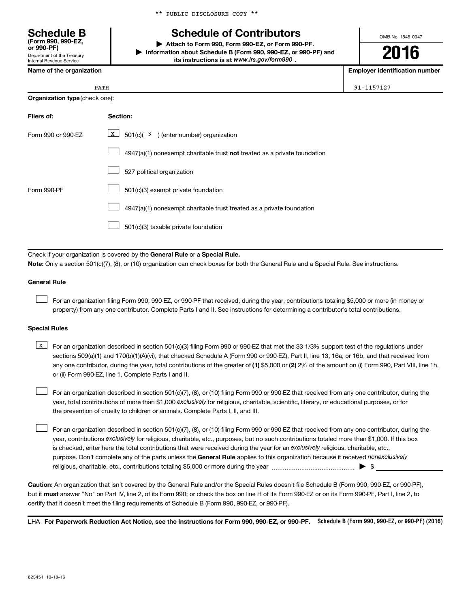\*\* PUBLIC DISCLOSURE COPY \*\*

## **Schedule of Contributors**

**or 990-PF) | Attach to Form 990, Form 990-EZ, or Form 990-PF. | Information about Schedule B (Form 990, 990-EZ, or 990-PF) and** its instructions is at www.irs.gov/form990.

OMB No. 1545-0047

**2016**

**Name of the organization Employer identification number**

| PATH | 91-1157127 |
|------|------------|
|      |            |

| Schedule B<br>(Form 990, 990-EZ,<br>or 990-PF)         |
|--------------------------------------------------------|
| Department of the Treasury<br>Internal Revenue Service |

| PAIH                           |
|--------------------------------|
| Organization type (check one): |

| Filers of:         | Section:                                                                           |
|--------------------|------------------------------------------------------------------------------------|
| Form 990 or 990-EZ | X<br>$501(c)(3)$ (enter number) organization                                       |
|                    | $4947(a)(1)$ nonexempt charitable trust <b>not</b> treated as a private foundation |
|                    | 527 political organization                                                         |
| Form 990-PF        | 501(c)(3) exempt private foundation                                                |
|                    | 4947(a)(1) nonexempt charitable trust treated as a private foundation              |
|                    | 501(c)(3) taxable private foundation                                               |

Check if your organization is covered by the General Rule or a Special Rule.

**Note:**  Only a section 501(c)(7), (8), or (10) organization can check boxes for both the General Rule and a Special Rule. See instructions.

## **General Rule**

 $\Box$ 

For an organization filing Form 990, 990-EZ, or 990-PF that received, during the year, contributions totaling \$5,000 or more (in money or property) from any one contributor. Complete Parts I and II. See instructions for determining a contributor's total contributions.

### **Special Rules**

any one contributor, during the year, total contributions of the greater of **(1)** \$5,000 or **(2)** 2% of the amount on (i) Form 990, Part VIII, line 1h, **K** For an organization described in section 501(c)(3) filing Form 990 or 990-EZ that met the 33 1/3% support test of the regulations under sections 509(a)(1) and 170(b)(1)(A)(vi), that checked Schedule A (Form 990 or 990-EZ), Part II, line 13, 16a, or 16b, and that received from or (ii) Form 990-EZ, line 1. Complete Parts I and II.

year, total contributions of more than \$1,000 *exclusively* for religious, charitable, scientific, literary, or educational purposes, or for For an organization described in section 501(c)(7), (8), or (10) filing Form 990 or 990-EZ that received from any one contributor, during the the prevention of cruelty to children or animals. Complete Parts I, II, and III.  $\Box$ 

purpose. Don't complete any of the parts unless the General Rule applies to this organization because it received nonexclusively year, contributions exclusively for religious, charitable, etc., purposes, but no such contributions totaled more than \$1,000. If this box is checked, enter here the total contributions that were received during the year for an exclusively religious, charitable, etc., For an organization described in section 501(c)(7), (8), or (10) filing Form 990 or 990-EZ that received from any one contributor, during the religious, charitable, etc., contributions totaling \$5,000 or more during the year  $\ldots$  $\ldots$  $\ldots$  $\ldots$  $\ldots$  $\ldots$  $\Box$ 

**Caution:**  An organization that isn't covered by the General Rule and/or the Special Rules doesn't file Schedule B (Form 990, 990-EZ, or 990-PF),  **must** but it answer "No" on Part IV, line 2, of its Form 990; or check the box on line H of its Form 990-EZ or on its Form 990-PF, Part I, line 2, to certify that it doesn't meet the filing requirements of Schedule B (Form 990, 990-EZ, or 990-PF).

LHA For Paperwork Reduction Act Notice, see the Instructions for Form 990, 990-EZ, or 990-PF. Schedule B (Form 990, 990-EZ, or 990-PF) (2016)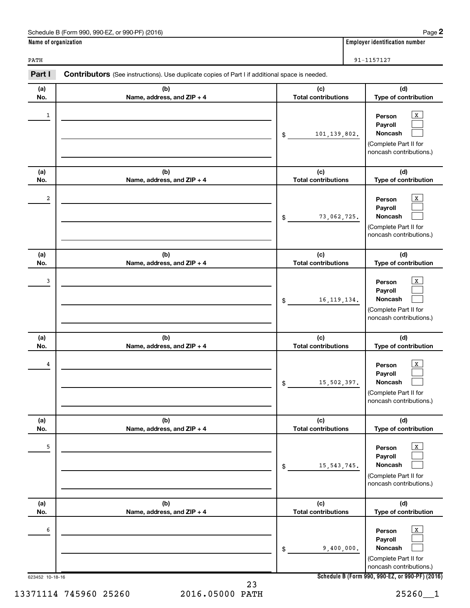|                      | Schedule B (Form 990, 990-EZ, or 990-PF) (2016)                                                       |                                       | Page 2                                                                                                  |
|----------------------|-------------------------------------------------------------------------------------------------------|---------------------------------------|---------------------------------------------------------------------------------------------------------|
| Name of organization |                                                                                                       | <b>Employer identification number</b> |                                                                                                         |
| PATH<br>Part I       | <b>Contributors</b> (See instructions). Use duplicate copies of Part I if additional space is needed. |                                       | 91-1157127                                                                                              |
| (a)<br>No.           | (b)<br>Name, address, and ZIP + 4                                                                     | (c)<br><b>Total contributions</b>     | (d)<br>Type of contribution                                                                             |
| 1                    |                                                                                                       | 101, 139, 802.<br>\$                  | $\mathbf{x}$<br>Person<br>Payroll<br><b>Noncash</b><br>(Complete Part II for<br>noncash contributions.) |
| (a)<br>No.           | (b)<br>Name, address, and ZIP + 4                                                                     | (c)<br><b>Total contributions</b>     | (d)<br>Type of contribution                                                                             |
| 2                    |                                                                                                       | 73,062,725.<br>\$                     | X<br>Person<br>Payroll<br>Noncash<br>(Complete Part II for<br>noncash contributions.)                   |
| (a)<br>No.           | (b)<br>Name, address, and ZIP + 4                                                                     | (c)<br><b>Total contributions</b>     | (d)<br>Type of contribution                                                                             |
| 3                    |                                                                                                       | 16, 119, 134.<br>\$                   | X<br>Person<br>Payroll<br><b>Noncash</b><br>(Complete Part II for<br>noncash contributions.)            |

| 3                                        |                                   | $\mathbf{x}$<br>Person<br>Payroll<br>Noncash<br>16, 119, 134.<br>\$<br>(Complete Part II for<br>noncash contributions.)       |
|------------------------------------------|-----------------------------------|-------------------------------------------------------------------------------------------------------------------------------|
| (a)<br>No.                               | (b)<br>Name, address, and ZIP + 4 | (c)<br>(d)<br><b>Total contributions</b><br>Type of contribution                                                              |
| 4                                        |                                   | X<br>Person<br>Payroll<br>Noncash<br>15,502,397.<br>\$<br>(Complete Part II for<br>noncash contributions.)                    |
| (a)<br>No.                               | (b)<br>Name, address, and ZIP + 4 | (c)<br>(d)<br><b>Total contributions</b><br>Type of contribution                                                              |
| 5                                        |                                   | $\mathbf X$<br>Person<br>Payroll<br><b>Noncash</b><br>15, 543, 745.<br>\$<br>(Complete Part II for<br>noncash contributions.) |
| (a)<br>No.                               | (b)<br>Name, address, and ZIP + 4 | (c)<br>(d)<br><b>Total contributions</b><br>Type of contribution                                                              |
| 6                                        |                                   | $\mathbf X$<br>Person<br>Payroll<br>Noncash<br>9,400,000.<br>\$<br>(Complete Part II for<br>noncash contributions.)           |
| 623452 10-18-16<br>13371114 745960 25260 | 23<br>2016.05000 PATH             | Schedule B (Form 990, 990-EZ, or 990-PF) (2016)<br>25260<br>1                                                                 |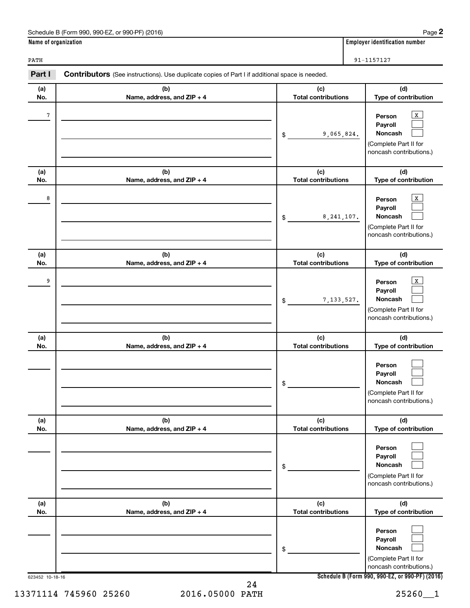|                      | Schedule B (Form 990, 990-EZ, or 990-PF) (2016)                                                       |                                   | Page 2                                                                                       |  |
|----------------------|-------------------------------------------------------------------------------------------------------|-----------------------------------|----------------------------------------------------------------------------------------------|--|
| Name of organization |                                                                                                       |                                   | <b>Employer identification number</b>                                                        |  |
| PATH                 |                                                                                                       |                                   | 91-1157127                                                                                   |  |
| Part I               | <b>Contributors</b> (See instructions). Use duplicate copies of Part I if additional space is needed. |                                   |                                                                                              |  |
| (a)<br>No.           | (b)<br>Name, address, and ZIP + 4                                                                     | (c)<br><b>Total contributions</b> | (d)<br>Type of contribution                                                                  |  |
| 7                    |                                                                                                       | 9,065,824.<br>\$                  | X<br>Person<br>Payroll<br><b>Noncash</b><br>(Complete Part II for<br>noncash contributions.) |  |
| (a)<br>No.           | (b)<br>Name, address, and ZIP + 4                                                                     | (c)<br><b>Total contributions</b> | (d)<br>Type of contribution                                                                  |  |
| 8                    |                                                                                                       | 8, 241, 107.<br>\$                | x<br>Person<br>Payroll<br><b>Noncash</b><br>(Complete Part II for<br>noncash contributions.) |  |
| (a)<br>No.           | (b)<br>Name, address, and ZIP + 4                                                                     | (c)<br><b>Total contributions</b> | (d)<br>Type of contribution                                                                  |  |
| 9                    |                                                                                                       | 7, 133, 527.<br>\$                | x<br>Person<br>Payroll<br>Noncash<br>(Complete Part II for<br>noncash contributions.)        |  |
| (a)<br>No.           | (b)<br>Name, address, and ZIP + 4                                                                     | (c)<br><b>Total contributions</b> | (d)<br>Type of contribution                                                                  |  |
|                      |                                                                                                       | \$                                | Person<br>Payroll<br><b>Noncash</b><br>(Complete Part II for<br>noncash contributions.)      |  |
| (a)<br>No.           | (b)<br>Name, address, and ZIP + 4                                                                     | (c)<br><b>Total contributions</b> | (d)<br>Type of contribution                                                                  |  |
|                      |                                                                                                       | \$                                | Person<br>Payroll<br><b>Noncash</b><br>(Complete Part II for<br>noncash contributions.)      |  |
| (a)<br>No.           | (b)<br>Name, address, and ZIP + 4                                                                     | (c)<br><b>Total contributions</b> | (d)<br>Type of contribution                                                                  |  |

|                  | \$<br>Person<br>Payroll<br><b>Noncash</b><br>(Complete Part II for<br>noncash contributions.) |
|------------------|-----------------------------------------------------------------------------------------------|
| $\sim$ $\lambda$ | Schedule B (Form 990, 990-EZ, or 990-PF) (2016)                                               |

13371114 745960 25260 2016.05000 PATH 25260\_\_1 24

623452 10-18-16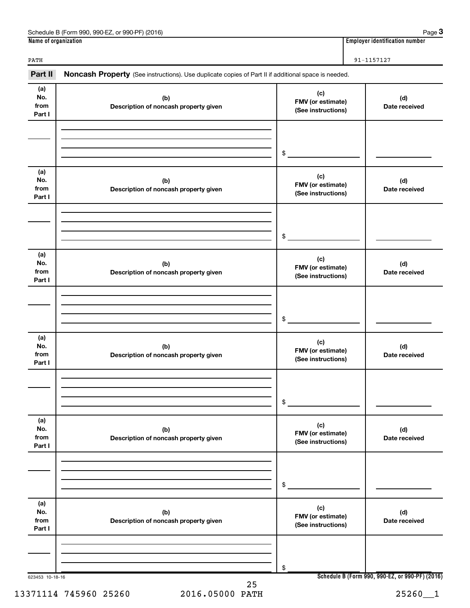| 990-EZ<br>Schedule<br>(2016)<br>or 990-PF <sup>\</sup><br><b>B</b> (Form 990 | Paɑe                                    |
|------------------------------------------------------------------------------|-----------------------------------------|
| Name of organization                                                         | <br>. identification number<br>Emplover |

PATH 91-1157127

| (a)<br>No.<br>from<br>Part I | (b)<br>Description of noncash property given | (c)<br>FMV (or estimate)<br>(See instructions) | (d)<br>Date received |
|------------------------------|----------------------------------------------|------------------------------------------------|----------------------|
|                              |                                              | $$\circ$$                                      |                      |
| (a)<br>No.<br>from<br>Part I | (b)<br>Description of noncash property given | (c)<br>FMV (or estimate)<br>(See instructions) | (d)<br>Date received |
|                              |                                              | $$\circ$$                                      |                      |
| (a)<br>No.<br>from<br>Part I | (b)<br>Description of noncash property given | (c)<br>FMV (or estimate)<br>(See instructions) | (d)<br>Date received |
|                              |                                              | $\frac{1}{2}$                                  |                      |
| (a)<br>No.<br>from<br>Part I | (b)<br>Description of noncash property given | (c)<br>FMV (or estimate)<br>(See instructions) | (d)<br>Date received |
|                              |                                              | \$                                             |                      |
| (a)<br>No.<br>from<br>Part I | (b)<br>Description of noncash property given | (c)<br>FMV (or estimate)<br>(See instructions) | (d)<br>Date received |
|                              |                                              | \$                                             |                      |
| (a)<br>No.<br>from<br>Part I | (b)<br>Description of noncash property given | (c)<br>FMV (or estimate)<br>(See instructions) | (d)<br>Date received |
|                              |                                              | \$                                             |                      |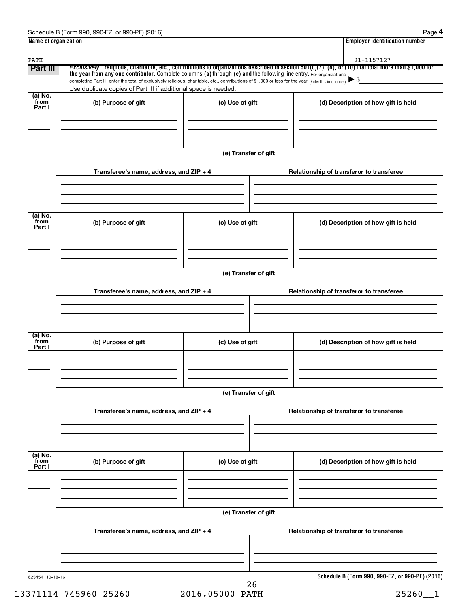| <b>Part III</b>           | the year from any one contributor. Complete columns (a) through (e) and the following line entry. For organizations                                                                                                         |                      | Exclusively religious, charitable, etc., contributions to organizations described in section 501(c)(7), (8), or (10) that total more than \$1,000 for |
|---------------------------|-----------------------------------------------------------------------------------------------------------------------------------------------------------------------------------------------------------------------------|----------------------|-------------------------------------------------------------------------------------------------------------------------------------------------------|
|                           | completing Part III, enter the total of exclusively religious, charitable, etc., contributions of \$1,000 or less for the year. (Enter this info. once.)<br>Use duplicate copies of Part III if additional space is needed. |                      |                                                                                                                                                       |
| (a) No.<br>from<br>Part I | (b) Purpose of gift                                                                                                                                                                                                         | (c) Use of gift      | (d) Description of how gift is held                                                                                                                   |
|                           |                                                                                                                                                                                                                             | (e) Transfer of gift |                                                                                                                                                       |
|                           | Transferee's name, address, and ZIP + 4                                                                                                                                                                                     |                      | Relationship of transferor to transferee                                                                                                              |
| (a) No.<br>from<br>Part I | (b) Purpose of gift                                                                                                                                                                                                         | (c) Use of gift      | (d) Description of how gift is held                                                                                                                   |
|                           | Transferee's name, address, and ZIP + 4                                                                                                                                                                                     | (e) Transfer of gift | Relationship of transferor to transferee                                                                                                              |
| (a) No.<br>from<br>Part I | (b) Purpose of gift                                                                                                                                                                                                         | (c) Use of gift      | (d) Description of how gift is held                                                                                                                   |
|                           |                                                                                                                                                                                                                             | (e) Transfer of gift |                                                                                                                                                       |
|                           | Transferee's name, address, and ZIP + 4                                                                                                                                                                                     |                      | Relationship of transferor to transferee                                                                                                              |
| (a) No.<br>from<br>Part I | (b) Purpose of gift                                                                                                                                                                                                         | (c) Use of gift      | (d) Description of how gift is held                                                                                                                   |
|                           |                                                                                                                                                                                                                             | (e) Transfer of gift |                                                                                                                                                       |
|                           | Transferee's name, address, and ZIP + 4                                                                                                                                                                                     |                      | Relationship of transferor to transferee                                                                                                              |

13371114 745960 25260 2016.05000 PATH 25260\_\_1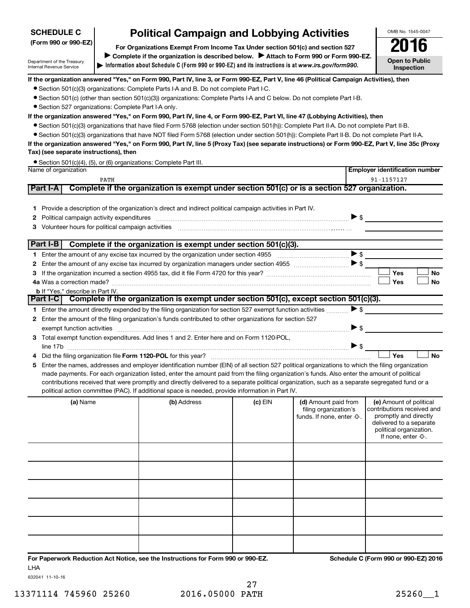## **SCHEDULE C**

# **Political Campaign and Lobbying Activities**<br>Drganizations Exempt From Income Tax Under section 501(c) and section 527 **2016**

**Information about Schedule C (Form 990 or 990-EZ) and its instructions is at |**  *www.irs.gov/form990.* **(Form 990 or 990-EZ) For Organizations Exempt From Income Tax Under section 501(c) and section 527** Complete if the organization is described below. > Attach to Form 990 or Form 990-EZ. **Open to Public Inspection**

OMB No. 1545-0047

Department of the Treasury Internal Revenue Service

## **If the organization answered "Yes," on Form 990, Part IV, line 3, or Form 990-EZ, Part V, line 46 (Political Campaign Activities), then**

- Section 501(c)(3) organizations: Complete Parts I-A and B. Do not complete Part I-C.
- Section 501(c) (other than section 501(c)(3)) organizations: Complete Parts I-A and C below. Do not complete Part I-B.
- Section 527 organizations: Complete Part I-A only.

## **If the organization answered "Yes," on Form 990, Part IV, line 4, or Form 990-EZ, Part VI, line 47 (Lobbying Activities), then**

- Section 501(c)(3) organizations that have filed Form 5768 (election under section 501(h)): Complete Part II-A. Do not complete Part II-B.
- Section 501(c)(3) organizations that have NOT filed Form 5768 (election under section 501(h)): Complete Part II-B. Do not complete Part II-A.

## **If the organization answered "Yes," on Form 990, Part IV, line 5 (Proxy Tax) (see separate instructions) or Form 990-EZ, Part V, line 35c (Proxy Tax) (see separate instructions), then**

• Section 501(c)(4), (5), or (6) organizations: Complete Part III.

| Name of organization                                                                                                                                                                                                                                                                          |                                                                                               |           |                                                     | <b>Employer identification number</b>                                                                                            |
|-----------------------------------------------------------------------------------------------------------------------------------------------------------------------------------------------------------------------------------------------------------------------------------------------|-----------------------------------------------------------------------------------------------|-----------|-----------------------------------------------------|----------------------------------------------------------------------------------------------------------------------------------|
| PATH                                                                                                                                                                                                                                                                                          |                                                                                               |           |                                                     | 91-1157127                                                                                                                       |
| <b>Part I-A</b>                                                                                                                                                                                                                                                                               | Complete if the organization is exempt under section 501(c) or is a section 527 organization. |           |                                                     |                                                                                                                                  |
| 1 Provide a description of the organization's direct and indirect political campaign activities in Part IV.<br>2 Political campaign activity expenditures material content content and activity of the summary of the summary                                                                 |                                                                                               |           |                                                     |                                                                                                                                  |
| Part I-B                                                                                                                                                                                                                                                                                      | Complete if the organization is exempt under section 501(c)(3).                               |           |                                                     |                                                                                                                                  |
|                                                                                                                                                                                                                                                                                               |                                                                                               |           |                                                     |                                                                                                                                  |
|                                                                                                                                                                                                                                                                                               |                                                                                               |           |                                                     |                                                                                                                                  |
|                                                                                                                                                                                                                                                                                               |                                                                                               |           |                                                     | Yes<br>No                                                                                                                        |
|                                                                                                                                                                                                                                                                                               |                                                                                               |           |                                                     | Yes<br><b>No</b>                                                                                                                 |
| <b>b</b> If "Yes," describe in Part IV.                                                                                                                                                                                                                                                       |                                                                                               |           |                                                     |                                                                                                                                  |
| Part I-CI                                                                                                                                                                                                                                                                                     | Complete if the organization is exempt under section 501(c), except section 501(c)(3).        |           |                                                     |                                                                                                                                  |
| 1 Enter the amount directly expended by the filing organization for section 527 exempt function activities                                                                                                                                                                                    |                                                                                               |           | $\blacktriangleright$ \$                            |                                                                                                                                  |
| 2 Enter the amount of the filing organization's funds contributed to other organizations for section 527                                                                                                                                                                                      |                                                                                               |           |                                                     |                                                                                                                                  |
| exempt function activities material content to the control of the state of the state of the state of the state of the state of the state of the state of the state of the state of the state of the state of the state of the                                                                 |                                                                                               |           |                                                     |                                                                                                                                  |
| 3 Total exempt function expenditures. Add lines 1 and 2. Enter here and on Form 1120-POL,                                                                                                                                                                                                     |                                                                                               |           |                                                     |                                                                                                                                  |
| line 17b $\sim$ $\sim$ $\sim$ $\sim$                                                                                                                                                                                                                                                          |                                                                                               |           |                                                     |                                                                                                                                  |
|                                                                                                                                                                                                                                                                                               |                                                                                               |           |                                                     | Yes<br><b>No</b>                                                                                                                 |
| 5 Enter the names, addresses and employer identification number (EIN) of all section 527 political organizations to which the filing organization                                                                                                                                             |                                                                                               |           |                                                     |                                                                                                                                  |
| made payments. For each organization listed, enter the amount paid from the filing organization's funds. Also enter the amount of political<br>contributions received that were promptly and directly delivered to a separate political organization, such as a separate segregated fund or a |                                                                                               |           |                                                     |                                                                                                                                  |
| political action committee (PAC). If additional space is needed, provide information in Part IV.                                                                                                                                                                                              |                                                                                               |           |                                                     |                                                                                                                                  |
| (a) Name                                                                                                                                                                                                                                                                                      | (b) Address                                                                                   | $(c)$ EIN | (d) Amount paid from                                | (e) Amount of political                                                                                                          |
|                                                                                                                                                                                                                                                                                               |                                                                                               |           | filing organization's<br>funds. If none, enter -0-. | contributions received and<br>promptly and directly<br>delivered to a separate<br>political organization.<br>If none, enter -0-. |
|                                                                                                                                                                                                                                                                                               |                                                                                               |           |                                                     |                                                                                                                                  |
|                                                                                                                                                                                                                                                                                               |                                                                                               |           |                                                     |                                                                                                                                  |
|                                                                                                                                                                                                                                                                                               |                                                                                               |           |                                                     |                                                                                                                                  |
|                                                                                                                                                                                                                                                                                               |                                                                                               |           |                                                     |                                                                                                                                  |
|                                                                                                                                                                                                                                                                                               |                                                                                               |           |                                                     |                                                                                                                                  |

**For Paperwork Reduction Act Notice, see the Instructions for Form 990 or 990-EZ. Schedule C (Form 990 or 990-EZ) 2016** LHA

632041 11-10-16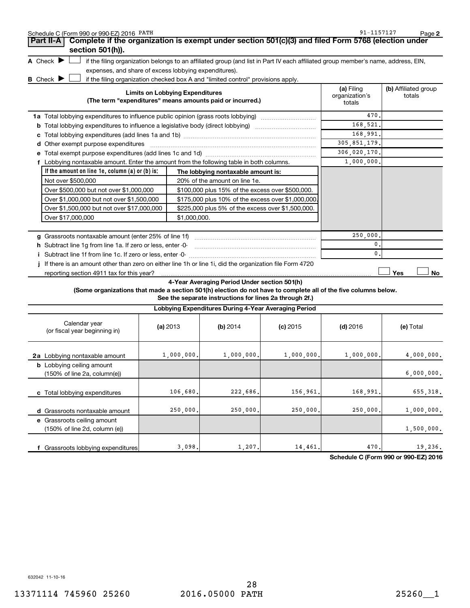| Schedule C (Form 990 or 990-EZ) 2016 PATH                                                                       |                                        |              |                                                                                  |                                                                                                                                   | 91-1157127                             | Page 2                         |
|-----------------------------------------------------------------------------------------------------------------|----------------------------------------|--------------|----------------------------------------------------------------------------------|-----------------------------------------------------------------------------------------------------------------------------------|----------------------------------------|--------------------------------|
| Complete if the organization is exempt under section 501(c)(3) and filed Form 5768 (election under<br>Part II-A |                                        |              |                                                                                  |                                                                                                                                   |                                        |                                |
| section 501(h)).                                                                                                |                                        |              |                                                                                  |                                                                                                                                   |                                        |                                |
| A Check $\blacktriangleright$                                                                                   |                                        |              |                                                                                  | if the filing organization belongs to an affiliated group (and list in Part IV each affiliated group member's name, address, EIN, |                                        |                                |
| expenses, and share of excess lobbying expenditures).                                                           |                                        |              |                                                                                  |                                                                                                                                   |                                        |                                |
| <b>B</b> Check D                                                                                                |                                        |              | if the filing organization checked box A and "limited control" provisions apply. |                                                                                                                                   |                                        |                                |
|                                                                                                                 | <b>Limits on Lobbying Expenditures</b> |              | (The term "expenditures" means amounts paid or incurred.)                        |                                                                                                                                   | (a) Filing<br>organization's<br>totals | (b) Affiliated group<br>totals |
|                                                                                                                 |                                        |              |                                                                                  |                                                                                                                                   | 470.                                   |                                |
| <b>b</b> Total lobbying expenditures to influence a legislative body (direct lobbying) <i>manumumumum</i>       |                                        |              |                                                                                  |                                                                                                                                   | 168,521.                               |                                |
|                                                                                                                 |                                        |              |                                                                                  |                                                                                                                                   | 168,991.                               |                                |
| d Other exempt purpose expenditures                                                                             |                                        |              |                                                                                  |                                                                                                                                   | 305, 851, 179.                         |                                |
|                                                                                                                 |                                        |              |                                                                                  |                                                                                                                                   | 306,020,170.                           |                                |
| f Lobbying nontaxable amount. Enter the amount from the following table in both columns.                        |                                        |              |                                                                                  |                                                                                                                                   | 1,000,000.                             |                                |
| If the amount on line $1e$ , column (a) or (b) is:                                                              |                                        |              | The lobbying nontaxable amount is:                                               |                                                                                                                                   |                                        |                                |
| Not over \$500,000                                                                                              |                                        |              | 20% of the amount on line 1e.                                                    |                                                                                                                                   |                                        |                                |
| Over \$500,000 but not over \$1,000,000                                                                         |                                        |              | \$100,000 plus 15% of the excess over \$500,000.                                 |                                                                                                                                   |                                        |                                |
| Over \$1,000,000 but not over \$1,500,000                                                                       |                                        |              | \$175,000 plus 10% of the excess over \$1,000,000                                |                                                                                                                                   |                                        |                                |
| Over \$1,500,000 but not over \$17,000,000                                                                      |                                        |              | \$225,000 plus 5% of the excess over \$1,500,000.                                |                                                                                                                                   |                                        |                                |
| Over \$17,000,000                                                                                               |                                        | \$1,000,000. |                                                                                  |                                                                                                                                   |                                        |                                |
|                                                                                                                 |                                        |              |                                                                                  |                                                                                                                                   |                                        |                                |
| g Grassroots nontaxable amount (enter 25% of line 1f)                                                           |                                        |              |                                                                                  |                                                                                                                                   | 250,000.                               |                                |
| h Subtract line 1g from line 1a. If zero or less, enter -0-                                                     |                                        |              |                                                                                  |                                                                                                                                   | 0.                                     |                                |
|                                                                                                                 |                                        |              |                                                                                  |                                                                                                                                   | 0.                                     |                                |
| If there is an amount other than zero on either line 1h or line 1i, did the organization file Form 4720         |                                        |              |                                                                                  |                                                                                                                                   |                                        |                                |
| reporting section 4911 tax for this year?                                                                       |                                        |              |                                                                                  |                                                                                                                                   |                                        | Yes<br>No                      |
|                                                                                                                 |                                        |              | 4-Year Averaging Period Under section 501(h)                                     |                                                                                                                                   |                                        |                                |
| (Some organizations that made a section 501(h) election do not have to complete all of the five columns below.  |                                        |              | See the separate instructions for lines 2a through 2f.)                          |                                                                                                                                   |                                        |                                |
|                                                                                                                 |                                        |              | Lobbying Expenditures During 4-Year Averaging Period                             |                                                                                                                                   |                                        |                                |
|                                                                                                                 |                                        |              |                                                                                  |                                                                                                                                   |                                        |                                |
| Calendar year<br>(or fiscal year beginning in)                                                                  | (a) 2013                               |              | $(b)$ 2014                                                                       | $(c)$ 2015                                                                                                                        | $(d)$ 2016                             | (e) Total                      |
| 2a Lobbying nontaxable amount                                                                                   |                                        | 1,000,000.   | 1,000,000.                                                                       | 1,000,000.                                                                                                                        | 1,000,000.                             | 4,000,000.                     |
| <b>b</b> Lobbying ceiling amount<br>(150% of line 2a, column(e))                                                |                                        |              |                                                                                  |                                                                                                                                   |                                        | 6,000,000.                     |
| c Total lobbying expenditures                                                                                   |                                        | 106,680      | 222,686.                                                                         | 156,961.                                                                                                                          | 168,991                                | 655, 318.                      |
| d Grassroots nontaxable amount                                                                                  |                                        | 250,000      | 250,000.                                                                         | 250,000.                                                                                                                          | 250,000.                               | 1,000,000.                     |
| e Grassroots ceiling amount                                                                                     |                                        |              |                                                                                  |                                                                                                                                   |                                        |                                |
| (150% of line 2d, column (e))                                                                                   |                                        |              |                                                                                  |                                                                                                                                   |                                        | 1,500,000.                     |
| f Grassroots lobbying expenditures                                                                              |                                        | 3,098.       | 1,207.                                                                           | 14,461.                                                                                                                           | 470.                                   | 19,236.                        |
|                                                                                                                 |                                        |              |                                                                                  |                                                                                                                                   |                                        |                                |

**Schedule C (Form 990 or 990-EZ) 2016**

632042 11-10-16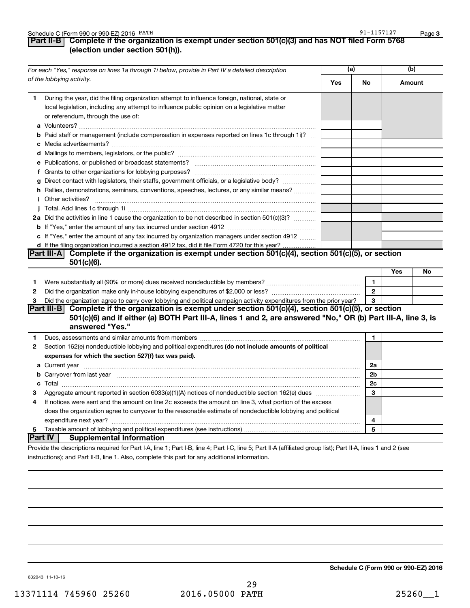|  | Schedule C (Form 990 or 990-EZ) 2016 PATH |  | $1157107$<br>$91 - i$<br>17777 | Page |  |
|--|-------------------------------------------|--|--------------------------------|------|--|
|--|-------------------------------------------|--|--------------------------------|------|--|

## **Part II-B Complete if the organization is exempt under section 501(c)(3) and has NOT filed Form 5768 (election under section 501(h)).**

|              | For each "Yes," response on lines 1a through 1i below, provide in Part IV a detailed description                                                                                                                                                  | (a) |                | (b) |        |
|--------------|---------------------------------------------------------------------------------------------------------------------------------------------------------------------------------------------------------------------------------------------------|-----|----------------|-----|--------|
|              | of the lobbying activity.                                                                                                                                                                                                                         | Yes | No             |     | Amount |
| 1.           | During the year, did the filing organization attempt to influence foreign, national, state or<br>local legislation, including any attempt to influence public opinion on a legislative matter<br>or referendum, through the use of:               |     |                |     |        |
|              | <b>b</b> Paid staff or management (include compensation in expenses reported on lines 1c through 1i)?                                                                                                                                             |     |                |     |        |
|              |                                                                                                                                                                                                                                                   |     |                |     |        |
|              |                                                                                                                                                                                                                                                   |     |                |     |        |
|              |                                                                                                                                                                                                                                                   |     |                |     |        |
|              |                                                                                                                                                                                                                                                   |     |                |     |        |
|              | g Direct contact with legislators, their staffs, government officials, or a legislative body?                                                                                                                                                     |     |                |     |        |
|              | h Rallies, demonstrations, seminars, conventions, speeches, lectures, or any similar means?                                                                                                                                                       |     |                |     |        |
|              | <i>i</i> Other activities?                                                                                                                                                                                                                        |     |                |     |        |
|              |                                                                                                                                                                                                                                                   |     |                |     |        |
|              | 2a Did the activities in line 1 cause the organization to be not described in section 501(c)(3)?                                                                                                                                                  |     |                |     |        |
|              |                                                                                                                                                                                                                                                   |     |                |     |        |
|              | c If "Yes," enter the amount of any tax incurred by organization managers under section 4912                                                                                                                                                      |     |                |     |        |
|              | d If the filing organization incurred a section 4912 tax, did it file Form 4720 for this year?                                                                                                                                                    |     |                |     |        |
|              | Part III-A Complete if the organization is exempt under section 501(c)(4), section 501(c)(5), or section                                                                                                                                          |     |                |     |        |
|              | $501(c)(6)$ .                                                                                                                                                                                                                                     |     |                |     |        |
|              |                                                                                                                                                                                                                                                   |     |                | Yes | No     |
| 1            |                                                                                                                                                                                                                                                   |     | 1              |     |        |
| 2            |                                                                                                                                                                                                                                                   |     | $\overline{2}$ |     |        |
| З            | Did the organization agree to carry over lobbying and political campaign activity expenditures from the prior year?                                                                                                                               |     | 3              |     |        |
|              | Part III-B Complete if the organization is exempt under section $501(c)(4)$ , section $501(c)(5)$ , or section<br>501(c)(6) and if either (a) BOTH Part III-A, lines 1 and 2, are answered "No," OR (b) Part III-A, line 3, is<br>answered "Yes." |     |                |     |        |
| 1.           | Dues, assessments and similar amounts from members [111] www.communicallynews.communicallyness.communicallyness.com                                                                                                                               |     | 1              |     |        |
| $\mathbf{2}$ | Section 162(e) nondeductible lobbying and political expenditures (do not include amounts of political                                                                                                                                             |     |                |     |        |
|              | expenses for which the section 527(f) tax was paid).                                                                                                                                                                                              |     |                |     |        |
|              |                                                                                                                                                                                                                                                   |     | 2a             |     |        |
|              | <b>b</b> Carryover from last year manufactured contains and contained a contained and contained a contained and contained a contained a contained and contained a contained a contained and contained a contained a contained and c               |     | 2 <sub>b</sub> |     |        |
|              |                                                                                                                                                                                                                                                   |     | 2c             |     |        |
| З            |                                                                                                                                                                                                                                                   |     | 3              |     |        |
| 4            | If notices were sent and the amount on line 2c exceeds the amount on line 3, what portion of the excess                                                                                                                                           |     |                |     |        |
|              | does the organization agree to carryover to the reasonable estimate of nondeductible lobbying and political                                                                                                                                       |     |                |     |        |
|              |                                                                                                                                                                                                                                                   |     | 4              |     |        |
| 5.           |                                                                                                                                                                                                                                                   |     | 5              |     |        |
|              | <b>Part IV   Supplemental Information</b>                                                                                                                                                                                                         |     |                |     |        |
|              | Provide the descriptions required for Part I.A. line 1: Part I.R. line 4: Part I.C. line 5: Part II.A (affiliated group list): Part II.A. lines 1 and 2 (see                                                                                      |     |                |     |        |

criptions required for Part I-A, line 1; Part I-B, line 4; Part I-C, line 5; Part II-A (affiliated group list); Part II-A, lines 1 and 2 (see instructions); and Part II-B, line 1. Also, complete this part for any additional information.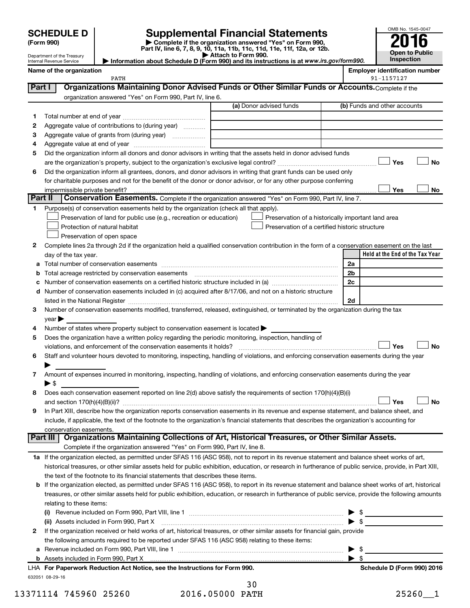| <b>SCHEDULE D</b> |  |  |
|-------------------|--|--|
|                   |  |  |

Department of the Treasury Internal Revenue Service

| (Form 990) |  |
|------------|--|
|            |  |

**(Form 990) | Complete if the organization answered "Yes" on Form 990, Part IV, line 6, 7, 8, 9, 10, 11a, 11b, 11c, 11d, 11e, 11f, 12a, or 12b. SCHEDULE D Supplemental Financial Statements**<br> **Form 990 2016**<br> **Part IV** line 6.7.8.9.10, 11a, 11b, 11d, 11d, 11d, 11d, 11d, 12a, 0r, 12b

**| Attach to Form 990. | Information about Schedule D (Form 990) and its instructions is at**  *www.irs.gov/form990.*

| OMB No. 1545-0047                   |
|-------------------------------------|
| 2016                                |
| <b>Open to Public</b><br>Inspection |

**Name of the organization** 

|  |  |  |  |  | ployer identification nur |  |
|--|--|--|--|--|---------------------------|--|
|  |  |  |  |  |                           |  |

|              | PATH                                                                                                                                                      |                                                    |                         | 91-1157127                      |
|--------------|-----------------------------------------------------------------------------------------------------------------------------------------------------------|----------------------------------------------------|-------------------------|---------------------------------|
| Part I       | Organizations Maintaining Donor Advised Funds or Other Similar Funds or Accounts. Complete if the                                                         |                                                    |                         |                                 |
|              | organization answered "Yes" on Form 990, Part IV, line 6.                                                                                                 |                                                    |                         |                                 |
|              |                                                                                                                                                           | (a) Donor advised funds                            |                         | (b) Funds and other accounts    |
| 1            |                                                                                                                                                           |                                                    |                         |                                 |
| 2            | Aggregate value of contributions to (during year)                                                                                                         |                                                    |                         |                                 |
| з            | Aggregate value of grants from (during year)                                                                                                              |                                                    |                         |                                 |
| 4            |                                                                                                                                                           |                                                    |                         |                                 |
| 5            | Did the organization inform all donors and donor advisors in writing that the assets held in donor advised funds                                          |                                                    |                         |                                 |
|              |                                                                                                                                                           |                                                    |                         | <b>No</b><br>Yes                |
| 6            | Did the organization inform all grantees, donors, and donor advisors in writing that grant funds can be used only                                         |                                                    |                         |                                 |
|              | for charitable purposes and not for the benefit of the donor or donor advisor, or for any other purpose conferring                                        |                                                    |                         |                                 |
|              |                                                                                                                                                           |                                                    |                         | Yes<br>No                       |
| Part II      | Conservation Easements. Complete if the organization answered "Yes" on Form 990, Part IV, line 7.                                                         |                                                    |                         |                                 |
| 1.           | Purpose(s) of conservation easements held by the organization (check all that apply).                                                                     |                                                    |                         |                                 |
|              | Preservation of land for public use (e.g., recreation or education)                                                                                       | Preservation of a historically important land area |                         |                                 |
|              | Protection of natural habitat                                                                                                                             | Preservation of a certified historic structure     |                         |                                 |
|              | Preservation of open space                                                                                                                                |                                                    |                         |                                 |
| 2            | Complete lines 2a through 2d if the organization held a qualified conservation contribution in the form of a conservation easement on the last            |                                                    |                         |                                 |
|              |                                                                                                                                                           |                                                    |                         | Held at the End of the Tax Year |
|              | day of the tax year.                                                                                                                                      |                                                    |                         |                                 |
| а            |                                                                                                                                                           |                                                    | 2a                      |                                 |
| b            |                                                                                                                                                           |                                                    | 2b                      |                                 |
| с            |                                                                                                                                                           |                                                    | 2c                      |                                 |
|              | d Number of conservation easements included in (c) acquired after 8/17/06, and not on a historic structure                                                |                                                    |                         |                                 |
|              | listed in the National Register [1111] is a substitution of the National Property of the National Register [11                                            |                                                    | 2d                      |                                 |
| 3            | Number of conservation easements modified, transferred, released, extinguished, or terminated by the organization during the tax                          |                                                    |                         |                                 |
|              | $year \triangleright$                                                                                                                                     |                                                    |                         |                                 |
| 4            | Number of states where property subject to conservation easement is located $\blacktriangleright$                                                         |                                                    |                         |                                 |
| 5            | Does the organization have a written policy regarding the periodic monitoring, inspection, handling of                                                    |                                                    |                         |                                 |
|              | violations, and enforcement of the conservation easements it holds?                                                                                       |                                                    |                         | Yes<br>No                       |
| 6            | Staff and volunteer hours devoted to monitoring, inspecting, handling of violations, and enforcing conservation easements during the year                 |                                                    |                         |                                 |
|              | Amount of expenses incurred in monitoring, inspecting, handling of violations, and enforcing conservation easements during the year                       |                                                    |                         |                                 |
| 7            |                                                                                                                                                           |                                                    |                         |                                 |
|              | ► \$<br>Does each conservation easement reported on line 2(d) above satisfy the requirements of section 170(h)(4)(B)(i)                                   |                                                    |                         |                                 |
| 8            |                                                                                                                                                           |                                                    |                         | Yes<br>No                       |
|              |                                                                                                                                                           |                                                    |                         |                                 |
| 9            | In Part XIII, describe how the organization reports conservation easements in its revenue and expense statement, and balance sheet, and                   |                                                    |                         |                                 |
|              | include, if applicable, the text of the footnote to the organization's financial statements that describes the organization's accounting for              |                                                    |                         |                                 |
|              | conservation easements.<br>Organizations Maintaining Collections of Art, Historical Treasures, or Other Similar Assets.<br>Part III                       |                                                    |                         |                                 |
|              | Complete if the organization answered "Yes" on Form 990, Part IV, line 8.                                                                                 |                                                    |                         |                                 |
|              | 1a If the organization elected, as permitted under SFAS 116 (ASC 958), not to report in its revenue statement and balance sheet works of art,             |                                                    |                         |                                 |
|              | historical treasures, or other similar assets held for public exhibition, education, or research in furtherance of public service, provide, in Part XIII, |                                                    |                         |                                 |
|              | the text of the footnote to its financial statements that describes these items.                                                                          |                                                    |                         |                                 |
|              | b If the organization elected, as permitted under SFAS 116 (ASC 958), to report in its revenue statement and balance sheet works of art, historical       |                                                    |                         |                                 |
|              |                                                                                                                                                           |                                                    |                         |                                 |
|              | treasures, or other similar assets held for public exhibition, education, or research in furtherance of public service, provide the following amounts     |                                                    |                         |                                 |
|              | relating to these items:                                                                                                                                  |                                                    |                         |                                 |
|              |                                                                                                                                                           |                                                    |                         | $\frac{1}{2}$                   |
|              | (ii) Assets included in Form 990, Part X                                                                                                                  |                                                    |                         | $\triangleright$ \$             |
| $\mathbf{2}$ | If the organization received or held works of art, historical treasures, or other similar assets for financial gain, provide                              |                                                    |                         |                                 |
|              | the following amounts required to be reported under SFAS 116 (ASC 958) relating to these items:                                                           |                                                    |                         |                                 |
| а            |                                                                                                                                                           |                                                    | ▶                       | \$                              |
|              |                                                                                                                                                           |                                                    | $\blacktriangleright$ s |                                 |
|              | LHA For Paperwork Reduction Act Notice, see the Instructions for Form 990.                                                                                |                                                    |                         | Schedule D (Form 990) 2016      |

632051 08-29-16

|                | 30 |
|----------------|----|
| 016.05000 PATH |    |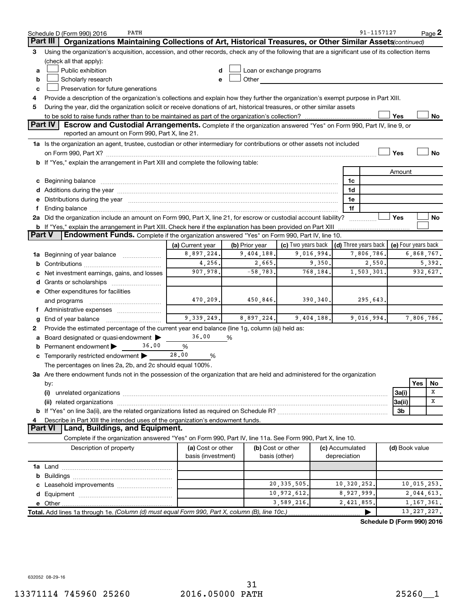|        | PATH<br>Schedule D (Form 990) 2016                                                                                                                                                                                             |                    |                |                           |                 | 91-1157127                           |                     |               | Page 2   |
|--------|--------------------------------------------------------------------------------------------------------------------------------------------------------------------------------------------------------------------------------|--------------------|----------------|---------------------------|-----------------|--------------------------------------|---------------------|---------------|----------|
|        | Part III<br>Organizations Maintaining Collections of Art, Historical Treasures, or Other Similar Assets(continued)                                                                                                             |                    |                |                           |                 |                                      |                     |               |          |
| 3      | Using the organization's acquisition, accession, and other records, check any of the following that are a significant use of its collection items                                                                              |                    |                |                           |                 |                                      |                     |               |          |
|        | (check all that apply):                                                                                                                                                                                                        |                    |                |                           |                 |                                      |                     |               |          |
| a      | Public exhibition                                                                                                                                                                                                              | d                  |                | Loan or exchange programs |                 |                                      |                     |               |          |
| b      | Scholarly research                                                                                                                                                                                                             | e                  | Other          |                           |                 |                                      |                     |               |          |
| c      | Preservation for future generations                                                                                                                                                                                            |                    |                |                           |                 |                                      |                     |               |          |
| 4      | Provide a description of the organization's collections and explain how they further the organization's exempt purpose in Part XIII.                                                                                           |                    |                |                           |                 |                                      |                     |               |          |
| 5      | During the year, did the organization solicit or receive donations of art, historical treasures, or other similar assets                                                                                                       |                    |                |                           |                 |                                      |                     |               |          |
|        |                                                                                                                                                                                                                                |                    |                |                           |                 |                                      | Yes                 |               | No       |
|        | Part IV<br><b>Escrow and Custodial Arrangements.</b> Complete if the organization answered "Yes" on Form 990, Part IV, line 9, or                                                                                              |                    |                |                           |                 |                                      |                     |               |          |
|        | reported an amount on Form 990, Part X, line 21.                                                                                                                                                                               |                    |                |                           |                 |                                      |                     |               |          |
|        | 1a Is the organization an agent, trustee, custodian or other intermediary for contributions or other assets not included                                                                                                       |                    |                |                           |                 |                                      |                     |               |          |
|        | on Form 990, Part X? [11] matter continuum matter contract to the state of the state of the state of the state of the state of the state of the state of the state of the state of the state of the state of the state of the  |                    |                |                           |                 |                                      | Yes                 |               | No       |
|        | b If "Yes," explain the arrangement in Part XIII and complete the following table:                                                                                                                                             |                    |                |                           |                 |                                      |                     |               |          |
|        |                                                                                                                                                                                                                                |                    |                |                           |                 |                                      | Amount              |               |          |
|        | c Beginning balance measurements and the contract of the contract of the contract of the contract of the contract of the contract of the contract of the contract of the contract of the contract of the contract of the contr |                    |                |                           | 1c              |                                      |                     |               |          |
|        |                                                                                                                                                                                                                                |                    |                |                           |                 |                                      |                     |               |          |
| е      | Distributions during the year manufactured and an account of the year manufactured and the year manufactured and the year manufactured and the year manufactured and the year manufactured and the year manufactured and the y |                    |                |                           | 1e              |                                      |                     |               |          |
| f.     |                                                                                                                                                                                                                                |                    |                |                           | 1f              |                                      |                     |               |          |
|        | 2a Did the organization include an amount on Form 990, Part X, line 21, for escrow or custodial account liability?                                                                                                             |                    |                |                           |                 |                                      | Yes                 |               | No       |
|        | <b>b</b> If "Yes," explain the arrangement in Part XIII. Check here if the explanation has been provided on Part XIII                                                                                                          |                    |                |                           |                 |                                      |                     |               |          |
| Part V | <b>Endowment Funds.</b> Complete if the organization answered "Yes" on Form 990, Part IV, line 10.                                                                                                                             |                    |                |                           |                 |                                      |                     |               |          |
|        |                                                                                                                                                                                                                                | (a) Current year   | (b) Prior year | (c) Two years back        |                 | $\vert$ (d) Three years back $\vert$ | (e) Four years back |               |          |
| 1a     | Beginning of year balance <i>manumman</i>                                                                                                                                                                                      | 8,897,224.         | 9,404,188.     | 9,016,994                 |                 | 7,806,786.                           |                     | 6,868,767.    |          |
| b      |                                                                                                                                                                                                                                | 4,256.             | 2,665.         | 9,350.                    |                 | 2,550.                               |                     |               | 5,392.   |
|        | Net investment earnings, gains, and losses                                                                                                                                                                                     | 907,978.           | $-58, 783.$    | 768,184.                  |                 | 1,503,301.                           |                     |               | 932,627. |
| d      |                                                                                                                                                                                                                                |                    |                |                           |                 |                                      |                     |               |          |
|        | e Other expenditures for facilities                                                                                                                                                                                            |                    |                |                           |                 |                                      |                     |               |          |
|        | and programs                                                                                                                                                                                                                   | 470,209.           | 450,846.       | 390,340.                  |                 | 295,643.                             |                     |               |          |
|        | f Administrative expenses                                                                                                                                                                                                      |                    |                |                           |                 |                                      |                     |               |          |
| g      | End of year balance                                                                                                                                                                                                            | 9,339,249.         | 8,897,224.     | 9,404,188.                |                 | 9,016,994.                           |                     | 7,806,786.    |          |
| 2      | Provide the estimated percentage of the current year end balance (line 1g, column (a)) held as:                                                                                                                                |                    |                |                           |                 |                                      |                     |               |          |
| а      | Board designated or quasi-endowment                                                                                                                                                                                            | 36.00              | %              |                           |                 |                                      |                     |               |          |
|        | Permanent endowment<br>36.00                                                                                                                                                                                                   | %                  |                |                           |                 |                                      |                     |               |          |
|        | c Temporarily restricted endowment $\blacktriangleright$                                                                                                                                                                       | 28,00<br>%         |                |                           |                 |                                      |                     |               |          |
|        | The percentages on lines 2a, 2b, and 2c should equal 100%.                                                                                                                                                                     |                    |                |                           |                 |                                      |                     |               |          |
|        | 3a Are there endowment funds not in the possession of the organization that are held and administered for the organization                                                                                                     |                    |                |                           |                 |                                      |                     |               |          |
|        | by:                                                                                                                                                                                                                            |                    |                |                           |                 |                                      |                     | Yes           | No       |
|        | (i)                                                                                                                                                                                                                            |                    |                |                           |                 |                                      | 3a(i)               |               | X        |
|        |                                                                                                                                                                                                                                |                    |                |                           |                 |                                      | 3a(ii)              |               | X        |
|        |                                                                                                                                                                                                                                |                    |                |                           |                 |                                      | 3b                  |               |          |
| 4      | Describe in Part XIII the intended uses of the organization's endowment funds.                                                                                                                                                 |                    |                |                           |                 |                                      |                     |               |          |
|        | <b>Part VI</b><br>Land, Buildings, and Equipment.                                                                                                                                                                              |                    |                |                           |                 |                                      |                     |               |          |
|        | Complete if the organization answered "Yes" on Form 990, Part IV, line 11a. See Form 990, Part X, line 10.                                                                                                                     |                    |                |                           |                 |                                      |                     |               |          |
|        | Description of property                                                                                                                                                                                                        | (a) Cost or other  |                | (b) Cost or other         | (c) Accumulated |                                      | (d) Book value      |               |          |
|        |                                                                                                                                                                                                                                | basis (investment) |                | basis (other)             | depreciation    |                                      |                     |               |          |
|        |                                                                                                                                                                                                                                |                    |                |                           |                 |                                      |                     |               |          |
|        |                                                                                                                                                                                                                                |                    |                |                           |                 |                                      |                     |               |          |
|        |                                                                                                                                                                                                                                |                    |                | 20, 335, 505.             | 10,320,252.     |                                      |                     | 10,015,253.   |          |
|        |                                                                                                                                                                                                                                |                    |                | 10,972,612.               |                 | 8,927,999.                           |                     | 2,044,613.    |          |
|        |                                                                                                                                                                                                                                |                    |                | 3,589,216.                |                 | 2,421,855.                           |                     | 1,167,361.    |          |
|        | Total. Add lines 1a through 1e. (Column (d) must equal Form 990, Part X, column (B), line 10c.)                                                                                                                                |                    |                |                           |                 |                                      |                     | 13, 227, 227. |          |
|        |                                                                                                                                                                                                                                |                    |                |                           |                 | Schedule D (Form 990) 2016           |                     |               |          |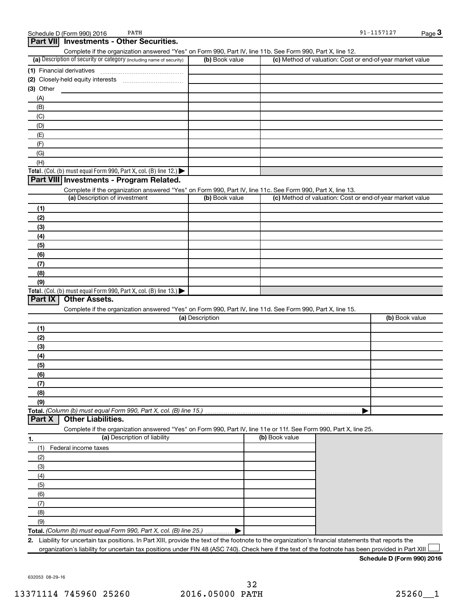| Part VII Investments - Other Securities.                                                                          |                 |                |                                                           |
|-------------------------------------------------------------------------------------------------------------------|-----------------|----------------|-----------------------------------------------------------|
| Complete if the organization answered "Yes" on Form 990, Part IV, line 11b. See Form 990, Part X, line 12.        |                 |                |                                                           |
| (a) Description of security or category (including name of security)                                              | (b) Book value  |                | (c) Method of valuation: Cost or end-of-year market value |
|                                                                                                                   |                 |                |                                                           |
|                                                                                                                   |                 |                |                                                           |
| (3) Other                                                                                                         |                 |                |                                                           |
| (A)                                                                                                               |                 |                |                                                           |
| (B)                                                                                                               |                 |                |                                                           |
| (C)                                                                                                               |                 |                |                                                           |
| (D)                                                                                                               |                 |                |                                                           |
| (E)                                                                                                               |                 |                |                                                           |
| (F)                                                                                                               |                 |                |                                                           |
| (G)                                                                                                               |                 |                |                                                           |
| (H)                                                                                                               |                 |                |                                                           |
| <b>Total.</b> (Col. (b) must equal Form 990, Part X, col. (B) line 12.)                                           |                 |                |                                                           |
| Part VIII Investments - Program Related.                                                                          |                 |                |                                                           |
| Complete if the organization answered "Yes" on Form 990, Part IV, line 11c. See Form 990, Part X, line 13.        |                 |                |                                                           |
| (a) Description of investment                                                                                     | (b) Book value  |                | (c) Method of valuation: Cost or end-of-year market value |
| (1)                                                                                                               |                 |                |                                                           |
| (2)                                                                                                               |                 |                |                                                           |
| (3)                                                                                                               |                 |                |                                                           |
| (4)                                                                                                               |                 |                |                                                           |
| (5)                                                                                                               |                 |                |                                                           |
| (6)                                                                                                               |                 |                |                                                           |
| (7)                                                                                                               |                 |                |                                                           |
| (8)                                                                                                               |                 |                |                                                           |
| (9)                                                                                                               |                 |                |                                                           |
| <b>Total.</b> (Col. (b) must equal Form 990, Part X, col. (B) line 13.)                                           |                 |                |                                                           |
| Part IX<br><b>Other Assets.</b>                                                                                   |                 |                |                                                           |
| Complete if the organization answered "Yes" on Form 990, Part IV, line 11d. See Form 990, Part X, line 15.        |                 |                |                                                           |
|                                                                                                                   | (a) Description |                | (b) Book value                                            |
| (1)                                                                                                               |                 |                |                                                           |
| (2)                                                                                                               |                 |                |                                                           |
| (3)                                                                                                               |                 |                |                                                           |
| (4)                                                                                                               |                 |                |                                                           |
| (5)                                                                                                               |                 |                |                                                           |
| (6)                                                                                                               |                 |                |                                                           |
| (7)                                                                                                               |                 |                |                                                           |
| (8)                                                                                                               |                 |                |                                                           |
| (9)                                                                                                               |                 |                |                                                           |
| Total. (Column (b) must equal Form 990, Part X, col. (B) line 15.)                                                |                 |                |                                                           |
| <b>Other Liabilities.</b><br>Part X                                                                               |                 |                |                                                           |
| Complete if the organization answered "Yes" on Form 990, Part IV, line 11e or 11f. See Form 990, Part X, line 25. |                 |                |                                                           |
| (a) Description of liability<br>1.                                                                                |                 | (b) Book value |                                                           |
| Federal income taxes<br>(1)                                                                                       |                 |                |                                                           |
| (2)                                                                                                               |                 |                |                                                           |
| (3)                                                                                                               |                 |                |                                                           |
| (4)                                                                                                               |                 |                |                                                           |
| (5)                                                                                                               |                 |                |                                                           |
| (6)                                                                                                               |                 |                |                                                           |
| (7)                                                                                                               |                 |                |                                                           |
| (8)                                                                                                               |                 |                |                                                           |
| (9)                                                                                                               |                 |                |                                                           |
| Total. (Column (b) must equal Form 990, Part X, col. (B) line 25.)                                                |                 |                |                                                           |
|                                                                                                                   |                 |                |                                                           |

**2.** Liability for uncertain tax positions. In Part XIII, provide the text of the footnote to the organization's financial statements that reports the organization's liability for uncertain tax positions under FIN 48 (ASC 740). Check here if the text of the footnote has been provided in Part XIII

## **Schedule D (Form 990) 2016**

Schedule D (Form 990) 2016 PATH

**3**

91-1157127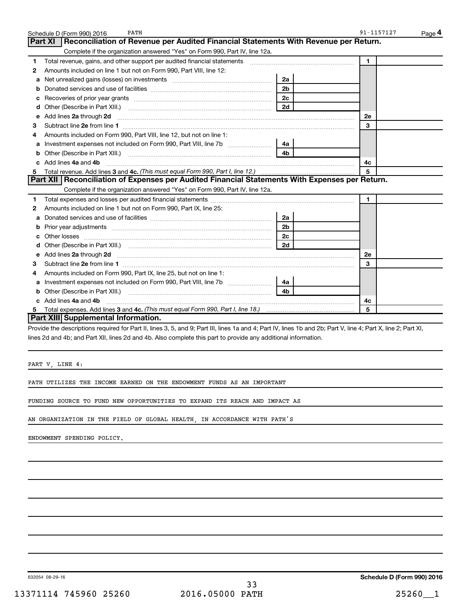|    | PATH<br>Schedule D (Form 990) 2016                                                                                                                                                                                                  |                | 91-1157127<br>Page 4 |
|----|-------------------------------------------------------------------------------------------------------------------------------------------------------------------------------------------------------------------------------------|----------------|----------------------|
|    | Reconciliation of Revenue per Audited Financial Statements With Revenue per Return.<br>Part XI                                                                                                                                      |                |                      |
|    | Complete if the organization answered "Yes" on Form 990, Part IV, line 12a.                                                                                                                                                         |                |                      |
| 1  | Total revenue, gains, and other support per audited financial statements [111] [11] Total revenue, gains, and other support per audited financial statements                                                                        |                | $\mathbf{1}$         |
| 2  | Amounts included on line 1 but not on Form 990, Part VIII, line 12:                                                                                                                                                                 |                |                      |
| a  |                                                                                                                                                                                                                                     | 2a             |                      |
|    |                                                                                                                                                                                                                                     | 2 <sub>b</sub> |                      |
| с  |                                                                                                                                                                                                                                     | 2 <sub>c</sub> |                      |
| d  |                                                                                                                                                                                                                                     | 2d             |                      |
| е  | Add lines 2a through 2d <b>manufactures</b> and the contract of the contract of the contract of the contract of the contract of the contract of the contract of the contract of the contract of the contract of the contract of the |                | 2е                   |
| 3  |                                                                                                                                                                                                                                     |                | 3                    |
| 4  | Amounts included on Form 990, Part VIII, line 12, but not on line 1:                                                                                                                                                                |                |                      |
|    |                                                                                                                                                                                                                                     | 4a             |                      |
| b  |                                                                                                                                                                                                                                     | 4 <sub>b</sub> |                      |
| c. | Add lines 4a and 4b                                                                                                                                                                                                                 |                | 4с                   |
| 5. |                                                                                                                                                                                                                                     |                | 5                    |
|    | Part XII   Reconciliation of Expenses per Audited Financial Statements With Expenses per Return.                                                                                                                                    |                |                      |
|    | Complete if the organization answered "Yes" on Form 990, Part IV, line 12a.                                                                                                                                                         |                |                      |
| 1  |                                                                                                                                                                                                                                     |                | $\mathbf 1$          |
| 2  | Amounts included on line 1 but not on Form 990, Part IX, line 25:                                                                                                                                                                   |                |                      |
| a  |                                                                                                                                                                                                                                     | 2a             |                      |
| b  |                                                                                                                                                                                                                                     | 2 <sub>b</sub> |                      |
| c  |                                                                                                                                                                                                                                     | 2 <sub>c</sub> |                      |
| d  |                                                                                                                                                                                                                                     | 2d             |                      |
| е  | Add lines 2a through 2d                                                                                                                                                                                                             |                | 2e                   |
| 3  |                                                                                                                                                                                                                                     |                | 3                    |
| 4  | Amounts included on Form 990, Part IX, line 25, but not on line 1:                                                                                                                                                                  |                |                      |
| a  | Investment expenses not included on Form 990, Part VIII, line 7b [                                                                                                                                                                  | 4a             |                      |
| b  |                                                                                                                                                                                                                                     | 4 <sub>h</sub> |                      |
| c  | Add lines 4a and 4b                                                                                                                                                                                                                 |                | 4c                   |
|    |                                                                                                                                                                                                                                     |                | 5                    |
|    | Part XIII Supplemental Information.                                                                                                                                                                                                 |                |                      |

Provide the descriptions required for Part II, lines 3, 5, and 9; Part III, lines 1a and 4; Part IV, lines 1b and 2b; Part V, line 4; Part X, line 2; Part XI, lines 2d and 4b; and Part XII, lines 2d and 4b. Also complete this part to provide any additional information.

PART V, LINE 4:

PATH UTILIZES THE INCOME EARNED ON THE ENDOWMENT FUNDS AS AN IMPORTANT

FUNDING SOURCE TO FUND NEW OPPORTUNITIES TO EXPAND ITS REACH AND IMPACT AS

AN ORGANIZATION IN THE FIELD OF GLOBAL HEALTH, IN ACCORDANCE WITH PATH'S

ENDOWMENT SPENDING POLICY.

632054 08-29-16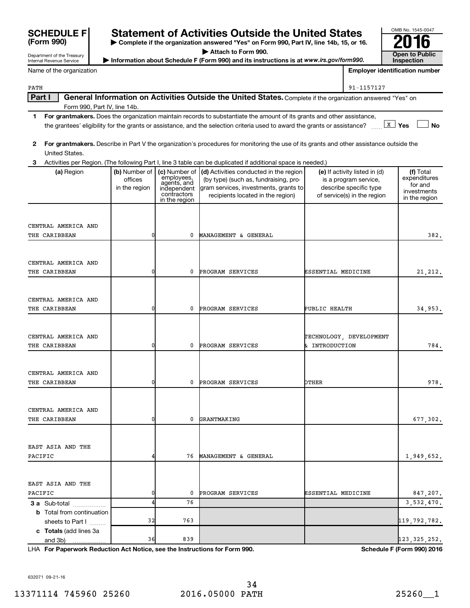| <b>SCHEDULE F</b> |  |
|-------------------|--|
| (Form 990)        |  |

**| Complete if the organization answered "Yes" on Form 990, Part IV, line 14b, 15, or 16. | Attach to Form 990.** Statement of Activities Outside the United States<br> **EXECUTE:** Complete if the organization answered "Yes" on Form 990, Part IV, line 14b, 15, or 16.<br>
Attach to Form 990.

Department of the Treasury Internal Revenue Service Name of the organization

| Allach lo Form 990.                                                                     | Open to Public |
|-----------------------------------------------------------------------------------------|----------------|
| Information about Schedule F (Form 990) and its instructions is at www.irs.gov/form990. | Inspection     |



**Employer identification number**

| PATH                                                 |                                           |                                                                                           |                                                                                                                                                               | 91-1157127                                                                                                      |                                                                      |
|------------------------------------------------------|-------------------------------------------|-------------------------------------------------------------------------------------------|---------------------------------------------------------------------------------------------------------------------------------------------------------------|-----------------------------------------------------------------------------------------------------------------|----------------------------------------------------------------------|
| Part I                                               |                                           |                                                                                           | General Information on Activities Outside the United States. Complete if the organization answered "Yes" on                                                   |                                                                                                                 |                                                                      |
| Form 990, Part IV, line 14b.                         |                                           |                                                                                           |                                                                                                                                                               |                                                                                                                 |                                                                      |
| 1.                                                   |                                           |                                                                                           | For grantmakers. Does the organization maintain records to substantiate the amount of its grants and other assistance,                                        |                                                                                                                 |                                                                      |
|                                                      |                                           |                                                                                           | the grantees' eligibility for the grants or assistance, and the selection criteria used to award the grants or assistance?                                    |                                                                                                                 | $\lfloor x \rfloor$ Yes<br><b>No</b>                                 |
| 2<br>United States.                                  |                                           |                                                                                           | For grantmakers. Describe in Part V the organization's procedures for monitoring the use of its grants and other assistance outside the                       |                                                                                                                 |                                                                      |
| З                                                    |                                           |                                                                                           | Activities per Region. (The following Part I, line 3 table can be duplicated if additional space is needed.)                                                  |                                                                                                                 |                                                                      |
| (a) Region                                           | (b) Number of<br>offices<br>in the region | (c) Number of<br>employees,<br>agents, and<br>independent<br>contractors<br>in the region | (d) Activities conducted in the region<br>(by type) (such as, fundraising, pro-<br>gram services, investments, grants to<br>recipients located in the region) | (e) If activity listed in (d)<br>is a program service,<br>describe specific type<br>of service(s) in the region | (f) Total<br>expenditures<br>for and<br>investments<br>in the region |
| CENTRAL AMERICA AND                                  |                                           |                                                                                           |                                                                                                                                                               |                                                                                                                 |                                                                      |
| THE CARIBBEAN                                        | 0                                         | 0                                                                                         | MANAGEMENT & GENERAL                                                                                                                                          |                                                                                                                 | 382.                                                                 |
| CENTRAL AMERICA AND<br>THE CARIBBEAN                 | 0                                         | 0                                                                                         | PROGRAM SERVICES                                                                                                                                              | ESSENTIAL MEDICINE                                                                                              | 21, 212.                                                             |
|                                                      |                                           |                                                                                           |                                                                                                                                                               |                                                                                                                 |                                                                      |
| CENTRAL AMERICA AND<br>THE CARIBBEAN                 | 0                                         | 0                                                                                         | PROGRAM SERVICES                                                                                                                                              | PUBLIC HEALTH                                                                                                   | 34,953.                                                              |
| CENTRAL AMERICA AND<br>THE CARIBBEAN                 | 0                                         | 0                                                                                         | PROGRAM SERVICES                                                                                                                                              | TECHNOLOGY, DEVELOPMENT<br>& INTRODUCTION                                                                       | 784.                                                                 |
| CENTRAL AMERICA AND<br>THE CARIBBEAN                 | 0                                         | 0                                                                                         | PROGRAM SERVICES                                                                                                                                              | OTHER                                                                                                           | 978.                                                                 |
| CENTRAL AMERICA AND<br>THE CARIBBEAN                 | 01                                        | 0                                                                                         | GRANTMAKING                                                                                                                                                   |                                                                                                                 | 677,302.                                                             |
| EAST ASIA AND THE<br>PACIFIC                         |                                           | 76                                                                                        | MANAGEMENT & GENERAL                                                                                                                                          |                                                                                                                 | 1,949,652.                                                           |
|                                                      |                                           |                                                                                           |                                                                                                                                                               |                                                                                                                 |                                                                      |
| EAST ASIA AND THE<br>PACIFIC                         | 0                                         | 0                                                                                         | PROGRAM SERVICES                                                                                                                                              | ESSENTIAL MEDICINE                                                                                              | 847,207.                                                             |
| 3 a Sub-total                                        | 41                                        | 76                                                                                        |                                                                                                                                                               |                                                                                                                 | 3,532,470.                                                           |
| <b>b</b> Total from continuation<br>sheets to Part I | 32                                        | 763                                                                                       |                                                                                                                                                               |                                                                                                                 | 119,792,782.                                                         |
| c Totals (add lines 3a<br>and 3b)                    | 36                                        | 839                                                                                       |                                                                                                                                                               |                                                                                                                 | 123,325,252.                                                         |

**For Paperwork Reduction Act Notice, see the Instructions for Form 990. Schedule F (Form 990) 2016** LHA

632071 09-21-16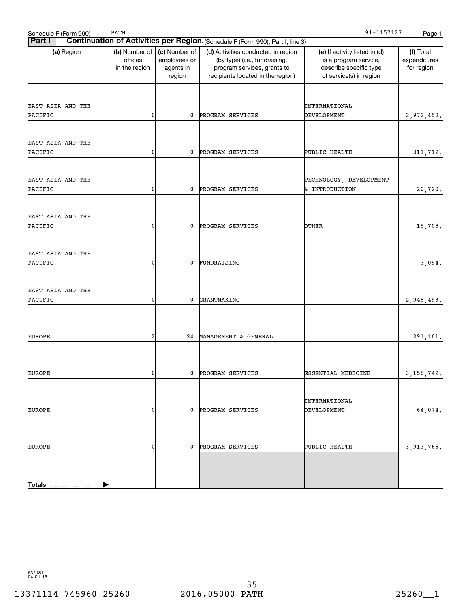| Schedule F (Form 990)        | PATH                                      |                                                      |                                                                                                                                         | 91-1157127                                                                                                  | Page 1                                  |
|------------------------------|-------------------------------------------|------------------------------------------------------|-----------------------------------------------------------------------------------------------------------------------------------------|-------------------------------------------------------------------------------------------------------------|-----------------------------------------|
| <b>Part I</b>                |                                           |                                                      | Continuation of Activities per Region. (Schedule F (Form 990), Part I, line 3)                                                          |                                                                                                             |                                         |
| (a) Region                   | (b) Number of<br>offices<br>in the region | (c) Number of<br>employees or<br>agents in<br>region | (d) Activities conducted in region<br>(by type) (i.e., fundraising,<br>program services, grants to<br>recipients located in the region) | (e) If activity listed in (d)<br>is a program service,<br>describe specific type<br>of service(s) in region | (f) Total<br>expenditures<br>for region |
| EAST ASIA AND THE<br>PACIFIC | 0                                         | 0                                                    | PROGRAM SERVICES                                                                                                                        | INTERNATIONAL<br><b>DEVELOPMENT</b>                                                                         | 2,972,452.                              |
| EAST ASIA AND THE<br>PACIFIC | 0                                         | 0                                                    | PROGRAM SERVICES                                                                                                                        | PUBLIC HEALTH                                                                                               | 311,712.                                |
| EAST ASIA AND THE<br>PACIFIC | 0                                         | 0                                                    | PROGRAM SERVICES                                                                                                                        | TECHNOLOGY, DEVELOPMENT<br>& INTRODUCTION                                                                   | 20,720.                                 |
| EAST ASIA AND THE<br>PACIFIC | 0                                         | 0                                                    | PROGRAM SERVICES                                                                                                                        | OTHER                                                                                                       | 15,708.                                 |
| EAST ASIA AND THE<br>PACIFIC | 0                                         | 0                                                    | FUNDRAISING                                                                                                                             |                                                                                                             | 3,094.                                  |
| EAST ASIA AND THE<br>PACIFIC | 0                                         | 0                                                    | GRANTMAKING                                                                                                                             |                                                                                                             | 2,948,493.                              |
| <b>EUROPE</b>                |                                           | 24                                                   | MANAGEMENT & GENERAL                                                                                                                    |                                                                                                             | 291,161.                                |
| <b>EUROPE</b>                |                                           |                                                      | 0 PROGRAM SERVICES                                                                                                                      | ESSENTIAL MEDICINE                                                                                          | 3, 158, 742.                            |
| <b>EUROPE</b>                | 0                                         | 0                                                    | PROGRAM SERVICES                                                                                                                        | INTERNATIONAL<br>DEVELOPMENT                                                                                | 64,074.                                 |
| <b>EUROPE</b>                | 0                                         | 0                                                    | PROGRAM SERVICES                                                                                                                        | PUBLIC HEALTH                                                                                               | 3,913,766.                              |
|                              |                                           |                                                      |                                                                                                                                         |                                                                                                             |                                         |

632181 04-01-16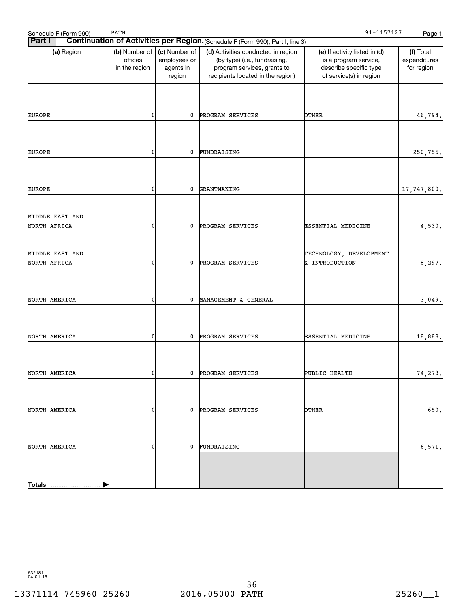| Schedule F (Form 990)           | PATH                                      |                                                      |                                                                                                                                         | 91-1157127                                                                                                  | Page 1                                  |
|---------------------------------|-------------------------------------------|------------------------------------------------------|-----------------------------------------------------------------------------------------------------------------------------------------|-------------------------------------------------------------------------------------------------------------|-----------------------------------------|
| <b>Part I</b>                   |                                           |                                                      | Continuation of Activities per Region. (Schedule F (Form 990), Part I, line 3)                                                          |                                                                                                             |                                         |
| (a) Region                      | (b) Number of<br>offices<br>in the region | (c) Number of<br>employees or<br>agents in<br>region | (d) Activities conducted in region<br>(by type) (i.e., fundraising,<br>program services, grants to<br>recipients located in the region) | (e) If activity listed in (d)<br>is a program service,<br>describe specific type<br>of service(s) in region | (f) Total<br>expenditures<br>for region |
|                                 |                                           |                                                      |                                                                                                                                         |                                                                                                             |                                         |
| <b>EUROPE</b>                   | C                                         | 0                                                    | PROGRAM SERVICES                                                                                                                        | OTHER                                                                                                       | 46,794.                                 |
|                                 |                                           |                                                      |                                                                                                                                         |                                                                                                             |                                         |
| <b>EUROPE</b>                   | 0                                         | 0                                                    | FUNDRAISING                                                                                                                             |                                                                                                             | 250,755.                                |
|                                 |                                           |                                                      |                                                                                                                                         |                                                                                                             |                                         |
| <b>EUROPE</b>                   | 0                                         | 0                                                    | GRANTMAKING                                                                                                                             |                                                                                                             | 17,747,800.                             |
|                                 |                                           |                                                      |                                                                                                                                         |                                                                                                             |                                         |
| MIDDLE EAST AND<br>NORTH AFRICA | C                                         | 0                                                    | PROGRAM SERVICES                                                                                                                        | ESSENTIAL MEDICINE                                                                                          | 4,530.                                  |
|                                 |                                           |                                                      |                                                                                                                                         |                                                                                                             |                                         |
| MIDDLE EAST AND<br>NORTH AFRICA | C                                         | 0                                                    | PROGRAM SERVICES                                                                                                                        | TECHNOLOGY, DEVELOPMENT<br>& INTRODUCTION                                                                   | 8,297.                                  |
|                                 |                                           |                                                      |                                                                                                                                         |                                                                                                             |                                         |
|                                 |                                           |                                                      |                                                                                                                                         |                                                                                                             |                                         |
| NORTH AMERICA                   | C                                         | 0                                                    | MANAGEMENT & GENERAL                                                                                                                    |                                                                                                             | 3,049.                                  |
|                                 |                                           |                                                      |                                                                                                                                         |                                                                                                             |                                         |
| NORTH AMERICA                   | ŋ                                         | 0                                                    | PROGRAM SERVICES                                                                                                                        | ESSENTIAL MEDICINE                                                                                          | 18,888.                                 |
|                                 |                                           |                                                      |                                                                                                                                         |                                                                                                             |                                         |
|                                 |                                           |                                                      |                                                                                                                                         |                                                                                                             |                                         |
| NORTH AMERICA                   |                                           | $\mathbf{0}$                                         | PROGRAM SERVICES                                                                                                                        | PUBLIC HEALTH                                                                                               | 74, 273.                                |
|                                 |                                           |                                                      |                                                                                                                                         |                                                                                                             |                                         |
|                                 |                                           |                                                      |                                                                                                                                         |                                                                                                             |                                         |
| NORTH AMERICA                   | 0                                         | $\mathbf{0}$                                         | PROGRAM SERVICES                                                                                                                        | OTHER                                                                                                       | 650.                                    |
|                                 |                                           |                                                      |                                                                                                                                         |                                                                                                             |                                         |
| NORTH AMERICA                   | 0                                         | 0                                                    | FUNDRAISING                                                                                                                             |                                                                                                             | 6,571.                                  |
|                                 |                                           |                                                      |                                                                                                                                         |                                                                                                             |                                         |
|                                 |                                           |                                                      |                                                                                                                                         |                                                                                                             |                                         |
| <b>Totals</b>                   |                                           |                                                      |                                                                                                                                         |                                                                                                             |                                         |
|                                 |                                           |                                                      |                                                                                                                                         |                                                                                                             |                                         |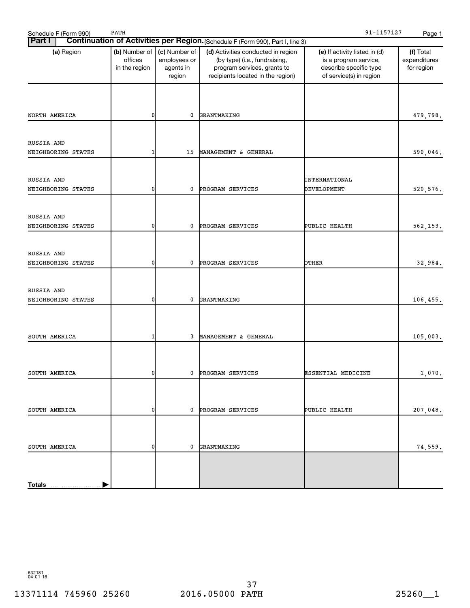| Schedule F (Form 990)            | PATH                                      |                                                      |                                                                                                                                         | 91-1157127                                                                                                  | Page 1                                  |
|----------------------------------|-------------------------------------------|------------------------------------------------------|-----------------------------------------------------------------------------------------------------------------------------------------|-------------------------------------------------------------------------------------------------------------|-----------------------------------------|
| <b>Part I</b>                    |                                           |                                                      | Continuation of Activities per Region. (Schedule F (Form 990), Part I, line 3)                                                          |                                                                                                             |                                         |
| (a) Region                       | (b) Number of<br>offices<br>in the region | (c) Number of<br>employees or<br>agents in<br>region | (d) Activities conducted in region<br>(by type) (i.e., fundraising,<br>program services, grants to<br>recipients located in the region) | (e) If activity listed in (d)<br>is a program service,<br>describe specific type<br>of service(s) in region | (f) Total<br>expenditures<br>for region |
| NORTH AMERICA                    | 0                                         | 0                                                    | GRANTMAKING                                                                                                                             |                                                                                                             | 479,798.                                |
| RUSSIA AND<br>NEIGHBORING STATES | 1                                         | 15                                                   | MANAGEMENT & GENERAL                                                                                                                    |                                                                                                             | 590,046.                                |
| RUSSIA AND<br>NEIGHBORING STATES | 0                                         | 0                                                    | PROGRAM SERVICES                                                                                                                        | INTERNATIONAL<br>DEVELOPMENT                                                                                | 520,576.                                |
| RUSSIA AND<br>NEIGHBORING STATES | 0                                         | 0                                                    | PROGRAM SERVICES                                                                                                                        | PUBLIC HEALTH                                                                                               | 562,153.                                |
| RUSSIA AND<br>NEIGHBORING STATES | 0                                         | 0                                                    | PROGRAM SERVICES                                                                                                                        | OTHER                                                                                                       | 32,984.                                 |
| RUSSIA AND<br>NEIGHBORING STATES | 0                                         | 0                                                    | GRANTMAKING                                                                                                                             |                                                                                                             | 106,455.                                |
| SOUTH AMERICA                    | 1                                         | 3                                                    | MANAGEMENT & GENERAL                                                                                                                    |                                                                                                             | 105,003.                                |
| SOUTH AMERICA                    |                                           | $\mathbf{0}$                                         | PROGRAM SERVICES                                                                                                                        | ESSENTIAL MEDICINE                                                                                          | 1,070.                                  |
| SOUTH AMERICA                    | 0                                         | $\mathbf{0}$                                         | PROGRAM SERVICES                                                                                                                        | PUBLIC HEALTH                                                                                               | 207,048.                                |
| SOUTH AMERICA                    | 0                                         |                                                      | 0 GRANTMAKING                                                                                                                           |                                                                                                             | 74,559.                                 |
| <b>Totals</b>                    |                                           |                                                      |                                                                                                                                         |                                                                                                             |                                         |

632181 04-01-16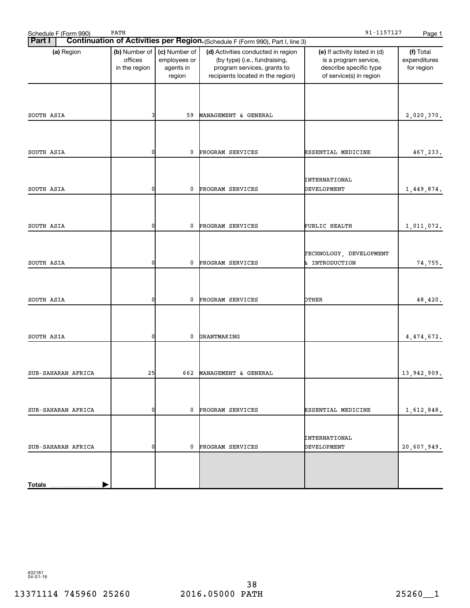| Schedule F (Form 990) | PATH                                      |                                                      |                                                                                                                                         | $91 - 1157127$                                                                                              | Page 1                                  |
|-----------------------|-------------------------------------------|------------------------------------------------------|-----------------------------------------------------------------------------------------------------------------------------------------|-------------------------------------------------------------------------------------------------------------|-----------------------------------------|
| <b>Part I</b>         |                                           |                                                      | Continuation of Activities per Region. (Schedule F (Form 990), Part I, line 3)                                                          |                                                                                                             |                                         |
| (a) Region            | (b) Number of<br>offices<br>in the region | (c) Number of<br>employees or<br>agents in<br>region | (d) Activities conducted in region<br>(by type) (i.e., fundraising,<br>program services, grants to<br>recipients located in the region) | (e) If activity listed in (d)<br>is a program service,<br>describe specific type<br>of service(s) in region | (f) Total<br>expenditures<br>for region |
| SOUTH ASIA            |                                           | 59                                                   | MANAGEMENT & GENERAL                                                                                                                    |                                                                                                             | 2,020,370.                              |
| SOUTH ASIA            | 0                                         | 0                                                    | PROGRAM SERVICES                                                                                                                        | ESSENTIAL MEDICINE                                                                                          | 467,233.                                |
| SOUTH ASIA            | 0                                         | 0                                                    | PROGRAM SERVICES                                                                                                                        | <b>INTERNATIONAL</b><br>DEVELOPMENT                                                                         | 1,449,874.                              |
| SOUTH ASIA            | 0                                         | 0                                                    | PROGRAM SERVICES                                                                                                                        | PUBLIC HEALTH                                                                                               | 1,011,072.                              |
| SOUTH ASIA            | 0                                         | 0                                                    | PROGRAM SERVICES                                                                                                                        | TECHNOLOGY, DEVELOPMENT<br>& INTRODUCTION                                                                   | 74,755.                                 |
| SOUTH ASIA            | 0                                         | 0                                                    | PROGRAM SERVICES                                                                                                                        | OTHER                                                                                                       | 48,420.                                 |
| SOUTH ASIA            | 0                                         | 0                                                    | GRANTMAKING                                                                                                                             |                                                                                                             | 4, 474, 672.                            |
| SUB-SAHARAN AFRICA    | 25                                        |                                                      | 662 MANAGEMENT & GENERAL                                                                                                                |                                                                                                             | 13,942,909.                             |
| SUB-SAHARAN AFRICA    | 0                                         | 0                                                    | PROGRAM SERVICES                                                                                                                        | ESSENTIAL MEDICINE                                                                                          | 1,612,848.                              |
| SUB-SAHARAN AFRICA    | 0                                         | 0                                                    | PROGRAM SERVICES                                                                                                                        | INTERNATIONAL<br>DEVELOPMENT                                                                                | 20,607,949.                             |
| <b>Totals</b>         |                                           |                                                      |                                                                                                                                         |                                                                                                             |                                         |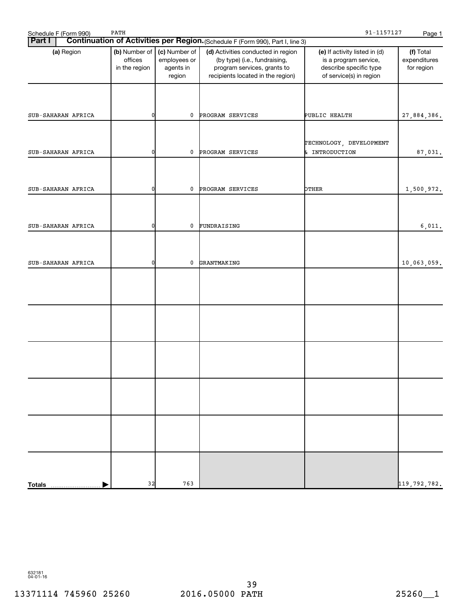| PATH<br>91-1157127<br>Schedule F (Form 990)<br>Page 1 |                                           |                                                      |                                                                                                                                         |                                                                                                             |                                         |  |  |  |  |  |
|-------------------------------------------------------|-------------------------------------------|------------------------------------------------------|-----------------------------------------------------------------------------------------------------------------------------------------|-------------------------------------------------------------------------------------------------------------|-----------------------------------------|--|--|--|--|--|
| <b>Part I</b>                                         |                                           |                                                      | Continuation of Activities per Region. (Schedule F (Form 990), Part I, line 3)                                                          |                                                                                                             |                                         |  |  |  |  |  |
| (a) Region                                            | (b) Number of<br>offices<br>in the region | (c) Number of<br>employees or<br>agents in<br>region | (d) Activities conducted in region<br>(by type) (i.e., fundraising,<br>program services, grants to<br>recipients located in the region) | (e) If activity listed in (d)<br>is a program service,<br>describe specific type<br>of service(s) in region | (f) Total<br>expenditures<br>for region |  |  |  |  |  |
|                                                       |                                           |                                                      |                                                                                                                                         |                                                                                                             |                                         |  |  |  |  |  |
| SUB-SAHARAN AFRICA                                    | $\Omega$                                  | 0                                                    | PROGRAM SERVICES                                                                                                                        | PUBLIC HEALTH                                                                                               | 27,884,386.                             |  |  |  |  |  |
| SUB-SAHARAN AFRICA                                    | $\Omega$                                  | 0                                                    | PROGRAM SERVICES                                                                                                                        | TECHNOLOGY, DEVELOPMENT<br>& INTRODUCTION                                                                   | 87,031.                                 |  |  |  |  |  |
|                                                       |                                           |                                                      |                                                                                                                                         |                                                                                                             |                                         |  |  |  |  |  |
| SUB-SAHARAN AFRICA                                    | $\Omega$                                  | 0                                                    | PROGRAM SERVICES                                                                                                                        | <b>OTHER</b>                                                                                                | 1,500,972.                              |  |  |  |  |  |
| SUB-SAHARAN AFRICA                                    | $\Omega$                                  | 0                                                    | FUNDRAISING                                                                                                                             |                                                                                                             | 6,011.                                  |  |  |  |  |  |
|                                                       |                                           |                                                      |                                                                                                                                         |                                                                                                             |                                         |  |  |  |  |  |
| SUB-SAHARAN AFRICA                                    | $\Omega$                                  | 0                                                    | GRANTMAKING                                                                                                                             |                                                                                                             | 10,063,059.                             |  |  |  |  |  |
|                                                       |                                           |                                                      |                                                                                                                                         |                                                                                                             |                                         |  |  |  |  |  |
|                                                       |                                           |                                                      |                                                                                                                                         |                                                                                                             |                                         |  |  |  |  |  |
|                                                       |                                           |                                                      |                                                                                                                                         |                                                                                                             |                                         |  |  |  |  |  |
|                                                       |                                           |                                                      |                                                                                                                                         |                                                                                                             |                                         |  |  |  |  |  |
|                                                       |                                           |                                                      |                                                                                                                                         |                                                                                                             |                                         |  |  |  |  |  |
|                                                       |                                           |                                                      |                                                                                                                                         |                                                                                                             |                                         |  |  |  |  |  |
|                                                       |                                           |                                                      |                                                                                                                                         |                                                                                                             |                                         |  |  |  |  |  |
| <b>Totals</b>                                         | 32                                        | 763                                                  |                                                                                                                                         |                                                                                                             | 119,792,782.                            |  |  |  |  |  |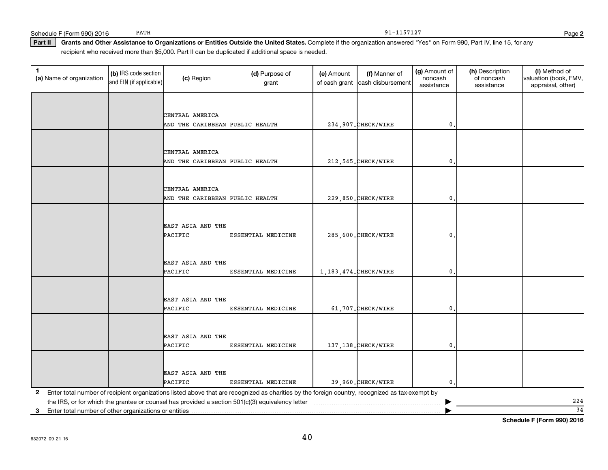**2**

Part II | Grants and Other Assistance to Organizations or Entities Outside the United States. Complete if the organization answered "Yes" on Form 990, Part IV, line 15, for any recipient who received more than \$5,000. Part II can be duplicated if additional space is needed.

| $\mathbf{1}$<br>(a) Name of organization                      | (b) IRS code section<br>and EIN (if applicable) | (c) Region                           | (d) Purpose of<br>grant                                                                                                                                               | (e) Amount<br>of cash grant | (f) Manner of<br>cash disbursement | (g) Amount of<br>noncash<br>assistance | (h) Description<br>of noncash<br>assistance | (i) Method of<br>valuation (book, FMV,<br>appraisal, other) |  |
|---------------------------------------------------------------|-------------------------------------------------|--------------------------------------|-----------------------------------------------------------------------------------------------------------------------------------------------------------------------|-----------------------------|------------------------------------|----------------------------------------|---------------------------------------------|-------------------------------------------------------------|--|
|                                                               |                                                 |                                      |                                                                                                                                                                       |                             |                                    |                                        |                                             |                                                             |  |
|                                                               |                                                 | CENTRAL AMERICA                      |                                                                                                                                                                       |                             |                                    |                                        |                                             |                                                             |  |
|                                                               |                                                 | AND THE CARIBBEAN                    | PUBLIC HEALTH                                                                                                                                                         |                             | 234,907. CHECK/WIRE                | 0                                      |                                             |                                                             |  |
|                                                               |                                                 |                                      |                                                                                                                                                                       |                             |                                    |                                        |                                             |                                                             |  |
|                                                               |                                                 | CENTRAL AMERICA                      |                                                                                                                                                                       |                             |                                    |                                        |                                             |                                                             |  |
|                                                               |                                                 | AND THE CARIBBEAN PUBLIC HEALTH      |                                                                                                                                                                       |                             | 212, 545. CHECK/WIRE               | 0.                                     |                                             |                                                             |  |
|                                                               |                                                 |                                      |                                                                                                                                                                       |                             |                                    |                                        |                                             |                                                             |  |
|                                                               |                                                 |                                      |                                                                                                                                                                       |                             |                                    |                                        |                                             |                                                             |  |
|                                                               |                                                 | CENTRAL AMERICA<br>AND THE CARIBBEAN | PUBLIC HEALTH                                                                                                                                                         |                             | 229,850. CHECK/WIRE                | 0.                                     |                                             |                                                             |  |
|                                                               |                                                 |                                      |                                                                                                                                                                       |                             |                                    |                                        |                                             |                                                             |  |
|                                                               |                                                 |                                      |                                                                                                                                                                       |                             |                                    |                                        |                                             |                                                             |  |
|                                                               |                                                 | EAST ASIA AND THE                    |                                                                                                                                                                       |                             |                                    |                                        |                                             |                                                             |  |
|                                                               |                                                 | PACIFIC                              | ESSENTIAL MEDICINE                                                                                                                                                    |                             | 285,600. CHECK/WIRE                | 0                                      |                                             |                                                             |  |
|                                                               |                                                 |                                      |                                                                                                                                                                       |                             |                                    |                                        |                                             |                                                             |  |
|                                                               |                                                 | EAST ASIA AND THE                    |                                                                                                                                                                       |                             |                                    |                                        |                                             |                                                             |  |
|                                                               |                                                 | PACIFIC                              | ESSENTIAL MEDICINE                                                                                                                                                    |                             | 1, 183, 474. CHECK/WIRE            | 0                                      |                                             |                                                             |  |
|                                                               |                                                 |                                      |                                                                                                                                                                       |                             |                                    |                                        |                                             |                                                             |  |
|                                                               |                                                 | EAST ASIA AND THE                    |                                                                                                                                                                       |                             |                                    |                                        |                                             |                                                             |  |
|                                                               |                                                 | PACIFIC                              | ESSENTIAL MEDICINE                                                                                                                                                    |                             | 61,707. CHECK/WIRE                 | $\mathbf{0}$                           |                                             |                                                             |  |
|                                                               |                                                 |                                      |                                                                                                                                                                       |                             |                                    |                                        |                                             |                                                             |  |
|                                                               |                                                 | EAST ASIA AND THE                    |                                                                                                                                                                       |                             |                                    |                                        |                                             |                                                             |  |
|                                                               |                                                 | PACIFIC                              | ESSENTIAL MEDICINE                                                                                                                                                    |                             | 137, 138. CHECK/WIRE               | 0                                      |                                             |                                                             |  |
|                                                               |                                                 |                                      |                                                                                                                                                                       |                             |                                    |                                        |                                             |                                                             |  |
|                                                               |                                                 |                                      |                                                                                                                                                                       |                             |                                    |                                        |                                             |                                                             |  |
|                                                               |                                                 | EAST ASIA AND THE                    |                                                                                                                                                                       |                             |                                    |                                        |                                             |                                                             |  |
| 2                                                             |                                                 | PACIFIC                              | ESSENTIAL MEDICINE<br>Enter total number of recipient organizations listed above that are recognized as charities by the foreign country, recognized as tax-exempt by |                             | 39,960. CHECK/WIRE                 | $\mathbf 0$ .                          |                                             |                                                             |  |
|                                                               |                                                 |                                      | the IRS, or for which the grantee or counsel has provided a section 501(c)(3) equivalency letter                                                                      |                             |                                    |                                        |                                             | 224                                                         |  |
| 34<br>3 Enter total number of other organizations or entities |                                                 |                                      |                                                                                                                                                                       |                             |                                    |                                        |                                             |                                                             |  |

**Schedule F (Form 990) 2016**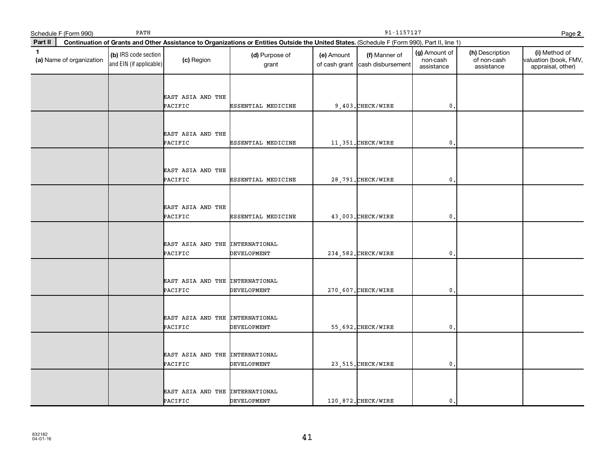|              | Schedule F (Form 990)    | PATH                                            |                                            |                                                                                                                                              | 91-1157127<br>Page 2 |                                                  |                                         |                                              |                                                             |  |  |
|--------------|--------------------------|-------------------------------------------------|--------------------------------------------|----------------------------------------------------------------------------------------------------------------------------------------------|----------------------|--------------------------------------------------|-----------------------------------------|----------------------------------------------|-------------------------------------------------------------|--|--|
| Part II      |                          |                                                 |                                            | Continuation of Grants and Other Assistance to Organizations or Entities Outside the United States. (Schedule F (Form 990), Part II, line 1) |                      |                                                  |                                         |                                              |                                                             |  |  |
| $\mathbf{1}$ | (a) Name of organization | (b) IRS code section<br>and EIN (if applicable) | (c) Region                                 | (d) Purpose of<br>grant                                                                                                                      | (e) Amount           | (f) Manner of<br>of cash grant cash disbursement | (g) Amount of<br>non-cash<br>assistance | (h) Description<br>of non-cash<br>assistance | (i) Method of<br>valuation (book, FMV,<br>appraisal, other) |  |  |
|              |                          |                                                 | EAST ASIA AND THE<br>PACIFIC               | ESSENTIAL MEDICINE                                                                                                                           |                      | 9,403. CHECK/WIRE                                | 0.                                      |                                              |                                                             |  |  |
|              |                          |                                                 | EAST ASIA AND THE<br>PACIFIC               | <b>ESSENTIAL MEDICINE</b>                                                                                                                    |                      | 11,351. CHECK/WIRE                               | $\mathbf{0}$ .                          |                                              |                                                             |  |  |
|              |                          |                                                 | EAST ASIA AND THE<br>PACIFIC               | ESSENTIAL MEDICINE                                                                                                                           |                      | 28,791. CHECK/WIRE                               | 0,                                      |                                              |                                                             |  |  |
|              |                          |                                                 | EAST ASIA AND THE<br>PACIFIC               | <b>ESSENTIAL MEDICINE</b>                                                                                                                    |                      | 43,003. CHECK/WIRE                               | $\mathbf{0}$ .                          |                                              |                                                             |  |  |
|              |                          |                                                 | EAST ASIA AND THE INTERNATIONAL<br>PACIFIC | DEVELOPMENT                                                                                                                                  |                      | 234, 582. CHECK/WIRE                             | $\mathbf{0}$ .                          |                                              |                                                             |  |  |
|              |                          |                                                 | EAST ASIA AND THE INTERNATIONAL<br>PACIFIC | DEVELOPMENT                                                                                                                                  |                      | 270,607. CHECK/WIRE                              | $\mathbf{0}$ .                          |                                              |                                                             |  |  |
|              |                          |                                                 | EAST ASIA AND THE INTERNATIONAL<br>PACIFIC | <b>DEVELOPMENT</b>                                                                                                                           |                      | 55,692. CHECK/WIRE                               | $\mathbf{0}$                            |                                              |                                                             |  |  |
|              |                          |                                                 | EAST ASIA AND THE INTERNATIONAL<br>PACIFIC | <b>DEVELOPMENT</b>                                                                                                                           |                      | 23, 515. CHECK/WIRE                              | $\mathbf{0}$ .                          |                                              |                                                             |  |  |
|              |                          |                                                 | EAST ASIA AND THE INTERNATIONAL<br>PACIFIC | <b>DEVELOPMENT</b>                                                                                                                           |                      | 120,872. CHECK/WIRE                              | 0.                                      |                                              |                                                             |  |  |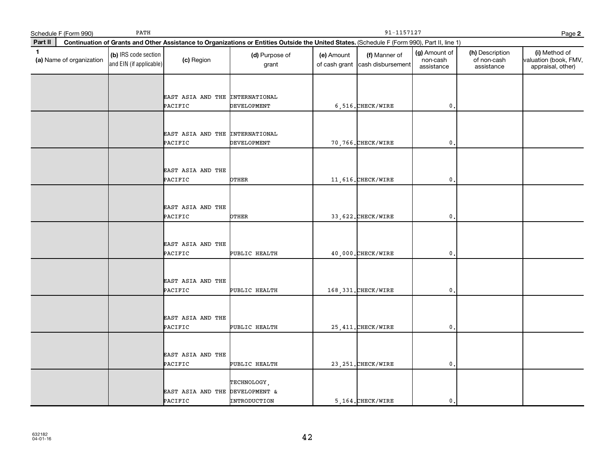|              | Schedule F (Form 990)    | PATH                                            |                                            |                                                                                                                                              | 91-1157127<br>Page 2 |                                                  |                                         |                                              |                                                             |  |  |
|--------------|--------------------------|-------------------------------------------------|--------------------------------------------|----------------------------------------------------------------------------------------------------------------------------------------------|----------------------|--------------------------------------------------|-----------------------------------------|----------------------------------------------|-------------------------------------------------------------|--|--|
| Part II      |                          |                                                 |                                            | Continuation of Grants and Other Assistance to Organizations or Entities Outside the United States. (Schedule F (Form 990), Part II, line 1) |                      |                                                  |                                         |                                              |                                                             |  |  |
| $\mathbf{1}$ | (a) Name of organization | (b) IRS code section<br>and EIN (if applicable) | (c) Region                                 | (d) Purpose of<br>grant                                                                                                                      | (e) Amount           | (f) Manner of<br>of cash grant cash disbursement | (g) Amount of<br>non-cash<br>assistance | (h) Description<br>of non-cash<br>assistance | (i) Method of<br>valuation (book, FMV,<br>appraisal, other) |  |  |
|              |                          |                                                 | EAST ASIA AND THE INTERNATIONAL<br>PACIFIC | <b>DEVELOPMENT</b>                                                                                                                           |                      | 6,516. CHECK/WIRE                                | $\mathfrak o$ .                         |                                              |                                                             |  |  |
|              |                          |                                                 | EAST ASIA AND THE INTERNATIONAL<br>PACIFIC | <b>DEVELOPMENT</b>                                                                                                                           |                      | 70,766. CHECK/WIRE                               | $\mathbf{0}$ .                          |                                              |                                                             |  |  |
|              |                          |                                                 | EAST ASIA AND THE<br>PACIFIC               | OTHER                                                                                                                                        |                      | 11,616. CHECK/WIRE                               | $\mathbf 0$ .                           |                                              |                                                             |  |  |
|              |                          |                                                 | EAST ASIA AND THE<br>PACIFIC               | OTHER                                                                                                                                        |                      | 33,622. CHECK/WIRE                               | $\mathbf 0$ .                           |                                              |                                                             |  |  |
|              |                          |                                                 | EAST ASIA AND THE<br>PACIFIC               | PUBLIC HEALTH                                                                                                                                |                      | 40,000. CHECK/WIRE                               | $\mathbf 0$ .                           |                                              |                                                             |  |  |
|              |                          |                                                 | EAST ASIA AND THE<br>PACIFIC               | PUBLIC HEALTH                                                                                                                                |                      | 168, 331. CHECK/WIRE                             | 0.                                      |                                              |                                                             |  |  |
|              |                          |                                                 | EAST ASIA AND THE<br>PACIFIC               | PUBLIC HEALTH                                                                                                                                |                      | 25, 411. CHECK/WIRE                              | $\mathbf{0}$ .                          |                                              |                                                             |  |  |
|              |                          |                                                 | EAST ASIA AND THE<br>PACIFIC               | PUBLIC HEALTH                                                                                                                                |                      | 23, 251. CHECK/WIRE                              | $\mathbf{0}$                            |                                              |                                                             |  |  |
|              |                          |                                                 | EAST ASIA AND THE DEVELOPMENT &<br>PACIFIC | TECHNOLOGY,<br>INTRODUCTION                                                                                                                  |                      | 5.164. CHECK/WIRE                                | $\mathbf{0}$ .                          |                                              |                                                             |  |  |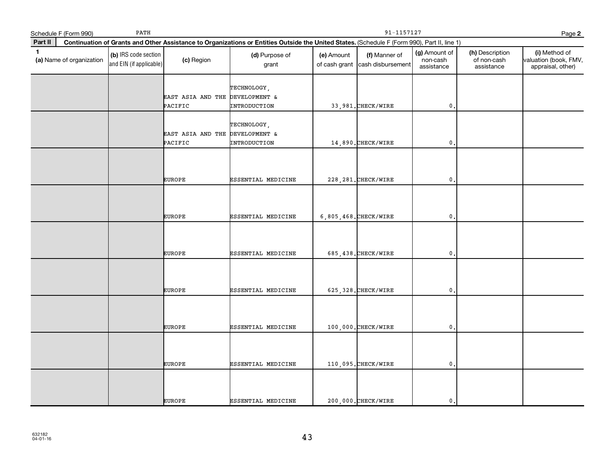|              | Schedule F (Form 990)    | PATH                                            |                                            |                                                                                                                                              | 91-1157127<br>Page 2        |                                    |                                         |                                              |                                                             |  |  |
|--------------|--------------------------|-------------------------------------------------|--------------------------------------------|----------------------------------------------------------------------------------------------------------------------------------------------|-----------------------------|------------------------------------|-----------------------------------------|----------------------------------------------|-------------------------------------------------------------|--|--|
| Part II      |                          |                                                 |                                            | Continuation of Grants and Other Assistance to Organizations or Entities Outside the United States. (Schedule F (Form 990), Part II, line 1) |                             |                                    |                                         |                                              |                                                             |  |  |
| $\mathbf{1}$ | (a) Name of organization | (b) IRS code section<br>and EIN (if applicable) | (c) Region                                 | (d) Purpose of<br>grant                                                                                                                      | (e) Amount<br>of cash grant | (f) Manner of<br>cash disbursement | (g) Amount of<br>non-cash<br>assistance | (h) Description<br>of non-cash<br>assistance | (i) Method of<br>valuation (book, FMV,<br>appraisal, other) |  |  |
|              |                          |                                                 | EAST ASIA AND THE DEVELOPMENT &<br>PACIFIC | TECHNOLOGY,<br>INTRODUCTION                                                                                                                  |                             | 33,981. CHECK/WIRE                 | 0,                                      |                                              |                                                             |  |  |
|              |                          |                                                 | EAST ASIA AND THE DEVELOPMENT &<br>PACIFIC | TECHNOLOGY,<br>INTRODUCTION                                                                                                                  |                             | 14,890. CHECK/WIRE                 | $\mathbf{0}$                            |                                              |                                                             |  |  |
|              |                          |                                                 | <b>EUROPE</b>                              | ESSENTIAL MEDICINE                                                                                                                           |                             | 228, 281. CHECK/WIRE               | $\mathbf{0}$                            |                                              |                                                             |  |  |
|              |                          |                                                 | <b>EUROPE</b>                              | ESSENTIAL MEDICINE                                                                                                                           |                             | $6,805,468$ . CHECK/WIRE           | $\mathbf{0}$                            |                                              |                                                             |  |  |
|              |                          |                                                 | <b>EUROPE</b>                              | ESSENTIAL MEDICINE                                                                                                                           |                             | 685,438. CHECK/WIRE                | $\mathbf 0$ .                           |                                              |                                                             |  |  |
|              |                          |                                                 | <b>EUROPE</b>                              | ESSENTIAL MEDICINE                                                                                                                           |                             | 625, 328. CHECK/WIRE               | 0,                                      |                                              |                                                             |  |  |
|              |                          |                                                 | <b>EUROPE</b>                              | ESSENTIAL MEDICINE                                                                                                                           |                             | 100,000. CHECK/WIRE                | $\mathbf{0}$                            |                                              |                                                             |  |  |
|              |                          |                                                 | <b>EUROPE</b>                              | ESSENTIAL MEDICINE                                                                                                                           |                             | 110,095. CHECK/WIRE                | $\mathfrak{o}$ .                        |                                              |                                                             |  |  |
|              |                          |                                                 | <b>EUROPE</b>                              | ESSENTIAL MEDICINE                                                                                                                           |                             | 200,000. CHECK/WIRE                | $\mathbf 0$ .                           |                                              |                                                             |  |  |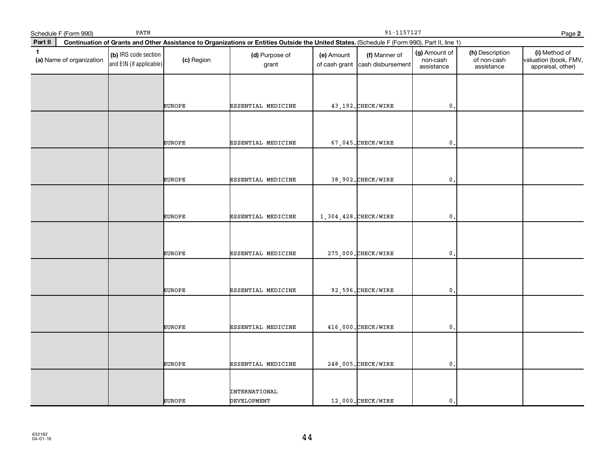|              | Schedule F (Form 990)    | PATH                                            |               | 91-1157127<br>Page 2                                                                                                                         |            |                                                  |                                         |                                              |                                                             |  |
|--------------|--------------------------|-------------------------------------------------|---------------|----------------------------------------------------------------------------------------------------------------------------------------------|------------|--------------------------------------------------|-----------------------------------------|----------------------------------------------|-------------------------------------------------------------|--|
| Part II      |                          |                                                 |               | Continuation of Grants and Other Assistance to Organizations or Entities Outside the United States. (Schedule F (Form 990), Part II, line 1) |            |                                                  |                                         |                                              |                                                             |  |
| $\mathbf{1}$ | (a) Name of organization | (b) IRS code section<br>and EIN (if applicable) | (c) Region    | (d) Purpose of<br>grant                                                                                                                      | (e) Amount | (f) Manner of<br>of cash grant cash disbursement | (g) Amount of<br>non-cash<br>assistance | (h) Description<br>of non-cash<br>assistance | (i) Method of<br>valuation (book, FMV,<br>appraisal, other) |  |
|              |                          |                                                 |               |                                                                                                                                              |            |                                                  |                                         |                                              |                                                             |  |
|              |                          |                                                 | <b>EUROPE</b> | ESSENTIAL MEDICINE                                                                                                                           |            | 43, 192. CHECK/WIRE                              | $\mathbf{0}$                            |                                              |                                                             |  |
|              |                          |                                                 | <b>EUROPE</b> | ESSENTIAL MEDICINE                                                                                                                           |            | $67,045.$ CHECK/WIRE                             | $\mathbf{0}$                            |                                              |                                                             |  |
|              |                          |                                                 | <b>EUROPE</b> | ESSENTIAL MEDICINE                                                                                                                           |            | 38,902. CHECK/WIRE                               | $\mathbf 0$ .                           |                                              |                                                             |  |
|              |                          |                                                 |               |                                                                                                                                              |            |                                                  |                                         |                                              |                                                             |  |
|              |                          |                                                 | <b>EUROPE</b> | ESSENTIAL MEDICINE                                                                                                                           |            | $1,304,428$ . CHECK/WIRE                         | $\mathfrak{o}$ .                        |                                              |                                                             |  |
|              |                          |                                                 | <b>EUROPE</b> | ESSENTIAL MEDICINE                                                                                                                           |            | 275,000. CHECK/WIRE                              | 0                                       |                                              |                                                             |  |
|              |                          |                                                 |               |                                                                                                                                              |            |                                                  |                                         |                                              |                                                             |  |
|              |                          |                                                 | <b>EUROPE</b> | ESSENTIAL MEDICINE                                                                                                                           |            | 92,596. CHECK/WIRE                               | $\mathbf{0}$                            |                                              |                                                             |  |
|              |                          |                                                 | EUROPE        | ESSENTIAL MEDICINE                                                                                                                           |            | 416,000. CHECK/WIRE                              | $\mathbf 0$ .                           |                                              |                                                             |  |
|              |                          |                                                 | <b>EUROPE</b> | ESSENTIAL MEDICINE                                                                                                                           |            | 248,005. CHECK/WIRE                              | $\mathfrak{o}$ .                        |                                              |                                                             |  |
|              |                          |                                                 |               |                                                                                                                                              |            |                                                  |                                         |                                              |                                                             |  |
|              |                          |                                                 | <b>EUROPE</b> | <b>INTERNATIONAL</b><br>DEVELOPMENT                                                                                                          |            | 12,000. CHECK/WIRE                               | $\mathbf{0}$ .                          |                                              |                                                             |  |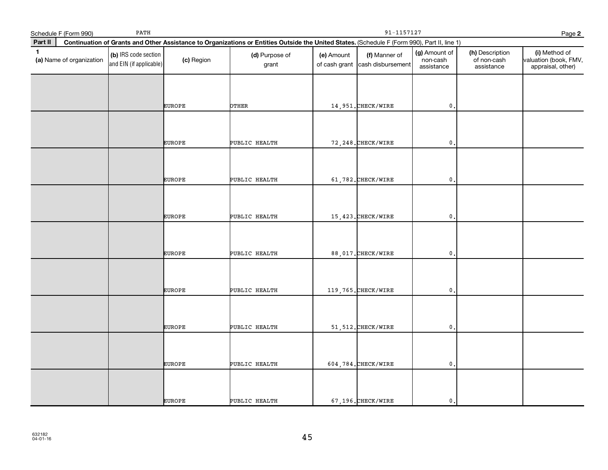|         | Schedule F (Form 990)    | PATH                                            |               | 91-1157127<br>Page 2                                                                                                                         |            |                                                  |                                         |                                              |                                                             |  |
|---------|--------------------------|-------------------------------------------------|---------------|----------------------------------------------------------------------------------------------------------------------------------------------|------------|--------------------------------------------------|-----------------------------------------|----------------------------------------------|-------------------------------------------------------------|--|
| Part II |                          |                                                 |               | Continuation of Grants and Other Assistance to Organizations or Entities Outside the United States. (Schedule F (Form 990), Part II, line 1) |            |                                                  |                                         |                                              |                                                             |  |
| 1       | (a) Name of organization | (b) IRS code section<br>and EIN (if applicable) | (c) Region    | (d) Purpose of<br>grant                                                                                                                      | (e) Amount | (f) Manner of<br>of cash grant cash disbursement | (g) Amount of<br>non-cash<br>assistance | (h) Description<br>of non-cash<br>assistance | (i) Method of<br>valuation (book, FMV,<br>appraisal, other) |  |
|         |                          |                                                 |               |                                                                                                                                              |            |                                                  |                                         |                                              |                                                             |  |
|         |                          |                                                 | <b>EUROPE</b> | <b>OTHER</b>                                                                                                                                 |            | 14,951. CHECK/WIRE                               | $\mathbf 0$ .                           |                                              |                                                             |  |
|         |                          |                                                 | <b>EUROPE</b> | PUBLIC HEALTH                                                                                                                                |            | 72, 248. CHECK/WIRE                              | $\mathbf{0}$ .                          |                                              |                                                             |  |
|         |                          |                                                 | <b>EUROPE</b> | PUBLIC HEALTH                                                                                                                                |            | 61,782. CHECK/WIRE                               | $\mathbf{0}$                            |                                              |                                                             |  |
|         |                          |                                                 |               |                                                                                                                                              |            |                                                  |                                         |                                              |                                                             |  |
|         |                          |                                                 | <b>EUROPE</b> | PUBLIC HEALTH                                                                                                                                |            | 15,423. CHECK/WIRE                               | $\mathfrak o$ .                         |                                              |                                                             |  |
|         |                          |                                                 | <b>EUROPE</b> | PUBLIC HEALTH                                                                                                                                |            | 88,017. CHECK/WIRE                               | $\mathsf{0}$ .                          |                                              |                                                             |  |
|         |                          |                                                 |               |                                                                                                                                              |            |                                                  |                                         |                                              |                                                             |  |
|         |                          |                                                 | <b>EUROPE</b> | PUBLIC HEALTH                                                                                                                                |            | 119, 765. CHECK/WIRE                             | $\mathfrak{o}$ .                        |                                              |                                                             |  |
|         |                          |                                                 | <b>EUROPE</b> | PUBLIC HEALTH                                                                                                                                |            | 51, 512. CHECK/WIRE                              | $\mathbf{0}$ .                          |                                              |                                                             |  |
|         |                          |                                                 |               |                                                                                                                                              |            |                                                  |                                         |                                              |                                                             |  |
|         |                          |                                                 | <b>EUROPE</b> | PUBLIC HEALTH                                                                                                                                |            | 604,784. CHECK/WIRE                              | $\mathbf{0}$ .                          |                                              |                                                             |  |
|         |                          |                                                 | EUROPE        | PUBLIC HEALTH                                                                                                                                |            | 67,196. CHECK/WIRE                               | $\mathfrak{o}$ .                        |                                              |                                                             |  |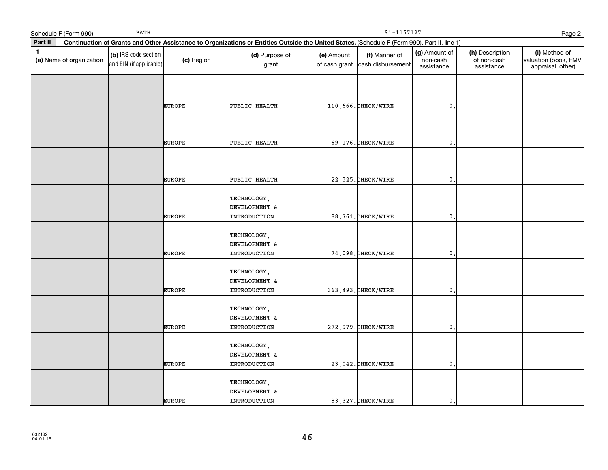|              | Schedule F (Form 990)    | PATH                                            |               |                                                                                                                                              | 91-1157127 |                                                  |                                         |                                              |                                                             |  |  |
|--------------|--------------------------|-------------------------------------------------|---------------|----------------------------------------------------------------------------------------------------------------------------------------------|------------|--------------------------------------------------|-----------------------------------------|----------------------------------------------|-------------------------------------------------------------|--|--|
| Part II      |                          |                                                 |               | Continuation of Grants and Other Assistance to Organizations or Entities Outside the United States. (Schedule F (Form 990), Part II, line 1) |            |                                                  |                                         |                                              | Page 2                                                      |  |  |
| $\mathbf{1}$ | (a) Name of organization | (b) IRS code section<br>and EIN (if applicable) | (c) Region    | (d) Purpose of<br>grant                                                                                                                      | (e) Amount | (f) Manner of<br>of cash grant cash disbursement | (g) Amount of<br>non-cash<br>assistance | (h) Description<br>of non-cash<br>assistance | (i) Method of<br>valuation (book, FMV,<br>appraisal, other) |  |  |
|              |                          |                                                 |               |                                                                                                                                              |            |                                                  |                                         |                                              |                                                             |  |  |
|              |                          |                                                 | <b>EUROPE</b> | PUBLIC HEALTH                                                                                                                                |            | 110,666. CHECK/WIRE                              | $\mathbf 0$ .                           |                                              |                                                             |  |  |
|              |                          |                                                 | <b>EUROPE</b> | PUBLIC HEALTH                                                                                                                                |            | 69,176. CHECK/WIRE                               | $\mathfrak o$ .                         |                                              |                                                             |  |  |
|              |                          |                                                 |               |                                                                                                                                              |            |                                                  |                                         |                                              |                                                             |  |  |
|              |                          |                                                 |               |                                                                                                                                              |            |                                                  |                                         |                                              |                                                             |  |  |
|              |                          |                                                 | EUROPE        | PUBLIC HEALTH                                                                                                                                |            | 22,325. CHECK/WIRE                               | $\mathbf{0}$                            |                                              |                                                             |  |  |
|              |                          |                                                 |               | TECHNOLOGY,<br>DEVELOPMENT &                                                                                                                 |            |                                                  |                                         |                                              |                                                             |  |  |
|              |                          |                                                 | <b>EUROPE</b> | INTRODUCTION                                                                                                                                 |            | 88,761. CHECK/WIRE                               | $\mathfrak{o}$ .                        |                                              |                                                             |  |  |
|              |                          |                                                 | <b>EUROPE</b> | TECHNOLOGY,<br>DEVELOPMENT &<br>INTRODUCTION                                                                                                 |            | 74,098. CHECK/WIRE                               | $\mathfrak o$ .                         |                                              |                                                             |  |  |
|              |                          |                                                 |               | TECHNOLOGY,<br>DEVELOPMENT &                                                                                                                 |            |                                                  |                                         |                                              |                                                             |  |  |
|              |                          |                                                 | EUROPE        | INTRODUCTION                                                                                                                                 |            | 363,493. CHECK/WIRE                              | $\mathbf{0}$ .                          |                                              |                                                             |  |  |
|              |                          |                                                 |               | TECHNOLOGY,<br>DEVELOPMENT &                                                                                                                 |            |                                                  |                                         |                                              |                                                             |  |  |
|              |                          |                                                 | <b>EUROPE</b> | INTRODUCTION                                                                                                                                 |            | 272, 979. CHECK/WIRE                             | $\mathfrak{o}$ .                        |                                              |                                                             |  |  |
|              |                          |                                                 | <b>EUROPE</b> | TECHNOLOGY,<br>DEVELOPMENT &<br>INTRODUCTION                                                                                                 |            | 23,042. CHECK/WIRE                               | $\mathfrak{o}$ .                        |                                              |                                                             |  |  |
|              |                          |                                                 |               | TECHNOLOGY,<br>DEVELOPMENT &                                                                                                                 |            |                                                  |                                         |                                              |                                                             |  |  |
|              |                          |                                                 | EUROPE        | INTRODUCTION                                                                                                                                 |            | 83, 327. CHECK/WIRE                              | $\mathbf{0}$ .                          |                                              |                                                             |  |  |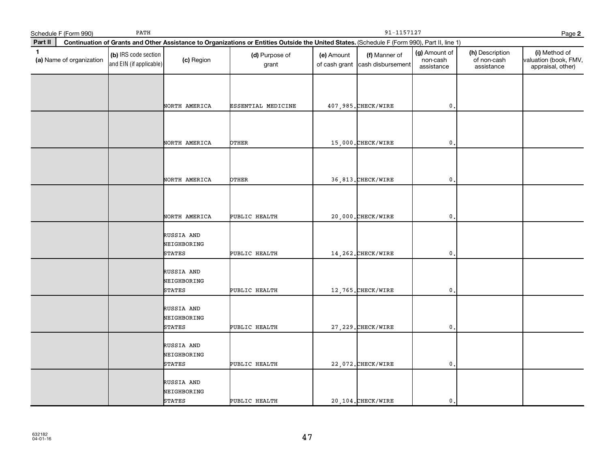|              | Schedule F (Form 990)    | PATH                                            |                                            | 91-1157127<br>Page 2                                                                                                                         |                             |                                    |                                         |                                              |                                                             |  |
|--------------|--------------------------|-------------------------------------------------|--------------------------------------------|----------------------------------------------------------------------------------------------------------------------------------------------|-----------------------------|------------------------------------|-----------------------------------------|----------------------------------------------|-------------------------------------------------------------|--|
| Part II      |                          |                                                 |                                            | Continuation of Grants and Other Assistance to Organizations or Entities Outside the United States. (Schedule F (Form 990), Part II, line 1) |                             |                                    |                                         |                                              |                                                             |  |
| $\mathbf{1}$ | (a) Name of organization | (b) IRS code section<br>and EIN (if applicable) | (c) Region                                 | (d) Purpose of<br>grant                                                                                                                      | (e) Amount<br>of cash grant | (f) Manner of<br>cash disbursement | (g) Amount of<br>non-cash<br>assistance | (h) Description<br>of non-cash<br>assistance | (i) Method of<br>valuation (book, FMV,<br>appraisal, other) |  |
|              |                          |                                                 | NORTH AMERICA                              | ESSENTIAL MEDICINE                                                                                                                           |                             | 407, 985. CHECK/WIRE               | $\mathbf{0}$                            |                                              |                                                             |  |
|              |                          |                                                 | NORTH AMERICA                              | <b>OTHER</b>                                                                                                                                 |                             | 15,000. CHECK/WIRE                 | $\mathbf{0}$                            |                                              |                                                             |  |
|              |                          |                                                 | NORTH AMERICA                              | OTHER                                                                                                                                        |                             | 36,813. CHECK/WIRE                 | 0.                                      |                                              |                                                             |  |
|              |                          |                                                 | NORTH AMERICA                              | PUBLIC HEALTH                                                                                                                                |                             | 20,000. CHECK/WIRE                 | $\mathbf{0}$                            |                                              |                                                             |  |
|              |                          |                                                 | RUSSIA AND<br>NEIGHBORING<br><b>STATES</b> | PUBLIC HEALTH                                                                                                                                |                             | 14, 262. CHECK/WIRE                | $\mathbf{0}$                            |                                              |                                                             |  |
|              |                          |                                                 | RUSSIA AND<br>NEIGHBORING<br><b>STATES</b> | PUBLIC HEALTH                                                                                                                                |                             | 12,765. CHECK/WIRE                 | $\mathbf{0}$                            |                                              |                                                             |  |
|              |                          |                                                 | RUSSIA AND<br>NEIGHBORING<br><b>STATES</b> | PUBLIC HEALTH                                                                                                                                |                             | 27, 229. CHECK/WIRE                | 0.                                      |                                              |                                                             |  |
|              |                          |                                                 | RUSSIA AND<br>NEIGHBORING<br>STATES        | PUBLIC HEALTH                                                                                                                                |                             | 22,072. CHECK/WIRE                 | $\mathbf 0$ .                           |                                              |                                                             |  |
|              |                          |                                                 | RUSSIA AND<br>NEIGHBORING<br><b>STATES</b> | PUBLIC HEALTH                                                                                                                                |                             | 20, 104. CHECK/WIRE                | 0.                                      |                                              |                                                             |  |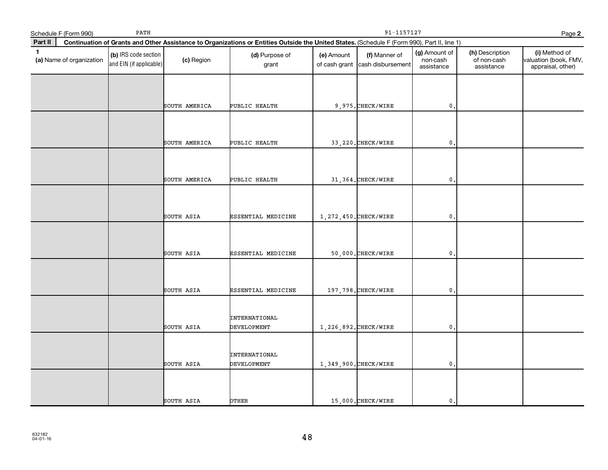|              | Schedule F (Form 990)    | PATH                                            |               | 91-1157127<br>Page 2                                                                                                                         |            |                                                  |                                         |                                              |                                                             |  |
|--------------|--------------------------|-------------------------------------------------|---------------|----------------------------------------------------------------------------------------------------------------------------------------------|------------|--------------------------------------------------|-----------------------------------------|----------------------------------------------|-------------------------------------------------------------|--|
| Part II      |                          |                                                 |               | Continuation of Grants and Other Assistance to Organizations or Entities Outside the United States. (Schedule F (Form 990), Part II, line 1) |            |                                                  |                                         |                                              |                                                             |  |
| $\mathbf{1}$ | (a) Name of organization | (b) IRS code section<br>and EIN (if applicable) | (c) Region    | (d) Purpose of<br>grant                                                                                                                      | (e) Amount | (f) Manner of<br>of cash grant cash disbursement | (g) Amount of<br>non-cash<br>assistance | (h) Description<br>of non-cash<br>assistance | (i) Method of<br>valuation (book, FMV,<br>appraisal, other) |  |
|              |                          |                                                 | SOUTH AMERICA | PUBLIC HEALTH                                                                                                                                |            | 9,975. CHECK/WIRE                                | $\mathfrak o$ .                         |                                              |                                                             |  |
|              |                          |                                                 | SOUTH AMERICA | PUBLIC HEALTH                                                                                                                                |            | 33, 220. CHECK/WIRE                              | $\mathbf{0}$ .                          |                                              |                                                             |  |
|              |                          |                                                 | SOUTH AMERICA | PUBLIC HEALTH                                                                                                                                |            | 31, 364. CHECK/WIRE                              | $\mathbf{0}$                            |                                              |                                                             |  |
|              |                          |                                                 | SOUTH ASIA    | ESSENTIAL MEDICINE                                                                                                                           |            | 1, 272, 450. CHECK/WIRE                          | $\mathfrak o$ .                         |                                              |                                                             |  |
|              |                          |                                                 | SOUTH ASIA    | ESSENTIAL MEDICINE                                                                                                                           |            | 50,000. CHECK/WIRE                               | $\mathbf{0}$                            |                                              |                                                             |  |
|              |                          |                                                 | SOUTH ASIA    | ESSENTIAL MEDICINE                                                                                                                           |            | 197, 798. CHECK/WIRE                             | $\mathfrak{o}$ .                        |                                              |                                                             |  |
|              |                          |                                                 | SOUTH ASIA    | <b>INTERNATIONAL</b><br><b>DEVELOPMENT</b>                                                                                                   |            | 1, 226, 892. CHECK/WIRE                          | $\mathbf{0}$ .                          |                                              |                                                             |  |
|              |                          |                                                 | SOUTH ASIA    | INTERNATIONAL<br><b>DEVELOPMENT</b>                                                                                                          |            | 1,349,900. CHECK/WIRE                            | $\mathbf 0$ .                           |                                              |                                                             |  |
|              |                          |                                                 | SOUTH ASIA    | <b>OTHER</b>                                                                                                                                 |            | 15,000. CHECK/WIRE                               | $\mathbf{0}$ .                          |                                              |                                                             |  |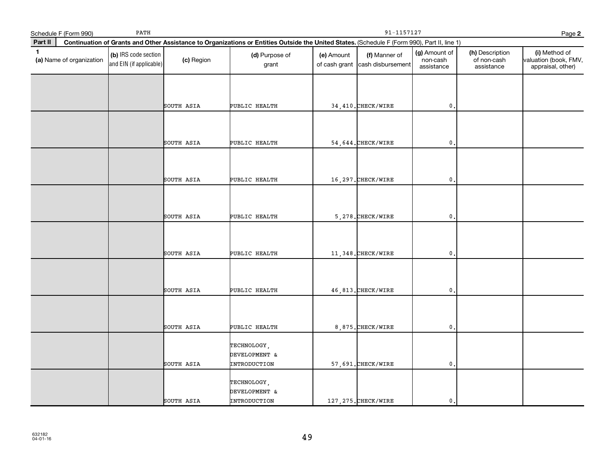|              | Schedule F (Form 990)    | $\mathtt{PATH}$                                 |                          |                                                                                                                                              | 91-1157127<br>Page 2 |                                                  |                                         |                                              |                                                             |  |  |
|--------------|--------------------------|-------------------------------------------------|--------------------------|----------------------------------------------------------------------------------------------------------------------------------------------|----------------------|--------------------------------------------------|-----------------------------------------|----------------------------------------------|-------------------------------------------------------------|--|--|
| Part II      |                          |                                                 |                          | Continuation of Grants and Other Assistance to Organizations or Entities Outside the United States. (Schedule F (Form 990), Part II, line 1) |                      |                                                  |                                         |                                              |                                                             |  |  |
| $\mathbf{1}$ | (a) Name of organization | (b) IRS code section<br>and EIN (if applicable) | (c) Region               | (d) Purpose of<br>grant                                                                                                                      | (e) Amount           | (f) Manner of<br>of cash grant cash disbursement | (g) Amount of<br>non-cash<br>assistance | (h) Description<br>of non-cash<br>assistance | (i) Method of<br>valuation (book, FMV,<br>appraisal, other) |  |  |
|              |                          |                                                 | SOUTH ASIA               | PUBLIC HEALTH                                                                                                                                |                      | 34, 410. CHECK/WIRE                              | $\mathbf 0$ .                           |                                              |                                                             |  |  |
|              |                          |                                                 | SOUTH ASIA               | PUBLIC HEALTH                                                                                                                                |                      | 54,644. CHECK/WIRE                               | $\mathbf{0}$ .                          |                                              |                                                             |  |  |
|              |                          |                                                 |                          |                                                                                                                                              |                      |                                                  |                                         |                                              |                                                             |  |  |
|              |                          |                                                 | SOUTH ASIA               | PUBLIC HEALTH                                                                                                                                |                      | 16, 297. CHECK/WIRE                              | $\mathbf{0}$                            |                                              |                                                             |  |  |
|              |                          |                                                 | SOUTH ASIA<br>SOUTH ASIA | PUBLIC HEALTH<br>PUBLIC HEALTH                                                                                                               |                      | 5, 278. CHECK/WIRE<br>11,348. CHECK/WIRE         | $\mathfrak o$ .<br>$\mathbf{0}$         |                                              |                                                             |  |  |
|              |                          |                                                 | SOUTH ASIA               | PUBLIC HEALTH                                                                                                                                |                      | 46,813. CHECK/WIRE                               | $\mathfrak{o}$ .                        |                                              |                                                             |  |  |
|              |                          |                                                 | SOUTH ASIA               | PUBLIC HEALTH                                                                                                                                |                      | 8,875. CHECK/WIRE                                | 0.                                      |                                              |                                                             |  |  |
|              |                          |                                                 | SOUTH ASIA               | TECHNOLOGY,<br>DEVELOPMENT &<br>INTRODUCTION                                                                                                 |                      | 57,691. CHECK/WIRE                               | $\mathbf 0$ .                           |                                              |                                                             |  |  |
|              |                          |                                                 | SOUTH ASIA               | TECHNOLOGY,<br>DEVELOPMENT &<br>INTRODUCTION                                                                                                 |                      | 127, 275. CHECK/WIRE                             | $\mathbf{0}$ .                          |                                              |                                                             |  |  |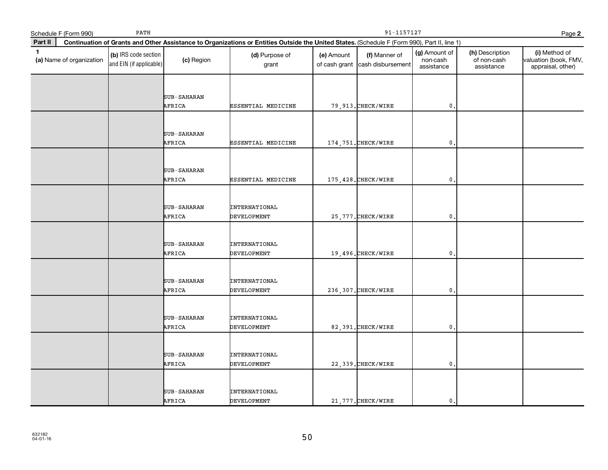|              | Schedule F (Form 990)    | PATH                                            |                       | 91-1157127<br>Page 2                                                                                                                         |            |                                                  |                                         |                                              |                                                             |  |
|--------------|--------------------------|-------------------------------------------------|-----------------------|----------------------------------------------------------------------------------------------------------------------------------------------|------------|--------------------------------------------------|-----------------------------------------|----------------------------------------------|-------------------------------------------------------------|--|
| Part II      |                          |                                                 |                       | Continuation of Grants and Other Assistance to Organizations or Entities Outside the United States. (Schedule F (Form 990), Part II, line 1) |            |                                                  |                                         |                                              |                                                             |  |
| $\mathbf{1}$ | (a) Name of organization | (b) IRS code section<br>and EIN (if applicable) | (c) Region            | (d) Purpose of<br>grant                                                                                                                      | (e) Amount | (f) Manner of<br>of cash grant cash disbursement | (g) Amount of<br>non-cash<br>assistance | (h) Description<br>of non-cash<br>assistance | (i) Method of<br>valuation (book, FMV,<br>appraisal, other) |  |
|              |                          |                                                 |                       |                                                                                                                                              |            |                                                  |                                         |                                              |                                                             |  |
|              |                          |                                                 | SUB-SAHARAN           |                                                                                                                                              |            |                                                  |                                         |                                              |                                                             |  |
|              |                          |                                                 | AFRICA                | ESSENTIAL MEDICINE                                                                                                                           |            | 79, 913. CHECK/WIRE                              | $\mathbf{0}$                            |                                              |                                                             |  |
|              |                          |                                                 | SUB-SAHARAN           |                                                                                                                                              |            |                                                  |                                         |                                              |                                                             |  |
|              |                          |                                                 | AFRICA                | ESSENTIAL MEDICINE                                                                                                                           |            | 174, 751. CHECK/WIRE                             | $\mathbf{0}$ .                          |                                              |                                                             |  |
|              |                          |                                                 |                       |                                                                                                                                              |            |                                                  |                                         |                                              |                                                             |  |
|              |                          |                                                 | SUB-SAHARAN           |                                                                                                                                              |            |                                                  |                                         |                                              |                                                             |  |
|              |                          |                                                 | AFRICA                | ESSENTIAL MEDICINE                                                                                                                           |            | 175,428. CHECK/WIRE                              | $\mathbf{0}$                            |                                              |                                                             |  |
|              |                          |                                                 |                       |                                                                                                                                              |            |                                                  |                                         |                                              |                                                             |  |
|              |                          |                                                 | SUB-SAHARAN<br>AFRICA | <b>INTERNATIONAL</b><br><b>DEVELOPMENT</b>                                                                                                   |            | 25, 777. CHECK/WIRE                              | $\mathbf{0}$ .                          |                                              |                                                             |  |
|              |                          |                                                 |                       |                                                                                                                                              |            |                                                  |                                         |                                              |                                                             |  |
|              |                          |                                                 | SUB-SAHARAN           | INTERNATIONAL                                                                                                                                |            |                                                  |                                         |                                              |                                                             |  |
|              |                          |                                                 | AFRICA                | <b>DEVELOPMENT</b>                                                                                                                           |            | 19,496. CHECK/WIRE                               | $\mathbf{0}$                            |                                              |                                                             |  |
|              |                          |                                                 |                       |                                                                                                                                              |            |                                                  |                                         |                                              |                                                             |  |
|              |                          |                                                 | SUB-SAHARAN           | <b>INTERNATIONAL</b>                                                                                                                         |            |                                                  |                                         |                                              |                                                             |  |
|              |                          |                                                 | AFRICA                | DEVELOPMENT                                                                                                                                  |            | 236, 307. CHECK/WIRE                             | $\mathfrak{o}$ .                        |                                              |                                                             |  |
|              |                          |                                                 |                       |                                                                                                                                              |            |                                                  |                                         |                                              |                                                             |  |
|              |                          |                                                 | SUB-SAHARAN<br>AFRICA | <b>INTERNATIONAL</b><br>DEVELOPMENT                                                                                                          |            | 82,391. CHECK/WIRE                               | 0.                                      |                                              |                                                             |  |
|              |                          |                                                 |                       |                                                                                                                                              |            |                                                  |                                         |                                              |                                                             |  |
|              |                          |                                                 | SUB-SAHARAN           | <b>INTERNATIONAL</b>                                                                                                                         |            |                                                  |                                         |                                              |                                                             |  |
|              |                          |                                                 | AFRICA                | <b>DEVELOPMENT</b>                                                                                                                           |            | 22,339. CHECK/WIRE                               | $\mathbf{0}$ .                          |                                              |                                                             |  |
|              |                          |                                                 |                       |                                                                                                                                              |            |                                                  |                                         |                                              |                                                             |  |
|              |                          |                                                 | SUB-SAHARAN           | <b>INTERNATIONAL</b>                                                                                                                         |            |                                                  |                                         |                                              |                                                             |  |
|              |                          |                                                 | AFRICA                | <b>DEVELOPMENT</b>                                                                                                                           |            | 21,777. CHECK/WIRE                               | $\mathbf{0}$ .                          |                                              |                                                             |  |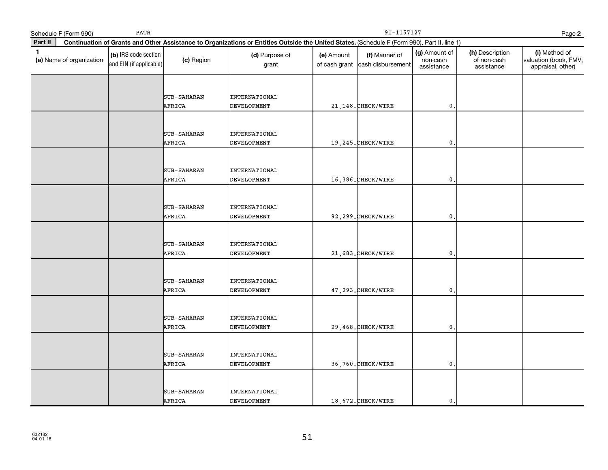|              | Schedule F (Form 990)    | PATH                                            |                       |                                                                                                                                              | 91-1157127<br>Page 2 |                                                  |                                         |                                              |                                                             |  |
|--------------|--------------------------|-------------------------------------------------|-----------------------|----------------------------------------------------------------------------------------------------------------------------------------------|----------------------|--------------------------------------------------|-----------------------------------------|----------------------------------------------|-------------------------------------------------------------|--|
| Part II      |                          |                                                 |                       | Continuation of Grants and Other Assistance to Organizations or Entities Outside the United States. (Schedule F (Form 990), Part II, line 1) |                      |                                                  |                                         |                                              |                                                             |  |
| $\mathbf{1}$ | (a) Name of organization | (b) IRS code section<br>and EIN (if applicable) | (c) Region            | (d) Purpose of<br>grant                                                                                                                      | (e) Amount           | (f) Manner of<br>of cash grant cash disbursement | (g) Amount of<br>non-cash<br>assistance | (h) Description<br>of non-cash<br>assistance | (i) Method of<br>valuation (book, FMV,<br>appraisal, other) |  |
|              |                          |                                                 | SUB-SAHARAN<br>AFRICA | INTERNATIONAL<br><b>DEVELOPMENT</b>                                                                                                          |                      | 21, 148. CHECK/WIRE                              | $\mathbf 0$ .                           |                                              |                                                             |  |
|              |                          |                                                 | SUB-SAHARAN<br>AFRICA | <b>INTERNATIONAL</b><br><b>DEVELOPMENT</b>                                                                                                   |                      | 19, 245. CHECK/WIRE                              | $\mathbf{0}$ .                          |                                              |                                                             |  |
|              |                          |                                                 | SUB-SAHARAN<br>AFRICA | INTERNATIONAL<br>DEVELOPMENT                                                                                                                 |                      | 16,386. CHECK/WIRE                               | $\mathbf 0$ .                           |                                              |                                                             |  |
|              |                          |                                                 | SUB-SAHARAN<br>AFRICA | <b>INTERNATIONAL</b><br><b>DEVELOPMENT</b>                                                                                                   |                      | 92,299. CHECK/WIRE                               | $\mathfrak{o}$ .                        |                                              |                                                             |  |
|              |                          |                                                 | SUB-SAHARAN<br>AFRICA | INTERNATIONAL<br><b>DEVELOPMENT</b>                                                                                                          |                      | 21,683. CHECK/WIRE                               | $\mathbf{0}$                            |                                              |                                                             |  |
|              |                          |                                                 | SUB-SAHARAN<br>AFRICA | <b>INTERNATIONAL</b><br><b>DEVELOPMENT</b>                                                                                                   |                      | 47, 293. CHECK/WIRE                              | $\mathbf{0}$ .                          |                                              |                                                             |  |
|              |                          |                                                 | SUB-SAHARAN<br>AFRICA | <b>INTERNATIONAL</b><br>DEVELOPMENT                                                                                                          |                      | 29,468. CHECK/WIRE                               | $\mathbf{0}$                            |                                              |                                                             |  |
|              |                          |                                                 | SUB-SAHARAN<br>AFRICA | <b>INTERNATIONAL</b><br><b>DEVELOPMENT</b>                                                                                                   |                      | 36,760. CHECK/WIRE                               | $\mathfrak{o}$ .                        |                                              |                                                             |  |
|              |                          |                                                 | SUB-SAHARAN<br>AFRICA | <b>INTERNATIONAL</b><br><b>DEVELOPMENT</b>                                                                                                   |                      | 18,672. CHECK/WIRE                               | $\mathbf{0}$ .                          |                                              |                                                             |  |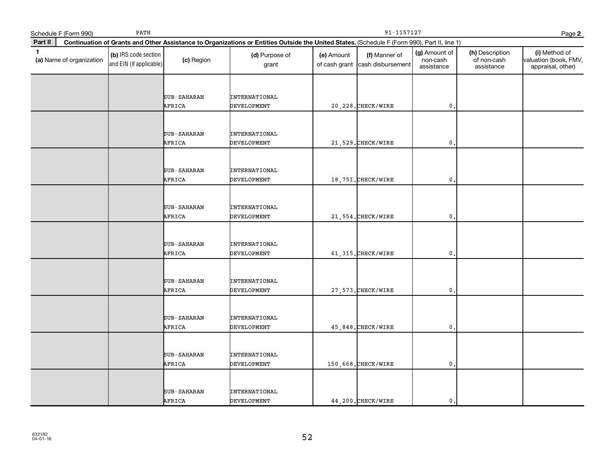|              | Schedule F (Form 990)    | PATH                                            |                       |                                                                                                                                              | 91-1157127<br>Page 2 |                                                  |                                         |                                              |                                                             |  |
|--------------|--------------------------|-------------------------------------------------|-----------------------|----------------------------------------------------------------------------------------------------------------------------------------------|----------------------|--------------------------------------------------|-----------------------------------------|----------------------------------------------|-------------------------------------------------------------|--|
| Part II      |                          |                                                 |                       | Continuation of Grants and Other Assistance to Organizations or Entities Outside the United States. (Schedule F (Form 990), Part II, line 1) |                      |                                                  |                                         |                                              |                                                             |  |
| $\mathbf{1}$ | (a) Name of organization | (b) IRS code section<br>and EIN (if applicable) | (c) Region            | (d) Purpose of<br>grant                                                                                                                      | (e) Amount           | (f) Manner of<br>of cash grant cash disbursement | (g) Amount of<br>non-cash<br>assistance | (h) Description<br>of non-cash<br>assistance | (i) Method of<br>valuation (book, FMV,<br>appraisal, other) |  |
|              |                          |                                                 | SUB-SAHARAN<br>AFRICA | INTERNATIONAL<br><b>DEVELOPMENT</b>                                                                                                          |                      | 20, 228. CHECK/WIRE                              | $\mathbf{0}$                            |                                              |                                                             |  |
|              |                          |                                                 | SUB-SAHARAN<br>AFRICA | <b>INTERNATIONAL</b><br><b>DEVELOPMENT</b>                                                                                                   |                      | 21,529. CHECK/WIRE                               | $\mathbf{0}$ .                          |                                              |                                                             |  |
|              |                          |                                                 | SUB-SAHARAN<br>AFRICA | INTERNATIONAL<br>DEVELOPMENT                                                                                                                 |                      | 18,751. CHECK/WIRE                               | $\mathbf 0$ .                           |                                              |                                                             |  |
|              |                          |                                                 | SUB-SAHARAN<br>AFRICA | <b>INTERNATIONAL</b><br><b>DEVELOPMENT</b>                                                                                                   |                      | 21,554. CHECK/WIRE                               | $\mathfrak{o}$ .                        |                                              |                                                             |  |
|              |                          |                                                 | SUB-SAHARAN<br>AFRICA | INTERNATIONAL<br><b>DEVELOPMENT</b>                                                                                                          |                      | 61,315. CHECK/WIRE                               | $\mathbf{0}$                            |                                              |                                                             |  |
|              |                          |                                                 | SUB-SAHARAN<br>AFRICA | <b>INTERNATIONAL</b><br><b>DEVELOPMENT</b>                                                                                                   |                      | 27, 573. CHECK/WIRE                              | $\mathbf{0}$ .                          |                                              |                                                             |  |
|              |                          |                                                 | SUB-SAHARAN<br>AFRICA | <b>INTERNATIONAL</b><br>DEVELOPMENT                                                                                                          |                      | 45,848. CHECK/WIRE                               | $\mathbf{0}$                            |                                              |                                                             |  |
|              |                          |                                                 | SUB-SAHARAN<br>AFRICA | <b>INTERNATIONAL</b><br><b>DEVELOPMENT</b>                                                                                                   |                      | 150,668. CHECK/WIRE                              | $\mathfrak{o}$ .                        |                                              |                                                             |  |
|              |                          |                                                 | SUB-SAHARAN<br>AFRICA | <b>INTERNATIONAL</b><br><b>DEVELOPMENT</b>                                                                                                   |                      | 44,200. CHECK/WIRE                               | $\mathbf{0}$ .                          |                                              |                                                             |  |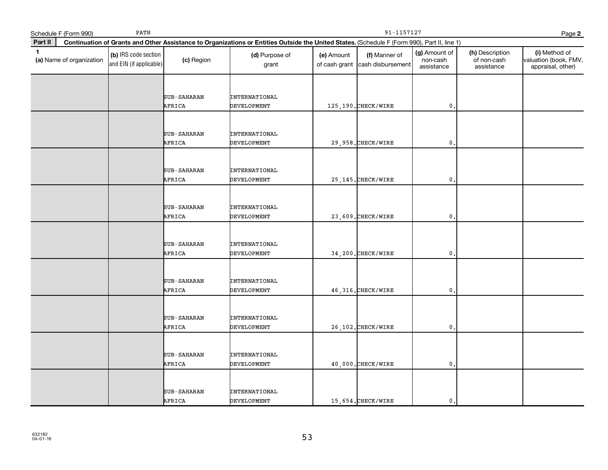|              | Schedule F (Form 990)    | PATH                                            |                       |                                                                                                                                              | 91-1157127<br>Page 2 |                                                  |                                         |                                              |                                                             |  |  |
|--------------|--------------------------|-------------------------------------------------|-----------------------|----------------------------------------------------------------------------------------------------------------------------------------------|----------------------|--------------------------------------------------|-----------------------------------------|----------------------------------------------|-------------------------------------------------------------|--|--|
| Part II      |                          |                                                 |                       | Continuation of Grants and Other Assistance to Organizations or Entities Outside the United States. (Schedule F (Form 990), Part II, line 1) |                      |                                                  |                                         |                                              |                                                             |  |  |
| $\mathbf{1}$ | (a) Name of organization | (b) IRS code section<br>and EIN (if applicable) | (c) Region            | (d) Purpose of<br>grant                                                                                                                      | (e) Amount           | (f) Manner of<br>of cash grant cash disbursement | (g) Amount of<br>non-cash<br>assistance | (h) Description<br>of non-cash<br>assistance | (i) Method of<br>valuation (book, FMV,<br>appraisal, other) |  |  |
|              |                          |                                                 | SUB-SAHARAN<br>AFRICA | INTERNATIONAL<br><b>DEVELOPMENT</b>                                                                                                          |                      | 125,190. CHECK/WIRE                              | $\mathbf 0$ .                           |                                              |                                                             |  |  |
|              |                          |                                                 | SUB-SAHARAN<br>AFRICA | <b>INTERNATIONAL</b><br><b>DEVELOPMENT</b>                                                                                                   |                      | 29,958. CHECK/WIRE                               | $\mathbf{0}$ .                          |                                              |                                                             |  |  |
|              |                          |                                                 | SUB-SAHARAN<br>AFRICA | INTERNATIONAL<br>DEVELOPMENT                                                                                                                 |                      | 25, 145. CHECK/WIRE                              | $\mathbf 0$ .                           |                                              |                                                             |  |  |
|              |                          |                                                 | SUB-SAHARAN<br>AFRICA | <b>INTERNATIONAL</b><br><b>DEVELOPMENT</b>                                                                                                   |                      | 23,609. CHECK/WIRE                               | $\mathfrak{o}$ .                        |                                              |                                                             |  |  |
|              |                          |                                                 | SUB-SAHARAN<br>AFRICA | INTERNATIONAL<br><b>DEVELOPMENT</b>                                                                                                          |                      | 34,200. CHECK/WIRE                               | $\mathbf{0}$                            |                                              |                                                             |  |  |
|              |                          |                                                 | SUB-SAHARAN<br>AFRICA | <b>INTERNATIONAL</b><br><b>DEVELOPMENT</b>                                                                                                   |                      | 46, 316. CHECK/WIRE                              | $\mathbf{0}$ .                          |                                              |                                                             |  |  |
|              |                          |                                                 | SUB-SAHARAN<br>AFRICA | <b>INTERNATIONAL</b><br>DEVELOPMENT                                                                                                          |                      | 26,102. CHECK/WIRE                               | $\mathbf{0}$                            |                                              |                                                             |  |  |
|              |                          |                                                 | SUB-SAHARAN<br>AFRICA | <b>INTERNATIONAL</b><br><b>DEVELOPMENT</b>                                                                                                   |                      | 40,000. CHECK/WIRE                               | $\mathfrak{o}$ .                        |                                              |                                                             |  |  |
|              |                          |                                                 | SUB-SAHARAN<br>AFRICA | <b>INTERNATIONAL</b><br><b>DEVELOPMENT</b>                                                                                                   |                      | 15,654. CHECK/WIRE                               | $\mathbf{0}$ .                          |                                              |                                                             |  |  |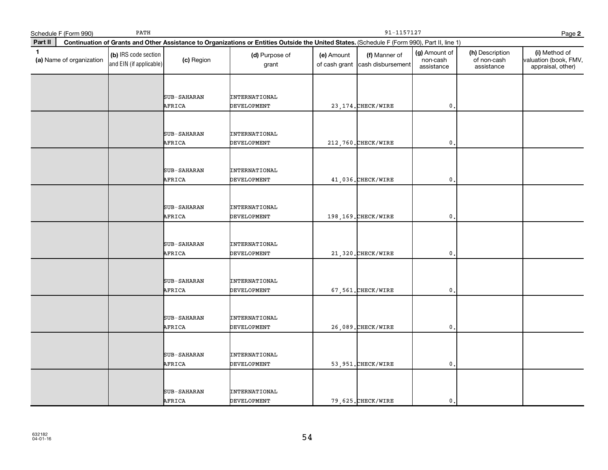|              | Schedule F (Form 990)    | PATH                                            |                              |                                                                                                                                              | 91-1157127<br>Page 2 |                                                  |                                         |                                              |                                                             |  |  |
|--------------|--------------------------|-------------------------------------------------|------------------------------|----------------------------------------------------------------------------------------------------------------------------------------------|----------------------|--------------------------------------------------|-----------------------------------------|----------------------------------------------|-------------------------------------------------------------|--|--|
| Part II      |                          |                                                 |                              | Continuation of Grants and Other Assistance to Organizations or Entities Outside the United States. (Schedule F (Form 990), Part II, line 1) |                      |                                                  |                                         |                                              |                                                             |  |  |
| $\mathbf{1}$ | (a) Name of organization | (b) IRS code section<br>and EIN (if applicable) | (c) Region                   | (d) Purpose of<br>grant                                                                                                                      | (e) Amount           | (f) Manner of<br>of cash grant cash disbursement | (g) Amount of<br>non-cash<br>assistance | (h) Description<br>of non-cash<br>assistance | (i) Method of<br>valuation (book, FMV,<br>appraisal, other) |  |  |
|              |                          |                                                 | SUB-SAHARAN<br>AFRICA        | INTERNATIONAL<br><b>DEVELOPMENT</b>                                                                                                          |                      | 23, 174. CHECK/WIRE                              | $\mathbf 0$ .                           |                                              |                                                             |  |  |
|              |                          |                                                 | <b>SUB-SAHARAN</b><br>AFRICA | <b>INTERNATIONAL</b><br>DEVELOPMENT                                                                                                          |                      | 212,760. CHECK/WIRE                              | $\mathbf{0}$ .                          |                                              |                                                             |  |  |
|              |                          |                                                 | <b>SUB-SAHARAN</b><br>AFRICA | INTERNATIONAL<br>DEVELOPMENT                                                                                                                 |                      | 41,036. CHECK/WIRE                               | $\mathbf 0$ .                           |                                              |                                                             |  |  |
|              |                          |                                                 | SUB-SAHARAN<br>AFRICA        | <b>INTERNATIONAL</b><br><b>DEVELOPMENT</b>                                                                                                   |                      | 198, 169. CHECK/WIRE                             | $\mathfrak{o}$ .                        |                                              |                                                             |  |  |
|              |                          |                                                 | SUB-SAHARAN<br>AFRICA        | INTERNATIONAL<br><b>DEVELOPMENT</b>                                                                                                          |                      | 21,320. CHECK/WIRE                               | $\mathbf{0}$                            |                                              |                                                             |  |  |
|              |                          |                                                 | SUB-SAHARAN<br>AFRICA        | <b>INTERNATIONAL</b><br><b>DEVELOPMENT</b>                                                                                                   |                      | 67,561. CHECK/WIRE                               | $\mathbf{0}$ .                          |                                              |                                                             |  |  |
|              |                          |                                                 | SUB-SAHARAN<br>AFRICA        | <b>INTERNATIONAL</b><br>DEVELOPMENT                                                                                                          |                      | 26,089. CHECK/WIRE                               | $\mathbf{0}$                            |                                              |                                                             |  |  |
|              |                          |                                                 | SUB-SAHARAN<br>AFRICA        | <b>INTERNATIONAL</b><br><b>DEVELOPMENT</b>                                                                                                   |                      | 53, 951. CHECK/WIRE                              | $\mathfrak{o}$ .                        |                                              |                                                             |  |  |
|              |                          |                                                 | SUB-SAHARAN<br>AFRICA        | <b>INTERNATIONAL</b><br><b>DEVELOPMENT</b>                                                                                                   |                      | 79,625. CHECK/WIRE                               | $\mathbf{0}$ .                          |                                              |                                                             |  |  |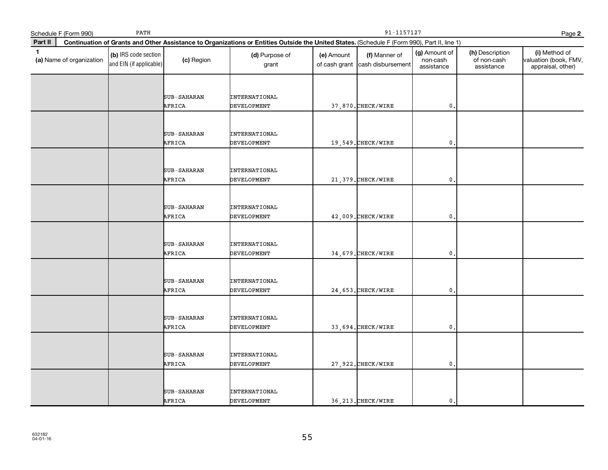|              | Schedule F (Form 990)    | PATH                                            |                              |                                                                                                                                              | 91-1157127<br>Page 2 |                                                  |                                         |                                              |                                                             |  |  |
|--------------|--------------------------|-------------------------------------------------|------------------------------|----------------------------------------------------------------------------------------------------------------------------------------------|----------------------|--------------------------------------------------|-----------------------------------------|----------------------------------------------|-------------------------------------------------------------|--|--|
| Part II      |                          |                                                 |                              | Continuation of Grants and Other Assistance to Organizations or Entities Outside the United States. (Schedule F (Form 990), Part II, line 1) |                      |                                                  |                                         |                                              |                                                             |  |  |
| $\mathbf{1}$ | (a) Name of organization | (b) IRS code section<br>and EIN (if applicable) | (c) Region                   | (d) Purpose of<br>grant                                                                                                                      | (e) Amount           | (f) Manner of<br>of cash grant cash disbursement | (g) Amount of<br>non-cash<br>assistance | (h) Description<br>of non-cash<br>assistance | (i) Method of<br>valuation (book, FMV,<br>appraisal, other) |  |  |
|              |                          |                                                 | SUB-SAHARAN<br>AFRICA        | INTERNATIONAL<br><b>DEVELOPMENT</b>                                                                                                          |                      | 37,870. CHECK/WIRE                               | $\mathbf 0$ .                           |                                              |                                                             |  |  |
|              |                          |                                                 | <b>SUB-SAHARAN</b><br>AFRICA | <b>INTERNATIONAL</b><br>DEVELOPMENT                                                                                                          |                      | 19,549. CHECK/WIRE                               | $\mathbf{0}$ .                          |                                              |                                                             |  |  |
|              |                          |                                                 | <b>SUB-SAHARAN</b><br>AFRICA | INTERNATIONAL<br>DEVELOPMENT                                                                                                                 |                      | 21, 379. CHECK/WIRE                              | $\mathbf 0$ .                           |                                              |                                                             |  |  |
|              |                          |                                                 | SUB-SAHARAN<br>AFRICA        | <b>INTERNATIONAL</b><br><b>DEVELOPMENT</b>                                                                                                   |                      | 42,009. CHECK/WIRE                               | $\mathfrak{o}$ .                        |                                              |                                                             |  |  |
|              |                          |                                                 | SUB-SAHARAN<br>AFRICA        | INTERNATIONAL<br><b>DEVELOPMENT</b>                                                                                                          |                      | 34, 679. CHECK/WIRE                              | $\mathbf{0}$                            |                                              |                                                             |  |  |
|              |                          |                                                 | SUB-SAHARAN<br>AFRICA        | <b>INTERNATIONAL</b><br><b>DEVELOPMENT</b>                                                                                                   |                      | 24, 653. CHECK/WIRE                              | $\mathbf{0}$ .                          |                                              |                                                             |  |  |
|              |                          |                                                 | SUB-SAHARAN<br>AFRICA        | <b>INTERNATIONAL</b><br>DEVELOPMENT                                                                                                          |                      | 33,694. CHECK/WIRE                               | $\mathbf{0}$                            |                                              |                                                             |  |  |
|              |                          |                                                 | SUB-SAHARAN<br>AFRICA        | <b>INTERNATIONAL</b><br><b>DEVELOPMENT</b>                                                                                                   |                      | 27,922. CHECK/WIRE                               | $\mathfrak{o}$ .                        |                                              |                                                             |  |  |
|              |                          |                                                 | SUB-SAHARAN<br>AFRICA        | <b>INTERNATIONAL</b><br><b>DEVELOPMENT</b>                                                                                                   |                      | 36, 213. CHECK/WIRE                              | $\mathbf{0}$ .                          |                                              |                                                             |  |  |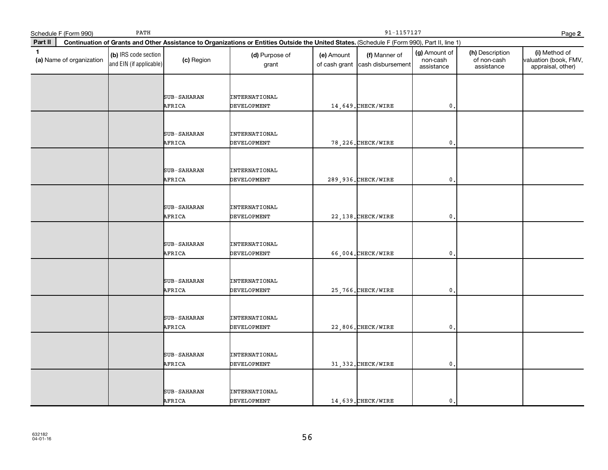|              | Schedule F (Form 990)    | PATH                                            |                              |                                                                                                                                              | 91-1157127<br>Page 2 |                                                  |                                         |                                              |                                                             |  |  |
|--------------|--------------------------|-------------------------------------------------|------------------------------|----------------------------------------------------------------------------------------------------------------------------------------------|----------------------|--------------------------------------------------|-----------------------------------------|----------------------------------------------|-------------------------------------------------------------|--|--|
| Part II      |                          |                                                 |                              | Continuation of Grants and Other Assistance to Organizations or Entities Outside the United States. (Schedule F (Form 990), Part II, line 1) |                      |                                                  |                                         |                                              |                                                             |  |  |
| $\mathbf{1}$ | (a) Name of organization | (b) IRS code section<br>and EIN (if applicable) | (c) Region                   | (d) Purpose of<br>grant                                                                                                                      | (e) Amount           | (f) Manner of<br>of cash grant cash disbursement | (g) Amount of<br>non-cash<br>assistance | (h) Description<br>of non-cash<br>assistance | (i) Method of<br>valuation (book, FMV,<br>appraisal, other) |  |  |
|              |                          |                                                 | <b>SUB-SAHARAN</b><br>AFRICA | INTERNATIONAL<br><b>DEVELOPMENT</b>                                                                                                          |                      | 14,649. CHECK/WIRE                               | $\mathbf 0$ .                           |                                              |                                                             |  |  |
|              |                          |                                                 | <b>SUB-SAHARAN</b><br>AFRICA | <b>INTERNATIONAL</b><br>DEVELOPMENT                                                                                                          |                      | 78, 226. CHECK/WIRE                              | $\mathbf{0}$ .                          |                                              |                                                             |  |  |
|              |                          |                                                 | <b>SUB-SAHARAN</b><br>AFRICA | INTERNATIONAL<br>DEVELOPMENT                                                                                                                 |                      | 289, 936. CHECK/WIRE                             | $\mathbf 0$ .                           |                                              |                                                             |  |  |
|              |                          |                                                 | SUB-SAHARAN<br>AFRICA        | <b>INTERNATIONAL</b><br><b>DEVELOPMENT</b>                                                                                                   |                      | 22,138. CHECK/WIRE                               | $\mathfrak{o}$ .                        |                                              |                                                             |  |  |
|              |                          |                                                 | SUB-SAHARAN<br>AFRICA        | INTERNATIONAL<br><b>DEVELOPMENT</b>                                                                                                          |                      | 66,004. CHECK/WIRE                               | $\mathbf{0}$                            |                                              |                                                             |  |  |
|              |                          |                                                 | SUB-SAHARAN<br>AFRICA        | <b>INTERNATIONAL</b><br><b>DEVELOPMENT</b>                                                                                                   |                      | 25,766. CHECK/WIRE                               | $\mathbf{0}$ .                          |                                              |                                                             |  |  |
|              |                          |                                                 | SUB-SAHARAN<br>AFRICA        | <b>INTERNATIONAL</b><br>DEVELOPMENT                                                                                                          |                      | 22,806. CHECK/WIRE                               | $\mathbf{0}$                            |                                              |                                                             |  |  |
|              |                          |                                                 | SUB-SAHARAN<br>AFRICA        | <b>INTERNATIONAL</b><br><b>DEVELOPMENT</b>                                                                                                   |                      | 31, 332. CHECK/WIRE                              | $\mathfrak{o}$ .                        |                                              |                                                             |  |  |
|              |                          |                                                 | SUB-SAHARAN<br>AFRICA        | <b>INTERNATIONAL</b><br><b>DEVELOPMENT</b>                                                                                                   |                      | 14,639. CHECK/WIRE                               | $\mathbf{0}$ .                          |                                              |                                                             |  |  |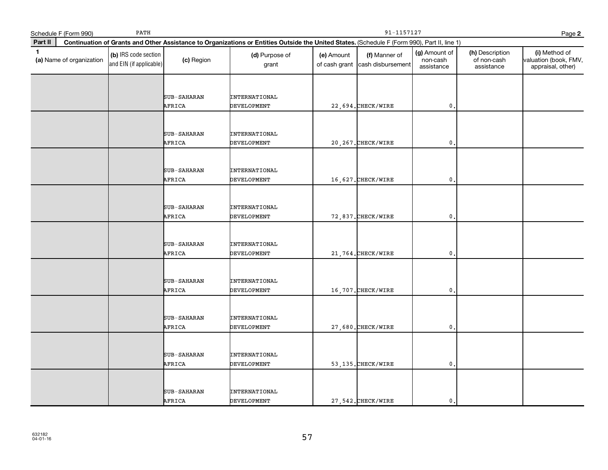|              | Schedule F (Form 990)    | PATH                                            |                              |                                                                                                                                              | 91-1157127<br>Page 2 |                                                  |                                         |                                              |                                                             |  |  |
|--------------|--------------------------|-------------------------------------------------|------------------------------|----------------------------------------------------------------------------------------------------------------------------------------------|----------------------|--------------------------------------------------|-----------------------------------------|----------------------------------------------|-------------------------------------------------------------|--|--|
| Part II      |                          |                                                 |                              | Continuation of Grants and Other Assistance to Organizations or Entities Outside the United States. (Schedule F (Form 990), Part II, line 1) |                      |                                                  |                                         |                                              |                                                             |  |  |
| $\mathbf{1}$ | (a) Name of organization | (b) IRS code section<br>and EIN (if applicable) | (c) Region                   | (d) Purpose of<br>grant                                                                                                                      | (e) Amount           | (f) Manner of<br>of cash grant cash disbursement | (g) Amount of<br>non-cash<br>assistance | (h) Description<br>of non-cash<br>assistance | (i) Method of<br>valuation (book, FMV,<br>appraisal, other) |  |  |
|              |                          |                                                 | SUB-SAHARAN<br>AFRICA        | INTERNATIONAL<br><b>DEVELOPMENT</b>                                                                                                          |                      | 22,694. CHECK/WIRE                               | $\mathbf 0$ .                           |                                              |                                                             |  |  |
|              |                          |                                                 | <b>SUB-SAHARAN</b><br>AFRICA | <b>INTERNATIONAL</b><br>DEVELOPMENT                                                                                                          |                      | 20, 267. CHECK/WIRE                              | $\mathbf{0}$ .                          |                                              |                                                             |  |  |
|              |                          |                                                 | <b>SUB-SAHARAN</b><br>AFRICA | INTERNATIONAL<br>DEVELOPMENT                                                                                                                 |                      | 16,627. CHECK/WIRE                               | $\mathbf 0$ .                           |                                              |                                                             |  |  |
|              |                          |                                                 | SUB-SAHARAN<br>AFRICA        | <b>INTERNATIONAL</b><br><b>DEVELOPMENT</b>                                                                                                   |                      | 72,837. CHECK/WIRE                               | $\mathfrak{o}$ .                        |                                              |                                                             |  |  |
|              |                          |                                                 | SUB-SAHARAN<br>AFRICA        | INTERNATIONAL<br><b>DEVELOPMENT</b>                                                                                                          |                      | 21,764. CHECK/WIRE                               | $\mathbf{0}$                            |                                              |                                                             |  |  |
|              |                          |                                                 | SUB-SAHARAN<br>AFRICA        | <b>INTERNATIONAL</b><br><b>DEVELOPMENT</b>                                                                                                   |                      | 16,707. CHECK/WIRE                               | $\mathbf{0}$ .                          |                                              |                                                             |  |  |
|              |                          |                                                 | SUB-SAHARAN<br>AFRICA        | <b>INTERNATIONAL</b><br>DEVELOPMENT                                                                                                          |                      | 27,680. CHECK/WIRE                               | $\mathbf{0}$                            |                                              |                                                             |  |  |
|              |                          |                                                 | SUB-SAHARAN<br>AFRICA        | <b>INTERNATIONAL</b><br><b>DEVELOPMENT</b>                                                                                                   |                      | 53, 135. CHECK/WIRE                              | $\mathfrak{o}$ .                        |                                              |                                                             |  |  |
|              |                          |                                                 | SUB-SAHARAN<br>AFRICA        | <b>INTERNATIONAL</b><br><b>DEVELOPMENT</b>                                                                                                   |                      | 27,542. CHECK/WIRE                               | $\mathbf{0}$ .                          |                                              |                                                             |  |  |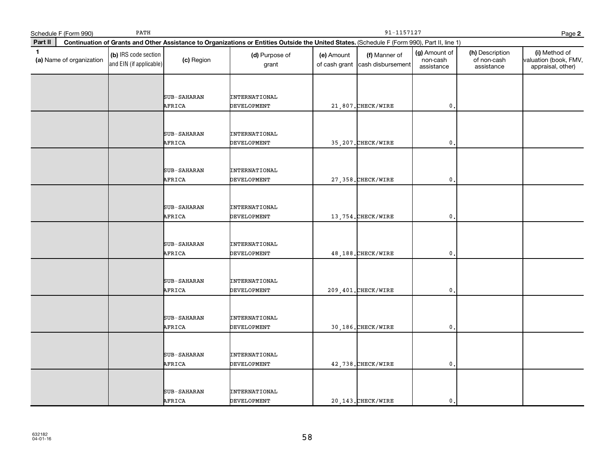|              | Schedule F (Form 990)    | PATH                                            |                              |                                                                                                                                              | 91-1157127<br>Page 2 |                                                  |                                         |                                              |                                                             |  |  |
|--------------|--------------------------|-------------------------------------------------|------------------------------|----------------------------------------------------------------------------------------------------------------------------------------------|----------------------|--------------------------------------------------|-----------------------------------------|----------------------------------------------|-------------------------------------------------------------|--|--|
| Part II      |                          |                                                 |                              | Continuation of Grants and Other Assistance to Organizations or Entities Outside the United States. (Schedule F (Form 990), Part II, line 1) |                      |                                                  |                                         |                                              |                                                             |  |  |
| $\mathbf{1}$ | (a) Name of organization | (b) IRS code section<br>and EIN (if applicable) | (c) Region                   | (d) Purpose of<br>grant                                                                                                                      | (e) Amount           | (f) Manner of<br>of cash grant cash disbursement | (g) Amount of<br>non-cash<br>assistance | (h) Description<br>of non-cash<br>assistance | (i) Method of<br>valuation (book, FMV,<br>appraisal, other) |  |  |
|              |                          |                                                 | SUB-SAHARAN<br>AFRICA        | INTERNATIONAL<br><b>DEVELOPMENT</b>                                                                                                          |                      | 21,807. CHECK/WIRE                               | $\mathbf{0}$                            |                                              |                                                             |  |  |
|              |                          |                                                 | <b>SUB-SAHARAN</b><br>AFRICA | <b>INTERNATIONAL</b><br>DEVELOPMENT                                                                                                          |                      | 35,207. CHECK/WIRE                               | $\mathbf{0}$ .                          |                                              |                                                             |  |  |
|              |                          |                                                 | <b>SUB-SAHARAN</b><br>AFRICA | INTERNATIONAL<br>DEVELOPMENT                                                                                                                 |                      | 27, 358. CHECK/WIRE                              | $\mathbf 0$ .                           |                                              |                                                             |  |  |
|              |                          |                                                 | SUB-SAHARAN<br>AFRICA        | <b>INTERNATIONAL</b><br><b>DEVELOPMENT</b>                                                                                                   |                      | 13,754. CHECK/WIRE                               | $\mathfrak{o}$ .                        |                                              |                                                             |  |  |
|              |                          |                                                 | SUB-SAHARAN<br>AFRICA        | INTERNATIONAL<br><b>DEVELOPMENT</b>                                                                                                          |                      | 48,188. CHECK/WIRE                               | $\mathbf{0}$                            |                                              |                                                             |  |  |
|              |                          |                                                 | SUB-SAHARAN<br>AFRICA        | <b>INTERNATIONAL</b><br><b>DEVELOPMENT</b>                                                                                                   |                      | 209, 401. CHECK/WIRE                             | $\mathbf{0}$ .                          |                                              |                                                             |  |  |
|              |                          |                                                 | SUB-SAHARAN<br>AFRICA        | <b>INTERNATIONAL</b><br>DEVELOPMENT                                                                                                          |                      | 30,186. CHECK/WIRE                               | $\mathbf{0}$                            |                                              |                                                             |  |  |
|              |                          |                                                 | SUB-SAHARAN<br>AFRICA        | <b>INTERNATIONAL</b><br><b>DEVELOPMENT</b>                                                                                                   |                      | 42,738. CHECK/WIRE                               | $\mathfrak{o}$ .                        |                                              |                                                             |  |  |
|              |                          |                                                 | SUB-SAHARAN<br>AFRICA        | <b>INTERNATIONAL</b><br><b>DEVELOPMENT</b>                                                                                                   |                      | 20, 143. CHECK/WIRE                              | $\mathbf{0}$ .                          |                                              |                                                             |  |  |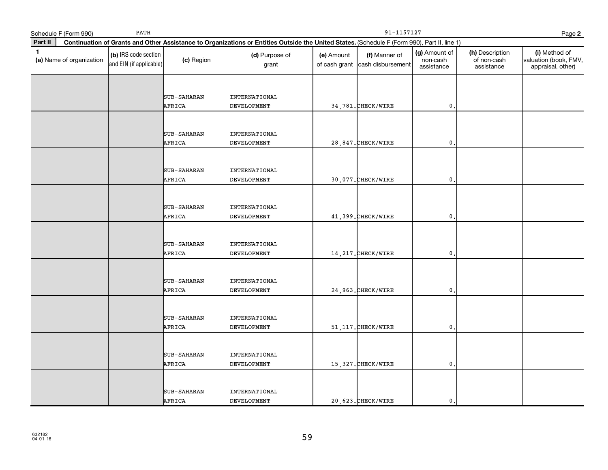|              | Schedule F (Form 990)    | PATH                                            |                              |                                                                                                                                              | 91-1157127<br>Page 2 |                                                  |                                         |                                              |                                                             |  |  |
|--------------|--------------------------|-------------------------------------------------|------------------------------|----------------------------------------------------------------------------------------------------------------------------------------------|----------------------|--------------------------------------------------|-----------------------------------------|----------------------------------------------|-------------------------------------------------------------|--|--|
| Part II      |                          |                                                 |                              | Continuation of Grants and Other Assistance to Organizations or Entities Outside the United States. (Schedule F (Form 990), Part II, line 1) |                      |                                                  |                                         |                                              |                                                             |  |  |
| $\mathbf{1}$ | (a) Name of organization | (b) IRS code section<br>and EIN (if applicable) | (c) Region                   | (d) Purpose of<br>grant                                                                                                                      | (e) Amount           | (f) Manner of<br>of cash grant cash disbursement | (g) Amount of<br>non-cash<br>assistance | (h) Description<br>of non-cash<br>assistance | (i) Method of<br>valuation (book, FMV,<br>appraisal, other) |  |  |
|              |                          |                                                 | SUB-SAHARAN<br>AFRICA        | INTERNATIONAL<br><b>DEVELOPMENT</b>                                                                                                          |                      | 34,781. CHECK/WIRE                               | $\mathbf 0$ .                           |                                              |                                                             |  |  |
|              |                          |                                                 | <b>SUB-SAHARAN</b><br>AFRICA | <b>INTERNATIONAL</b><br>DEVELOPMENT                                                                                                          |                      | 28,847. CHECK/WIRE                               | $\mathbf{0}$ .                          |                                              |                                                             |  |  |
|              |                          |                                                 | <b>SUB-SAHARAN</b><br>AFRICA | INTERNATIONAL<br>DEVELOPMENT                                                                                                                 |                      | 30,077. CHECK/WIRE                               | $\mathbf 0$ .                           |                                              |                                                             |  |  |
|              |                          |                                                 | SUB-SAHARAN<br>AFRICA        | <b>INTERNATIONAL</b><br><b>DEVELOPMENT</b>                                                                                                   |                      | 41,399. CHECK/WIRE                               | $\mathfrak{o}$ .                        |                                              |                                                             |  |  |
|              |                          |                                                 | SUB-SAHARAN<br>AFRICA        | INTERNATIONAL<br><b>DEVELOPMENT</b>                                                                                                          |                      | 14, 217. CHECK/WIRE                              | $\mathbf{0}$                            |                                              |                                                             |  |  |
|              |                          |                                                 | SUB-SAHARAN<br>AFRICA        | <b>INTERNATIONAL</b><br><b>DEVELOPMENT</b>                                                                                                   |                      | 24, 963. CHECK/WIRE                              | $\mathbf{0}$ .                          |                                              |                                                             |  |  |
|              |                          |                                                 | SUB-SAHARAN<br>AFRICA        | <b>INTERNATIONAL</b><br>DEVELOPMENT                                                                                                          |                      | 51, 117. CHECK/WIRE                              | $\mathbf{0}$                            |                                              |                                                             |  |  |
|              |                          |                                                 | SUB-SAHARAN<br>AFRICA        | <b>INTERNATIONAL</b><br><b>DEVELOPMENT</b>                                                                                                   |                      | 15,327. CHECK/WIRE                               | $\mathfrak{o}$ .                        |                                              |                                                             |  |  |
|              |                          |                                                 | SUB-SAHARAN<br>AFRICA        | <b>INTERNATIONAL</b><br><b>DEVELOPMENT</b>                                                                                                   |                      | 20,623. CHECK/WIRE                               | $\mathbf{0}$ .                          |                                              |                                                             |  |  |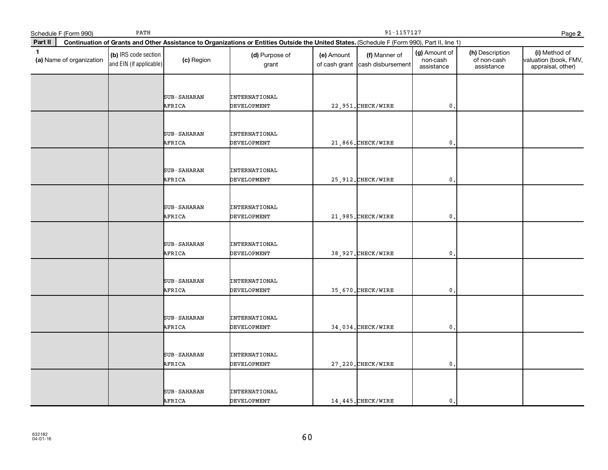|              | Schedule F (Form 990)    | PATH                                            |                              |                                                                                                                                              | 91-1157127<br>Page 2 |                                                  |                                         |                                              |                                                             |  |  |
|--------------|--------------------------|-------------------------------------------------|------------------------------|----------------------------------------------------------------------------------------------------------------------------------------------|----------------------|--------------------------------------------------|-----------------------------------------|----------------------------------------------|-------------------------------------------------------------|--|--|
| Part II      |                          |                                                 |                              | Continuation of Grants and Other Assistance to Organizations or Entities Outside the United States. (Schedule F (Form 990), Part II, line 1) |                      |                                                  |                                         |                                              |                                                             |  |  |
| $\mathbf{1}$ | (a) Name of organization | (b) IRS code section<br>and EIN (if applicable) | (c) Region                   | (d) Purpose of<br>grant                                                                                                                      | (e) Amount           | (f) Manner of<br>of cash grant cash disbursement | (g) Amount of<br>non-cash<br>assistance | (h) Description<br>of non-cash<br>assistance | (i) Method of<br>valuation (book, FMV,<br>appraisal, other) |  |  |
|              |                          |                                                 | <b>SUB-SAHARAN</b><br>AFRICA | INTERNATIONAL<br><b>DEVELOPMENT</b>                                                                                                          |                      | 22,951. CHECK/WIRE                               | $\mathbf{0}$                            |                                              |                                                             |  |  |
|              |                          |                                                 | <b>SUB-SAHARAN</b><br>AFRICA | <b>INTERNATIONAL</b><br>DEVELOPMENT                                                                                                          |                      | 21,866. CHECK/WIRE                               | $\mathbf{0}$ .                          |                                              |                                                             |  |  |
|              |                          |                                                 | <b>SUB-SAHARAN</b><br>AFRICA | INTERNATIONAL<br>DEVELOPMENT                                                                                                                 |                      | 25, 912. CHECK/WIRE                              | $\mathbf 0$ .                           |                                              |                                                             |  |  |
|              |                          |                                                 | SUB-SAHARAN<br>AFRICA        | <b>INTERNATIONAL</b><br><b>DEVELOPMENT</b>                                                                                                   |                      | 21,985. CHECK/WIRE                               | $\mathfrak{o}$ .                        |                                              |                                                             |  |  |
|              |                          |                                                 | SUB-SAHARAN<br>AFRICA        | INTERNATIONAL<br><b>DEVELOPMENT</b>                                                                                                          |                      | 38, 927. CHECK/WIRE                              | $\mathbf{0}$                            |                                              |                                                             |  |  |
|              |                          |                                                 | SUB-SAHARAN<br>AFRICA        | <b>INTERNATIONAL</b><br><b>DEVELOPMENT</b>                                                                                                   |                      | 35,670. CHECK/WIRE                               | $\mathbf{0}$ .                          |                                              |                                                             |  |  |
|              |                          |                                                 | SUB-SAHARAN<br>AFRICA        | <b>INTERNATIONAL</b><br>DEVELOPMENT                                                                                                          |                      | 34,034. CHECK/WIRE                               | $\mathbf{0}$                            |                                              |                                                             |  |  |
|              |                          |                                                 | SUB-SAHARAN<br>AFRICA        | <b>INTERNATIONAL</b><br><b>DEVELOPMENT</b>                                                                                                   |                      | 27, 220. CHECK/WIRE                              | $\mathfrak{o}$ .                        |                                              |                                                             |  |  |
|              |                          |                                                 | SUB-SAHARAN<br>AFRICA        | <b>INTERNATIONAL</b><br><b>DEVELOPMENT</b>                                                                                                   |                      | 14, 445. CHECK/WIRE                              | $\mathbf{0}$ .                          |                                              |                                                             |  |  |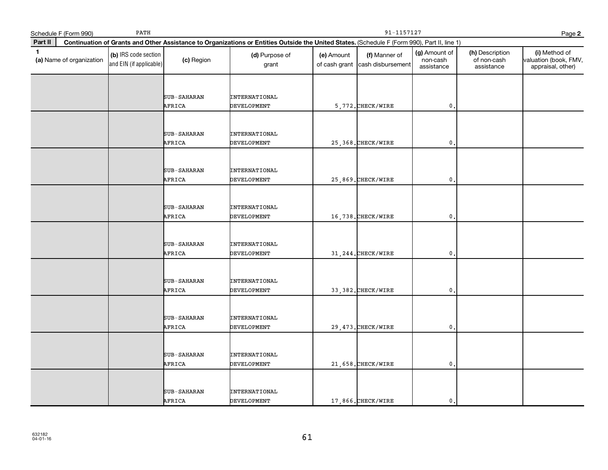|              | Schedule F (Form 990)    | PATH                                            |                              |                                                                                                                                              | 91-1157127 |                                                  |                                         |                                              |                                                             |  |
|--------------|--------------------------|-------------------------------------------------|------------------------------|----------------------------------------------------------------------------------------------------------------------------------------------|------------|--------------------------------------------------|-----------------------------------------|----------------------------------------------|-------------------------------------------------------------|--|
| Part II      |                          |                                                 |                              | Continuation of Grants and Other Assistance to Organizations or Entities Outside the United States. (Schedule F (Form 990), Part II, line 1) |            |                                                  |                                         |                                              | Page 2                                                      |  |
| $\mathbf{1}$ | (a) Name of organization | (b) IRS code section<br>and EIN (if applicable) | (c) Region                   | (d) Purpose of<br>grant                                                                                                                      | (e) Amount | (f) Manner of<br>of cash grant cash disbursement | (g) Amount of<br>non-cash<br>assistance | (h) Description<br>of non-cash<br>assistance | (i) Method of<br>valuation (book, FMV,<br>appraisal, other) |  |
|              |                          |                                                 | SUB-SAHARAN<br>AFRICA        | INTERNATIONAL<br><b>DEVELOPMENT</b>                                                                                                          |            | 5,772. CHECK/WIRE                                | $\mathbf 0$ .                           |                                              |                                                             |  |
|              |                          |                                                 | <b>SUB-SAHARAN</b><br>AFRICA | <b>INTERNATIONAL</b><br>DEVELOPMENT                                                                                                          |            | 25,368. CHECK/WIRE                               | $\mathbf{0}$ .                          |                                              |                                                             |  |
|              |                          |                                                 | <b>SUB-SAHARAN</b><br>AFRICA | INTERNATIONAL<br>DEVELOPMENT                                                                                                                 |            | 25,869. CHECK/WIRE                               | $\mathbf 0$ .                           |                                              |                                                             |  |
|              |                          |                                                 | SUB-SAHARAN<br>AFRICA        | <b>INTERNATIONAL</b><br><b>DEVELOPMENT</b>                                                                                                   |            | 16,738. CHECK/WIRE                               | $\mathfrak{o}$ .                        |                                              |                                                             |  |
|              |                          |                                                 | SUB-SAHARAN<br>AFRICA        | INTERNATIONAL<br><b>DEVELOPMENT</b>                                                                                                          |            | 31, 244. CHECK/WIRE                              | $\mathbf{0}$                            |                                              |                                                             |  |
|              |                          |                                                 | SUB-SAHARAN<br>AFRICA        | <b>INTERNATIONAL</b><br><b>DEVELOPMENT</b>                                                                                                   |            | 33, 382. CHECK/WIRE                              | $\mathbf{0}$ .                          |                                              |                                                             |  |
|              |                          |                                                 | SUB-SAHARAN<br>AFRICA        | <b>INTERNATIONAL</b><br>DEVELOPMENT                                                                                                          |            | 29, 473. CHECK/WIRE                              | $\mathbf{0}$                            |                                              |                                                             |  |
|              |                          |                                                 | SUB-SAHARAN<br>AFRICA        | <b>INTERNATIONAL</b><br><b>DEVELOPMENT</b>                                                                                                   |            | 21,658. CHECK/WIRE                               | $\mathfrak{o}$ .                        |                                              |                                                             |  |
|              |                          |                                                 | SUB-SAHARAN<br>AFRICA        | <b>INTERNATIONAL</b><br><b>DEVELOPMENT</b>                                                                                                   |            | 17,866.CHECK/WIRE                                | $\mathbf{0}$ .                          |                                              |                                                             |  |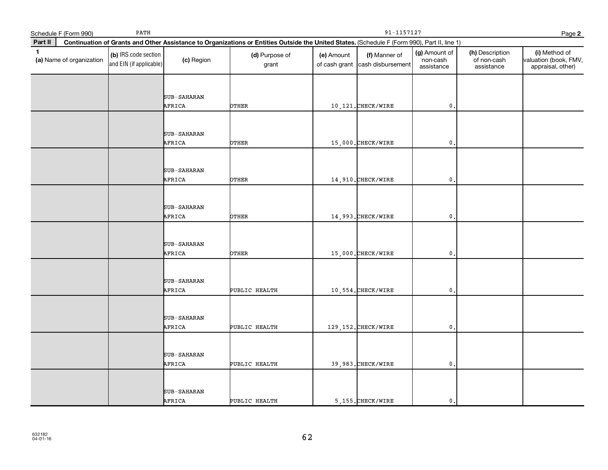|              | Schedule F (Form 990)    | PATH                                            |                              | 91-1157127<br>Page 2                                                                                                                         |            |                                                  |                                         |                                              |                                                             |  |
|--------------|--------------------------|-------------------------------------------------|------------------------------|----------------------------------------------------------------------------------------------------------------------------------------------|------------|--------------------------------------------------|-----------------------------------------|----------------------------------------------|-------------------------------------------------------------|--|
| Part II      |                          |                                                 |                              | Continuation of Grants and Other Assistance to Organizations or Entities Outside the United States. (Schedule F (Form 990), Part II, line 1) |            |                                                  |                                         |                                              |                                                             |  |
| $\mathbf{1}$ | (a) Name of organization | (b) IRS code section<br>and EIN (if applicable) | (c) Region                   | (d) Purpose of<br>grant                                                                                                                      | (e) Amount | (f) Manner of<br>of cash grant cash disbursement | (g) Amount of<br>non-cash<br>assistance | (h) Description<br>of non-cash<br>assistance | (i) Method of<br>valuation (book, FMV,<br>appraisal, other) |  |
|              |                          |                                                 | SUB-SAHARAN<br>AFRICA        | <b>OTHER</b>                                                                                                                                 |            | 10, 121. CHECK/WIRE                              | $\mathbf 0$ .                           |                                              |                                                             |  |
|              |                          |                                                 | SUB-SAHARAN<br>AFRICA        | <b>OTHER</b>                                                                                                                                 |            | 15,000. CHECK/WIRE                               | $\mathbf{0}$ .                          |                                              |                                                             |  |
|              |                          |                                                 | <b>SUB-SAHARAN</b><br>AFRICA | <b>OTHER</b>                                                                                                                                 |            | 14,910. CHECK/WIRE                               | $\mathfrak{o}$ .                        |                                              |                                                             |  |
|              |                          |                                                 | <b>SUB-SAHARAN</b><br>AFRICA | <b>OTHER</b>                                                                                                                                 |            | 14,993. CHECK/WIRE                               | $\mathfrak o$ .                         |                                              |                                                             |  |
|              |                          |                                                 | SUB-SAHARAN<br>AFRICA        | <b>PTHER</b>                                                                                                                                 |            | 15,000. CHECK/WIRE                               | $\mathbf 0$ .                           |                                              |                                                             |  |
|              |                          |                                                 | <b>SUB-SAHARAN</b><br>AFRICA | PUBLIC HEALTH                                                                                                                                |            | 10,554. CHECK/WIRE                               | $\mathbf{0}$ .                          |                                              |                                                             |  |
|              |                          |                                                 | <b>SUB-SAHARAN</b><br>AFRICA | PUBLIC HEALTH                                                                                                                                |            | 129, 152. CHECK/WIRE                             | $\mathfrak{o}$ .                        |                                              |                                                             |  |
|              |                          |                                                 | <b>SUB-SAHARAN</b><br>AFRICA | PUBLIC HEALTH                                                                                                                                |            | 39,983. CHECK/WIRE                               | $\mathbf{0}$ .                          |                                              |                                                             |  |
|              |                          |                                                 | SUB-SAHARAN<br>AFRICA        | PUBLIC HEALTH                                                                                                                                |            | 5,155. CHECK/WIRE                                | $\mathbf{0}$ .                          |                                              |                                                             |  |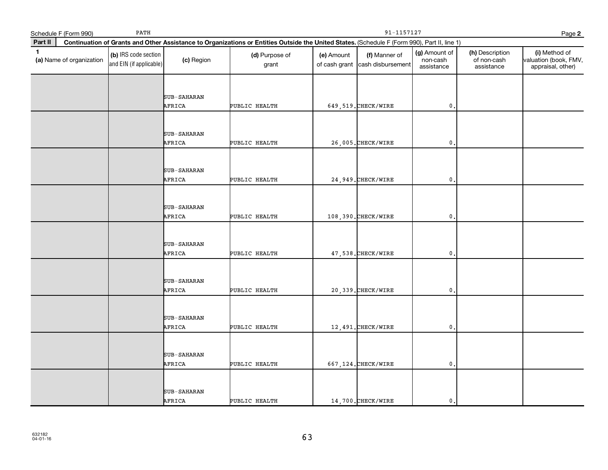|              | Schedule F (Form 990)    | PATH                                            |                    |                                                                                                                                              | Page 2     |                                                  |                                         |                                              |                                                             |
|--------------|--------------------------|-------------------------------------------------|--------------------|----------------------------------------------------------------------------------------------------------------------------------------------|------------|--------------------------------------------------|-----------------------------------------|----------------------------------------------|-------------------------------------------------------------|
| Part II      |                          |                                                 |                    | Continuation of Grants and Other Assistance to Organizations or Entities Outside the United States. (Schedule F (Form 990), Part II, line 1) |            |                                                  |                                         |                                              |                                                             |
| $\mathbf{1}$ | (a) Name of organization | (b) IRS code section<br>and EIN (if applicable) | (c) Region         | (d) Purpose of<br>grant                                                                                                                      | (e) Amount | (f) Manner of<br>of cash grant cash disbursement | (g) Amount of<br>non-cash<br>assistance | (h) Description<br>of non-cash<br>assistance | (i) Method of<br>valuation (book, FMV,<br>appraisal, other) |
|              |                          |                                                 |                    |                                                                                                                                              |            |                                                  |                                         |                                              |                                                             |
|              |                          |                                                 | SUB-SAHARAN        |                                                                                                                                              |            |                                                  |                                         |                                              |                                                             |
|              |                          |                                                 | AFRICA             | PUBLIC HEALTH                                                                                                                                |            | 649, 519. CHECK/WIRE                             | $\mathbf 0$ .                           |                                              |                                                             |
|              |                          |                                                 |                    |                                                                                                                                              |            |                                                  |                                         |                                              |                                                             |
|              |                          |                                                 | SUB-SAHARAN        |                                                                                                                                              |            |                                                  |                                         |                                              |                                                             |
|              |                          |                                                 | AFRICA             | PUBLIC HEALTH                                                                                                                                |            | 26,005. CHECK/WIRE                               | $\mathfrak{o}$ .                        |                                              |                                                             |
|              |                          |                                                 |                    |                                                                                                                                              |            |                                                  |                                         |                                              |                                                             |
|              |                          |                                                 | SUB-SAHARAN        |                                                                                                                                              |            |                                                  |                                         |                                              |                                                             |
|              |                          |                                                 | AFRICA             | PUBLIC HEALTH                                                                                                                                |            | 24, 949. CHECK/WIRE                              | $\mathbf 0$ .                           |                                              |                                                             |
|              |                          |                                                 |                    |                                                                                                                                              |            |                                                  |                                         |                                              |                                                             |
|              |                          |                                                 | <b>SUB-SAHARAN</b> |                                                                                                                                              |            |                                                  |                                         |                                              |                                                             |
|              |                          |                                                 | AFRICA             | PUBLIC HEALTH                                                                                                                                |            | 108,390. CHECK/WIRE                              | $\mathbf{0}$ .                          |                                              |                                                             |
|              |                          |                                                 |                    |                                                                                                                                              |            |                                                  |                                         |                                              |                                                             |
|              |                          |                                                 | SUB-SAHARAN        |                                                                                                                                              |            |                                                  |                                         |                                              |                                                             |
|              |                          |                                                 | AFRICA             | PUBLIC HEALTH                                                                                                                                |            | 47,538. CHECK/WIRE                               | $\mathbf{0}$                            |                                              |                                                             |
|              |                          |                                                 |                    |                                                                                                                                              |            |                                                  |                                         |                                              |                                                             |
|              |                          |                                                 | SUB-SAHARAN        |                                                                                                                                              |            |                                                  |                                         |                                              |                                                             |
|              |                          |                                                 | AFRICA             | PUBLIC HEALTH                                                                                                                                |            | 20, 339. CHECK/WIRE                              | $\mathbf{0}$ .                          |                                              |                                                             |
|              |                          |                                                 |                    |                                                                                                                                              |            |                                                  |                                         |                                              |                                                             |
|              |                          |                                                 | SUB-SAHARAN        |                                                                                                                                              |            |                                                  |                                         |                                              |                                                             |
|              |                          |                                                 | AFRICA             | PUBLIC HEALTH                                                                                                                                |            | 12,491. CHECK/WIRE                               | 0.                                      |                                              |                                                             |
|              |                          |                                                 |                    |                                                                                                                                              |            |                                                  |                                         |                                              |                                                             |
|              |                          |                                                 | SUB-SAHARAN        |                                                                                                                                              |            |                                                  |                                         |                                              |                                                             |
|              |                          |                                                 | AFRICA             | PUBLIC HEALTH                                                                                                                                |            | 667, 124. CHECK/WIRE                             | $\mathbf{0}$ .                          |                                              |                                                             |
|              |                          |                                                 |                    |                                                                                                                                              |            |                                                  |                                         |                                              |                                                             |
|              |                          |                                                 | SUB-SAHARAN        |                                                                                                                                              |            |                                                  |                                         |                                              |                                                             |
|              |                          |                                                 | AFRICA             | PUBLIC HEALTH                                                                                                                                |            | 14,700. CHECK/WIRE                               | $\mathbf{0}$ .                          |                                              |                                                             |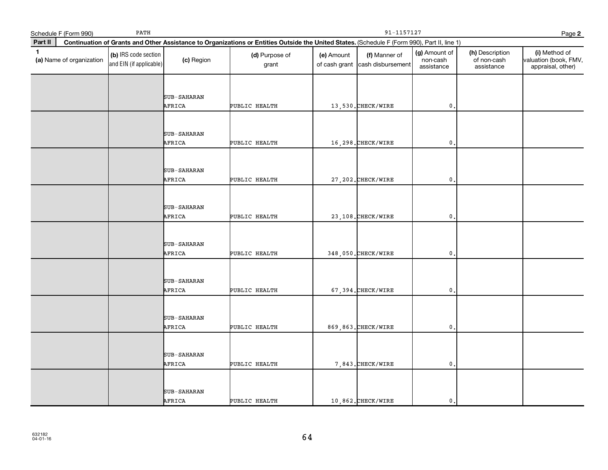|              | Schedule F (Form 990)    | PATH                                            |                    |                                                                                                                                              | 91-1157127 |                                                  |                                         |                                              |                                                             |  |
|--------------|--------------------------|-------------------------------------------------|--------------------|----------------------------------------------------------------------------------------------------------------------------------------------|------------|--------------------------------------------------|-----------------------------------------|----------------------------------------------|-------------------------------------------------------------|--|
| Part II      |                          |                                                 |                    | Continuation of Grants and Other Assistance to Organizations or Entities Outside the United States. (Schedule F (Form 990), Part II, line 1) |            |                                                  |                                         |                                              | Page 2                                                      |  |
| $\mathbf{1}$ | (a) Name of organization | (b) IRS code section<br>and EIN (if applicable) | (c) Region         | (d) Purpose of<br>grant                                                                                                                      | (e) Amount | (f) Manner of<br>of cash grant cash disbursement | (g) Amount of<br>non-cash<br>assistance | (h) Description<br>of non-cash<br>assistance | (i) Method of<br>valuation (book, FMV,<br>appraisal, other) |  |
|              |                          |                                                 |                    |                                                                                                                                              |            |                                                  |                                         |                                              |                                                             |  |
|              |                          |                                                 | SUB-SAHARAN        |                                                                                                                                              |            |                                                  |                                         |                                              |                                                             |  |
|              |                          |                                                 | AFRICA             | PUBLIC HEALTH                                                                                                                                |            | 13,530. CHECK/WIRE                               | $\mathbf 0$ .                           |                                              |                                                             |  |
|              |                          |                                                 |                    |                                                                                                                                              |            |                                                  |                                         |                                              |                                                             |  |
|              |                          |                                                 | SUB-SAHARAN        |                                                                                                                                              |            |                                                  |                                         |                                              |                                                             |  |
|              |                          |                                                 | AFRICA             | PUBLIC HEALTH                                                                                                                                |            | 16,298. CHECK/WIRE                               | $\mathfrak{o}$ .                        |                                              |                                                             |  |
|              |                          |                                                 |                    |                                                                                                                                              |            |                                                  |                                         |                                              |                                                             |  |
|              |                          |                                                 | <b>SUB-SAHARAN</b> |                                                                                                                                              |            |                                                  |                                         |                                              |                                                             |  |
|              |                          |                                                 | AFRICA             | PUBLIC HEALTH                                                                                                                                |            | 27, 202. CHECK/WIRE                              | $\mathbf 0$ .                           |                                              |                                                             |  |
|              |                          |                                                 |                    |                                                                                                                                              |            |                                                  |                                         |                                              |                                                             |  |
|              |                          |                                                 | <b>SUB-SAHARAN</b> |                                                                                                                                              |            |                                                  |                                         |                                              |                                                             |  |
|              |                          |                                                 | AFRICA             | PUBLIC HEALTH                                                                                                                                |            | 23,108. CHECK/WIRE                               | $\mathbf{0}$ .                          |                                              |                                                             |  |
|              |                          |                                                 |                    |                                                                                                                                              |            |                                                  |                                         |                                              |                                                             |  |
|              |                          |                                                 | SUB-SAHARAN        |                                                                                                                                              |            |                                                  |                                         |                                              |                                                             |  |
|              |                          |                                                 | AFRICA             | PUBLIC HEALTH                                                                                                                                |            | 348,050. CHECK/WIRE                              | $\mathbf{0}$                            |                                              |                                                             |  |
|              |                          |                                                 |                    |                                                                                                                                              |            |                                                  |                                         |                                              |                                                             |  |
|              |                          |                                                 | <b>SUB-SAHARAN</b> |                                                                                                                                              |            |                                                  |                                         |                                              |                                                             |  |
|              |                          |                                                 | AFRICA             | PUBLIC HEALTH                                                                                                                                |            | 67,394. CHECK/WIRE                               | $\mathbf{0}$ .                          |                                              |                                                             |  |
|              |                          |                                                 |                    |                                                                                                                                              |            |                                                  |                                         |                                              |                                                             |  |
|              |                          |                                                 | SUB-SAHARAN        |                                                                                                                                              |            |                                                  |                                         |                                              |                                                             |  |
|              |                          |                                                 | AFRICA             | PUBLIC HEALTH                                                                                                                                |            | 869,863. CHECK/WIRE                              | 0.                                      |                                              |                                                             |  |
|              |                          |                                                 |                    |                                                                                                                                              |            |                                                  |                                         |                                              |                                                             |  |
|              |                          |                                                 | <b>SUB-SAHARAN</b> |                                                                                                                                              |            |                                                  |                                         |                                              |                                                             |  |
|              |                          |                                                 | AFRICA             | PUBLIC HEALTH                                                                                                                                |            | 7,843. CHECK/WIRE                                | $\mathbf{0}$ .                          |                                              |                                                             |  |
|              |                          |                                                 |                    |                                                                                                                                              |            |                                                  |                                         |                                              |                                                             |  |
|              |                          |                                                 | SUB-SAHARAN        |                                                                                                                                              |            |                                                  |                                         |                                              |                                                             |  |
|              |                          |                                                 | AFRICA             | PUBLIC HEALTH                                                                                                                                |            | 10,862. CHECK/WIRE                               | $\mathbf{0}$ .                          |                                              |                                                             |  |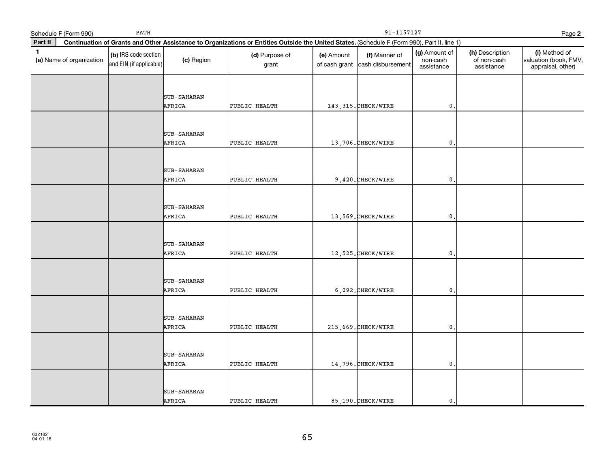|              | Schedule F (Form 990)    | PATH                                            |             | 91-1157127<br>Page 2                                                                                                                         |            |                                                  |                                         |                                              |                                                             |  |
|--------------|--------------------------|-------------------------------------------------|-------------|----------------------------------------------------------------------------------------------------------------------------------------------|------------|--------------------------------------------------|-----------------------------------------|----------------------------------------------|-------------------------------------------------------------|--|
| Part II      |                          |                                                 |             | Continuation of Grants and Other Assistance to Organizations or Entities Outside the United States. (Schedule F (Form 990), Part II, line 1) |            |                                                  |                                         |                                              |                                                             |  |
| $\mathbf{1}$ | (a) Name of organization | (b) IRS code section<br>and EIN (if applicable) | (c) Region  | (d) Purpose of<br>grant                                                                                                                      | (e) Amount | (f) Manner of<br>of cash grant cash disbursement | (g) Amount of<br>non-cash<br>assistance | (h) Description<br>of non-cash<br>assistance | (i) Method of<br>valuation (book, FMV,<br>appraisal, other) |  |
|              |                          |                                                 |             |                                                                                                                                              |            |                                                  |                                         |                                              |                                                             |  |
|              |                          |                                                 | SUB-SAHARAN |                                                                                                                                              |            |                                                  |                                         |                                              |                                                             |  |
|              |                          |                                                 | AFRICA      | PUBLIC HEALTH                                                                                                                                |            | 143, 315. CHECK/WIRE                             | $\mathfrak o$ .                         |                                              |                                                             |  |
|              |                          |                                                 |             |                                                                                                                                              |            |                                                  |                                         |                                              |                                                             |  |
|              |                          |                                                 | SUB-SAHARAN |                                                                                                                                              |            |                                                  |                                         |                                              |                                                             |  |
|              |                          |                                                 | AFRICA      | PUBLIC HEALTH                                                                                                                                |            | 13,706. CHECK/WIRE                               | $\mathfrak o$ .                         |                                              |                                                             |  |
|              |                          |                                                 |             |                                                                                                                                              |            |                                                  |                                         |                                              |                                                             |  |
|              |                          |                                                 | SUB-SAHARAN |                                                                                                                                              |            |                                                  |                                         |                                              |                                                             |  |
|              |                          |                                                 | AFRICA      | PUBLIC HEALTH                                                                                                                                |            | 9,420. CHECK/WIRE                                | $\mathbf{0}$                            |                                              |                                                             |  |
|              |                          |                                                 |             |                                                                                                                                              |            |                                                  |                                         |                                              |                                                             |  |
|              |                          |                                                 | SUB-SAHARAN |                                                                                                                                              |            |                                                  |                                         |                                              |                                                             |  |
|              |                          |                                                 | AFRICA      | PUBLIC HEALTH                                                                                                                                |            | 13,569. CHECK/WIRE                               | $\mathbf{0}$ .                          |                                              |                                                             |  |
|              |                          |                                                 |             |                                                                                                                                              |            |                                                  |                                         |                                              |                                                             |  |
|              |                          |                                                 | SUB-SAHARAN |                                                                                                                                              |            |                                                  |                                         |                                              |                                                             |  |
|              |                          |                                                 | AFRICA      | PUBLIC HEALTH                                                                                                                                |            | 12,525. CHECK/WIRE                               | $\mathbf{0}$                            |                                              |                                                             |  |
|              |                          |                                                 |             |                                                                                                                                              |            |                                                  |                                         |                                              |                                                             |  |
|              |                          |                                                 | SUB-SAHARAN |                                                                                                                                              |            |                                                  |                                         |                                              |                                                             |  |
|              |                          |                                                 | AFRICA      | PUBLIC HEALTH                                                                                                                                |            | 6,092. CHECK/WIRE                                | $\mathfrak{o}$ .                        |                                              |                                                             |  |
|              |                          |                                                 |             |                                                                                                                                              |            |                                                  |                                         |                                              |                                                             |  |
|              |                          |                                                 | SUB-SAHARAN |                                                                                                                                              |            |                                                  |                                         |                                              |                                                             |  |
|              |                          |                                                 | AFRICA      | PUBLIC HEALTH                                                                                                                                |            | 215,669. CHECK/WIRE                              | $\mathfrak o$ .                         |                                              |                                                             |  |
|              |                          |                                                 |             |                                                                                                                                              |            |                                                  |                                         |                                              |                                                             |  |
|              |                          |                                                 | SUB-SAHARAN |                                                                                                                                              |            |                                                  |                                         |                                              |                                                             |  |
|              |                          |                                                 | AFRICA      | PUBLIC HEALTH                                                                                                                                |            | 14,796. CHECK/WIRE                               | $\mathbf{0}$ .                          |                                              |                                                             |  |
|              |                          |                                                 |             |                                                                                                                                              |            |                                                  |                                         |                                              |                                                             |  |
|              |                          |                                                 | SUB-SAHARAN |                                                                                                                                              |            |                                                  |                                         |                                              |                                                             |  |
|              |                          |                                                 | AFRICA      | PUBLIC HEALTH                                                                                                                                |            | 85,190. CHECK/WIRE                               | $\mathbf{0}$ .                          |                                              |                                                             |  |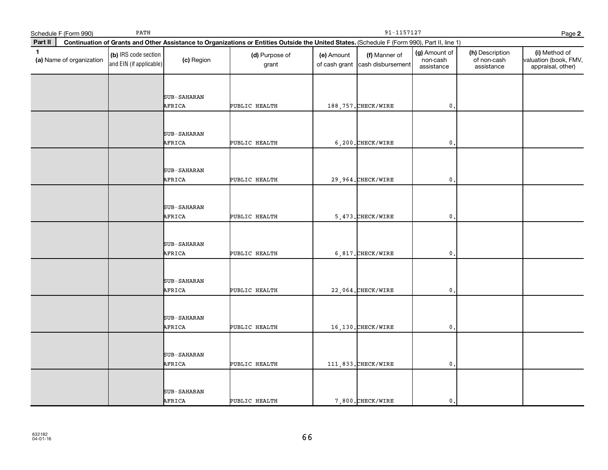|              | Schedule F (Form 990)    | PATH                                            |                    | 91-1157127                                                                                                                                   |            |                                                  |                                         |                                              |                                                             |
|--------------|--------------------------|-------------------------------------------------|--------------------|----------------------------------------------------------------------------------------------------------------------------------------------|------------|--------------------------------------------------|-----------------------------------------|----------------------------------------------|-------------------------------------------------------------|
| Part II      |                          |                                                 |                    | Continuation of Grants and Other Assistance to Organizations or Entities Outside the United States. (Schedule F (Form 990), Part II, line 1) |            |                                                  |                                         |                                              | Page 2                                                      |
| $\mathbf{1}$ | (a) Name of organization | (b) IRS code section<br>and EIN (if applicable) | (c) Region         | (d) Purpose of<br>grant                                                                                                                      | (e) Amount | (f) Manner of<br>of cash grant cash disbursement | (g) Amount of<br>non-cash<br>assistance | (h) Description<br>of non-cash<br>assistance | (i) Method of<br>valuation (book, FMV,<br>appraisal, other) |
|              |                          |                                                 |                    |                                                                                                                                              |            |                                                  |                                         |                                              |                                                             |
|              |                          |                                                 | <b>SUB-SAHARAN</b> |                                                                                                                                              |            |                                                  |                                         |                                              |                                                             |
|              |                          |                                                 | AFRICA             | PUBLIC HEALTH                                                                                                                                |            | 188, 757. CHECK/WIRE                             | $\mathbf 0$ .                           |                                              |                                                             |
|              |                          |                                                 |                    |                                                                                                                                              |            |                                                  |                                         |                                              |                                                             |
|              |                          |                                                 | SUB-SAHARAN        |                                                                                                                                              |            |                                                  |                                         |                                              |                                                             |
|              |                          |                                                 | AFRICA             | PUBLIC HEALTH                                                                                                                                |            | 6,200. CHECK/WIRE                                | $\mathfrak{o}$ .                        |                                              |                                                             |
|              |                          |                                                 |                    |                                                                                                                                              |            |                                                  |                                         |                                              |                                                             |
|              |                          |                                                 | <b>SUB-SAHARAN</b> |                                                                                                                                              |            |                                                  |                                         |                                              |                                                             |
|              |                          |                                                 | AFRICA             | PUBLIC HEALTH                                                                                                                                |            | 29, 964. CHECK/WIRE                              | $\mathbf 0$ .                           |                                              |                                                             |
|              |                          |                                                 |                    |                                                                                                                                              |            |                                                  |                                         |                                              |                                                             |
|              |                          |                                                 | <b>SUB-SAHARAN</b> |                                                                                                                                              |            |                                                  |                                         |                                              |                                                             |
|              |                          |                                                 | AFRICA             | PUBLIC HEALTH                                                                                                                                |            | 5,473. CHECK/WIRE                                | $\mathbf{0}$ .                          |                                              |                                                             |
|              |                          |                                                 |                    |                                                                                                                                              |            |                                                  |                                         |                                              |                                                             |
|              |                          |                                                 | SUB-SAHARAN        |                                                                                                                                              |            |                                                  |                                         |                                              |                                                             |
|              |                          |                                                 | AFRICA             | PUBLIC HEALTH                                                                                                                                |            | 6,817. CHECK/WIRE                                | $\mathbf{0}$                            |                                              |                                                             |
|              |                          |                                                 |                    |                                                                                                                                              |            |                                                  |                                         |                                              |                                                             |
|              |                          |                                                 | <b>SUB-SAHARAN</b> |                                                                                                                                              |            |                                                  |                                         |                                              |                                                             |
|              |                          |                                                 | AFRICA             | PUBLIC HEALTH                                                                                                                                |            | 22,064. CHECK/WIRE                               | $\mathbf{0}$ .                          |                                              |                                                             |
|              |                          |                                                 |                    |                                                                                                                                              |            |                                                  |                                         |                                              |                                                             |
|              |                          |                                                 | SUB-SAHARAN        |                                                                                                                                              |            |                                                  |                                         |                                              |                                                             |
|              |                          |                                                 | AFRICA             | PUBLIC HEALTH                                                                                                                                |            | 16,130. CHECK/WIRE                               | 0.                                      |                                              |                                                             |
|              |                          |                                                 |                    |                                                                                                                                              |            |                                                  |                                         |                                              |                                                             |
|              |                          |                                                 | <b>SUB-SAHARAN</b> |                                                                                                                                              |            |                                                  |                                         |                                              |                                                             |
|              |                          |                                                 | AFRICA             | PUBLIC HEALTH                                                                                                                                |            | 111,833. CHECK/WIRE                              | $\mathbf{0}$ .                          |                                              |                                                             |
|              |                          |                                                 |                    |                                                                                                                                              |            |                                                  |                                         |                                              |                                                             |
|              |                          |                                                 | SUB-SAHARAN        |                                                                                                                                              |            |                                                  |                                         |                                              |                                                             |
|              |                          |                                                 | AFRICA             | PUBLIC HEALTH                                                                                                                                |            | 7,800. CHECK/WIRE                                | $\mathbf{0}$ .                          |                                              |                                                             |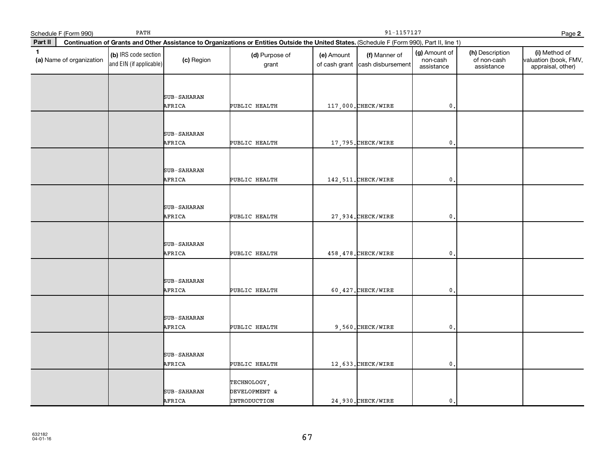| Part II<br>Continuation of Grants and Other Assistance to Organizations or Entities Outside the United States. (Schedule F (Form 990), Part II, line 1)<br>$\mathbf{1}$<br>(h) Description<br>(i) Method of<br>(g) Amount of<br>(b) IRS code section<br>(e) Amount<br>(f) Manner of<br>(d) Purpose of<br>(a) Name of organization<br>(c) Region<br>of non-cash<br>valuation (book, FMV,<br>non-cash<br>and EIN (if applicable)<br>of cash grant cash disbursement<br>grant<br>assistance<br>assistance<br>appraisal, other)<br>SUB-SAHARAN<br>AFRICA<br>117,000. CHECK/WIRE<br>$\mathfrak o$ .<br>PUBLIC HEALTH<br>SUB-SAHARAN<br>AFRICA<br>17,795. CHECK/WIRE<br>$\mathbf{0}$ .<br>PUBLIC HEALTH<br>SUB-SAHARAN<br>142, 511. CHECK/WIRE<br>AFRICA<br>$\mathbf 0$ .<br>PUBLIC HEALTH<br>SUB-SAHARAN<br>AFRICA<br>27,934. CHECK/WIRE<br>$\mathfrak{o}$ .<br>PUBLIC HEALTH<br>SUB-SAHARAN<br>AFRICA<br>458, 478. CHECK/WIRE<br>$\mathbf 0$ .<br>PUBLIC HEALTH<br>SUB-SAHARAN<br>AFRICA<br>60,427. CHECK/WIRE<br>$\mathbf{0}$ .<br>PUBLIC HEALTH<br>SUB-SAHARAN<br>AFRICA<br>9,560. CHECK/WIRE<br>$\mathbf 0$ .<br>PUBLIC HEALTH<br>SUB-SAHARAN<br>AFRICA<br>PUBLIC HEALTH<br>12,633. CHECK/WIRE<br>$\mathbf{0}$ .<br>TECHNOLOGY,<br>SUB-SAHARAN<br>DEVELOPMENT &<br>AFRICA<br>24,930. CHECK/WIRE<br>$\mathbf 0$ .<br>INTRODUCTION | Schedule F (Form 990) | PATH | 91-1157127<br>Page 2 |  |  |  |  |  |  |
|---------------------------------------------------------------------------------------------------------------------------------------------------------------------------------------------------------------------------------------------------------------------------------------------------------------------------------------------------------------------------------------------------------------------------------------------------------------------------------------------------------------------------------------------------------------------------------------------------------------------------------------------------------------------------------------------------------------------------------------------------------------------------------------------------------------------------------------------------------------------------------------------------------------------------------------------------------------------------------------------------------------------------------------------------------------------------------------------------------------------------------------------------------------------------------------------------------------------------------------------------------------------------------------------------------------------------------|-----------------------|------|----------------------|--|--|--|--|--|--|
|                                                                                                                                                                                                                                                                                                                                                                                                                                                                                                                                                                                                                                                                                                                                                                                                                                                                                                                                                                                                                                                                                                                                                                                                                                                                                                                                 |                       |      |                      |  |  |  |  |  |  |
|                                                                                                                                                                                                                                                                                                                                                                                                                                                                                                                                                                                                                                                                                                                                                                                                                                                                                                                                                                                                                                                                                                                                                                                                                                                                                                                                 |                       |      |                      |  |  |  |  |  |  |
|                                                                                                                                                                                                                                                                                                                                                                                                                                                                                                                                                                                                                                                                                                                                                                                                                                                                                                                                                                                                                                                                                                                                                                                                                                                                                                                                 |                       |      |                      |  |  |  |  |  |  |
|                                                                                                                                                                                                                                                                                                                                                                                                                                                                                                                                                                                                                                                                                                                                                                                                                                                                                                                                                                                                                                                                                                                                                                                                                                                                                                                                 |                       |      |                      |  |  |  |  |  |  |
|                                                                                                                                                                                                                                                                                                                                                                                                                                                                                                                                                                                                                                                                                                                                                                                                                                                                                                                                                                                                                                                                                                                                                                                                                                                                                                                                 |                       |      |                      |  |  |  |  |  |  |
|                                                                                                                                                                                                                                                                                                                                                                                                                                                                                                                                                                                                                                                                                                                                                                                                                                                                                                                                                                                                                                                                                                                                                                                                                                                                                                                                 |                       |      |                      |  |  |  |  |  |  |
|                                                                                                                                                                                                                                                                                                                                                                                                                                                                                                                                                                                                                                                                                                                                                                                                                                                                                                                                                                                                                                                                                                                                                                                                                                                                                                                                 |                       |      |                      |  |  |  |  |  |  |
|                                                                                                                                                                                                                                                                                                                                                                                                                                                                                                                                                                                                                                                                                                                                                                                                                                                                                                                                                                                                                                                                                                                                                                                                                                                                                                                                 |                       |      |                      |  |  |  |  |  |  |
|                                                                                                                                                                                                                                                                                                                                                                                                                                                                                                                                                                                                                                                                                                                                                                                                                                                                                                                                                                                                                                                                                                                                                                                                                                                                                                                                 |                       |      |                      |  |  |  |  |  |  |
|                                                                                                                                                                                                                                                                                                                                                                                                                                                                                                                                                                                                                                                                                                                                                                                                                                                                                                                                                                                                                                                                                                                                                                                                                                                                                                                                 |                       |      |                      |  |  |  |  |  |  |
|                                                                                                                                                                                                                                                                                                                                                                                                                                                                                                                                                                                                                                                                                                                                                                                                                                                                                                                                                                                                                                                                                                                                                                                                                                                                                                                                 |                       |      |                      |  |  |  |  |  |  |
|                                                                                                                                                                                                                                                                                                                                                                                                                                                                                                                                                                                                                                                                                                                                                                                                                                                                                                                                                                                                                                                                                                                                                                                                                                                                                                                                 |                       |      |                      |  |  |  |  |  |  |
|                                                                                                                                                                                                                                                                                                                                                                                                                                                                                                                                                                                                                                                                                                                                                                                                                                                                                                                                                                                                                                                                                                                                                                                                                                                                                                                                 |                       |      |                      |  |  |  |  |  |  |
|                                                                                                                                                                                                                                                                                                                                                                                                                                                                                                                                                                                                                                                                                                                                                                                                                                                                                                                                                                                                                                                                                                                                                                                                                                                                                                                                 |                       |      |                      |  |  |  |  |  |  |
|                                                                                                                                                                                                                                                                                                                                                                                                                                                                                                                                                                                                                                                                                                                                                                                                                                                                                                                                                                                                                                                                                                                                                                                                                                                                                                                                 |                       |      |                      |  |  |  |  |  |  |
|                                                                                                                                                                                                                                                                                                                                                                                                                                                                                                                                                                                                                                                                                                                                                                                                                                                                                                                                                                                                                                                                                                                                                                                                                                                                                                                                 |                       |      |                      |  |  |  |  |  |  |
|                                                                                                                                                                                                                                                                                                                                                                                                                                                                                                                                                                                                                                                                                                                                                                                                                                                                                                                                                                                                                                                                                                                                                                                                                                                                                                                                 |                       |      |                      |  |  |  |  |  |  |
|                                                                                                                                                                                                                                                                                                                                                                                                                                                                                                                                                                                                                                                                                                                                                                                                                                                                                                                                                                                                                                                                                                                                                                                                                                                                                                                                 |                       |      |                      |  |  |  |  |  |  |
|                                                                                                                                                                                                                                                                                                                                                                                                                                                                                                                                                                                                                                                                                                                                                                                                                                                                                                                                                                                                                                                                                                                                                                                                                                                                                                                                 |                       |      |                      |  |  |  |  |  |  |
|                                                                                                                                                                                                                                                                                                                                                                                                                                                                                                                                                                                                                                                                                                                                                                                                                                                                                                                                                                                                                                                                                                                                                                                                                                                                                                                                 |                       |      |                      |  |  |  |  |  |  |
|                                                                                                                                                                                                                                                                                                                                                                                                                                                                                                                                                                                                                                                                                                                                                                                                                                                                                                                                                                                                                                                                                                                                                                                                                                                                                                                                 |                       |      |                      |  |  |  |  |  |  |
|                                                                                                                                                                                                                                                                                                                                                                                                                                                                                                                                                                                                                                                                                                                                                                                                                                                                                                                                                                                                                                                                                                                                                                                                                                                                                                                                 |                       |      |                      |  |  |  |  |  |  |
|                                                                                                                                                                                                                                                                                                                                                                                                                                                                                                                                                                                                                                                                                                                                                                                                                                                                                                                                                                                                                                                                                                                                                                                                                                                                                                                                 |                       |      |                      |  |  |  |  |  |  |
|                                                                                                                                                                                                                                                                                                                                                                                                                                                                                                                                                                                                                                                                                                                                                                                                                                                                                                                                                                                                                                                                                                                                                                                                                                                                                                                                 |                       |      |                      |  |  |  |  |  |  |
|                                                                                                                                                                                                                                                                                                                                                                                                                                                                                                                                                                                                                                                                                                                                                                                                                                                                                                                                                                                                                                                                                                                                                                                                                                                                                                                                 |                       |      |                      |  |  |  |  |  |  |
|                                                                                                                                                                                                                                                                                                                                                                                                                                                                                                                                                                                                                                                                                                                                                                                                                                                                                                                                                                                                                                                                                                                                                                                                                                                                                                                                 |                       |      |                      |  |  |  |  |  |  |
|                                                                                                                                                                                                                                                                                                                                                                                                                                                                                                                                                                                                                                                                                                                                                                                                                                                                                                                                                                                                                                                                                                                                                                                                                                                                                                                                 |                       |      |                      |  |  |  |  |  |  |
|                                                                                                                                                                                                                                                                                                                                                                                                                                                                                                                                                                                                                                                                                                                                                                                                                                                                                                                                                                                                                                                                                                                                                                                                                                                                                                                                 |                       |      |                      |  |  |  |  |  |  |
|                                                                                                                                                                                                                                                                                                                                                                                                                                                                                                                                                                                                                                                                                                                                                                                                                                                                                                                                                                                                                                                                                                                                                                                                                                                                                                                                 |                       |      |                      |  |  |  |  |  |  |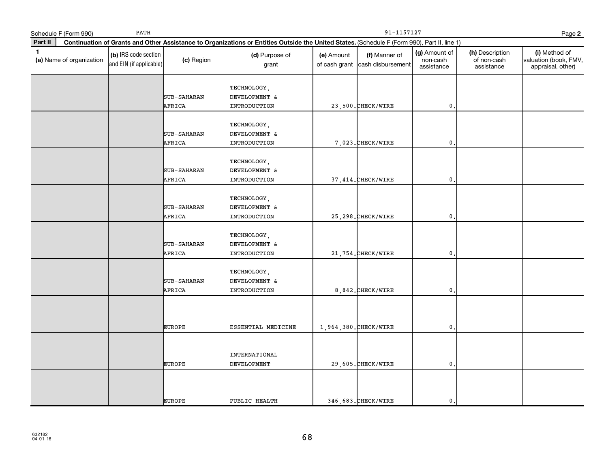|             | Schedule F (Form 990)    | PATH                                            |                       | 91-1157127<br>Page 2                                                                                                                         |            |                                                  |                                         |                                              |                                                             |  |
|-------------|--------------------------|-------------------------------------------------|-----------------------|----------------------------------------------------------------------------------------------------------------------------------------------|------------|--------------------------------------------------|-----------------------------------------|----------------------------------------------|-------------------------------------------------------------|--|
| Part II     |                          |                                                 |                       | Continuation of Grants and Other Assistance to Organizations or Entities Outside the United States. (Schedule F (Form 990), Part II, line 1) |            |                                                  |                                         |                                              |                                                             |  |
| $\mathbf 1$ | (a) Name of organization | (b) IRS code section<br>and EIN (if applicable) | (c) Region            | (d) Purpose of<br>grant                                                                                                                      | (e) Amount | (f) Manner of<br>of cash grant cash disbursement | (g) Amount of<br>non-cash<br>assistance | (h) Description<br>of non-cash<br>assistance | (i) Method of<br>valuation (book, FMV,<br>appraisal, other) |  |
|             |                          |                                                 | SUB-SAHARAN<br>AFRICA | TECHNOLOGY,<br>DEVELOPMENT &<br>INTRODUCTION                                                                                                 |            | 23,500. CHECK/WIRE                               | $\mathbf 0$ .                           |                                              |                                                             |  |
|             |                          |                                                 | SUB-SAHARAN<br>AFRICA | TECHNOLOGY,<br>DEVELOPMENT &<br>INTRODUCTION                                                                                                 |            | 7,023. CHECK/WIRE                                | $\mathbf{0}$ .                          |                                              |                                                             |  |
|             |                          |                                                 | SUB-SAHARAN<br>AFRICA | TECHNOLOGY,<br>DEVELOPMENT &<br>INTRODUCTION                                                                                                 |            | 37, 414. CHECK/WIRE                              | 0,                                      |                                              |                                                             |  |
|             |                          |                                                 | SUB-SAHARAN<br>AFRICA | TECHNOLOGY,<br>DEVELOPMENT &<br>INTRODUCTION                                                                                                 |            | 25, 298. CHECK/WIRE                              | $\mathbf{0}$ .                          |                                              |                                                             |  |
|             |                          |                                                 | SUB-SAHARAN<br>AFRICA | TECHNOLOGY,<br>DEVELOPMENT &<br>INTRODUCTION                                                                                                 |            | 21,754. CHECK/WIRE                               | $\mathbf{0}$                            |                                              |                                                             |  |
|             |                          |                                                 | SUB-SAHARAN<br>AFRICA | TECHNOLOGY,<br>DEVELOPMENT &<br>INTRODUCTION                                                                                                 |            | 8,842. CHECK/WIRE                                | $\mathbf{0}$ .                          |                                              |                                                             |  |
|             |                          |                                                 | EUROPE                | ESSENTIAL MEDICINE                                                                                                                           |            | 1,964,380. CHECK/WIRE                            | $\mathbf{0}$ .                          |                                              |                                                             |  |
|             |                          |                                                 | <b>EUROPE</b>         | INTERNATIONAL<br><b>DEVELOPMENT</b>                                                                                                          |            | 29,605. CHECK/WIRE                               | $\mathfrak o$ .                         |                                              |                                                             |  |
|             |                          |                                                 | EUROPE                | PUBLIC HEALTH                                                                                                                                |            | 346,683. CHECK/WIRE                              | 0.                                      |                                              |                                                             |  |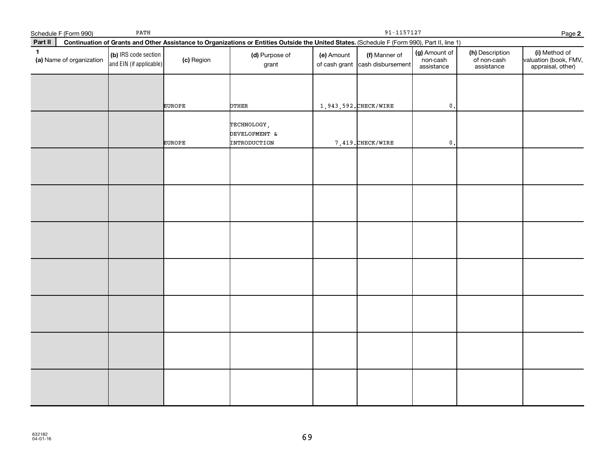|              | $91 - 1157127$<br>PATH<br>Schedule F (Form 990) |                                                 |               |                                                                                                                                              |            |                                                  |                                         |                                              | Page 2                                                      |
|--------------|-------------------------------------------------|-------------------------------------------------|---------------|----------------------------------------------------------------------------------------------------------------------------------------------|------------|--------------------------------------------------|-----------------------------------------|----------------------------------------------|-------------------------------------------------------------|
| Part II      |                                                 |                                                 |               | Continuation of Grants and Other Assistance to Organizations or Entities Outside the United States. (Schedule F (Form 990), Part II, line 1) |            |                                                  |                                         |                                              |                                                             |
| $\mathbf{1}$ | (a) Name of organization                        | (b) IRS code section<br>and EIN (if applicable) | (c) Region    | (d) Purpose of<br>grant                                                                                                                      | (e) Amount | (f) Manner of<br>of cash grant cash disbursement | (g) Amount of<br>non-cash<br>assistance | (h) Description<br>of non-cash<br>assistance | (i) Method of<br>valuation (book, FMV,<br>appraisal, other) |
|              |                                                 |                                                 |               |                                                                                                                                              |            |                                                  |                                         |                                              |                                                             |
|              |                                                 |                                                 | <b>EUROPE</b> | OTHER                                                                                                                                        |            | 1,943,592. CHECK/WIRE                            | $\mathfrak o$ .                         |                                              |                                                             |
|              |                                                 |                                                 | <b>EUROPE</b> | TECHNOLOGY,<br>DEVELOPMENT &<br>INTRODUCTION                                                                                                 |            | 7, 419. CHECK/WIRE                               | $\mathfrak o$ .                         |                                              |                                                             |
|              |                                                 |                                                 |               |                                                                                                                                              |            |                                                  |                                         |                                              |                                                             |
|              |                                                 |                                                 |               |                                                                                                                                              |            |                                                  |                                         |                                              |                                                             |
|              |                                                 |                                                 |               |                                                                                                                                              |            |                                                  |                                         |                                              |                                                             |
|              |                                                 |                                                 |               |                                                                                                                                              |            |                                                  |                                         |                                              |                                                             |
|              |                                                 |                                                 |               |                                                                                                                                              |            |                                                  |                                         |                                              |                                                             |
|              |                                                 |                                                 |               |                                                                                                                                              |            |                                                  |                                         |                                              |                                                             |
|              |                                                 |                                                 |               |                                                                                                                                              |            |                                                  |                                         |                                              |                                                             |
|              |                                                 |                                                 |               |                                                                                                                                              |            |                                                  |                                         |                                              |                                                             |
|              |                                                 |                                                 |               |                                                                                                                                              |            |                                                  |                                         |                                              |                                                             |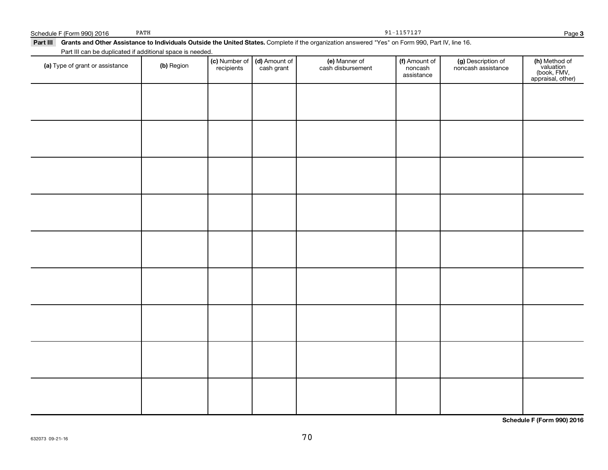## Part III Grants and Other Assistance to Individuals Outside the United States. Complete if the organization answered "Yes" on Form 990, Part IV, line 16. (a) Type of grant or assistance (b) Region (b) Region (c) Number of (d) Amount of (e) Manner of (f) Amount of (f)<br>Region (cash grant cash dishursement popcash noncash ssistance v Schedule F (Form 990) 2016 PATH Part III can be duplicated if additional space is needed. (c) Number of recipients (d) Amount of cash grant (e) Manner of cash disbursement (f) Amount of noncash assistance (g) Description of noncash assistance **(h)** Method of<br>valuation<br>(book, FMV,<br>appraisal, other) 91-1157127

**Schedule F (Form 990) 2016**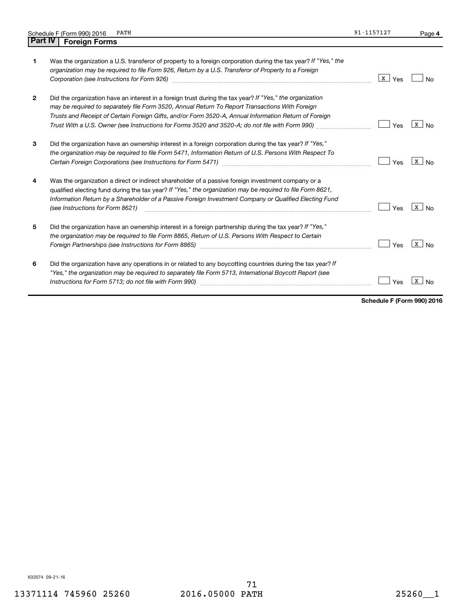|           | Schedule F (Form 990) 2016<br>PATH                                                                                                                                                                                                                                                                                                                                                                                                   | 91-1157127 | Page 4           |
|-----------|--------------------------------------------------------------------------------------------------------------------------------------------------------------------------------------------------------------------------------------------------------------------------------------------------------------------------------------------------------------------------------------------------------------------------------------|------------|------------------|
| l Part IV | <b>Foreign Forms</b>                                                                                                                                                                                                                                                                                                                                                                                                                 |            |                  |
| 1         | Was the organization a U.S. transferor of property to a foreign corporation during the tax year? If "Yes," the<br>organization may be required to file Form 926, Return by a U.S. Transferor of Property to a Foreign                                                                                                                                                                                                                | x  <br>Yes | No               |
| 2         | Did the organization have an interest in a foreign trust during the tax year? If "Yes," the organization<br>may be required to separately file Form 3520, Annual Return To Report Transactions With Foreign<br>Trusts and Receipt of Certain Foreign Gifts, and/or Form 3520-A, Annual Information Return of Foreign<br>Trust With a U.S. Owner (see Instructions for Forms 3520 and 3520-A; do not file with Form 990) manufactions | Yes        | $X \mid N_0$     |
| 3         | Did the organization have an ownership interest in a foreign corporation during the tax year? If "Yes,"<br>the organization may be required to file Form 5471, Information Return of U.S. Persons With Respect To                                                                                                                                                                                                                    | Yes        | x  <br><b>No</b> |
|           | Was the organization a direct or indirect shareholder of a passive foreign investment company or a<br>qualified electing fund during the tax year? If "Yes," the organization may be required to file Form 8621,<br>Information Return by a Shareholder of a Passive Foreign Investment Company or Qualified Electing Fund<br>(see Instructions for Form 8621)                                                                       | Yes        | X<br>No.         |
| 5         | Did the organization have an ownership interest in a foreign partnership during the tax year? If "Yes,"<br>the organization may be required to file Form 8865, Return of U.S. Persons With Respect to Certain<br>Foreign Partnerships (see Instructions for Form 8865)                                                                                                                                                               | Yes        | $X \mid N_O$     |
| 6         | Did the organization have any operations in or related to any boycotting countries during the tax year? If<br>"Yes," the organization may be required to separately file Form 5713, International Boycott Report (see<br>Instructions for Form 5713; do not file with Form 990)                                                                                                                                                      | Yes        | x<br>No          |

**Schedule F (Form 990) 2016**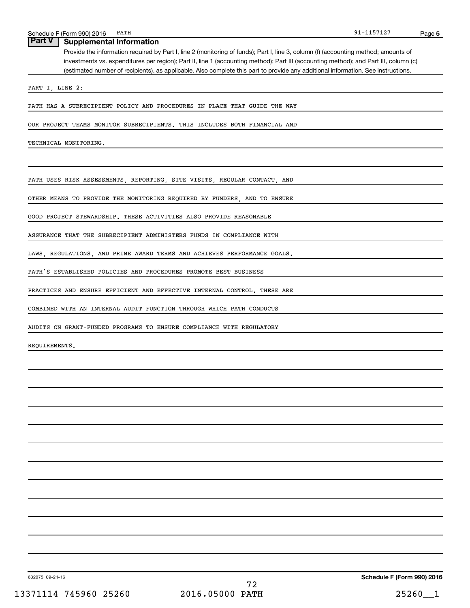## **Part V Supplemental Information**

Provide the information required by Part I, line 2 (monitoring of funds); Part I, line 3, column (f) (accounting method; amounts of investments vs. expenditures per region); Part II, line 1 (accounting method); Part III (accounting method); and Part III, column (c) (estimated number of recipients), as applicable. Also complete this part to provide any additional information. See instructions.

PART I, LINE 2:

PATH HAS A SUBRECIPIENT POLICY AND PROCEDURES IN PLACE THAT GUIDE THE WAY

OUR PROJECT TEAMS MONITOR SUBRECIPIENTS. THIS INCLUDES BOTH FINANCIAL AND

TECHNICAL MONITORING.

PATH USES RISK ASSESSMENTS, REPORTING, SITE VISITS, REGULAR CONTACT, AND

OTHER MEANS TO PROVIDE THE MONITORING REQUIRED BY FUNDERS, AND TO ENSURE

GOOD PROJECT STEWARDSHIP. THESE ACTIVITIES ALSO PROVIDE REASONABLE

ASSURANCE THAT THE SUBRECIPIENT ADMINISTERS FUNDS IN COMPLIANCE WITH

LAWS, REGULATIONS, AND PRIME AWARD TERMS AND ACHIEVES PERFORMANCE GOALS.

PATH'S ESTABLISHED POLICIES AND PROCEDURES PROMOTE BEST BUSINESS

PRACTICES AND ENSURE EFFICIENT AND EFFECTIVE INTERNAL CONTROL. THESE ARE

COMBINED WITH AN INTERNAL AUDIT FUNCTION THROUGH WHICH PATH CONDUCTS

AUDITS ON GRANT-FUNDED PROGRAMS TO ENSURE COMPLIANCE WITH REGULATORY

REQUIREMENTS.

632075 09-21-16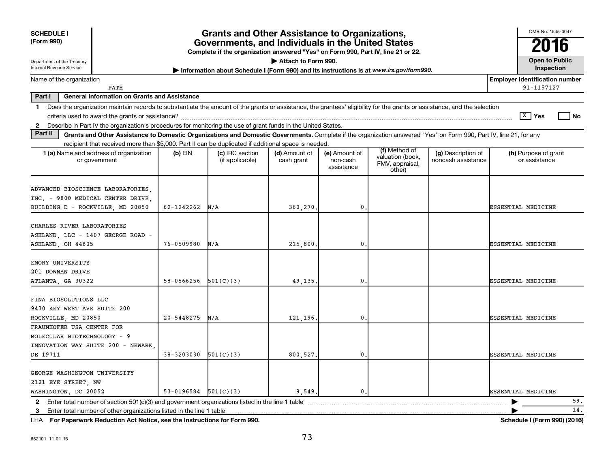| <b>SCHEDULE I</b><br>(Form 990)<br>Department of the Treasury                                                                                                                                                                                                                                                            | <b>Grants and Other Assistance to Organizations,</b><br>Governments, and Individuals in the United States<br>Complete if the organization answered "Yes" on Form 990, Part IV, line 21 or 22. |                                                                                         | OMB No. 1545-0047<br>16<br><b>Open to Public</b> |                                         |                                                                |                                          |                                                     |
|--------------------------------------------------------------------------------------------------------------------------------------------------------------------------------------------------------------------------------------------------------------------------------------------------------------------------|-----------------------------------------------------------------------------------------------------------------------------------------------------------------------------------------------|-----------------------------------------------------------------------------------------|--------------------------------------------------|-----------------------------------------|----------------------------------------------------------------|------------------------------------------|-----------------------------------------------------|
| Internal Revenue Service                                                                                                                                                                                                                                                                                                 |                                                                                                                                                                                               | Information about Schedule I (Form 990) and its instructions is at www.irs.gov/form990. |                                                  |                                         |                                                                |                                          | Inspection                                          |
| Name of the organization<br>PATH                                                                                                                                                                                                                                                                                         |                                                                                                                                                                                               |                                                                                         |                                                  |                                         |                                                                |                                          | <b>Employer identification number</b><br>91-1157127 |
| Part I<br><b>General Information on Grants and Assistance</b>                                                                                                                                                                                                                                                            |                                                                                                                                                                                               |                                                                                         |                                                  |                                         |                                                                |                                          |                                                     |
| Does the organization maintain records to substantiate the amount of the grants or assistance, the grantees' eligibility for the grants or assistance, and the selection<br>$\mathbf 1$<br>Describe in Part IV the organization's procedures for monitoring the use of grant funds in the United States.<br>$\mathbf{2}$ |                                                                                                                                                                                               |                                                                                         |                                                  |                                         |                                                                |                                          | $\boxed{\text{X}}$ Yes<br>  No                      |
| Part II<br>Grants and Other Assistance to Domestic Organizations and Domestic Governments. Complete if the organization answered "Yes" on Form 990, Part IV, line 21, for any                                                                                                                                            |                                                                                                                                                                                               |                                                                                         |                                                  |                                         |                                                                |                                          |                                                     |
| recipient that received more than \$5,000. Part II can be duplicated if additional space is needed.<br>1 (a) Name and address of organization<br>or government                                                                                                                                                           | (b) EIN                                                                                                                                                                                       | (c) IRC section<br>(if applicable)                                                      | (d) Amount of<br>cash grant                      | (e) Amount of<br>non-cash<br>assistance | (f) Method of<br>valuation (book,<br>FMV, appraisal,<br>other) | (g) Description of<br>noncash assistance | (h) Purpose of grant<br>or assistance               |
| ADVANCED BIOSCIENCE LABORATORIES.<br>INC. - 9800 MEDICAL CENTER DRIVE.<br>BUILDING D - ROCKVILLE, MD 20850                                                                                                                                                                                                               | 62-1242262                                                                                                                                                                                    | N/A                                                                                     | 360,270.                                         | 0                                       |                                                                |                                          | ESSENTIAL MEDICINE                                  |
| CHARLES RIVER LABORATORIES<br>ASHLAND, LLC - 1407 GEORGE ROAD -<br>ASHLAND, OH 44805                                                                                                                                                                                                                                     | 76-0509980                                                                                                                                                                                    | N/A                                                                                     | 215,800                                          | 0                                       |                                                                |                                          | ESSENTIAL MEDICINE                                  |
| EMORY UNIVERSITY<br>201 DOWMAN DRIVE<br>ATLANTA, GA 30322                                                                                                                                                                                                                                                                | 58-0566256                                                                                                                                                                                    | 501(C)(3)                                                                               | 49,135                                           | 0                                       |                                                                |                                          | ESSENTIAL MEDICINE                                  |
| FINA BIOSOLUTIONS LLC<br>9430 KEY WEST AVE SUITE 200<br>ROCKVILLE, MD 20850                                                                                                                                                                                                                                              | 20-5448275                                                                                                                                                                                    | N/A                                                                                     | 121,196,                                         | 0                                       |                                                                |                                          | ESSENTIAL MEDICINE                                  |
| FRAUNHOFER USA CENTER FOR<br>MOLECULAR BIOTECHNOLOGY - 9<br>INNOVATION WAY SUITE 200 - NEWARK<br>DE 19711                                                                                                                                                                                                                | 38-3203030                                                                                                                                                                                    | 501(C)(3)                                                                               | 800,527.                                         | 0                                       |                                                                |                                          | ESSENTIAL MEDICINE                                  |
| GEORGE WASHINGTON UNIVERSITY<br>2121 EYE STREET, NW<br>WASHINGTON, DC 20052                                                                                                                                                                                                                                              | 53-0196584                                                                                                                                                                                    | 501(C)(3)                                                                               | 9,549.                                           | 0                                       |                                                                |                                          | ESSENTIAL MEDICINE                                  |
| $\mathbf{2}$                                                                                                                                                                                                                                                                                                             |                                                                                                                                                                                               |                                                                                         |                                                  |                                         |                                                                |                                          | 59.                                                 |
| 3                                                                                                                                                                                                                                                                                                                        |                                                                                                                                                                                               |                                                                                         |                                                  |                                         |                                                                |                                          | 14.                                                 |

**For Paperwork Reduction Act Notice, see the Instructions for Form 990. Schedule I (Form 990) (2016)** LHA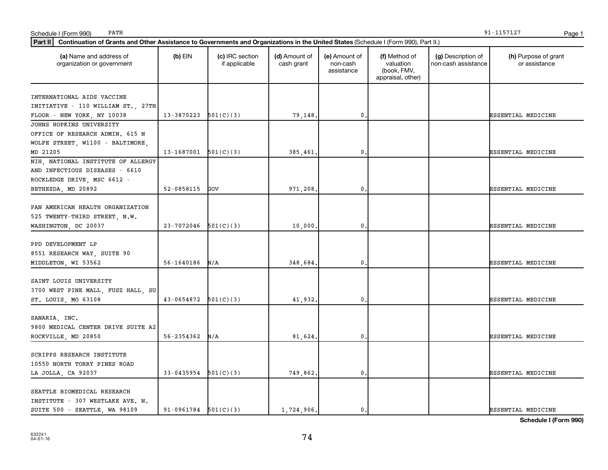| Part II<br>Continuation of Grants and Other Assistance to Governments and Organizations in the United States (Schedule I (Form 990), Part II.) |                          |                                  |                             |                                         |                                                                |                                           |                                       |
|------------------------------------------------------------------------------------------------------------------------------------------------|--------------------------|----------------------------------|-----------------------------|-----------------------------------------|----------------------------------------------------------------|-------------------------------------------|---------------------------------------|
| (a) Name and address of<br>organization or government                                                                                          | (b) EIN                  | (c) IRC section<br>if applicable | (d) Amount of<br>cash grant | (e) Amount of<br>non-cash<br>assistance | (f) Method of<br>valuation<br>(book, FMV,<br>appraisal, other) | (g) Description of<br>non-cash assistance | (h) Purpose of grant<br>or assistance |
| INTERNATIONAL AIDS VACCINE                                                                                                                     |                          |                                  |                             |                                         |                                                                |                                           |                                       |
| INITIATIVE - 110 WILLIAM ST., 27TH                                                                                                             |                          |                                  |                             |                                         |                                                                |                                           |                                       |
| FLOOR - NEW YORK, NY 10038                                                                                                                     | $13-3870223$ $501(C)(3)$ |                                  | 79,148.                     | $\mathbf 0$ .                           |                                                                |                                           | ESSENTIAL MEDICINE                    |
| JOHNS HOPKINS UNIVERSITY                                                                                                                       |                          |                                  |                             |                                         |                                                                |                                           |                                       |
| OFFICE OF RESEARCH ADMIN. 615 N                                                                                                                |                          |                                  |                             |                                         |                                                                |                                           |                                       |
| WOLFE STREET, W1100 - BALTIMORE,                                                                                                               |                          |                                  |                             |                                         |                                                                |                                           |                                       |
| MD 21205                                                                                                                                       | $13-1687001$ $501(C)(3)$ |                                  | 385,461.                    | $\mathbf{0}$                            |                                                                |                                           | ESSENTIAL MEDICINE                    |
| NIH, NATIONAL INSTITUTE OF ALLERGY                                                                                                             |                          |                                  |                             |                                         |                                                                |                                           |                                       |
| AND INFECTIOUS DISEASES - 6610                                                                                                                 |                          |                                  |                             |                                         |                                                                |                                           |                                       |
| ROCKLEDGE DRIVE, MSC 6612 -                                                                                                                    |                          |                                  |                             |                                         |                                                                |                                           |                                       |
| BETHESDA, MD 20892                                                                                                                             | 52-0858115               | GOV                              | 971,208.                    | $\mathbf{0}$                            |                                                                |                                           | ESSENTIAL MEDICINE                    |
| PAN AMERICAN HEALTH ORGANIZATION<br>525 TWENTY-THIRD STREET, N.W.<br>WASHINGTON, DC 20037                                                      | $23-7072046$ 501(C)(3)   |                                  | 10,000                      | $\mathbf{0}$                            |                                                                |                                           | ESSENTIAL MEDICINE                    |
|                                                                                                                                                |                          |                                  |                             |                                         |                                                                |                                           |                                       |
| PPD DEVELOPMENT LP                                                                                                                             |                          |                                  |                             |                                         |                                                                |                                           |                                       |
| 8551 RESEARCH WAY, SUITE 90                                                                                                                    |                          |                                  |                             |                                         |                                                                |                                           |                                       |
| MIDDLETON, WI 53562                                                                                                                            | 56-1640186               | N/A                              | 348,684.                    | $\mathbf{0}$                            |                                                                |                                           | ESSENTIAL MEDICINE                    |
| SAINT LOUIS UNIVERSITY<br>3700 WEST PINE MALL, FUSZ HALL, SU<br>ST. LOUIS, MO 63108                                                            | $43-0654872$ $501(C)(3)$ |                                  | 41,932.                     | $\mathbf 0$ .                           |                                                                |                                           | ESSENTIAL MEDICINE                    |
| SANARIA, INC.<br>9800 MEDICAL CENTER DRIVE SUITE A2                                                                                            |                          |                                  |                             |                                         |                                                                |                                           |                                       |
| ROCKVILLE, MD 20850                                                                                                                            | 56-2354362               | N/A                              | 81,624.                     | $\mathbf{0}$                            |                                                                |                                           | ESSENTIAL MEDICINE                    |
| SCRIPPS RESEARCH INSTITUTE<br>10550 NORTH TORRY PINES ROAD<br>LA JOLLA, CA 92037                                                               | 33-0435954 $501(C)(3)$   |                                  | 749,862.                    | 0.                                      |                                                                |                                           | ESSENTIAL MEDICINE                    |
|                                                                                                                                                |                          |                                  |                             |                                         |                                                                |                                           |                                       |
| SEATTLE BIOMEDICAL RESEARCH                                                                                                                    |                          |                                  |                             |                                         |                                                                |                                           |                                       |
| INSTITUTE - 307 WESTLAKE AVE. N.                                                                                                               |                          |                                  |                             |                                         |                                                                |                                           |                                       |
| SUITE 500 - SEATTLE, WA 98109                                                                                                                  | $91-0961784$ $501(C)(3)$ |                                  | 1,724,906.                  | 0.                                      |                                                                |                                           | ESSENTIAL MEDICINE                    |

Schedule I (Form 990) PATH Page 1

PATH 91-1157127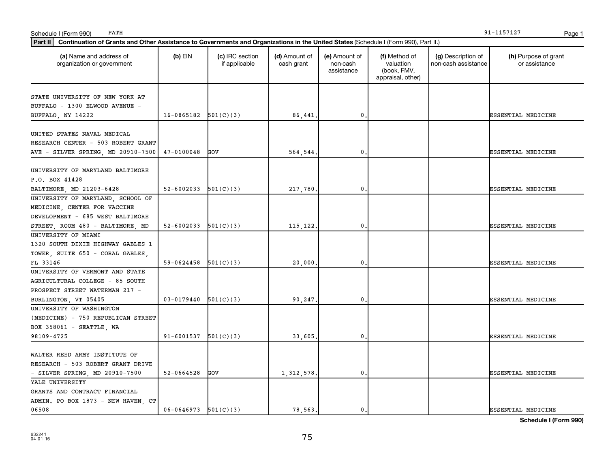| Continuation of Grants and Other Assistance to Governments and Organizations in the United States (Schedule I (Form 990), Part II.)<br>Part II |                            |                                  |                             |                                         |                                                                |                                           |                                       |
|------------------------------------------------------------------------------------------------------------------------------------------------|----------------------------|----------------------------------|-----------------------------|-----------------------------------------|----------------------------------------------------------------|-------------------------------------------|---------------------------------------|
| (a) Name and address of<br>organization or government                                                                                          | $(b)$ EIN                  | (c) IRC section<br>if applicable | (d) Amount of<br>cash grant | (e) Amount of<br>non-cash<br>assistance | (f) Method of<br>valuation<br>(book, FMV,<br>appraisal, other) | (g) Description of<br>non-cash assistance | (h) Purpose of grant<br>or assistance |
|                                                                                                                                                |                            |                                  |                             |                                         |                                                                |                                           |                                       |
| STATE UNIVERSITY OF NEW YORK AT                                                                                                                |                            |                                  |                             |                                         |                                                                |                                           |                                       |
| BUFFALO - 1300 ELWOOD AVENUE -                                                                                                                 |                            |                                  |                             |                                         |                                                                |                                           |                                       |
| BUFFALO, NY 14222                                                                                                                              | $16-0865182$ $501(C)(3)$   |                                  | 86,441                      | 0.                                      |                                                                |                                           | ESSENTIAL MEDICINE                    |
| UNITED STATES NAVAL MEDICAL<br>RESEARCH CENTER - 503 ROBERT GRANT                                                                              |                            |                                  |                             |                                         |                                                                |                                           |                                       |
| AVE - SILVER SPRING, MD 20910-7500                                                                                                             | $47 - 0100048$             | GOV                              | 564,544                     | 0                                       |                                                                |                                           | ESSENTIAL MEDICINE                    |
| UNIVERSITY OF MARYLAND BALTIMORE<br>P.O. BOX 41428                                                                                             |                            |                                  |                             |                                         |                                                                |                                           |                                       |
| BALTIMORE, MD 21203-6428                                                                                                                       | 52-6002033                 | 501(C)(3)                        | 217,780                     | $\mathbf 0$ .                           |                                                                |                                           | ESSENTIAL MEDICINE                    |
| UNIVERSITY OF MARYLAND, SCHOOL OF<br>MEDICINE, CENTER FOR VACCINE<br>DEVELOPMENT - 685 WEST BALTIMORE                                          |                            |                                  |                             |                                         |                                                                |                                           |                                       |
| STREET, ROOM 480 - BALTIMORE, MD                                                                                                               | $52 - 6002033$ $501(C)(3)$ |                                  | 115,122                     | 0.                                      |                                                                |                                           | ESSENTIAL MEDICINE                    |
| UNIVERSITY OF MIAMI                                                                                                                            |                            |                                  |                             |                                         |                                                                |                                           |                                       |
| 1320 SOUTH DIXIE HIGHWAY GABLES 1                                                                                                              |                            |                                  |                             |                                         |                                                                |                                           |                                       |
| TOWER, SUITE 650 - CORAL GABLES,                                                                                                               |                            |                                  |                             |                                         |                                                                |                                           |                                       |
| FL 33146                                                                                                                                       | 59-0624458                 | 501(C)(3)                        | 20,000                      | 0                                       |                                                                |                                           | ESSENTIAL MEDICINE                    |
| UNIVERSITY OF VERMONT AND STATE                                                                                                                |                            |                                  |                             |                                         |                                                                |                                           |                                       |
| AGRICULTURAL COLLEGE - 85 SOUTH                                                                                                                |                            |                                  |                             |                                         |                                                                |                                           |                                       |
| PROSPECT STREET WATERMAN 217 -                                                                                                                 |                            |                                  |                             |                                         |                                                                |                                           |                                       |
| BURLINGTON, VT 05405                                                                                                                           | $03 - 0179440$             | 501(C)(3)                        | 90,247                      | $\mathbf 0$ .                           |                                                                |                                           | ESSENTIAL MEDICINE                    |
| UNIVERSITY OF WASHINGTON                                                                                                                       |                            |                                  |                             |                                         |                                                                |                                           |                                       |
| (MEDICINE) - 750 REPUBLICAN STREET                                                                                                             |                            |                                  |                             |                                         |                                                                |                                           |                                       |
| BOX 358061 - SEATTLE, WA                                                                                                                       |                            |                                  |                             |                                         |                                                                |                                           |                                       |
| 98109-4725                                                                                                                                     | $91 - 6001537$ $501(C)(3)$ |                                  | 33,605                      | 0.                                      |                                                                |                                           | ESSENTIAL MEDICINE                    |
| WALTER REED ARMY INSTITUTE OF<br>RESEARCH - 503 ROBERT GRANT DRIVE                                                                             |                            |                                  |                             |                                         |                                                                |                                           |                                       |
| - SILVER SPRING, MD 20910-7500                                                                                                                 | 52-0664528                 | GOV                              | 1, 312, 578,                | 0                                       |                                                                |                                           | ESSENTIAL MEDICINE                    |
| YALE UNIVERSITY                                                                                                                                |                            |                                  |                             |                                         |                                                                |                                           |                                       |
| GRANTS AND CONTRACT FINANCIAL                                                                                                                  |                            |                                  |                             |                                         |                                                                |                                           |                                       |
| ADMIN. PO BOX 1873 - NEW HAVEN, CT                                                                                                             |                            |                                  |                             |                                         |                                                                |                                           |                                       |
| 06508                                                                                                                                          | $06 - 0646973$ $501(C)(3)$ |                                  | 78.563.                     | $\mathbf{0}$ .                          |                                                                |                                           | ESSENTIAL MEDICINE                    |

Schedule I (Form 990) PATH Page 1

PATH 91-1157127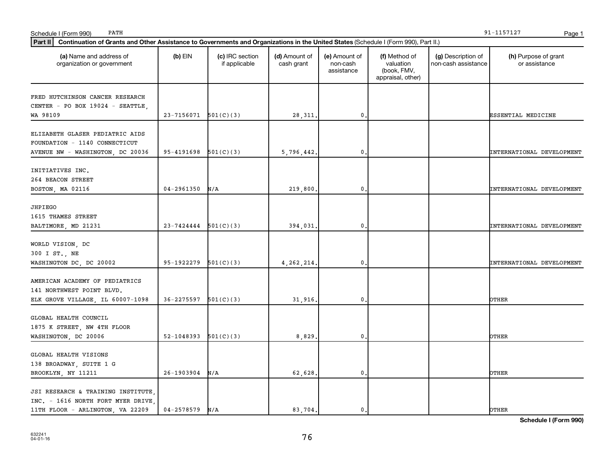| Part II<br>Continuation of Grants and Other Assistance to Governments and Organizations in the United States (Schedule I (Form 990), Part II.) |                            |                                  |                             |                                         |                                                                |                                           |                                       |
|------------------------------------------------------------------------------------------------------------------------------------------------|----------------------------|----------------------------------|-----------------------------|-----------------------------------------|----------------------------------------------------------------|-------------------------------------------|---------------------------------------|
| (a) Name and address of<br>organization or government                                                                                          | $(b)$ EIN                  | (c) IRC section<br>if applicable | (d) Amount of<br>cash grant | (e) Amount of<br>non-cash<br>assistance | (f) Method of<br>valuation<br>(book, FMV,<br>appraisal, other) | (g) Description of<br>non-cash assistance | (h) Purpose of grant<br>or assistance |
| FRED HUTCHINSON CANCER RESEARCH<br>CENTER - PO BOX 19024 - SEATTLE,<br>WA 98109                                                                | $23-7156071$ $501(C)(3)$   |                                  | 28, 311.                    | $\mathbf 0$                             |                                                                |                                           | ESSENTIAL MEDICINE                    |
| ELIZABETH GLASER PEDIATRIC AIDS<br>FOUNDATION - 1140 CONNECTICUT<br>AVENUE NW - WASHINGTON, DC 20036                                           | 95-4191698                 | 501(C)(3)                        | 5,796,442.                  | $\mathbf 0$                             |                                                                |                                           | <b>INTERNATIONAL DEVELOPMENT</b>      |
| INITIATIVES INC.<br>264 BEACON STREET<br>BOSTON, MA 02116                                                                                      | $04 - 2961350$             | N/A                              | 219,800                     | 0                                       |                                                                |                                           | INTERNATIONAL DEVELOPMENT             |
| JHPIEGO<br>1615 THAMES STREET<br>BALTIMORE, MD 21231                                                                                           | $23 - 7424444$ $501(C)(3)$ |                                  | 394,031                     | 0,                                      |                                                                |                                           | <b>INTERNATIONAL DEVELOPMENT</b>      |
| WORLD VISION, DC<br>300 I ST., NE<br>WASHINGTON DC, DC 20002                                                                                   | 95-1922279                 | 501(C)(3)                        | 4, 262, 214.                | $\mathbf 0$                             |                                                                |                                           | <b>INTERNATIONAL DEVELOPMENT</b>      |
| AMERICAN ACADEMY OF PEDIATRICS<br>141 NORTHWEST POINT BLVD.<br>ELK GROVE VILLAGE, IL 60007-1098                                                | 36-2275597                 | 501(C)(3)                        | 31,916                      | $\mathbf 0$                             |                                                                |                                           | OTHER                                 |
| GLOBAL HEALTH COUNCIL<br>1875 K STREET, NW 4TH FLOOR<br>WASHINGTON, DC 20006                                                                   | $52-1048393$ $501(C)(3)$   |                                  | 8,829                       | 0.                                      |                                                                |                                           | OTHER                                 |
| GLOBAL HEALTH VISIONS<br>138 BROADWAY, SUITE 1 G<br>BROOKLYN, NY 11211                                                                         | 26-1903904                 | N/A                              | 62,628.                     | 0.                                      |                                                                |                                           | OTHER                                 |
| JSI RESEARCH & TRAINING INSTITUTE<br>INC. - 1616 NORTH FORT MYER DRIVE<br>11TH FLOOR - ARLINGTON, VA 22209                                     | $04 - 2578579$             | N/A                              | 83.704.                     | 0.                                      |                                                                |                                           | OTHER                                 |

**Schedule I (Form 990)**

Schedule I (Form 990) Page 1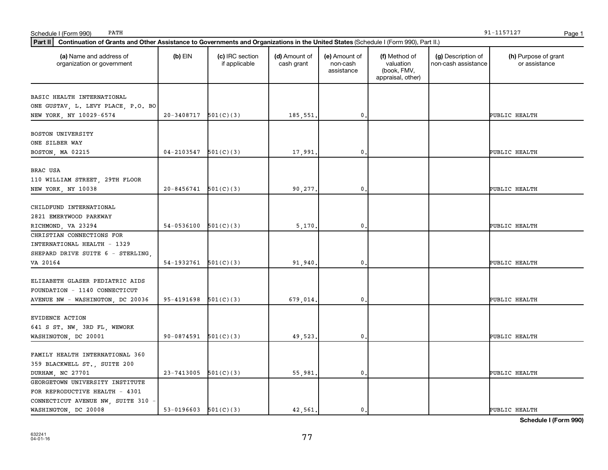| Schedule I (Form 990)<br>PATH                                                                                                                  |                              |                                  |                             |                                         |                                                                |                                           | 91-1157127<br>Page 1                  |
|------------------------------------------------------------------------------------------------------------------------------------------------|------------------------------|----------------------------------|-----------------------------|-----------------------------------------|----------------------------------------------------------------|-------------------------------------------|---------------------------------------|
| Part II<br>Continuation of Grants and Other Assistance to Governments and Organizations in the United States (Schedule I (Form 990), Part II.) |                              |                                  |                             |                                         |                                                                |                                           |                                       |
| (a) Name and address of<br>organization or government                                                                                          | $(b)$ EIN                    | (c) IRC section<br>if applicable | (d) Amount of<br>cash grant | (e) Amount of<br>non-cash<br>assistance | (f) Method of<br>valuation<br>(book, FMV,<br>appraisal, other) | (g) Description of<br>non-cash assistance | (h) Purpose of grant<br>or assistance |
| BASIC HEALTH INTERNATIONAL<br>ONE GUSTAV, L. LEVY PLACE, P.O. BO                                                                               |                              |                                  |                             |                                         |                                                                |                                           |                                       |
| NEW YORK, NY 10029-6574                                                                                                                        | $20-3408717$ $501(C)(3)$     |                                  | 185,551.                    | $\mathbf 0$ .                           |                                                                |                                           | PUBLIC HEALTH                         |
| BOSTON UNIVERSITY<br>ONE SILBER WAY                                                                                                            |                              |                                  |                             |                                         |                                                                |                                           |                                       |
| BOSTON, MA 02215                                                                                                                               | $04 - 2103547$               | 501(C)(3)                        | 17,991.                     | $\mathbf{0}$                            |                                                                |                                           | PUBLIC HEALTH                         |
| BRAC USA<br>110 WILLIAM STREET, 29TH FLOOR                                                                                                     |                              |                                  |                             |                                         |                                                                |                                           |                                       |
| NEW YORK, NY 10038                                                                                                                             | $20 - 8456741$ $501(C)(3)$   |                                  | 90,277                      | $\mathbf{0}$                            |                                                                |                                           | PUBLIC HEALTH                         |
| CHILDFUND INTERNATIONAL<br>2821 EMERYWOOD PARKWAY<br>RICHMOND, VA 23294                                                                        | 54-0536100                   | 501(C)(3)                        | 5,170                       | $\mathbf{0}$                            |                                                                |                                           | PUBLIC HEALTH                         |
| CHRISTIAN CONNECTIONS FOR<br>INTERNATIONAL HEALTH - 1329<br>SHEPARD DRIVE SUITE 6 - STERLING,                                                  |                              |                                  |                             |                                         |                                                                |                                           |                                       |
| VA 20164                                                                                                                                       | $54-1932761$ $501(C)(3)$     |                                  | 91,940.                     | $\mathbf{0}$                            |                                                                |                                           | PUBLIC HEALTH                         |
| ELIZABETH GLASER PEDIATRIC AIDS<br>FOUNDATION - 1140 CONNECTICUT<br>AVENUE NW - WASHINGTON, DC 20036                                           | 95-4191698                   | 501(C)(3)                        | 679,014                     | $\mathbf{0}$                            |                                                                |                                           | PUBLIC HEALTH                         |
|                                                                                                                                                |                              |                                  |                             |                                         |                                                                |                                           |                                       |
| EVIDENCE ACTION<br>641 S ST. NW, 3RD FL, WEWORK                                                                                                |                              |                                  |                             |                                         |                                                                |                                           |                                       |
| WASHINGTON, DC 20001                                                                                                                           | $90-0874591$ $501(C)(3)$     |                                  | 49,523.                     | $\mathbf 0$ .                           |                                                                |                                           | PUBLIC HEALTH                         |
| FAMILY HEALTH INTERNATIONAL 360<br>359 BLACKWELL ST., SUITE 200                                                                                |                              |                                  |                             |                                         |                                                                |                                           | PUBLIC HEALTH                         |
| DURHAM, NC 27701<br>GEORGETOWN UNIVERSITY INSTITUTE                                                                                            | $23 - 7413005$ $501(C)(3)$   |                                  | 55,981.                     | $\mathbf{0}$                            |                                                                |                                           |                                       |
| FOR REPRODUCTIVE HEALTH - 4301                                                                                                                 |                              |                                  |                             |                                         |                                                                |                                           |                                       |
| CONNECTICUT AVENUE NW, SUITE 310 -                                                                                                             |                              |                                  |                             |                                         |                                                                |                                           |                                       |
| WASHINGTON, DC 20008                                                                                                                           | 53-0196603 $\vert$ 501(C)(3) |                                  | 42,561.                     | 0.                                      |                                                                |                                           | PUBLIC HEALTH                         |

PATH 91-1157127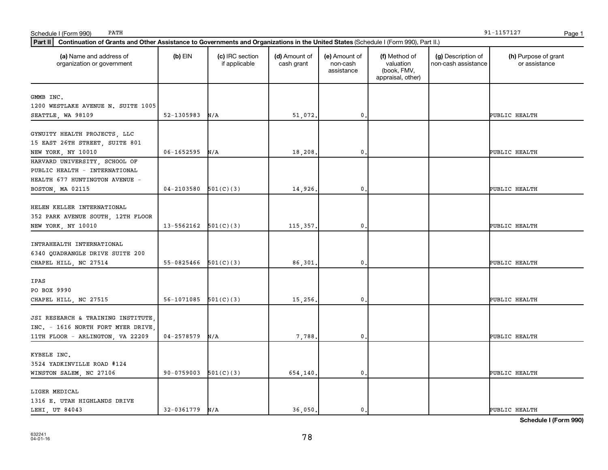| Part II<br>Continuation of Grants and Other Assistance to Governments and Organizations in the United States (Schedule I (Form 990), Part II.) |                            |                                  |                             |                                         |                                                                |                                           |                                       |
|------------------------------------------------------------------------------------------------------------------------------------------------|----------------------------|----------------------------------|-----------------------------|-----------------------------------------|----------------------------------------------------------------|-------------------------------------------|---------------------------------------|
| (a) Name and address of<br>organization or government                                                                                          | $(b)$ EIN                  | (c) IRC section<br>if applicable | (d) Amount of<br>cash grant | (e) Amount of<br>non-cash<br>assistance | (f) Method of<br>valuation<br>(book, FMV,<br>appraisal, other) | (g) Description of<br>non-cash assistance | (h) Purpose of grant<br>or assistance |
| GMMB INC.                                                                                                                                      |                            |                                  |                             |                                         |                                                                |                                           |                                       |
| 1200 WESTLAKE AVENUE N. SUITE 1005                                                                                                             |                            |                                  |                             |                                         |                                                                |                                           |                                       |
| SEATTLE, WA 98109                                                                                                                              | 52-1305983                 | N/A                              | 51,072.                     | $\mathbf{0}$ .                          |                                                                |                                           | PUBLIC HEALTH                         |
|                                                                                                                                                |                            |                                  |                             |                                         |                                                                |                                           |                                       |
| GYNUITY HEALTH PROJECTS, LLC                                                                                                                   |                            |                                  |                             |                                         |                                                                |                                           |                                       |
| 15 EAST 26TH STREET, SUITE 801                                                                                                                 |                            |                                  |                             |                                         |                                                                |                                           |                                       |
| NEW YORK, NY 10010                                                                                                                             | $06 - 1652595$             | N/A                              | 18,208                      | 0                                       |                                                                |                                           | PUBLIC HEALTH                         |
| HARVARD UNIVERSITY, SCHOOL OF                                                                                                                  |                            |                                  |                             |                                         |                                                                |                                           |                                       |
| PUBLIC HEALTH - INTERNATIONAL                                                                                                                  |                            |                                  |                             |                                         |                                                                |                                           |                                       |
| HEALTH 677 HUNTINGTON AVENUE -                                                                                                                 |                            |                                  |                             |                                         |                                                                |                                           |                                       |
| BOSTON, MA 02115                                                                                                                               | $04 - 2103580$             | 501(C)(3)                        | 14,926.                     | $\mathbf{0}$ .                          |                                                                |                                           | PUBLIC HEALTH                         |
|                                                                                                                                                |                            |                                  |                             |                                         |                                                                |                                           |                                       |
| HELEN KELLER INTERNATIONAL                                                                                                                     |                            |                                  |                             |                                         |                                                                |                                           |                                       |
| 352 PARK AVENUE SOUTH, 12TH FLOOR                                                                                                              | $13 - 5562162$ $501(C)(3)$ |                                  |                             | $\mathfrak{o}$ .                        |                                                                |                                           | PUBLIC HEALTH                         |
| NEW YORK, NY 10010                                                                                                                             |                            |                                  | 115,357.                    |                                         |                                                                |                                           |                                       |
| INTRAHEALTH INTERNATIONAL                                                                                                                      |                            |                                  |                             |                                         |                                                                |                                           |                                       |
| 6340 QUADRANGLE DRIVE SUITE 200                                                                                                                |                            |                                  |                             |                                         |                                                                |                                           |                                       |
| CHAPEL HILL, NC 27514                                                                                                                          | 55-0825466                 | 501(C)(3)                        | 86,301                      | 0                                       |                                                                |                                           | PUBLIC HEALTH                         |
|                                                                                                                                                |                            |                                  |                             |                                         |                                                                |                                           |                                       |
| IPAS                                                                                                                                           |                            |                                  |                             |                                         |                                                                |                                           |                                       |
| PO BOX 9990                                                                                                                                    |                            |                                  |                             |                                         |                                                                |                                           |                                       |
| CHAPEL HILL, NC 27515                                                                                                                          | 56-1071085                 | 501(C)(3)                        | 15,256.                     | $\mathfrak{o}$ .                        |                                                                |                                           | PUBLIC HEALTH                         |
|                                                                                                                                                |                            |                                  |                             |                                         |                                                                |                                           |                                       |
| JSI RESEARCH & TRAINING INSTITUTE                                                                                                              |                            |                                  |                             |                                         |                                                                |                                           |                                       |
| INC. - 1616 NORTH FORT MYER DRIVE                                                                                                              |                            |                                  |                             |                                         |                                                                |                                           |                                       |
| 11TH FLOOR - ARLINGTON, VA 22209                                                                                                               | 04-2578579                 | N/A                              | 7,788.                      | $\mathfrak o$ .                         |                                                                |                                           | PUBLIC HEALTH                         |
|                                                                                                                                                |                            |                                  |                             |                                         |                                                                |                                           |                                       |
| KYBELE INC.                                                                                                                                    |                            |                                  |                             |                                         |                                                                |                                           |                                       |
| 3524 YADKINVILLE ROAD #124                                                                                                                     |                            |                                  |                             |                                         |                                                                |                                           |                                       |
| WINSTON SALEM, NC 27106                                                                                                                        | 90-0759003                 | 501(C)(3)                        | 654,140                     | $\mathbf 0$ .                           |                                                                |                                           | PUBLIC HEALTH                         |
| LIGER MEDICAL                                                                                                                                  |                            |                                  |                             |                                         |                                                                |                                           |                                       |
| 1316 E. UTAH HIGHLANDS DRIVE                                                                                                                   |                            |                                  |                             |                                         |                                                                |                                           |                                       |
| LEHI, UT 84043                                                                                                                                 | 32-0361779                 | N/A                              | 36,050.                     | $\mathbf{0}$ .                          |                                                                |                                           | PUBLIC HEALTH                         |

Schedule I (Form 990) PATH Page 1

PATH 91-1157127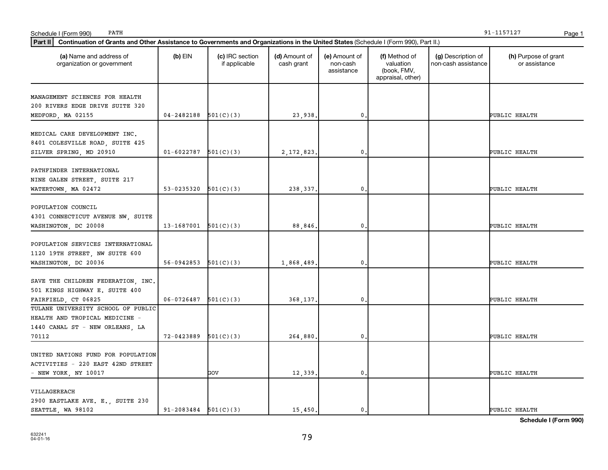| Part II<br>Continuation of Grants and Other Assistance to Governments and Organizations in the United States (Schedule I (Form 990), Part II.) |                            |                                  |                             |                                         |                                                                |                                           |                                       |
|------------------------------------------------------------------------------------------------------------------------------------------------|----------------------------|----------------------------------|-----------------------------|-----------------------------------------|----------------------------------------------------------------|-------------------------------------------|---------------------------------------|
| (a) Name and address of<br>organization or government                                                                                          | $(b)$ EIN                  | (c) IRC section<br>if applicable | (d) Amount of<br>cash grant | (e) Amount of<br>non-cash<br>assistance | (f) Method of<br>valuation<br>(book, FMV,<br>appraisal, other) | (g) Description of<br>non-cash assistance | (h) Purpose of grant<br>or assistance |
| MANAGEMENT SCIENCES FOR HEALTH<br>200 RIVERS EDGE DRIVE SUITE 320<br>MEDFORD, MA 02155                                                         | $04 - 2482188$ $501(C)(3)$ |                                  | 23,938.                     | $\mathbf 0$ .                           |                                                                |                                           | PUBLIC HEALTH                         |
| MEDICAL CARE DEVELOPMENT INC.<br>8401 COLESVILLE ROAD, SUITE 425<br>SILVER SPRING, MD 20910                                                    | $01-6022787$ 501(C)(3)     |                                  | 2, 172, 823.                | $\mathbf{0}$                            |                                                                |                                           | PUBLIC HEALTH                         |
| PATHFINDER INTERNATIONAL<br>NINE GALEN STREET, SUITE 217<br>WATERTOWN, MA 02472                                                                | 53-0235320                 | 501(C)(3)                        | 238,337.                    | $\mathbf{0}$                            |                                                                |                                           | PUBLIC HEALTH                         |
| POPULATION COUNCIL<br>4301 CONNECTICUT AVENUE NW, SUITE<br>WASHINGTON, DC 20008                                                                | $13-1687001$ $501(C)(3)$   |                                  | 88.846.                     | $\mathbf 0$ .                           |                                                                |                                           | PUBLIC HEALTH                         |
| POPULATION SERVICES INTERNATIONAL<br>1120 19TH STREET, NW SUITE 600<br>WASHINGTON, DC 20036                                                    | $56-0942853$ $501(C)(3)$   |                                  | 1,868,489.                  | $\mathbf{0}$                            |                                                                |                                           | PUBLIC HEALTH                         |
| SAVE THE CHILDREN FEDERATION, INC.<br>501 KINGS HIGHWAY E. SUITE 400<br>FAIRFIELD, CT 06825                                                    | $06 - 0726487$             | 501(C)(3)                        | 368,137.                    | $\mathbf{0}$                            |                                                                |                                           | PUBLIC HEALTH                         |
| TULANE UNIVERSITY SCHOOL OF PUBLIC<br>HEALTH AND TROPICAL MEDICINE -<br>1440 CANAL ST - NEW ORLEANS, LA<br>70112                               | 72-0423889                 | 501(C)(3)                        | 264,880.                    | $\mathbf 0$ .                           |                                                                |                                           | PUBLIC HEALTH                         |
| UNITED NATIONS FUND FOR POPULATION<br>ACTIVITIES - 220 EAST 42ND STREET<br>- NEW YORK, NY 10017                                                |                            | GOV                              | 12,339.                     | $\mathbf 0$ .                           |                                                                |                                           | PUBLIC HEALTH                         |
| VILLAGEREACH<br>2900 EASTLAKE AVE. E., SUITE 230<br>SEATTLE, WA 98102                                                                          | $91 - 2083484$ $501(C)(3)$ |                                  | 15,450.                     | 0.                                      |                                                                |                                           | PUBLIC HEALTH                         |

Schedule I (Form 990) PATH Page 1

PATH 91-1157127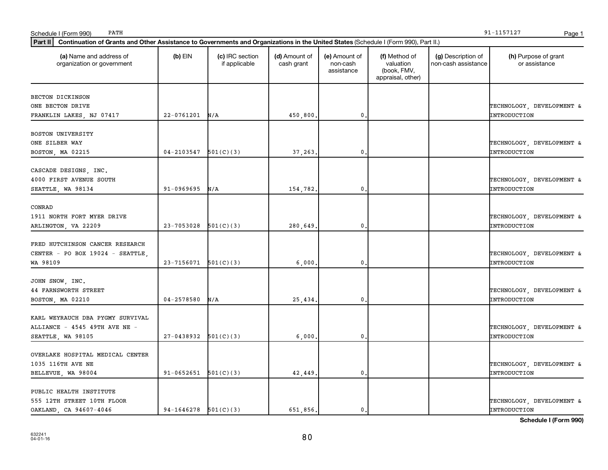| PATH<br>Schedule I (Form 990)                                                                                                                  |                            |                                  |                             |                                         |                                                                |                                           | 91-1157127<br>Page 1                      |
|------------------------------------------------------------------------------------------------------------------------------------------------|----------------------------|----------------------------------|-----------------------------|-----------------------------------------|----------------------------------------------------------------|-------------------------------------------|-------------------------------------------|
| Part II<br>Continuation of Grants and Other Assistance to Governments and Organizations in the United States (Schedule I (Form 990), Part II.) |                            |                                  |                             |                                         |                                                                |                                           |                                           |
| (a) Name and address of<br>organization or government                                                                                          | $(b)$ EIN                  | (c) IRC section<br>if applicable | (d) Amount of<br>cash grant | (e) Amount of<br>non-cash<br>assistance | (f) Method of<br>valuation<br>(book, FMV,<br>appraisal, other) | (g) Description of<br>non-cash assistance | (h) Purpose of grant<br>or assistance     |
| BECTON DICKINSON<br>ONE BECTON DRIVE<br>FRANKLIN LAKES, NJ 07417                                                                               | 22-0761201 N/A             |                                  | 450,800.                    | $\mathbf{0}$                            |                                                                |                                           | TECHNOLOGY, DEVELOPMENT &<br>INTRODUCTION |
| <b>BOSTON UNIVERSITY</b><br>ONE SILBER WAY<br>BOSTON, MA 02215                                                                                 | $04 - 2103547$             | 501(C)(3)                        | 37,263.                     | $\mathbf{0}$                            |                                                                |                                           | TECHNOLOGY, DEVELOPMENT &<br>INTRODUCTION |
| CASCADE DESIGNS, INC.<br>4000 FIRST AVENUE SOUTH<br>SEATTLE, WA 98134                                                                          | 91-0969695                 | N/A                              | 154,782.                    | $\mathbf{0}$                            |                                                                |                                           | TECHNOLOGY, DEVELOPMENT &<br>INTRODUCTION |
| CONRAD<br>1911 NORTH FORT MYER DRIVE<br>ARLINGTON, VA 22209                                                                                    | 23-7053028                 | 501(C)(3)                        | 280,649.                    | 0                                       |                                                                |                                           | TECHNOLOGY, DEVELOPMENT &<br>INTRODUCTION |
| FRED HUTCHINSON CANCER RESEARCH<br>CENTER - PO BOX 19024 - SEATTLE,<br>WA 98109                                                                | $23 - 7156071$ $501(C)(3)$ |                                  | 6,000.                      | $\mathbf 0$ .                           |                                                                |                                           | TECHNOLOGY, DEVELOPMENT &<br>INTRODUCTION |
| JOHN SNOW, INC.<br><b>44 FARNSWORTH STREET</b><br>BOSTON, MA 02210                                                                             | $04 - 2578580$             | N/A                              | 25,434.                     | $\mathbf{0}$                            |                                                                |                                           | TECHNOLOGY, DEVELOPMENT &<br>INTRODUCTION |
| KARL WEYRAUCH DBA PYGMY SURVIVAL<br>ALLIANCE - 4545 49TH AVE NE -<br>SEATTLE, WA 98105                                                         | $27-0438932$ $501(C)(3)$   |                                  | 6,000                       | $\mathbf{0}$                            |                                                                |                                           | TECHNOLOGY, DEVELOPMENT &<br>INTRODUCTION |
| OVERLAKE HOSPITAL MEDICAL CENTER<br>1035 116TH AVE NE<br>BELLEVUE, WA 98004                                                                    | $91-0652651$ $501(C)(3)$   |                                  | 42,449.                     | 0.                                      |                                                                |                                           | TECHNOLOGY, DEVELOPMENT &<br>INTRODUCTION |
| PUBLIC HEALTH INSTITUTE<br>555 12TH STREET 10TH FLOOR<br>OAKLAND, CA 94607-4046                                                                | $94-1646278$ $501(C)(3)$   |                                  | 651,856.                    | 0.                                      |                                                                |                                           | TECHNOLOGY, DEVELOPMENT &<br>INTRODUCTION |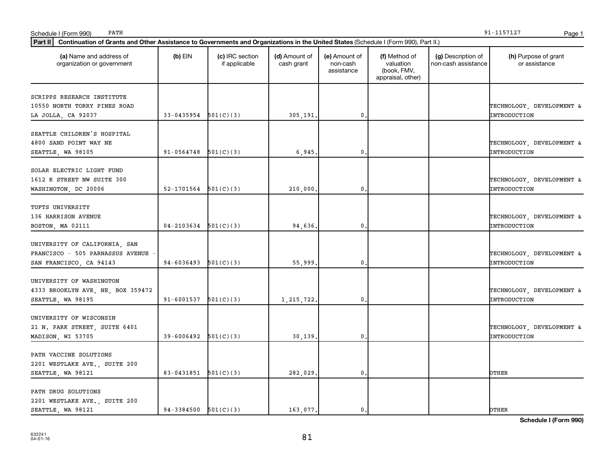| Continuation of Grants and Other Assistance to Governments and Organizations in the United States (Schedule I (Form 990), Part II.)<br>Part II |                              |                                  |                             |                                         |                                                                |                                           |                                           |
|------------------------------------------------------------------------------------------------------------------------------------------------|------------------------------|----------------------------------|-----------------------------|-----------------------------------------|----------------------------------------------------------------|-------------------------------------------|-------------------------------------------|
| (a) Name and address of<br>organization or government                                                                                          | $(b)$ EIN                    | (c) IRC section<br>if applicable | (d) Amount of<br>cash grant | (e) Amount of<br>non-cash<br>assistance | (f) Method of<br>valuation<br>(book, FMV,<br>appraisal, other) | (g) Description of<br>non-cash assistance | (h) Purpose of grant<br>or assistance     |
| SCRIPPS RESEARCH INSTITUTE<br>10550 NORTH TORRY PINES ROAD<br>LA JOLLA, CA 92037                                                               | 33-0435954 $ 501(C)(3) $     |                                  | 305,191.                    | $\mathbf 0$                             |                                                                |                                           | TECHNOLOGY, DEVELOPMENT &<br>INTRODUCTION |
| SEATTLE CHILDREN'S HOSPITAL<br>4800 SAND POINT WAY NE<br>SEATTLE, WA 98105                                                                     | 91-0564748                   | 501(C)(3)                        | 6,945.                      | $\mathsf{0}$ .                          |                                                                |                                           | TECHNOLOGY, DEVELOPMENT &<br>INTRODUCTION |
| SOLAR ELECTRIC LIGHT FUND<br>1612 K STREET NW SUITE 300<br>WASHINGTON, DC 20006                                                                | 52-1701564                   | 501(C)(3)                        | 210,000.                    | $\mathbf 0$                             |                                                                |                                           | TECHNOLOGY, DEVELOPMENT &<br>INTRODUCTION |
| TUFTS UNIVERSITY<br>136 HARRISON AVENUE<br>BOSTON, MA 02111                                                                                    | 04-2103634                   | 501(C)(3)                        | 94,636.                     | $\mathbf{0}$                            |                                                                |                                           | TECHNOLOGY, DEVELOPMENT &<br>INTRODUCTION |
| UNIVERSITY OF CALIFORNIA, SAN<br>FRANCISCO - 505 PARNASSUS AVENUE<br>SAN FRANCISCO, CA 94143                                                   | $94-6036493$ $501(C)(3)$     |                                  | 55,999.                     | $\mathsf{0}$ .                          |                                                                |                                           | TECHNOLOGY, DEVELOPMENT &<br>INTRODUCTION |
| UNIVERSITY OF WASHINGTON<br>4333 BROOKLYN AVE, NE, BOX 359472<br>SEATTLE, WA 98195                                                             | 91-6001537                   | 501(C)(3)                        | 1, 215, 722.                | $\mathbf{0}$                            |                                                                |                                           | TECHNOLOGY, DEVELOPMENT &<br>INTRODUCTION |
| UNIVERSITY OF WISCONSIN<br>21 N. PARK STREET, SUITE 6401<br>MADISON, WI 53705                                                                  | 39-6006492                   | 501(C)(3)                        | 30, 139.                    | $\mathbf{0}$                            |                                                                |                                           | TECHNOLOGY, DEVELOPMENT &<br>INTRODUCTION |
| PATH VACCINE SOLUTIONS<br>2201 WESTLAKE AVE., SUITE 200<br>SEATTLE, WA 98121                                                                   | 83-0431851 $\vert$ 501(C)(3) |                                  | 282,029.                    | $\mathfrak o$ .                         |                                                                |                                           | OTHER                                     |
| PATH DRUG SOLUTIONS<br>2201 WESTLAKE AVE., SUITE 200<br>SEATTLE, WA 98121                                                                      | $94-3384500$ $501(C)(3)$     |                                  | 163.077.                    | 0.                                      |                                                                |                                           | <b>OTHER</b>                              |

Schedule I (Form 990) PATH Page 1

PATH 91-1157127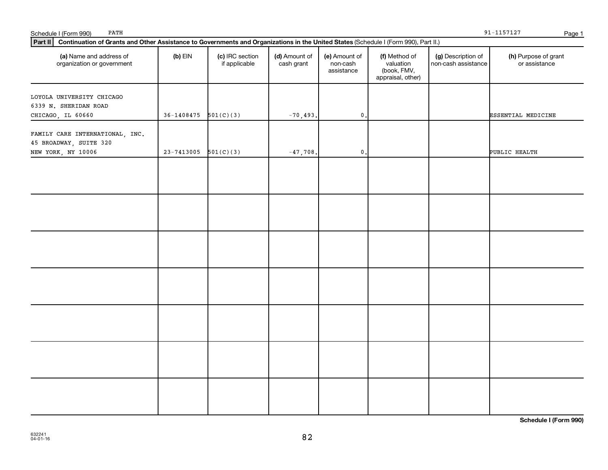| Schedule I (Form 990)<br>PATH                                                                                                                  |                |                                  |                             |                                         |                                                                |                                           | $91 - 1157127$                        | Page 1 |
|------------------------------------------------------------------------------------------------------------------------------------------------|----------------|----------------------------------|-----------------------------|-----------------------------------------|----------------------------------------------------------------|-------------------------------------------|---------------------------------------|--------|
| Part II<br>Continuation of Grants and Other Assistance to Governments and Organizations in the United States (Schedule I (Form 990), Part II.) |                |                                  |                             |                                         |                                                                |                                           |                                       |        |
| (a) Name and address of<br>organization or government                                                                                          | $(b)$ EIN      | (c) IRC section<br>if applicable | (d) Amount of<br>cash grant | (e) Amount of<br>non-cash<br>assistance | (f) Method of<br>valuation<br>(book, FMV,<br>appraisal, other) | (g) Description of<br>non-cash assistance | (h) Purpose of grant<br>or assistance |        |
| LOYOLA UNIVERSITY CHICAGO<br>6339 N. SHERIDAN ROAD<br>CHICAGO, IL 60660                                                                        | $36 - 1408475$ | 501(C)(3)                        | $-70,493$                   | $\mathfrak{o}$ .                        |                                                                |                                           | ESSENTIAL MEDICINE                    |        |
| FAMILY CARE INTERNATIONAL, INC.<br>45 BROADWAY, SUITE 320<br>NEW YORK, NY 10006                                                                | $23 - 7413005$ | 501(C)(3)                        | $-47,708.$                  | $\mathfrak o$ .                         |                                                                |                                           | PUBLIC HEALTH                         |        |
|                                                                                                                                                |                |                                  |                             |                                         |                                                                |                                           |                                       |        |
|                                                                                                                                                |                |                                  |                             |                                         |                                                                |                                           |                                       |        |
|                                                                                                                                                |                |                                  |                             |                                         |                                                                |                                           |                                       |        |
|                                                                                                                                                |                |                                  |                             |                                         |                                                                |                                           |                                       |        |
|                                                                                                                                                |                |                                  |                             |                                         |                                                                |                                           |                                       |        |
|                                                                                                                                                |                |                                  |                             |                                         |                                                                |                                           |                                       |        |
|                                                                                                                                                |                |                                  |                             |                                         |                                                                |                                           |                                       |        |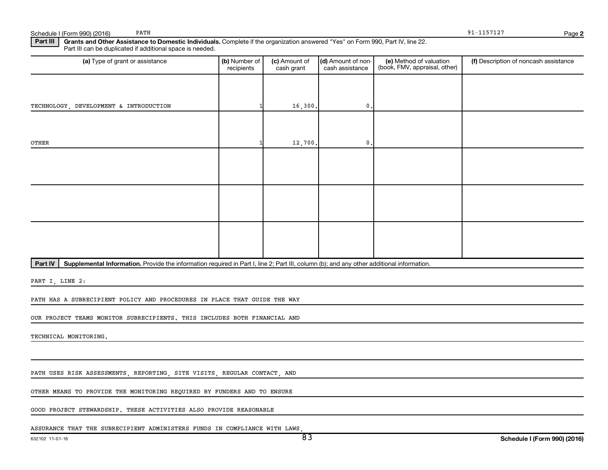Schedule I (Form 990) (2016) PATH 27 (2018) PARTH 21-1157127

PATH 91-1157127

**2**

Part III | Grants and Other Assistance to Domestic Individuals. Complete if the organization answered "Yes" on Form 990, Part IV, line 22. Part III can be duplicated if additional space is needed.

| (a) Type of grant or assistance        | (b) Number of<br>recipients | (c) Amount of<br>cash grant | (d) Amount of non-<br>cash assistance | (e) Method of valuation<br>(book, FMV, appraisal, other) | (f) Description of noncash assistance |
|----------------------------------------|-----------------------------|-----------------------------|---------------------------------------|----------------------------------------------------------|---------------------------------------|
|                                        |                             |                             |                                       |                                                          |                                       |
| TECHNOLOGY, DEVELOPMENT & INTRODUCTION |                             | 16,300.                     | $\mathbf{0}$ .                        |                                                          |                                       |
|                                        |                             |                             |                                       |                                                          |                                       |
| OTHER                                  |                             | 12,700.                     | $\mathbf{0}$ .                        |                                                          |                                       |
|                                        |                             |                             |                                       |                                                          |                                       |
|                                        |                             |                             |                                       |                                                          |                                       |
|                                        |                             |                             |                                       |                                                          |                                       |
|                                        |                             |                             |                                       |                                                          |                                       |
|                                        |                             |                             |                                       |                                                          |                                       |
|                                        |                             |                             |                                       |                                                          |                                       |

Part IV | Supplemental Information. Provide the information required in Part I, line 2; Part III, column (b); and any other additional information.

PART I, LINE 2:

PATH HAS A SUBRECIPIENT POLICY AND PROCEDURES IN PLACE THAT GUIDE THE WAY

OUR PROJECT TEAMS MONITOR SUBRECIPIENTS. THIS INCLUDES BOTH FINANCIAL AND

TECHNICAL MONITORING.

PATH USES RISK ASSESSMENTS, REPORTING, SITE VISITS, REGULAR CONTACT, AND

OTHER MEANS TO PROVIDE THE MONITORING REQUIRED BY FUNDERS AND TO ENSURE

GOOD PROJECT STEWARDSHIP. THESE ACTIVITIES ALSO PROVIDE REASONABLE

ASSURANCE THAT THE SUBRECIPIENT ADMINISTERS FUNDS IN COMPLIANCE WITH LAWS,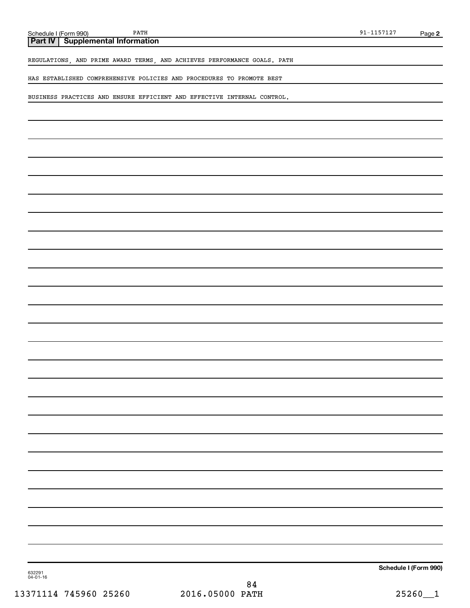**Part IV Supplemental Information**

REGULATIONS, AND PRIME AWARD TERMS, AND ACHIEVES PERFORMANCE GOALS. PATH

HAS ESTABLISHED COMPREHENSIVE POLICIES AND PROCEDURES TO PROMOTE BEST

BUSINESS PRACTICES AND ENSURE EFFICIENT AND EFFECTIVE INTERNAL CONTROL.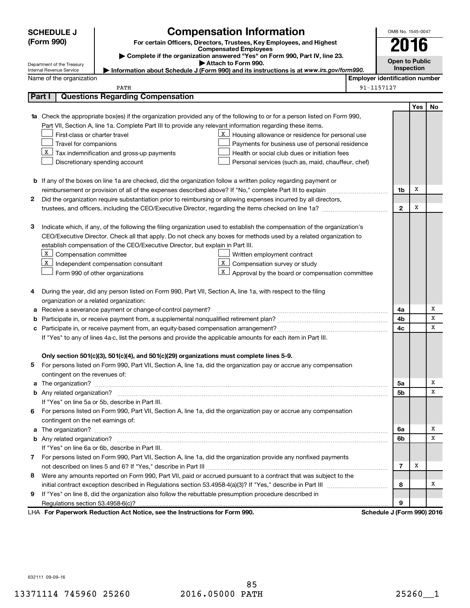|   | <b>SCHEDULE J</b>                       | <b>Compensation Information</b>                                                                                           |                                       | OMB No. 1545-0047          |     |    |
|---|-----------------------------------------|---------------------------------------------------------------------------------------------------------------------------|---------------------------------------|----------------------------|-----|----|
|   | (Form 990)                              | For certain Officers, Directors, Trustees, Key Employees, and Highest                                                     |                                       | 2016                       |     |    |
|   |                                         | <b>Compensated Employees</b>                                                                                              |                                       |                            |     |    |
|   | Department of the Treasury              | Complete if the organization answered "Yes" on Form 990, Part IV, line 23.<br>Attach to Form 990.                         |                                       | <b>Open to Public</b>      |     |    |
|   | Internal Revenue Service                | Information about Schedule J (Form 990) and its instructions is at www.irs.gov/form990.                                   |                                       | Inspection                 |     |    |
|   | Name of the organization                |                                                                                                                           | <b>Employer identification number</b> |                            |     |    |
|   |                                         | PATH                                                                                                                      | 91-1157127                            |                            |     |    |
|   | Part I                                  | <b>Questions Regarding Compensation</b>                                                                                   |                                       |                            |     |    |
|   |                                         |                                                                                                                           |                                       |                            | Yes | No |
|   |                                         | 1a Check the appropriate box(es) if the organization provided any of the following to or for a person listed on Form 990, |                                       |                            |     |    |
|   |                                         | Part VII, Section A, line 1a. Complete Part III to provide any relevant information regarding these items.                |                                       |                            |     |    |
|   | First-class or charter travel           | $\mathbf{X}$<br>Housing allowance or residence for personal use                                                           |                                       |                            |     |    |
|   | Travel for companions                   | Payments for business use of personal residence                                                                           |                                       |                            |     |    |
|   |                                         | $X$ Tax indemnification and gross-up payments<br>Health or social club dues or initiation fees                            |                                       |                            |     |    |
|   |                                         | Discretionary spending account<br>Personal services (such as, maid, chauffeur, chef)                                      |                                       |                            |     |    |
|   |                                         |                                                                                                                           |                                       |                            |     |    |
|   |                                         | <b>b</b> If any of the boxes on line 1a are checked, did the organization follow a written policy regarding payment or    |                                       |                            |     |    |
|   |                                         | reimbursement or provision of all of the expenses described above? If "No," complete Part III to explain                  |                                       | 1b                         | х   |    |
| 2 |                                         | Did the organization require substantiation prior to reimbursing or allowing expenses incurred by all directors,          |                                       |                            |     |    |
|   |                                         |                                                                                                                           |                                       | $\mathbf{2}$               | х   |    |
|   |                                         |                                                                                                                           |                                       |                            |     |    |
| з |                                         | Indicate which, if any, of the following the filing organization used to establish the compensation of the organization's |                                       |                            |     |    |
|   |                                         | CEO/Executive Director. Check all that apply. Do not check any boxes for methods used by a related organization to        |                                       |                            |     |    |
|   |                                         | establish compensation of the CEO/Executive Director, but explain in Part III.                                            |                                       |                            |     |    |
|   | X Compensation committee                | Written employment contract<br>x                                                                                          |                                       |                            |     |    |
|   |                                         | $X$ Independent compensation consultant<br>Compensation survey or study<br>X                                              |                                       |                            |     |    |
|   |                                         | Approval by the board or compensation committee<br>Form 990 of other organizations                                        |                                       |                            |     |    |
| 4 |                                         | During the year, did any person listed on Form 990, Part VII, Section A, line 1a, with respect to the filing              |                                       |                            |     |    |
|   | organization or a related organization: |                                                                                                                           |                                       |                            |     |    |
| а |                                         | Receive a severance payment or change-of-control payment?                                                                 |                                       | 4a                         |     | X  |
| b |                                         |                                                                                                                           |                                       | 4b                         |     | X  |
| c |                                         |                                                                                                                           |                                       | 4c                         |     | x  |
|   |                                         | If "Yes" to any of lines 4a-c, list the persons and provide the applicable amounts for each item in Part III.             |                                       |                            |     |    |
|   |                                         |                                                                                                                           |                                       |                            |     |    |
|   |                                         | Only section 501(c)(3), 501(c)(4), and 501(c)(29) organizations must complete lines 5-9.                                  |                                       |                            |     |    |
|   |                                         | For persons listed on Form 990, Part VII, Section A, line 1a, did the organization pay or accrue any compensation         |                                       |                            |     |    |
|   | contingent on the revenues of:          |                                                                                                                           |                                       |                            |     |    |
|   |                                         |                                                                                                                           |                                       | 5а                         |     | х  |
|   |                                         |                                                                                                                           |                                       | 5b                         |     | x  |
|   |                                         | If "Yes" on line 5a or 5b, describe in Part III.                                                                          |                                       |                            |     |    |
| 6 |                                         | For persons listed on Form 990, Part VII, Section A, line 1a, did the organization pay or accrue any compensation         |                                       |                            |     |    |
|   | contingent on the net earnings of:      |                                                                                                                           |                                       |                            |     |    |
|   |                                         |                                                                                                                           |                                       | 6a                         |     | X  |
|   |                                         |                                                                                                                           |                                       | 6b                         |     | x  |
|   |                                         | If "Yes" on line 6a or 6b, describe in Part III.                                                                          |                                       |                            |     |    |
|   |                                         | 7 For persons listed on Form 990, Part VII, Section A, line 1a, did the organization provide any nonfixed payments        |                                       |                            |     |    |
|   |                                         |                                                                                                                           |                                       | 7                          | х   |    |
| 8 |                                         | Were any amounts reported on Form 990, Part VII, paid or accrued pursuant to a contract that was subject to the           |                                       |                            |     |    |
|   |                                         |                                                                                                                           |                                       | 8                          |     | х  |
| 9 |                                         | If "Yes" on line 8, did the organization also follow the rebuttable presumption procedure described in                    |                                       |                            |     |    |
|   |                                         |                                                                                                                           |                                       | 9                          |     |    |
|   |                                         | LHA For Paperwork Reduction Act Notice, see the Instructions for Form 990.                                                |                                       | Schedule J (Form 990) 2016 |     |    |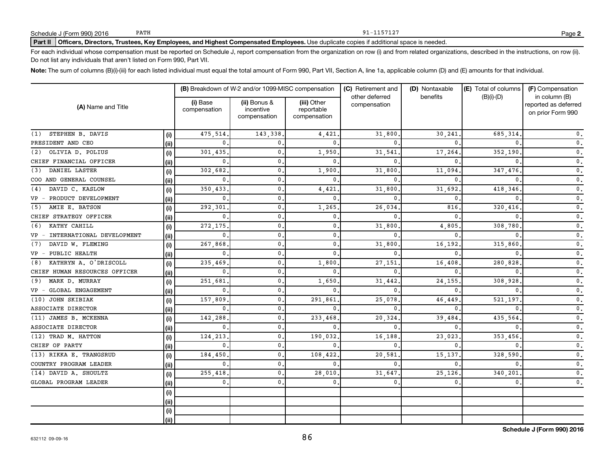## 91-1157127

**2**

#### Part II | Officers, Directors, Trustees, Key Employees, and Highest Compensated Employees. Use duplicate copies if additional space is needed.

For each individual whose compensation must be reported on Schedule J, report compensation from the organization on row (i) and from related organizations, described in the instructions, on row (ii). Do not list any individuals that aren't listed on Form 990, Part VII.

Note: The sum of columns (B)(i)-(iii) for each listed individual must equal the total amount of Form 990, Part VII, Section A, line 1a, applicable column (D) and (E) amounts for that individual.

|                                     |       |                          | (B) Breakdown of W-2 and/or 1099-MISC compensation |                                           | (C) Retirement and             | (D) Nontaxable | (E) Total of columns | (F) Compensation                                           |
|-------------------------------------|-------|--------------------------|----------------------------------------------------|-------------------------------------------|--------------------------------|----------------|----------------------|------------------------------------------------------------|
| (A) Name and Title                  |       | (i) Base<br>compensation | (ii) Bonus &<br>incentive<br>compensation          | (iii) Other<br>reportable<br>compensation | other deferred<br>compensation | benefits       | $(B)(i)-(D)$         | in column (B)<br>reported as deferred<br>on prior Form 990 |
| STEPHEN B. DAVIS<br>(1)             | (i)   | 475.514                  | 143,338                                            | 4,421                                     | 31,800                         | 30,241         | 685.314              | $\mathbf{0}$ .                                             |
| PRESIDENT AND CEO                   | (ii)  | $\Omega$                 |                                                    | $\mathbf 0$ .                             | $\Omega$                       | $\Omega$       |                      | $\mathfrak o$ .                                            |
| OLIVIA D. POLIUS<br>(2)             | (i)   | 301,435                  | $\mathbf{0}$                                       | 1,950                                     | 31,541                         | 17,264         | 352,190              | $\mathfrak o$ .                                            |
| CHIEF FINANCIAL OFFICER             | (ii)  | 0                        | $\mathbf{0}$                                       | 0.                                        | $\Omega$                       | 0              |                      | $\mathfrak o$ .                                            |
| DANIEL LASTER<br>(3)                | (i)   | 302,682                  | $\mathbf{0}$                                       | 1,900                                     | 31,800                         | 11,094         | 347,476              | $\mathbf 0$ .                                              |
| COO AND GENERAL COUNSEL             | (ii)  | 0                        | $^{\circ}$                                         | $\mathbf{0}$                              | <sup>0</sup>                   | <sup>n</sup>   |                      | 0.                                                         |
| DAVID C. KASLOW<br>(4)              | (i)   | 350,433                  | $\mathbf{0}$                                       | 4,421                                     | 31,800                         | 31,692         | 418,346              | $\mathfrak o$ .                                            |
| PRODUCT DEVELOPMENT<br>$VP -$       | (ii)  | $\mathbf{0}$             | $\mathbf{0}$                                       | $\mathbf{0}$                              | $\Omega$                       | 0              |                      | $\mathfrak o$ .                                            |
| AMIE E. BATSON<br>(5)               | (i)   | 292,301                  | $\mathbf{0}$                                       | 1,265                                     | 26,034                         | 816            | 320,416              | $\mathfrak o$ .                                            |
| CHIEF STRATEGY OFFICER              | (ii)  | 0                        | 0                                                  | $\mathbf 0$                               | $\Omega$                       | $\Omega$       |                      | $\mathfrak o$ .                                            |
| KATHY CAHILL<br>(6)                 | (i)   | 272.175                  | $\mathbf{0}$                                       | $\mathbf{0}$                              | 31,800                         | 4,805          | 308,780              | $\mathbf{0}$ .                                             |
| INTERNATIONAL DEVELOPMENT<br>$VP -$ | (ii)  | $\mathbf{0}$             | $\mathbf{0}$                                       | $\mathbf{0}$                              | $\Omega$                       | 0              |                      | $\mathfrak o$ .                                            |
| DAVID W. FLEMING<br>(7)             | (i)   | 267,868                  | $\mathbf 0$                                        | $\mathbf{0}$                              | 31,800                         | 16,192         | 315,860              | $\mathfrak o$ .                                            |
| VP - PUBLIC HEALTH                  | (ii)  | $\mathbf{0}$             | $\mathbf{0}$                                       | $\mathbf{0}$                              | $\Omega$                       | $\Omega$       |                      | $\mathbf 0$ .                                              |
| KATHRYN A. O'DRISCOLL<br>(8)        | (i)   | 235,469                  | $\mathbf{0}$                                       | 1,800                                     | 27,151                         | 16,408         | 280,828              | $\mathbf 0$ .                                              |
| CHIEF HUMAN RESOURCES OFFICER       | (iii) | 0                        | 0                                                  | $\mathbf{0}$                              | 0                              | 0              |                      | $\mathfrak o$ .                                            |
| MARK D. MURRAY<br>(9)               | (i)   | 251,681                  | $\mathbf{0}$                                       | 1,650                                     | 31,442                         | 24,155         | 308,928              | $\mathfrak o$ .                                            |
| <b>GLOBAL ENGAGEMENT</b><br>$VP -$  | (ii)  | 0                        | $\mathbf{0}$                                       | $\mathbf 0$ .                             | 0                              | $\Omega$       |                      | $\mathfrak o$ .                                            |
| (10) JOHN SKIBIAK                   | (i)   | 157,809                  | $\mathbf{0}$                                       | 291,861                                   | 25,078                         | 46,449         | 521,197              | $\mathfrak o$ .                                            |
| ASSOCIATE DIRECTOR                  | (ii)  | 0                        | 0                                                  | $\mathbf 0$ .                             | 0                              | $\Omega$       |                      | $\mathfrak o$ .                                            |
| (11) JAMES B. MCKENNA               | (i)   | 142,288                  | 0                                                  | 233,468                                   | 20,324                         | 39,484         | 435,564              | $\mathfrak o$ .                                            |
| ASSOCIATE DIRECTOR                  | (ii)  | 0                        | 0                                                  | $\mathbf 0$ .                             | 0                              | $\Omega$       |                      | $\mathbf{0}$ .                                             |
| (12) TRAD M. HATTON                 | (i)   | 124,213                  | 0                                                  | 190,032                                   | 16,188                         | 23,023         | 353,456              | $\mathbf{0}$ .                                             |
| CHIEF OF PARTY                      | (ii)  | $\mathbf{0}$             | 0                                                  | 0.                                        | 0                              | $\mathbf{0}$ . | 0                    | $\mathfrak o$ .                                            |
| (13) RIKKA E. TRANGSRUD             | (i)   | 184,450                  | $\mathbf{0}$                                       | 108,422                                   | 20,581                         | 15,137         | 328,590              | $\mathfrak o$ .                                            |
| COUNTRY PROGRAM LEADER              | (iii) | $\mathbf{0}$             | $\mathbf{0}$                                       | 0.                                        | 0                              | $\mathbf{0}$ . |                      | $\mathfrak o$ .                                            |
| (14) DAVID A. SHOULTZ               | (i)   | 255,418                  | 0                                                  | 28,010                                    | 31,647                         | 25.126.        | 340.201              | $\mathbf{0}$ .                                             |
| GLOBAL PROGRAM LEADER               | (iii) | $\mathbf{0}$             | $\mathbf{0}$                                       | 0.                                        | 0                              | 0.             | $\mathbf 0$          | $\mathfrak o$ .                                            |
|                                     | (i)   |                          |                                                    |                                           |                                |                |                      |                                                            |
|                                     | (ii)  |                          |                                                    |                                           |                                |                |                      |                                                            |
|                                     | (i)   |                          |                                                    |                                           |                                |                |                      |                                                            |
|                                     | (ii)  |                          |                                                    |                                           |                                |                |                      |                                                            |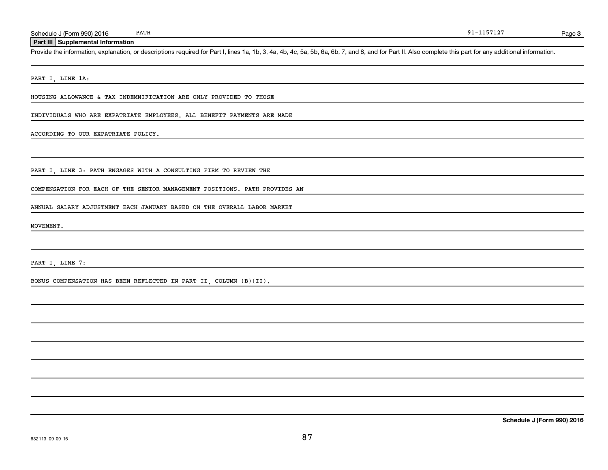### **Part III Supplemental Information**

Provide the information, explanation, or descriptions required for Part I, lines 1a, 1b, 3, 4a, 4b, 4c, 5a, 5b, 6a, 6b, 7, and 8, and for Part II. Also complete this part for any additional information.

PART I, LINE 1A:

HOUSING ALLOWANCE & TAX INDEMNIFICATION ARE ONLY PROVIDED TO THOSE

INDIVIDUALS WHO ARE EXPATRIATE EMPLOYEES. ALL BENEFIT PAYMENTS ARE MADE

ACCORDING TO OUR EXPATRIATE POLICY.

PART I, LINE 3: PATH ENGAGES WITH A CONSULTING FIRM TO REVIEW THE

COMPENSATION FOR EACH OF THE SENIOR MANAGEMENT POSITIONS. PATH PROVIDES AN

ANNUAL SALARY ADJUSTMENT EACH JANUARY BASED ON THE OVERALL LABOR MARKET

MOVEMENT.

PART I, LINE 7:

BONUS COMPENSATION HAS BEEN REFLECTED IN PART II, COLUMN (B)(II).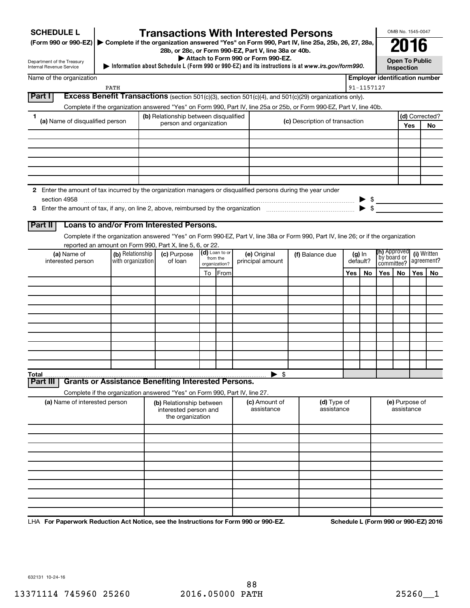| <b>SCHEDULE L</b>                                                                                             | <b>Transactions With Interested Persons</b>                                                                                        |  |                                                                                                                                                                                                                     |    |                           |  |                                                          |  | OMB No. 1545-0047                                                                                 |                              |                                                 |                                       |            |     |                      |
|---------------------------------------------------------------------------------------------------------------|------------------------------------------------------------------------------------------------------------------------------------|--|---------------------------------------------------------------------------------------------------------------------------------------------------------------------------------------------------------------------|----|---------------------------|--|----------------------------------------------------------|--|---------------------------------------------------------------------------------------------------|------------------------------|-------------------------------------------------|---------------------------------------|------------|-----|----------------------|
|                                                                                                               |                                                                                                                                    |  | (Form 990 or 990-EZ) ▶ Complete if the organization answered "Yes" on Form 990, Part IV, line 25a, 25b, 26, 27, 28a,<br>28b, or 28c, or Form 990-EZ, Part V, line 38a or 40b.<br>Attach to Form 990 or Form 990-EZ. |    |                           |  |                                                          |  |                                                                                                   | 2016                         |                                                 |                                       |            |     |                      |
| Department of the Treasury<br>Internal Revenue Service                                                        |                                                                                                                                    |  |                                                                                                                                                                                                                     |    |                           |  |                                                          |  | Information about Schedule L (Form 990 or 990-EZ) and its instructions is at www.irs.gov/form990. |                              |                                                 | Open To Public<br>Inspection          |            |     |                      |
| Name of the organization                                                                                      |                                                                                                                                    |  |                                                                                                                                                                                                                     |    |                           |  |                                                          |  |                                                                                                   |                              |                                                 | <b>Employer identification number</b> |            |     |                      |
|                                                                                                               | PATH                                                                                                                               |  |                                                                                                                                                                                                                     |    |                           |  |                                                          |  |                                                                                                   |                              | 91-1157127                                      |                                       |            |     |                      |
| Part I                                                                                                        | <b>Excess Benefit Transactions</b> (section 501(c)(3), section 501(c)(4), and 501(c)(29) organizations only).                      |  |                                                                                                                                                                                                                     |    |                           |  |                                                          |  |                                                                                                   |                              |                                                 |                                       |            |     |                      |
|                                                                                                               | Complete if the organization answered "Yes" on Form 990, Part IV, line 25a or 25b, or Form 990-EZ, Part V, line 40b.               |  |                                                                                                                                                                                                                     |    |                           |  |                                                          |  |                                                                                                   |                              |                                                 |                                       |            |     |                      |
| 1<br>(a) Name of disqualified person                                                                          |                                                                                                                                    |  | (b) Relationship between disqualified<br>person and organization                                                                                                                                                    |    |                           |  |                                                          |  | (c) Description of transaction                                                                    |                              |                                                 |                                       |            | Yes | (d) Corrected?<br>No |
|                                                                                                               |                                                                                                                                    |  |                                                                                                                                                                                                                     |    |                           |  |                                                          |  |                                                                                                   |                              |                                                 |                                       |            |     |                      |
|                                                                                                               |                                                                                                                                    |  |                                                                                                                                                                                                                     |    |                           |  |                                                          |  |                                                                                                   |                              |                                                 |                                       |            |     |                      |
|                                                                                                               |                                                                                                                                    |  |                                                                                                                                                                                                                     |    |                           |  |                                                          |  |                                                                                                   |                              |                                                 |                                       |            |     |                      |
|                                                                                                               |                                                                                                                                    |  |                                                                                                                                                                                                                     |    |                           |  |                                                          |  |                                                                                                   |                              |                                                 |                                       |            |     |                      |
|                                                                                                               |                                                                                                                                    |  |                                                                                                                                                                                                                     |    |                           |  |                                                          |  |                                                                                                   |                              |                                                 |                                       |            |     |                      |
| 2 Enter the amount of tax incurred by the organization managers or disqualified persons during the year under |                                                                                                                                    |  |                                                                                                                                                                                                                     |    |                           |  |                                                          |  |                                                                                                   |                              |                                                 |                                       |            |     |                      |
| section 4958                                                                                                  |                                                                                                                                    |  |                                                                                                                                                                                                                     |    |                           |  |                                                          |  |                                                                                                   |                              |                                                 | $\frac{1}{2}$                         |            |     |                      |
|                                                                                                               |                                                                                                                                    |  |                                                                                                                                                                                                                     |    |                           |  |                                                          |  |                                                                                                   |                              | $\blacktriangleright$ \$                        |                                       |            |     |                      |
|                                                                                                               |                                                                                                                                    |  |                                                                                                                                                                                                                     |    |                           |  |                                                          |  |                                                                                                   |                              |                                                 |                                       |            |     |                      |
| Part II                                                                                                       | Loans to and/or From Interested Persons.                                                                                           |  |                                                                                                                                                                                                                     |    |                           |  |                                                          |  |                                                                                                   |                              |                                                 |                                       |            |     |                      |
|                                                                                                               | Complete if the organization answered "Yes" on Form 990-EZ, Part V, line 38a or Form 990, Part IV, line 26; or if the organization |  |                                                                                                                                                                                                                     |    |                           |  |                                                          |  |                                                                                                   |                              |                                                 |                                       |            |     |                      |
| (a) Name of                                                                                                   | reported an amount on Form 990, Part X, line 5, 6, or 22.<br>(b) Relationship                                                      |  | (c) Purpose                                                                                                                                                                                                         |    | (d) Loan to or            |  | (e) Original                                             |  | (f) Balance due                                                                                   |                              |                                                 | <b>(h)</b> Approved                   |            |     | (i) Written          |
| interested person                                                                                             | with organization                                                                                                                  |  | of loan                                                                                                                                                                                                             |    | from the<br>organization? |  | principal amount                                         |  |                                                                                                   |                              | (g) In<br>by board or<br>default?<br>committee? |                                       | agreement? |     |                      |
|                                                                                                               |                                                                                                                                    |  |                                                                                                                                                                                                                     | To | From                      |  |                                                          |  |                                                                                                   |                              | No                                              | Yes                                   | No.        | Yes | <b>No</b>            |
|                                                                                                               |                                                                                                                                    |  |                                                                                                                                                                                                                     |    |                           |  |                                                          |  |                                                                                                   |                              |                                                 |                                       |            |     |                      |
|                                                                                                               |                                                                                                                                    |  |                                                                                                                                                                                                                     |    |                           |  |                                                          |  |                                                                                                   |                              |                                                 |                                       |            |     |                      |
|                                                                                                               |                                                                                                                                    |  |                                                                                                                                                                                                                     |    |                           |  |                                                          |  |                                                                                                   |                              |                                                 |                                       |            |     |                      |
|                                                                                                               |                                                                                                                                    |  |                                                                                                                                                                                                                     |    |                           |  |                                                          |  |                                                                                                   |                              |                                                 |                                       |            |     |                      |
|                                                                                                               |                                                                                                                                    |  |                                                                                                                                                                                                                     |    |                           |  |                                                          |  |                                                                                                   |                              |                                                 |                                       |            |     |                      |
|                                                                                                               |                                                                                                                                    |  |                                                                                                                                                                                                                     |    |                           |  |                                                          |  |                                                                                                   |                              |                                                 |                                       |            |     |                      |
|                                                                                                               |                                                                                                                                    |  |                                                                                                                                                                                                                     |    |                           |  |                                                          |  |                                                                                                   |                              |                                                 |                                       |            |     |                      |
|                                                                                                               |                                                                                                                                    |  |                                                                                                                                                                                                                     |    |                           |  |                                                          |  |                                                                                                   |                              |                                                 |                                       |            |     |                      |
|                                                                                                               |                                                                                                                                    |  |                                                                                                                                                                                                                     |    |                           |  |                                                          |  |                                                                                                   |                              |                                                 |                                       |            |     |                      |
| Total<br>Part III                                                                                             | <b>Grants or Assistance Benefiting Interested Persons.</b>                                                                         |  |                                                                                                                                                                                                                     |    |                           |  | -\$                                                      |  |                                                                                                   |                              |                                                 |                                       |            |     |                      |
|                                                                                                               | Complete if the organization answered "Yes" on Form 990, Part IV, line 27.                                                         |  |                                                                                                                                                                                                                     |    |                           |  |                                                          |  |                                                                                                   |                              |                                                 |                                       |            |     |                      |
| (a) Name of interested person                                                                                 |                                                                                                                                    |  | (b) Relationship between<br>interested person and<br>the organization                                                                                                                                               |    |                           |  | (c) Amount of<br>(d) Type of<br>assistance<br>assistance |  |                                                                                                   | (e) Purpose of<br>assistance |                                                 |                                       |            |     |                      |
|                                                                                                               |                                                                                                                                    |  |                                                                                                                                                                                                                     |    |                           |  |                                                          |  |                                                                                                   |                              |                                                 |                                       |            |     |                      |
|                                                                                                               |                                                                                                                                    |  |                                                                                                                                                                                                                     |    |                           |  |                                                          |  |                                                                                                   |                              |                                                 |                                       |            |     |                      |
|                                                                                                               |                                                                                                                                    |  |                                                                                                                                                                                                                     |    |                           |  |                                                          |  |                                                                                                   |                              |                                                 |                                       |            |     |                      |
|                                                                                                               |                                                                                                                                    |  |                                                                                                                                                                                                                     |    |                           |  |                                                          |  |                                                                                                   |                              |                                                 |                                       |            |     |                      |
|                                                                                                               |                                                                                                                                    |  |                                                                                                                                                                                                                     |    |                           |  |                                                          |  |                                                                                                   |                              |                                                 |                                       |            |     |                      |
|                                                                                                               |                                                                                                                                    |  |                                                                                                                                                                                                                     |    |                           |  |                                                          |  |                                                                                                   |                              |                                                 |                                       |            |     |                      |
|                                                                                                               |                                                                                                                                    |  |                                                                                                                                                                                                                     |    |                           |  |                                                          |  |                                                                                                   |                              |                                                 |                                       |            |     |                      |
|                                                                                                               |                                                                                                                                    |  |                                                                                                                                                                                                                     |    |                           |  |                                                          |  |                                                                                                   |                              |                                                 |                                       |            |     |                      |
|                                                                                                               |                                                                                                                                    |  |                                                                                                                                                                                                                     |    |                           |  |                                                          |  |                                                                                                   |                              |                                                 |                                       |            |     |                      |

LHA For Paperwork Reduction Act Notice, see the Instructions for Form 990 or 990-EZ. Schedule L (Form 990 or 990-EZ) 2016

632131 10-24-16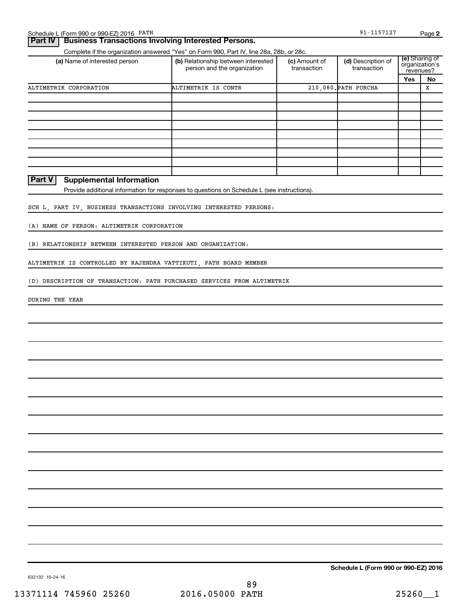| (a) Name of interested person                                           | Complete if the organization answered "Yes" on Form 990, Part IV, line 28a, 28b, or 28c.<br>(b) Relationship between interested<br>person and the organization | (c) Amount of<br>transaction | (d) Description of<br>transaction    |     | (e) Sharing of<br>organization's<br>revenues? |
|-------------------------------------------------------------------------|----------------------------------------------------------------------------------------------------------------------------------------------------------------|------------------------------|--------------------------------------|-----|-----------------------------------------------|
|                                                                         |                                                                                                                                                                |                              |                                      | Yes | No                                            |
| ALTIMETRIK CORPORATION                                                  | ALTIMETRIK IS CONTR                                                                                                                                            |                              | 210,080. PATH PURCHA                 |     | $\mathbf X$                                   |
|                                                                         |                                                                                                                                                                |                              |                                      |     |                                               |
|                                                                         |                                                                                                                                                                |                              |                                      |     |                                               |
|                                                                         |                                                                                                                                                                |                              |                                      |     |                                               |
|                                                                         |                                                                                                                                                                |                              |                                      |     |                                               |
|                                                                         |                                                                                                                                                                |                              |                                      |     |                                               |
|                                                                         |                                                                                                                                                                |                              |                                      |     |                                               |
|                                                                         |                                                                                                                                                                |                              |                                      |     |                                               |
|                                                                         |                                                                                                                                                                |                              |                                      |     |                                               |
| <b>Part V</b><br><b>Supplemental Information</b>                        |                                                                                                                                                                |                              |                                      |     |                                               |
|                                                                         | Provide additional information for responses to questions on Schedule L (see instructions).                                                                    |                              |                                      |     |                                               |
|                                                                         |                                                                                                                                                                |                              |                                      |     |                                               |
| SCH L, PART IV, BUSINESS TRANSACTIONS INVOLVING INTERESTED PERSONS:     |                                                                                                                                                                |                              |                                      |     |                                               |
|                                                                         |                                                                                                                                                                |                              |                                      |     |                                               |
| (A) NAME OF PERSON: ALTIMETRIK CORPORATION                              |                                                                                                                                                                |                              |                                      |     |                                               |
|                                                                         |                                                                                                                                                                |                              |                                      |     |                                               |
| (B) RELATIONSHIP BETWEEN INTERESTED PERSON AND ORGANIZATION:            |                                                                                                                                                                |                              |                                      |     |                                               |
| ALTIMETRIK IS CONTROLLED BY RAJENDRA VATTIKUTI, PATH BOARD MEMBER       |                                                                                                                                                                |                              |                                      |     |                                               |
|                                                                         |                                                                                                                                                                |                              |                                      |     |                                               |
| (D) DESCRIPTION OF TRANSACTION: PATH PURCHASED SERVICES FROM ALTIMETRIK |                                                                                                                                                                |                              |                                      |     |                                               |
|                                                                         |                                                                                                                                                                |                              |                                      |     |                                               |
| DURING THE YEAR                                                         |                                                                                                                                                                |                              |                                      |     |                                               |
|                                                                         |                                                                                                                                                                |                              |                                      |     |                                               |
|                                                                         |                                                                                                                                                                |                              |                                      |     |                                               |
|                                                                         |                                                                                                                                                                |                              |                                      |     |                                               |
|                                                                         |                                                                                                                                                                |                              |                                      |     |                                               |
|                                                                         |                                                                                                                                                                |                              |                                      |     |                                               |
|                                                                         |                                                                                                                                                                |                              |                                      |     |                                               |
|                                                                         |                                                                                                                                                                |                              |                                      |     |                                               |
|                                                                         |                                                                                                                                                                |                              |                                      |     |                                               |
|                                                                         |                                                                                                                                                                |                              |                                      |     |                                               |
|                                                                         |                                                                                                                                                                |                              |                                      |     |                                               |
|                                                                         |                                                                                                                                                                |                              |                                      |     |                                               |
|                                                                         |                                                                                                                                                                |                              |                                      |     |                                               |
|                                                                         |                                                                                                                                                                |                              |                                      |     |                                               |
|                                                                         |                                                                                                                                                                |                              |                                      |     |                                               |
|                                                                         |                                                                                                                                                                |                              |                                      |     |                                               |
|                                                                         |                                                                                                                                                                |                              |                                      |     |                                               |
|                                                                         |                                                                                                                                                                |                              |                                      |     |                                               |
|                                                                         |                                                                                                                                                                |                              |                                      |     |                                               |
|                                                                         |                                                                                                                                                                |                              |                                      |     |                                               |
|                                                                         |                                                                                                                                                                |                              |                                      |     |                                               |
|                                                                         |                                                                                                                                                                |                              |                                      |     |                                               |
|                                                                         |                                                                                                                                                                |                              |                                      |     |                                               |
|                                                                         |                                                                                                                                                                |                              |                                      |     |                                               |
|                                                                         |                                                                                                                                                                |                              |                                      |     |                                               |
|                                                                         |                                                                                                                                                                |                              |                                      |     |                                               |
|                                                                         |                                                                                                                                                                |                              |                                      |     |                                               |
|                                                                         |                                                                                                                                                                |                              |                                      |     |                                               |
|                                                                         |                                                                                                                                                                |                              | Schedule L (Form 990 or 990-EZ) 2016 |     |                                               |
| 632132 10-24-16                                                         |                                                                                                                                                                |                              |                                      |     |                                               |

Schedule L (Form 990 or 990-EZ) 2016 Page

PATH 91-1157127

**Part IV** | Business Transactions Involving Interested Persons.

13371114 745960 25260 2016.05000 PATH 25260\_\_1

**2**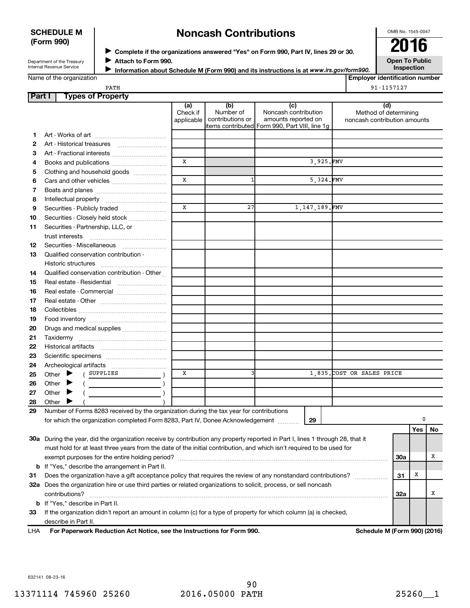## **SCHEDULE M (Form 990)**

# **Noncash Contributions**

OMB No. 1545-0047

Department of the Treasury Internal Revenue Service

◆ Complete if the organizations answered "Yes" on Form 990, Part IV, lines 29 or 30.<br>● **2016 Attach to Form 990.** J

**Open To Public Inspection**

|  | Name of the organization |
|--|--------------------------|
|--|--------------------------|

| Information about Schedule M (Form 990) and its instructions is at www.irs.gov/form990. | Inspection                            |
|-----------------------------------------------------------------------------------------|---------------------------------------|
|                                                                                         | <b>Employer identification number</b> |

PATH 91-1157127

| Part I | <b>Types of Property</b>                                                                                                       |                               |                                      |                                                                                                      |                                                              |            |         |    |
|--------|--------------------------------------------------------------------------------------------------------------------------------|-------------------------------|--------------------------------------|------------------------------------------------------------------------------------------------------|--------------------------------------------------------------|------------|---------|----|
|        |                                                                                                                                | (a)<br>Check if<br>applicable | (b)<br>Number of<br>contributions or | (c)<br>Noncash contribution<br>amounts reported on<br>items contributed Form 990, Part VIII, line 1g | (d)<br>Method of determining<br>noncash contribution amounts |            |         |    |
| 1      |                                                                                                                                |                               |                                      |                                                                                                      |                                                              |            |         |    |
| 2      |                                                                                                                                |                               |                                      |                                                                                                      |                                                              |            |         |    |
| З      | Art - Fractional interests                                                                                                     |                               |                                      |                                                                                                      |                                                              |            |         |    |
| 4      | Books and publications                                                                                                         | X                             |                                      | 3,925.FMV                                                                                            |                                                              |            |         |    |
| 5      | Clothing and household goods                                                                                                   |                               |                                      |                                                                                                      |                                                              |            |         |    |
| 6      | Cars and other vehicles                                                                                                        | X                             | 1                                    | 5,324.FMV                                                                                            |                                                              |            |         |    |
| 7      |                                                                                                                                |                               |                                      |                                                                                                      |                                                              |            |         |    |
| 8      |                                                                                                                                |                               |                                      |                                                                                                      |                                                              |            |         |    |
| 9      | Securities - Publicly traded                                                                                                   | $\mathbf x$                   | 27                                   | 1, 147, 189. FMV                                                                                     |                                                              |            |         |    |
| 10     | Securities - Closely held stock                                                                                                |                               |                                      |                                                                                                      |                                                              |            |         |    |
| 11     | Securities - Partnership, LLC, or                                                                                              |                               |                                      |                                                                                                      |                                                              |            |         |    |
|        | trust interests                                                                                                                |                               |                                      |                                                                                                      |                                                              |            |         |    |
| 12     | Securities - Miscellaneous                                                                                                     |                               |                                      |                                                                                                      |                                                              |            |         |    |
| 13     | Qualified conservation contribution -                                                                                          |                               |                                      |                                                                                                      |                                                              |            |         |    |
|        |                                                                                                                                |                               |                                      |                                                                                                      |                                                              |            |         |    |
| 14     | Qualified conservation contribution - Other                                                                                    |                               |                                      |                                                                                                      |                                                              |            |         |    |
| 15     | Real estate - Residential                                                                                                      |                               |                                      |                                                                                                      |                                                              |            |         |    |
| 16     | Real estate - Commercial                                                                                                       |                               |                                      |                                                                                                      |                                                              |            |         |    |
| 17     |                                                                                                                                |                               |                                      |                                                                                                      |                                                              |            |         |    |
| 18     |                                                                                                                                |                               |                                      |                                                                                                      |                                                              |            |         |    |
| 19     |                                                                                                                                |                               |                                      |                                                                                                      |                                                              |            |         |    |
|        |                                                                                                                                |                               |                                      |                                                                                                      |                                                              |            |         |    |
| 20     | Drugs and medical supplies                                                                                                     |                               |                                      |                                                                                                      |                                                              |            |         |    |
| 21     |                                                                                                                                |                               |                                      |                                                                                                      |                                                              |            |         |    |
| 22     |                                                                                                                                |                               |                                      |                                                                                                      |                                                              |            |         |    |
| 23     |                                                                                                                                |                               |                                      |                                                                                                      |                                                              |            |         |    |
| 24     |                                                                                                                                | X                             | 3                                    |                                                                                                      |                                                              |            |         |    |
| 25     | Other $\blacktriangleright$<br>( SUPPLIES                                                                                      |                               |                                      |                                                                                                      | 1,835. COST OR SALES PRICE                                   |            |         |    |
| 26     | Other $\blacktriangleright$                                                                                                    |                               |                                      |                                                                                                      |                                                              |            |         |    |
| 27     | Other $\blacktriangleright$                                                                                                    |                               |                                      |                                                                                                      |                                                              |            |         |    |
| 28     | Other $\blacktriangleright$                                                                                                    |                               |                                      |                                                                                                      |                                                              |            |         |    |
| 29     | Number of Forms 8283 received by the organization during the tax year for contributions                                        |                               |                                      |                                                                                                      |                                                              |            | 0       |    |
|        | for which the organization completed Form 8283, Part IV, Donee Acknowledgement                                                 |                               |                                      | 29                                                                                                   |                                                              |            |         |    |
|        | 30a During the year, did the organization receive by contribution any property reported in Part I, lines 1 through 28, that it |                               |                                      |                                                                                                      |                                                              |            | Yes $ $ | No |
|        |                                                                                                                                |                               |                                      |                                                                                                      |                                                              |            |         |    |
|        | must hold for at least three years from the date of the initial contribution, and which isn't required to be used for          |                               |                                      |                                                                                                      |                                                              |            |         | х  |
|        |                                                                                                                                |                               |                                      |                                                                                                      |                                                              | <b>30a</b> |         |    |
|        | <b>b</b> If "Yes," describe the arrangement in Part II.                                                                        |                               |                                      |                                                                                                      |                                                              | 31         |         |    |
| 31     | Does the organization have a gift acceptance policy that requires the review of any nonstandard contributions?                 |                               |                                      |                                                                                                      |                                                              |            | х       |    |
|        | 32a Does the organization hire or use third parties or related organizations to solicit, process, or sell noncash              |                               |                                      |                                                                                                      |                                                              |            |         |    |
|        | contributions?                                                                                                                 |                               |                                      |                                                                                                      |                                                              | <b>32a</b> |         | х  |
|        | <b>b</b> If "Yes," describe in Part II.                                                                                        |                               |                                      |                                                                                                      |                                                              |            |         |    |
| 33     | If the organization didn't report an amount in column (c) for a type of property for which column (a) is checked,              |                               |                                      |                                                                                                      |                                                              |            |         |    |
|        | describe in Part II.                                                                                                           |                               |                                      |                                                                                                      |                                                              |            |         |    |
| LHA    | For Paperwork Reduction Act Notice, see the Instructions for Form 990.                                                         |                               |                                      |                                                                                                      | <b>Schedule M (Form 990) (2016)</b>                          |            |         |    |

632141 08-23-16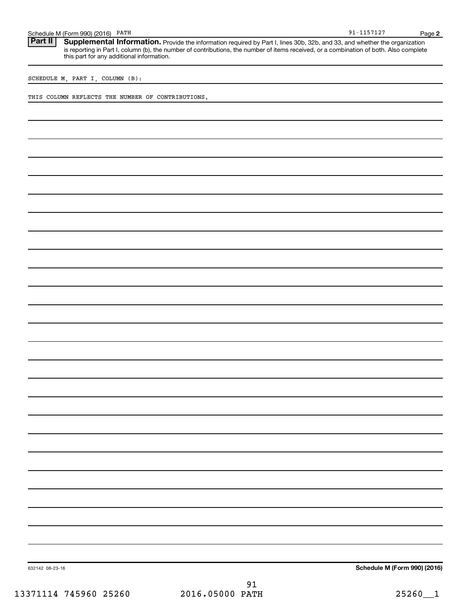| Schedule M (Form 990) (2016) PATH                                                                                                                                                                                                                                                                                                   | $91 - 1157127$               | Page 2 |
|-------------------------------------------------------------------------------------------------------------------------------------------------------------------------------------------------------------------------------------------------------------------------------------------------------------------------------------|------------------------------|--------|
| <b>Part II</b><br>Supplemental Information. Provide the information required by Part I, lines 30b, 32b, and 33, and whether the organization<br>is reporting in Part I, column (b), the number of contributions, the number of items received, or a combination of both. Also complete<br>this part for any additional information. |                              |        |
| SCHEDULE M, PART I, COLUMN (B):                                                                                                                                                                                                                                                                                                     |                              |        |
| THIS COLUMN REFLECTS THE NUMBER OF CONTRIBUTIONS.                                                                                                                                                                                                                                                                                   |                              |        |
|                                                                                                                                                                                                                                                                                                                                     |                              |        |
|                                                                                                                                                                                                                                                                                                                                     |                              |        |
|                                                                                                                                                                                                                                                                                                                                     |                              |        |
|                                                                                                                                                                                                                                                                                                                                     |                              |        |
|                                                                                                                                                                                                                                                                                                                                     |                              |        |
|                                                                                                                                                                                                                                                                                                                                     |                              |        |
|                                                                                                                                                                                                                                                                                                                                     |                              |        |
|                                                                                                                                                                                                                                                                                                                                     |                              |        |
|                                                                                                                                                                                                                                                                                                                                     |                              |        |
|                                                                                                                                                                                                                                                                                                                                     |                              |        |
|                                                                                                                                                                                                                                                                                                                                     |                              |        |
|                                                                                                                                                                                                                                                                                                                                     |                              |        |
|                                                                                                                                                                                                                                                                                                                                     |                              |        |
|                                                                                                                                                                                                                                                                                                                                     |                              |        |
|                                                                                                                                                                                                                                                                                                                                     |                              |        |
|                                                                                                                                                                                                                                                                                                                                     |                              |        |
|                                                                                                                                                                                                                                                                                                                                     |                              |        |
|                                                                                                                                                                                                                                                                                                                                     |                              |        |
|                                                                                                                                                                                                                                                                                                                                     |                              |        |
|                                                                                                                                                                                                                                                                                                                                     |                              |        |
|                                                                                                                                                                                                                                                                                                                                     |                              |        |
|                                                                                                                                                                                                                                                                                                                                     |                              |        |
|                                                                                                                                                                                                                                                                                                                                     |                              |        |
|                                                                                                                                                                                                                                                                                                                                     |                              |        |
|                                                                                                                                                                                                                                                                                                                                     |                              |        |
| 632142 08-23-16                                                                                                                                                                                                                                                                                                                     | Schedule M (Form 990) (2016) |        |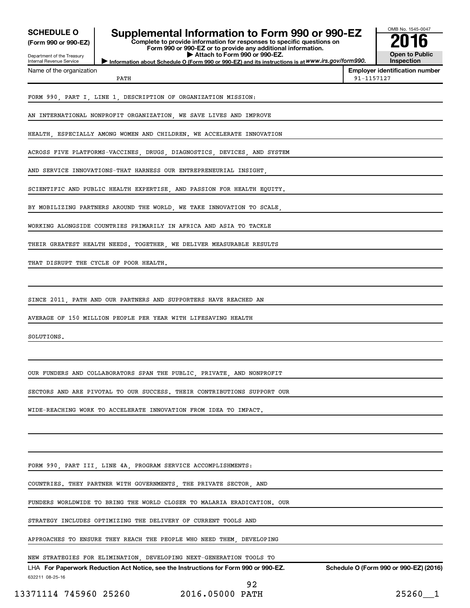| <b>SCHEDULE O</b><br>(Form 990 or 990-EZ)<br>Department of the Treasury | Supplemental Information to Form 990 or 990-EZ<br>Complete to provide information for responses to specific questions on<br>Form 990 or 990-EZ or to provide any additional information.<br>Attach to Form 990 or 990-EZ. |            | OMB No. 1545-0047<br><b>Open to Public</b> |
|-------------------------------------------------------------------------|---------------------------------------------------------------------------------------------------------------------------------------------------------------------------------------------------------------------------|------------|--------------------------------------------|
| Internal Revenue Service                                                | Information about Schedule O (Form 990 or 990-EZ) and its instructions is at WWW.irs.gov/form990.                                                                                                                         |            | Inspection                                 |
| Name of the organization                                                | PATH                                                                                                                                                                                                                      | 91-1157127 | <b>Employer identification number</b>      |
|                                                                         | FORM 990, PART I, LINE 1, DESCRIPTION OF ORGANIZATION MISSION:                                                                                                                                                            |            |                                            |
|                                                                         | AN INTERNATIONAL NONPROFIT ORGANIZATION, WE SAVE LIVES AND IMPROVE                                                                                                                                                        |            |                                            |
|                                                                         | HEALTH ESPECIALLY AMONG WOMEN AND CHILDREN. WE ACCELERATE INNOVATION                                                                                                                                                      |            |                                            |
|                                                                         | ACROSS FIVE PLATFORMS-VACCINES, DRUGS, DIAGNOSTICS, DEVICES, AND SYSTEM                                                                                                                                                   |            |                                            |
|                                                                         | AND SERVICE INNOVATIONS-THAT HARNESS OUR ENTREPRENEURIAL INSIGHT,                                                                                                                                                         |            |                                            |
|                                                                         | SCIENTIFIC AND PUBLIC HEALTH EXPERTISE, AND PASSION FOR HEALTH EQUITY.                                                                                                                                                    |            |                                            |
|                                                                         | BY MOBILIZING PARTNERS AROUND THE WORLD, WE TAKE INNOVATION TO SCALE,                                                                                                                                                     |            |                                            |
|                                                                         | WORKING ALONGSIDE COUNTRIES PRIMARILY IN AFRICA AND ASIA TO TACKLE                                                                                                                                                        |            |                                            |
|                                                                         | THEIR GREATEST HEALTH NEEDS. TOGETHER, WE DELIVER MEASURABLE RESULTS                                                                                                                                                      |            |                                            |
| THAT DISRUPT THE CYCLE OF POOR HEALTH.                                  |                                                                                                                                                                                                                           |            |                                            |
|                                                                         |                                                                                                                                                                                                                           |            |                                            |
|                                                                         | SINCE 2011 PATH AND OUR PARTNERS AND SUPPORTERS HAVE REACHED AN                                                                                                                                                           |            |                                            |
|                                                                         | AVERAGE OF 150 MILLION PEOPLE PER YEAR WITH LIFESAVING HEALTH                                                                                                                                                             |            |                                            |
| SOLUTIONS.                                                              |                                                                                                                                                                                                                           |            |                                            |
|                                                                         | OUR FUNDERS AND COLLABORATORS SPAN THE PUBLIC, PRIVATE, AND NONPROFIT                                                                                                                                                     |            |                                            |
|                                                                         | SECTORS AND ARE PIVOTAL TO OUR SUCCESS. THEIR CONTRIBUTIONS SUPPORT OUR                                                                                                                                                   |            |                                            |
|                                                                         | WIDE-REACHING WORK TO ACCELERATE INNOVATION FROM IDEA TO IMPACT.                                                                                                                                                          |            |                                            |
|                                                                         |                                                                                                                                                                                                                           |            |                                            |
|                                                                         | FORM 990, PART III, LINE 4A, PROGRAM SERVICE ACCOMPLISHMENTS:                                                                                                                                                             |            |                                            |
|                                                                         | COUNTRIES. THEY PARTNER WITH GOVERNMENTS, THE PRIVATE SECTOR, AND                                                                                                                                                         |            |                                            |
|                                                                         | FUNDERS WORLDWIDE TO BRING THE WORLD CLOSER TO MALARIA ERADICATION. OUR                                                                                                                                                   |            |                                            |
|                                                                         | STRATEGY INCLUDES OPTIMIZING THE DELIVERY OF CURRENT TOOLS AND                                                                                                                                                            |            |                                            |
|                                                                         | APPROACHES TO ENSURE THEY REACH THE PEOPLE WHO NEED THEM, DEVELOPING                                                                                                                                                      |            |                                            |
|                                                                         | NEW STRATEGIES FOR ELIMINATION, DEVELOPING NEXT-GENERATION TOOLS TO                                                                                                                                                       |            |                                            |
|                                                                         | LHA For Paperwork Reduction Act Notice, see the Instructions for Form 990 or 990-EZ.                                                                                                                                      |            | Schedule O (Form 990 or 990-EZ) (2016)     |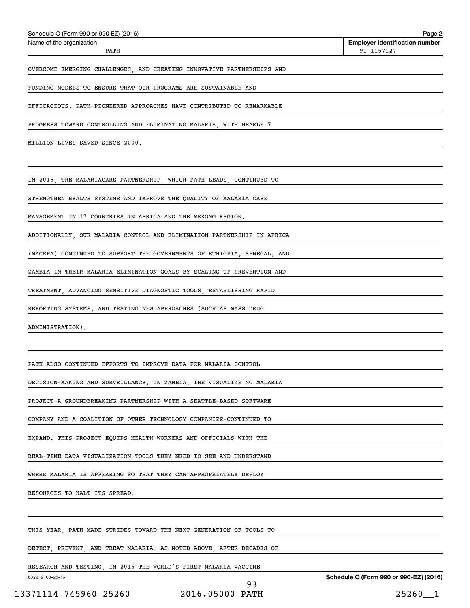| EFFICACIOUS. PATH-PIONEERED APPROACHES HAVE CONTRIBUTED TO REMARKABLE<br>PROGRESS TOWARD CONTROLLING AND ELIMINATING MALARIA, WITH NEARLY 7<br>MILLION LIVES SAVED SINCE 2000.<br>IN 2016, THE MALARIACARE PARTNERSHIP, WHICH PATH LEADS, CONTINUED TO<br>STRENGTHEN HEALTH SYSTEMS AND IMPROVE THE QUALITY OF MALARIA CASE<br>MANAGEMENT IN 17 COUNTRIES IN AFRICA AND THE MEKONG REGION.<br>ADDITIONALLY, OUR MALARIA CONTROL AND ELIMINATION PARTNERSHIP IN AFRICA<br>(MACEPA) CONTINUED TO SUPPORT THE GOVERNMENTS OF ETHIOPIA, SENEGAL, AND<br>ZAMBIA IN THEIR MALARIA ELIMINATION GOALS BY SCALING UP PREVENTION AND<br>TREATMENT, ADVANCING SENSITIVE DIAGNOSTIC TOOLS, ESTABLISHING RAPID<br>REPORTING SYSTEMS, AND TESTING NEW APPROACHES (SUCH AS MASS DRUG<br>ADMINISTRATION).<br>PATH ALSO CONTINUED EFFORTS TO IMPROVE DATA FOR MALARIA CONTROL<br>DECISION-MAKING AND SURVEILLANCE. IN ZAMBIA, THE VISUALIZE NO MALARIA<br>PROJECT-A GROUNDBREAKING PARTNERSHIP WITH A SEATTLE-BASED SOFTWARE<br>COMPANY AND A COALITION OF OTHER TECHNOLOGY COMPANIES-CONTINUED TO<br>EXPAND. THIS PROJECT EQUIPS HEALTH WORKERS AND OFFICIALS WITH THE<br>REAL-TIME DATA VISUALIZATION TOOLS THEY NEED TO SEE AND UNDERSTAND<br>WHERE MALARIA IS APPEARING SO THAT THEY CAN APPROPRIATELY DEPLOY |                                        |
|--------------------------------------------------------------------------------------------------------------------------------------------------------------------------------------------------------------------------------------------------------------------------------------------------------------------------------------------------------------------------------------------------------------------------------------------------------------------------------------------------------------------------------------------------------------------------------------------------------------------------------------------------------------------------------------------------------------------------------------------------------------------------------------------------------------------------------------------------------------------------------------------------------------------------------------------------------------------------------------------------------------------------------------------------------------------------------------------------------------------------------------------------------------------------------------------------------------------------------------------------------------------------------------------------|----------------------------------------|
|                                                                                                                                                                                                                                                                                                                                                                                                                                                                                                                                                                                                                                                                                                                                                                                                                                                                                                                                                                                                                                                                                                                                                                                                                                                                                                  |                                        |
|                                                                                                                                                                                                                                                                                                                                                                                                                                                                                                                                                                                                                                                                                                                                                                                                                                                                                                                                                                                                                                                                                                                                                                                                                                                                                                  |                                        |
|                                                                                                                                                                                                                                                                                                                                                                                                                                                                                                                                                                                                                                                                                                                                                                                                                                                                                                                                                                                                                                                                                                                                                                                                                                                                                                  |                                        |
|                                                                                                                                                                                                                                                                                                                                                                                                                                                                                                                                                                                                                                                                                                                                                                                                                                                                                                                                                                                                                                                                                                                                                                                                                                                                                                  |                                        |
|                                                                                                                                                                                                                                                                                                                                                                                                                                                                                                                                                                                                                                                                                                                                                                                                                                                                                                                                                                                                                                                                                                                                                                                                                                                                                                  |                                        |
|                                                                                                                                                                                                                                                                                                                                                                                                                                                                                                                                                                                                                                                                                                                                                                                                                                                                                                                                                                                                                                                                                                                                                                                                                                                                                                  |                                        |
|                                                                                                                                                                                                                                                                                                                                                                                                                                                                                                                                                                                                                                                                                                                                                                                                                                                                                                                                                                                                                                                                                                                                                                                                                                                                                                  |                                        |
|                                                                                                                                                                                                                                                                                                                                                                                                                                                                                                                                                                                                                                                                                                                                                                                                                                                                                                                                                                                                                                                                                                                                                                                                                                                                                                  |                                        |
|                                                                                                                                                                                                                                                                                                                                                                                                                                                                                                                                                                                                                                                                                                                                                                                                                                                                                                                                                                                                                                                                                                                                                                                                                                                                                                  |                                        |
|                                                                                                                                                                                                                                                                                                                                                                                                                                                                                                                                                                                                                                                                                                                                                                                                                                                                                                                                                                                                                                                                                                                                                                                                                                                                                                  |                                        |
|                                                                                                                                                                                                                                                                                                                                                                                                                                                                                                                                                                                                                                                                                                                                                                                                                                                                                                                                                                                                                                                                                                                                                                                                                                                                                                  |                                        |
|                                                                                                                                                                                                                                                                                                                                                                                                                                                                                                                                                                                                                                                                                                                                                                                                                                                                                                                                                                                                                                                                                                                                                                                                                                                                                                  |                                        |
|                                                                                                                                                                                                                                                                                                                                                                                                                                                                                                                                                                                                                                                                                                                                                                                                                                                                                                                                                                                                                                                                                                                                                                                                                                                                                                  |                                        |
|                                                                                                                                                                                                                                                                                                                                                                                                                                                                                                                                                                                                                                                                                                                                                                                                                                                                                                                                                                                                                                                                                                                                                                                                                                                                                                  |                                        |
|                                                                                                                                                                                                                                                                                                                                                                                                                                                                                                                                                                                                                                                                                                                                                                                                                                                                                                                                                                                                                                                                                                                                                                                                                                                                                                  |                                        |
|                                                                                                                                                                                                                                                                                                                                                                                                                                                                                                                                                                                                                                                                                                                                                                                                                                                                                                                                                                                                                                                                                                                                                                                                                                                                                                  |                                        |
|                                                                                                                                                                                                                                                                                                                                                                                                                                                                                                                                                                                                                                                                                                                                                                                                                                                                                                                                                                                                                                                                                                                                                                                                                                                                                                  |                                        |
|                                                                                                                                                                                                                                                                                                                                                                                                                                                                                                                                                                                                                                                                                                                                                                                                                                                                                                                                                                                                                                                                                                                                                                                                                                                                                                  |                                        |
|                                                                                                                                                                                                                                                                                                                                                                                                                                                                                                                                                                                                                                                                                                                                                                                                                                                                                                                                                                                                                                                                                                                                                                                                                                                                                                  |                                        |
|                                                                                                                                                                                                                                                                                                                                                                                                                                                                                                                                                                                                                                                                                                                                                                                                                                                                                                                                                                                                                                                                                                                                                                                                                                                                                                  |                                        |
|                                                                                                                                                                                                                                                                                                                                                                                                                                                                                                                                                                                                                                                                                                                                                                                                                                                                                                                                                                                                                                                                                                                                                                                                                                                                                                  |                                        |
| RESOURCES TO HALT ITS SPREAD.                                                                                                                                                                                                                                                                                                                                                                                                                                                                                                                                                                                                                                                                                                                                                                                                                                                                                                                                                                                                                                                                                                                                                                                                                                                                    |                                        |
|                                                                                                                                                                                                                                                                                                                                                                                                                                                                                                                                                                                                                                                                                                                                                                                                                                                                                                                                                                                                                                                                                                                                                                                                                                                                                                  |                                        |
| THIS YEAR, PATH MADE STRIDES TOWARD THE NEXT GENERATION OF TOOLS TO                                                                                                                                                                                                                                                                                                                                                                                                                                                                                                                                                                                                                                                                                                                                                                                                                                                                                                                                                                                                                                                                                                                                                                                                                              |                                        |
| DETECT, PREVENT, AND TREAT MALARIA. AS NOTED ABOVE, AFTER DECADES OF                                                                                                                                                                                                                                                                                                                                                                                                                                                                                                                                                                                                                                                                                                                                                                                                                                                                                                                                                                                                                                                                                                                                                                                                                             |                                        |
| RESEARCH AND TESTING, IN 2016 THE WORLD'S FIRST MALARIA VACCINE                                                                                                                                                                                                                                                                                                                                                                                                                                                                                                                                                                                                                                                                                                                                                                                                                                                                                                                                                                                                                                                                                                                                                                                                                                  |                                        |
| 632212 08-25-16<br>93                                                                                                                                                                                                                                                                                                                                                                                                                                                                                                                                                                                                                                                                                                                                                                                                                                                                                                                                                                                                                                                                                                                                                                                                                                                                            |                                        |
| 13371114 745960 25260<br>2016.05000 PATH                                                                                                                                                                                                                                                                                                                                                                                                                                                                                                                                                                                                                                                                                                                                                                                                                                                                                                                                                                                                                                                                                                                                                                                                                                                         | Schedule O (Form 990 or 990-EZ) (2016) |

PATH 91-1157127

**2**

OVERCOME EMERGING CHALLENGES, AND CREATING INNOVATIVE PARTNERSHIPS AND

Schedule O (Form 990 or 990-EZ) (2016)

Name of the organization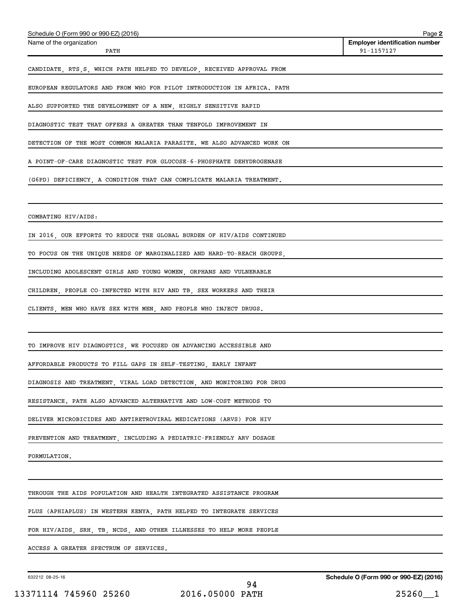| Schedule O (Form 990 or 990-EZ) (2016)                                  | Page 2                                              |
|-------------------------------------------------------------------------|-----------------------------------------------------|
| Name of the organization<br>PATH                                        | <b>Employer identification number</b><br>91-1157127 |
| CANDIDATE, RTS,S, WHICH PATH HELPED TO DEVELOP, RECEIVED APPROVAL FROM  |                                                     |
| EUROPEAN REGULATORS AND FROM WHO FOR PILOT INTRODUCTION IN AFRICA. PATH |                                                     |
| ALSO SUPPORTED THE DEVELOPMENT OF A NEW, HIGHLY SENSITIVE RAPID         |                                                     |
| DIAGNOSTIC TEST THAT OFFERS A GREATER THAN TENFOLD IMPROVEMENT IN       |                                                     |
| DETECTION OF THE MOST COMMON MALARIA PARASITE. WE ALSO ADVANCED WORK ON |                                                     |
| A POINT-OF-CARE DIAGNOSTIC TEST FOR GLUCOSE-6-PHOSPHATE DEHYDROGENASE   |                                                     |
| (G6PD) DEFICIENCY, A CONDITION THAT CAN COMPLICATE MALARIA TREATMENT.   |                                                     |
|                                                                         |                                                     |
| COMBATING HIV/AIDS:                                                     |                                                     |
| IN 2016, OUR EFFORTS TO REDUCE THE GLOBAL BURDEN OF HIV/AIDS CONTINUED  |                                                     |
| TO FOCUS ON THE UNIQUE NEEDS OF MARGINALIZED AND HARD-TO-REACH GROUPS,  |                                                     |
| INCLUDING ADOLESCENT GIRLS AND YOUNG WOMEN, ORPHANS AND VULNERABLE      |                                                     |
| CHILDREN, PEOPLE CO-INFECTED WITH HIV AND TB, SEX WORKERS AND THEIR     |                                                     |
| CLIENTS, MEN WHO HAVE SEX WITH MEN, AND PEOPLE WHO INJECT DRUGS.        |                                                     |
|                                                                         |                                                     |
| TO IMPROVE HIV DIAGNOSTICS, WE FOCUSED ON ADVANCING ACCESSIBLE AND      |                                                     |
| AFFORDABLE PRODUCTS TO FILL GAPS IN SELF-TESTING, EARLY INFANT          |                                                     |
| DIAGNOSIS AND TREATMENT, VIRAL LOAD DETECTION, AND MONITORING FOR DRUG  |                                                     |
| RESISTANCE. PATH ALSO ADVANCED ALTERNATIVE AND LOW-COST METHODS TO      |                                                     |
| DELIVER MICROBICIDES AND ANTIRETROVIRAL MEDICATIONS (ARVS) FOR HIV      |                                                     |
| PREVENTION AND TREATMENT, INCLUDING A PEDIATRIC-FRIENDLY ARV DOSAGE     |                                                     |
| FORMULATION.                                                            |                                                     |
|                                                                         |                                                     |
| THROUGH THE AIDS POPULATION AND HEALTH INTEGRATED ASSISTANCE PROGRAM    |                                                     |
| PLUS (APHIAPLUS) IN WESTERN KENYA, PATH HELPED TO INTEGRATE SERVICES    |                                                     |
| FOR HIV/AIDS, SRH, TB, NCDS, AND OTHER ILLNESSES TO HELP MORE PEOPLE    |                                                     |
| ACCESS A GREATER SPECTRUM OF SERVICES.                                  |                                                     |

**Schedule O (Form 990 or 990-EZ) (2016)**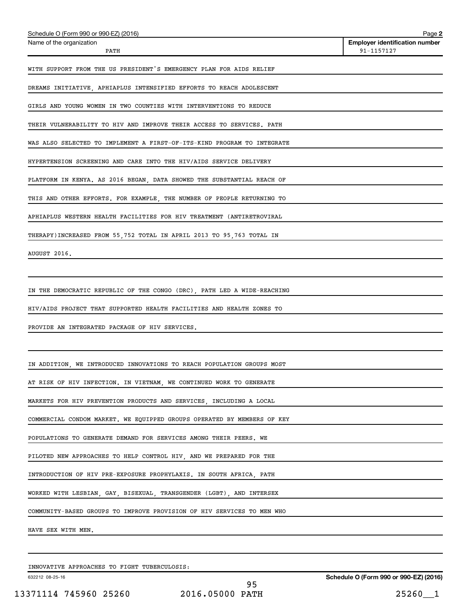| Schedule O (Form 990 or 990-EZ) (2016)                                  | Page 2                                              |
|-------------------------------------------------------------------------|-----------------------------------------------------|
| Name of the organization<br>PATH                                        | <b>Employer identification number</b><br>91-1157127 |
|                                                                         |                                                     |
| WITH SUPPORT FROM THE US PRESIDENT'S EMERGENCY PLAN FOR AIDS RELIEF     |                                                     |
| DREAMS INITIATIVE, APHIAPLUS INTENSIFIED EFFORTS TO REACH ADOLESCENT    |                                                     |
| GIRLS AND YOUNG WOMEN IN TWO COUNTIES WITH INTERVENTIONS TO REDUCE      |                                                     |
| THEIR VULNERABILITY TO HIV AND IMPROVE THEIR ACCESS TO SERVICES. PATH   |                                                     |
| WAS ALSO SELECTED TO IMPLEMENT A FIRST-OF-ITS-KIND PROGRAM TO INTEGRATE |                                                     |
| HYPERTENSION SCREENING AND CARE INTO THE HIV/AIDS SERVICE DELIVERY      |                                                     |
| PLATFORM IN KENYA. AS 2016 BEGAN, DATA SHOWED THE SUBSTANTIAL REACH OF  |                                                     |
| THIS AND OTHER EFFORTS. FOR EXAMPLE, THE NUMBER OF PEOPLE RETURNING TO  |                                                     |
| APHIAPLUS WESTERN HEALTH FACILITIES FOR HIV TREATMENT (ANTIRETROVIRAL   |                                                     |
| THERAPY)INCREASED FROM 55,752 TOTAL IN APRIL 2013 TO 95,763 TOTAL IN    |                                                     |
| AUGUST 2016.                                                            |                                                     |
|                                                                         |                                                     |
| IN THE DEMOCRATIC REPUBLIC OF THE CONGO (DRC), PATH LED A WIDE-REACHING |                                                     |
| HIV/AIDS PROJECT THAT SUPPORTED HEALTH FACILITIES AND HEALTH ZONES TO   |                                                     |
| PROVIDE AN INTEGRATED PACKAGE OF HIV SERVICES.                          |                                                     |
|                                                                         |                                                     |
| IN ADDITION, WE INTRODUCED INNOVATIONS TO REACH POPULATION GROUPS MOST  |                                                     |
| AT RISK OF HIV INFECTION. IN VIETNAM, WE CONTINUED WORK TO GENERATE     |                                                     |
| MARKETS FOR HIV PREVENTION PRODUCTS AND SERVICES, INCLUDING A LOCAL     |                                                     |
| COMMERCIAL CONDOM MARKET. WE EQUIPPED GROUPS OPERATED BY MEMBERS OF KEY |                                                     |
| POPULATIONS TO GENERATE DEMAND FOR SERVICES AMONG THEIR PEERS. WE       |                                                     |
| PILOTED NEW APPROACHES TO HELP CONTROL HIV, AND WE PREPARED FOR THE     |                                                     |
| INTRODUCTION OF HIV PRE-EXPOSURE PROPHYLAXIS. IN SOUTH AFRICA, PATH     |                                                     |
| WORKED WITH LESBIAN, GAY, BISEXUAL, TRANSGENDER (LGBT), AND INTERSEX    |                                                     |
| COMMUNITY-BASED GROUPS TO IMPROVE PROVISION OF HIV SERVICES TO MEN WHO  |                                                     |
| HAVE SEX WITH MEN.                                                      |                                                     |
|                                                                         |                                                     |

INNOVATIVE APPROACHES TO FIGHT TUBERCULOSIS:

632212 08-25-16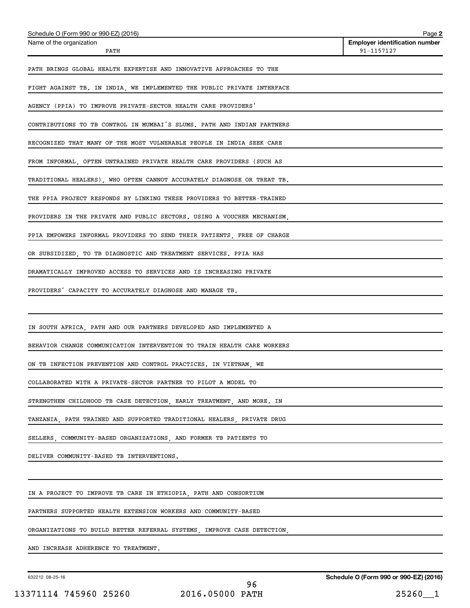| Schedule O (Form 990 or 990-EZ) (2016)                                  | Page 2                                              |
|-------------------------------------------------------------------------|-----------------------------------------------------|
| Name of the organization<br>PATH                                        | <b>Employer identification number</b><br>91-1157127 |
| PATH BRINGS GLOBAL HEALTH EXPERTISE AND INNOVATIVE APPROACHES TO THE    |                                                     |
| FIGHT AGAINST TB. IN INDIA, WE IMPLEMENTED THE PUBLIC PRIVATE INTERFACE |                                                     |
| AGENCY (PPIA) TO IMPROVE PRIVATE-SECTOR HEALTH CARE PROVIDERS'          |                                                     |
| CONTRIBUTIONS TO TB CONTROL IN MUMBAI'S SLUMS. PATH AND INDIAN PARTNERS |                                                     |
| RECOGNIZED THAT MANY OF THE MOST VULNERABLE PEOPLE IN INDIA SEEK CARE   |                                                     |
| FROM INFORMAL, OFTEN UNTRAINED PRIVATE HEALTH CARE PROVIDERS (SUCH AS   |                                                     |
| TRADITIONAL HEALERS), WHO OFTEN CANNOT ACCURATELY DIAGNOSE OR TREAT TB. |                                                     |
| THE PPIA PROJECT RESPONDS BY LINKING THESE PROVIDERS TO BETTER-TRAINED  |                                                     |
| PROVIDERS IN THE PRIVATE AND PUBLIC SECTORS. USING A VOUCHER MECHANISM, |                                                     |
| PPIA EMPOWERS INFORMAL PROVIDERS TO SEND THEIR PATIENTS, FREE OF CHARGE |                                                     |
| OR SUBSIDIZED, TO TB DIAGNOSTIC AND TREATMENT SERVICES. PPIA HAS        |                                                     |
| DRAMATICALLY IMPROVED ACCESS TO SERVICES AND IS INCREASING PRIVATE      |                                                     |
| PROVIDERS' CAPACITY TO ACCURATELY DIAGNOSE AND MANAGE TB.               |                                                     |
|                                                                         |                                                     |
| IN SOUTH AFRICA, PATH AND OUR PARTNERS DEVELOPED AND IMPLEMENTED A      |                                                     |
| BEHAVIOR CHANGE COMMUNICATION INTERVENTION TO TRAIN HEALTH CARE WORKERS |                                                     |
| ON TB INFECTION PREVENTION AND CONTROL PRACTICES. IN VIETNAM, WE        |                                                     |
| COLLABORATED WITH A PRIVATE-SECTOR PARTNER TO PILOT A MODEL TO          |                                                     |
| STRENGTHEN CHILDHOOD TB CASE DETECTION, EARLY TREATMENT, AND MORE. IN   |                                                     |
| TANZANIA, PATH TRAINED AND SUPPORTED TRADITIONAL HEALERS, PRIVATE DRUG  |                                                     |
| SELLERS, COMMUNITY-BASED ORGANIZATIONS, AND FORMER TB PATIENTS TO       |                                                     |
| DELIVER COMMUNITY-BASED TB INTERVENTIONS.                               |                                                     |
|                                                                         |                                                     |
| IN A PROJECT TO IMPROVE TB CARE IN ETHIOPIA, PATH AND CONSORTIUM        |                                                     |
| PARTNERS SUPPORTED HEALTH EXTENSION WORKERS AND COMMUNITY-BASED         |                                                     |
| ORGANIZATIONS TO BUILD BETTER REFERRAL SYSTEMS, IMPROVE CASE DETECTION, |                                                     |
| AND INCREASE ADHERENCE TO TREATMENT.                                    |                                                     |
|                                                                         |                                                     |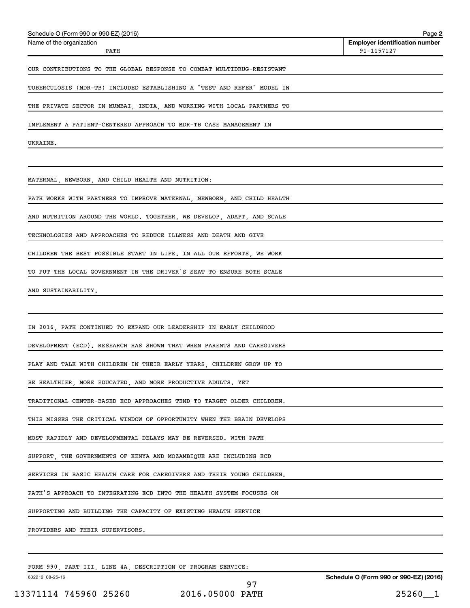| Schedule O (Form 990 or 990-EZ) (2016)                                  | Page 2                                              |
|-------------------------------------------------------------------------|-----------------------------------------------------|
| Name of the organization<br>PATH                                        | <b>Employer identification number</b><br>91-1157127 |
| OUR CONTRIBUTIONS TO THE GLOBAL RESPONSE TO COMBAT MULTIDRUG-RESISTANT  |                                                     |
| TUBERCULOSIS (MDR-TB) INCLUDED ESTABLISHING A "TEST AND REFER" MODEL IN |                                                     |
| THE PRIVATE SECTOR IN MUMBAI, INDIA, AND WORKING WITH LOCAL PARTNERS TO |                                                     |
| IMPLEMENT A PATIENT-CENTERED APPROACH TO MDR-TB CASE MANAGEMENT IN      |                                                     |
| UKRAINE.                                                                |                                                     |
|                                                                         |                                                     |
| MATERNAL, NEWBORN, AND CHILD HEALTH AND NUTRITION:                      |                                                     |
| PATH WORKS WITH PARTNERS TO IMPROVE MATERNAL, NEWBORN, AND CHILD HEALTH |                                                     |
| AND NUTRITION AROUND THE WORLD. TOGETHER, WE DEVELOP, ADAPT, AND SCALE  |                                                     |
| TECHNOLOGIES AND APPROACHES TO REDUCE ILLNESS AND DEATH AND GIVE        |                                                     |
| CHILDREN THE BEST POSSIBLE START IN LIFE. IN ALL OUR EFFORTS, WE WORK   |                                                     |
| TO PUT THE LOCAL GOVERNMENT IN THE DRIVER'S SEAT TO ENSURE BOTH SCALE   |                                                     |
| AND SUSTAINABILITY.                                                     |                                                     |
|                                                                         |                                                     |
| IN 2016, PATH CONTINUED TO EXPAND OUR LEADERSHIP IN EARLY CHILDHOOD     |                                                     |
| DEVELOPMENT (ECD). RESEARCH HAS SHOWN THAT WHEN PARENTS AND CAREGIVERS  |                                                     |
| PLAY AND TALK WITH CHILDREN IN THEIR EARLY YEARS, CHILDREN GROW UP TO   |                                                     |
| BE HEALTHIER, MORE EDUCATED, AND MORE PRODUCTIVE ADULTS. YET            |                                                     |
| TRADITIONAL CENTER-BASED ECD APPROACHES TEND TO TARGET OLDER CHILDREN.  |                                                     |
| THIS MISSES THE CRITICAL WINDOW OF OPPORTUNITY WHEN THE BRAIN DEVELOPS  |                                                     |
| MOST RAPIDLY AND DEVELOPMENTAL DELAYS MAY BE REVERSED. WITH PATH        |                                                     |
| SUPPORT, THE GOVERNMENTS OF KENYA AND MOZAMBIQUE ARE INCLUDING ECD      |                                                     |
| SERVICES IN BASIC HEALTH CARE FOR CAREGIVERS AND THEIR YOUNG CHILDREN.  |                                                     |
| PATH'S APPROACH TO INTEGRATING ECD INTO THE HEALTH SYSTEM FOCUSES ON    |                                                     |
| SUPPORTING AND BUILDING THE CAPACITY OF EXISTING HEALTH SERVICE         |                                                     |
| PROVIDERS AND THEIR SUPERVISORS.                                        |                                                     |
|                                                                         |                                                     |
| FORM 990, PART III, LINE 4A, DESCRIPTION OF PROGRAM SERVICE:            |                                                     |

97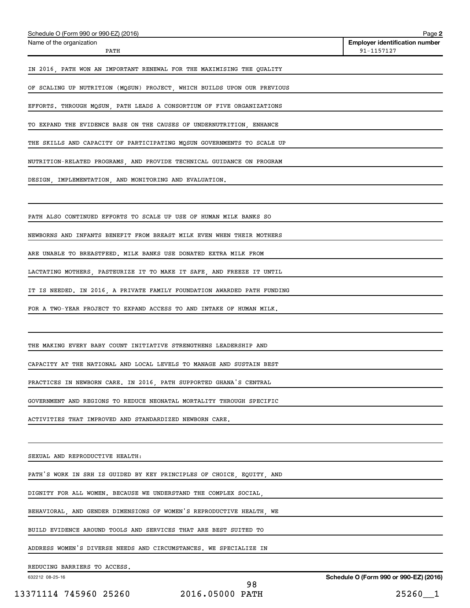| Schedule O (Form 990 or 990-EZ) (2016)                                  | Page 2                                              |
|-------------------------------------------------------------------------|-----------------------------------------------------|
| Name of the organization<br>PATH                                        | <b>Employer identification number</b><br>91-1157127 |
| IN 2016, PATH WON AN IMPORTANT RENEWAL FOR THE MAXIMISING THE QUALITY   |                                                     |
| OF SCALING UP NUTRITION (MOSUN) PROJECT, WHICH BUILDS UPON OUR PREVIOUS |                                                     |
| EFFORTS. THROUGH MOSUN, PATH LEADS A CONSORTIUM OF FIVE ORGANIZATIONS   |                                                     |
| TO EXPAND THE EVIDENCE BASE ON THE CAUSES OF UNDERNUTRITION, ENHANCE    |                                                     |
| THE SKILLS AND CAPACITY OF PARTICIPATING MQSUN GOVERNMENTS TO SCALE UP  |                                                     |
| NUTRITION-RELATED PROGRAMS, AND PROVIDE TECHNICAL GUIDANCE ON PROGRAM   |                                                     |
| DESIGN, IMPLEMENTATION, AND MONITORING AND EVALUATION.                  |                                                     |
|                                                                         |                                                     |
| PATH ALSO CONTINUED EFFORTS TO SCALE UP USE OF HUMAN MILK BANKS SO      |                                                     |
| NEWBORNS AND INFANTS BENEFIT FROM BREAST MILK EVEN WHEN THEIR MOTHERS   |                                                     |
| ARE UNABLE TO BREASTFEED. MILK BANKS USE DONATED EXTRA MILK FROM        |                                                     |
| LACTATING MOTHERS, PASTEURIZE IT TO MAKE IT SAFE, AND FREEZE IT UNTIL   |                                                     |
| IT IS NEEDED. IN 2016, A PRIVATE FAMILY FOUNDATION AWARDED PATH FUNDING |                                                     |
| FOR A TWO-YEAR PROJECT TO EXPAND ACCESS TO AND INTAKE OF HUMAN MILK.    |                                                     |
|                                                                         |                                                     |
| THE MAKING EVERY BABY COUNT INITIATIVE STRENGTHENS LEADERSHIP AND       |                                                     |
| CAPACITY AT THE NATIONAL AND LOCAL LEVELS TO MANAGE AND SUSTAIN BEST    |                                                     |
| PRACTICES IN NEWBORN CARE. IN 2016, PATH SUPPORTED GHANA'S CENTRAL      |                                                     |
| GOVERNMENT AND REGIONS TO REDUCE NEONATAL MORTALITY THROUGH SPECIFIC    |                                                     |
| ACTIVITIES THAT IMPROVED AND STANDARDIZED NEWBORN CARE.                 |                                                     |
|                                                                         |                                                     |
| SEXUAL AND REPRODUCTIVE HEALTH:                                         |                                                     |
| PATH'S WORK IN SRH IS GUIDED BY KEY PRINCIPLES OF CHOICE, EQUITY, AND   |                                                     |
| DIGNITY FOR ALL WOMEN. BECAUSE WE UNDERSTAND THE COMPLEX SOCIAL,        |                                                     |
| BEHAVIORAL, AND GENDER DIMENSIONS OF WOMEN'S REPRODUCTIVE HEALTH, WE    |                                                     |
| BUILD EVIDENCE AROUND TOOLS AND SERVICES THAT ARE BEST SUITED TO        |                                                     |
| ADDRESS WOMEN'S DIVERSE NEEDS AND CIRCUMSTANCES. WE SPECIALIZE IN       |                                                     |
| REDUCING BARRIERS TO ACCESS.                                            |                                                     |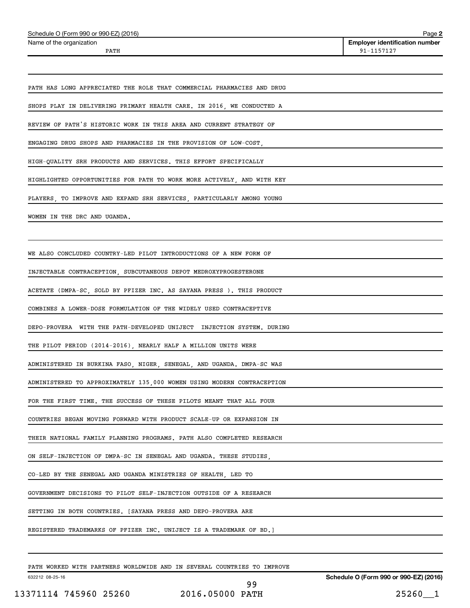**2 Employer identification number** PATH 91-1157127

|  | PATH HAS LONG APPRECIATED THE ROLE THAT COMMERCIAL PHARMACIES AND DRUG |  |  |  |  |
|--|------------------------------------------------------------------------|--|--|--|--|
|  |                                                                        |  |  |  |  |

SHOPS PLAY IN DELIVERING PRIMARY HEALTH CARE. IN 2016, WE CONDUCTED A

REVIEW OF PATH'S HISTORIC WORK IN THIS AREA AND CURRENT STRATEGY OF

ENGAGING DRUG SHOPS AND PHARMACIES IN THE PROVISION OF LOW-COST,

HIGH-QUALITY SRH PRODUCTS AND SERVICES. THIS EFFORT SPECIFICALLY

HIGHLIGHTED OPPORTUNITIES FOR PATH TO WORK MORE ACTIVELY, AND WITH KEY

PLAYERS, TO IMPROVE AND EXPAND SRH SERVICES, PARTICULARLY AMONG YOUNG

WOMEN IN THE DRC AND UGANDA.

WE ALSO CONCLUDED COUNTRY-LED PILOT INTRODUCTIONS OF A NEW FORM OF

INJECTABLE CONTRACEPTION, SUBCUTANEOUS DEPOT MEDROXYPROGESTERONE

ACETATE (DMPA-SC, SOLD BY PFIZER INC. AS SAYANA PRESS ). THIS PRODUCT

COMBINES A LOWER-DOSE FORMULATION OF THE WIDELY USED CONTRACEPTIVE

DEPO-PROVERA WITH THE PATH-DEVELOPED UNIJECT INJECTION SYSTEM. DURING

THE PILOT PERIOD (2014-2016), NEARLY HALF A MILLION UNITS WERE

ADMINISTERED IN BURKINA FASO, NIGER, SENEGAL, AND UGANDA. DMPA-SC WAS

ADMINISTERED TO APPROXIMATELY 135,000 WOMEN USING MODERN CONTRACEPTION

FOR THE FIRST TIME. THE SUCCESS OF THESE PILOTS MEANT THAT ALL FOUR

COUNTRIES BEGAN MOVING FORWARD WITH PRODUCT SCALE-UP OR EXPANSION IN

THEIR NATIONAL FAMILY PLANNING PROGRAMS. PATH ALSO COMPLETED RESEARCH

ON SELF-INJECTION OF DMPA-SC IN SENEGAL AND UGANDA. THESE STUDIES,

CO-LED BY THE SENEGAL AND UGANDA MINISTRIES OF HEALTH, LED TO

GOVERNMENT DECISIONS TO PILOT SELF-INJECTION OUTSIDE OF A RESEARCH

SETTING IN BOTH COUNTRIES. [SAYANA PRESS AND DEPO-PROVERA ARE

REGISTERED TRADEMARKS OF PFIZER INC. UNIJECT IS A TRADEMARK OF BD.]

PATH WORKED WITH PARTNERS WORLDWIDE AND IN SEVERAL COUNTRIES TO IMPROVE

632212 08-25-16

13371114 745960 25260 2016.05000 PATH 25260\_\_1 99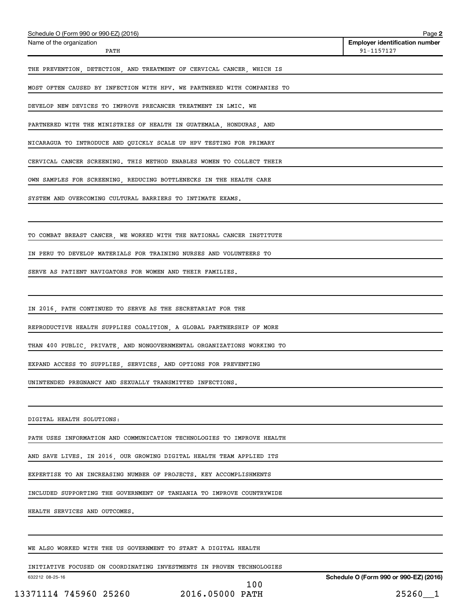| Schedule O (Form 990 or 990-EZ) (2016)                                  | Page 2                                              |
|-------------------------------------------------------------------------|-----------------------------------------------------|
| Name of the organization<br>PATH                                        | <b>Employer identification number</b><br>91-1157127 |
| THE PREVENTION, DETECTION, AND TREATMENT OF CERVICAL CANCER, WHICH IS   |                                                     |
| MOST OFTEN CAUSED BY INFECTION WITH HPV. WE PARTNERED WITH COMPANIES TO |                                                     |
| DEVELOP NEW DEVICES TO IMPROVE PRECANCER TREATMENT IN LMIC. WE          |                                                     |
| PARTNERED WITH THE MINISTRIES OF HEALTH IN GUATEMALA, HONDURAS, AND     |                                                     |
| NICARAGUA TO INTRODUCE AND QUICKLY SCALE UP HPV TESTING FOR PRIMARY     |                                                     |
| CERVICAL CANCER SCREENING. THIS METHOD ENABLES WOMEN TO COLLECT THEIR   |                                                     |
| OWN SAMPLES FOR SCREENING, REDUCING BOTTLENECKS IN THE HEALTH CARE      |                                                     |
| SYSTEM AND OVERCOMING CULTURAL BARRIERS TO INTIMATE EXAMS.              |                                                     |
|                                                                         |                                                     |
| TO COMBAT BREAST CANCER, WE WORKED WITH THE NATIONAL CANCER INSTITUTE   |                                                     |
| IN PERU TO DEVELOP MATERIALS FOR TRAINING NURSES AND VOLUNTEERS TO      |                                                     |
| SERVE AS PATIENT NAVIGATORS FOR WOMEN AND THEIR FAMILIES.               |                                                     |
|                                                                         |                                                     |
| IN 2016, PATH CONTINUED TO SERVE AS THE SECRETARIAT FOR THE             |                                                     |
| REPRODUCTIVE HEALTH SUPPLIES COALITION, A GLOBAL PARTNERSHIP OF MORE    |                                                     |
| THAN 400 PUBLIC, PRIVATE, AND NONGOVERNMENTAL ORGANIZATIONS WORKING TO  |                                                     |
| EXPAND ACCESS TO SUPPLIES, SERVICES, AND OPTIONS FOR PREVENTING         |                                                     |
| UNINTENDED PREGNANCY AND SEXUALLY TRANSMITTED INFECTIONS.               |                                                     |
|                                                                         |                                                     |
| DIGITAL HEALTH SOLUTIONS:                                               |                                                     |
| PATH USES INFORMATION AND COMMUNICATION TECHNOLOGIES TO IMPROVE HEALTH  |                                                     |
| AND SAVE LIVES. IN 2016, OUR GROWING DIGITAL HEALTH TEAM APPLIED ITS    |                                                     |
| EXPERTISE TO AN INCREASING NUMBER OF PROJECTS. KEY ACCOMPLISHMENTS      |                                                     |
| INCLUDED SUPPORTING THE GOVERNMENT OF TANZANIA TO IMPROVE COUNTRYWIDE   |                                                     |
| HEALTH SERVICES AND OUTCOMES.                                           |                                                     |
|                                                                         |                                                     |
| WE ALSO WORKED WITH THE US GOVERNMENT TO START A DIGITAL HEALTH         |                                                     |

INITIATIVE FOCUSED ON COORDINATING INVESTMENTS IN PROVEN TECHNOLOGIES

632212 08-25-16

**Schedule O (Form 990 or 990-EZ) (2016)**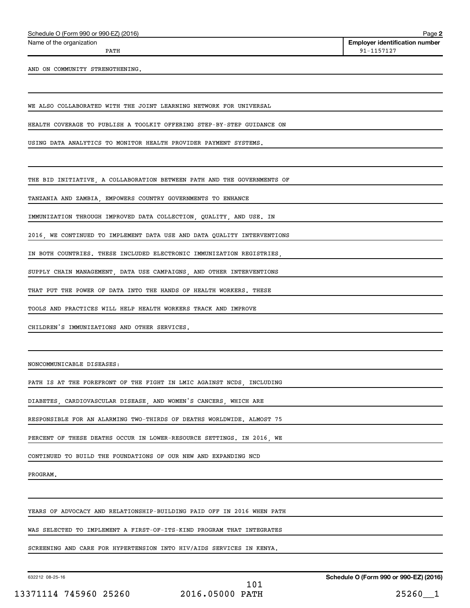Name of the organization

**2 Employer identification number** PATH 91-1157127

AND ON COMMUNITY STRENGTHENING.

WE ALSO COLLABORATED WITH THE JOINT LEARNING NETWORK FOR UNIVERSAL

HEALTH COVERAGE TO PUBLISH A TOOLKIT OFFERING STEP-BY-STEP GUIDANCE ON

USING DATA ANALYTICS TO MONITOR HEALTH PROVIDER PAYMENT SYSTEMS.

THE BID INITIATIVE, A COLLABORATION BETWEEN PATH AND THE GOVERNMENTS OF

TANZANIA AND ZAMBIA, EMPOWERS COUNTRY GOVERNMENTS TO ENHANCE

IMMUNIZATION THROUGH IMPROVED DATA COLLECTION, QUALITY, AND USE. IN

2016, WE CONTINUED TO IMPLEMENT DATA USE AND DATA QUALITY INTERVENTIONS

IN BOTH COUNTRIES. THESE INCLUDED ELECTRONIC IMMUNIZATION REGISTRIES,

SUPPLY CHAIN MANAGEMENT, DATA USE CAMPAIGNS, AND OTHER INTERVENTIONS

THAT PUT THE POWER OF DATA INTO THE HANDS OF HEALTH WORKERS. THESE

TOOLS AND PRACTICES WILL HELP HEALTH WORKERS TRACK AND IMPROVE

CHILDREN'S IMMUNIZATIONS AND OTHER SERVICES.

NONCOMMUNICABLE DISEASES:

PATH IS AT THE FOREFRONT OF THE FIGHT IN LMIC AGAINST NCDS, INCLUDING

DIABETES, CARDIOVASCULAR DISEASE, AND WOMEN'S CANCERS, WHICH ARE

RESPONSIBLE FOR AN ALARMING TWO-THIRDS OF DEATHS WORLDWIDE. ALMOST 75

PERCENT OF THESE DEATHS OCCUR IN LOWER-RESOURCE SETTINGS. IN 2016, WE

CONTINUED TO BUILD THE FOUNDATIONS OF OUR NEW AND EXPANDING NCD

PROGRAM.

YEARS OF ADVOCACY AND RELATIONSHIP-BUILDING PAID OFF IN 2016 WHEN PATH

WAS SELECTED TO IMPLEMENT A FIRST-OF-ITS-KIND PROGRAM THAT INTEGRATES

SCREENING AND CARE FOR HYPERTENSION INTO HIV/AIDS SERVICES IN KENYA.

632212 08-25-16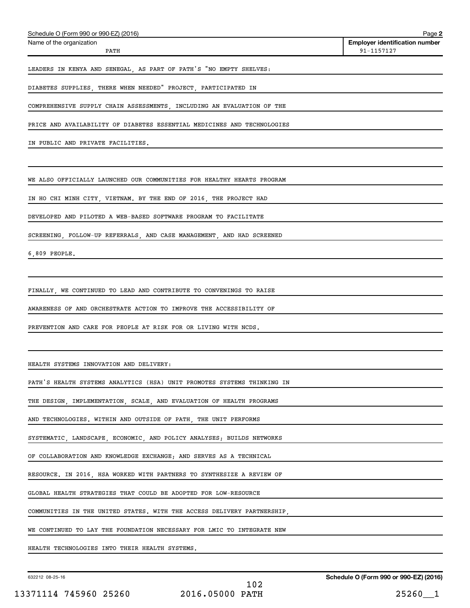| Schedule O (Form 990 or 990-EZ) (2016)                            | Page 2                                |
|-------------------------------------------------------------------|---------------------------------------|
| Name of the organization                                          | <b>Employer identification number</b> |
| PATH                                                              | 91-1157127                            |
|                                                                   |                                       |
| LEADERS IN KENYA AND SENEGAL AS PART OF PATH'S "NO EMPTY SHELVES: |                                       |

DIABETES SUPPLIES, THERE WHEN NEEDED" PROJECT, PARTICIPATED IN

COMPREHENSIVE SUPPLY CHAIN ASSESSMENTS, INCLUDING AN EVALUATION OF THE

PRICE AND AVAILABILITY OF DIABETES ESSENTIAL MEDICINES AND TECHNOLOGIES

IN PUBLIC AND PRIVATE FACILITIES.

WE ALSO OFFICIALLY LAUNCHED OUR COMMUNITIES FOR HEALTHY HEARTS PROGRAM

IN HO CHI MINH CITY, VIETNAM. BY THE END OF 2016, THE PROJECT HAD

DEVELOPED AND PILOTED A WEB-BASED SOFTWARE PROGRAM TO FACILITATE

SCREENING, FOLLOW-UP REFERRALS, AND CASE MANAGEMENT, AND HAD SCREENED

6,809 PEOPLE.

FINALLY, WE CONTINUED TO LEAD AND CONTRIBUTE TO CONVENINGS TO RAISE

AWARENESS OF AND ORCHESTRATE ACTION TO IMPROVE THE ACCESSIBILITY OF

PREVENTION AND CARE FOR PEOPLE AT RISK FOR OR LIVING WITH NCDS.

HEALTH SYSTEMS INNOVATION AND DELIVERY:

PATH'S HEALTH SYSTEMS ANALYTICS (HSA) UNIT PROMOTES SYSTEMS THINKING IN

THE DESIGN, IMPLEMENTATION, SCALE, AND EVALUATION OF HEALTH PROGRAMS

AND TECHNOLOGIES. WITHIN AND OUTSIDE OF PATH, THE UNIT PERFORMS

SYSTEMATIC, LANDSCAPE, ECONOMIC, AND POLICY ANALYSES; BUILDS NETWORKS

OF COLLABORATION AND KNOWLEDGE EXCHANGE; AND SERVES AS A TECHNICAL

RESOURCE. IN 2016, HSA WORKED WITH PARTNERS TO SYNTHESIZE A REVIEW OF

GLOBAL HEALTH STRATEGIES THAT COULD BE ADOPTED FOR LOW-RESOURCE

COMMUNITIES IN THE UNITED STATES. WITH THE ACCESS DELIVERY PARTNERSHIP,

WE CONTINUED TO LAY THE FOUNDATION NECESSARY FOR LMIC TO INTEGRATE NEW

HEALTH TECHNOLOGIES INTO THEIR HEALTH SYSTEMS.

632212 08-25-16

**Schedule O (Form 990 or 990-EZ) (2016)**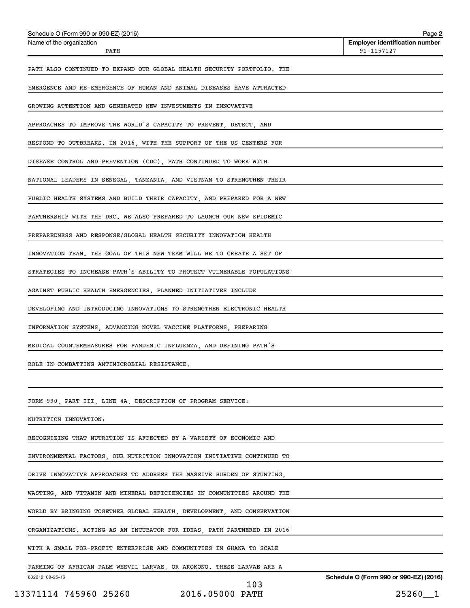| Schedule O (Form 990 or 990-EZ) (2016)                                  | Page 2                                              |
|-------------------------------------------------------------------------|-----------------------------------------------------|
| Name of the organization<br>PATH                                        | <b>Employer identification number</b><br>91-1157127 |
| PATH ALSO CONTINUED TO EXPAND OUR GLOBAL HEALTH SECURITY PORTFOLIO. THE |                                                     |
| EMERGENCE AND RE-EMERGENCE OF HUMAN AND ANIMAL DISEASES HAVE ATTRACTED  |                                                     |
| GROWING ATTENTION AND GENERATED NEW INVESTMENTS IN INNOVATIVE           |                                                     |
| APPROACHES TO IMPROVE THE WORLD'S CAPACITY TO PREVENT, DETECT, AND      |                                                     |
| RESPOND TO OUTBREAKS. IN 2016, WITH THE SUPPORT OF THE US CENTERS FOR   |                                                     |
| DISEASE CONTROL AND PREVENTION (CDC), PATH CONTINUED TO WORK WITH       |                                                     |
| NATIONAL LEADERS IN SENEGAL, TANZANIA, AND VIETNAM TO STRENGTHEN THEIR  |                                                     |
| PUBLIC HEALTH SYSTEMS AND BUILD THEIR CAPACITY, AND PREPARED FOR A NEW  |                                                     |
| PARTNERSHIP WITH THE DRC. WE ALSO PREPARED TO LAUNCH OUR NEW EPIDEMIC   |                                                     |
| PREPAREDNESS AND RESPONSE/GLOBAL HEALTH SECURITY INNOVATION HEALTH      |                                                     |
| INNOVATION TEAM. THE GOAL OF THIS NEW TEAM WILL BE TO CREATE A SET OF   |                                                     |
| STRATEGIES TO INCREASE PATH'S ABILITY TO PROTECT VULNERABLE POPULATIONS |                                                     |
| AGAINST PUBLIC HEALTH EMERGENCIES. PLANNED INITIATIVES INCLUDE          |                                                     |
| DEVELOPING AND INTRODUCING INNOVATIONS TO STRENGTHEN ELECTRONIC HEALTH  |                                                     |
| INFORMATION SYSTEMS, ADVANCING NOVEL VACCINE PLATFORMS, PREPARING       |                                                     |
| MEDICAL COUNTERMEASURES FOR PANDEMIC INFLUENZA, AND DEFINING PATH'S     |                                                     |
| ROLE IN COMBATTING ANTIMICROBIAL RESISTANCE.                            |                                                     |
| FORM 990, PART III, LINE 4A, DESCRIPTION OF PROGRAM SERVICE:            |                                                     |
| NUTRITION INNOVATION:                                                   |                                                     |
| RECOGNIZING THAT NUTRITION IS AFFECTED BY A VARIETY OF ECONOMIC AND     |                                                     |
| ENVIRONMENTAL FACTORS, OUR NUTRITION INNOVATION INITIATIVE CONTINUED TO |                                                     |
| DRIVE INNOVATIVE APPROACHES TO ADDRESS THE MASSIVE BURDEN OF STUNTING,  |                                                     |
| WASTING, AND VITAMIN AND MINERAL DEFICIENCIES IN COMMUNITIES AROUND THE |                                                     |
| WORLD BY BRINGING TOGETHER GLOBAL HEALTH, DEVELOPMENT, AND CONSERVATION |                                                     |
| ORGANIZATIONS. ACTING AS AN INCUBATOR FOR IDEAS, PATH PARTNERED IN 2016 |                                                     |
| WITH A SMALL FOR-PROFIT ENTERPRISE AND COMMUNITIES IN GHANA TO SCALE    |                                                     |
| FARMING OF AFRICAN PALM WEEVIL LARVAE, OR AKOKONO. THESE LARVAE ARE A   |                                                     |
| 632212 08-25-16<br>103                                                  | Schedule O (Form 990 or 990-EZ) (2016)              |
| 2016.05000 PATH<br>13371114 745960 25260                                | $25260 - 1$                                         |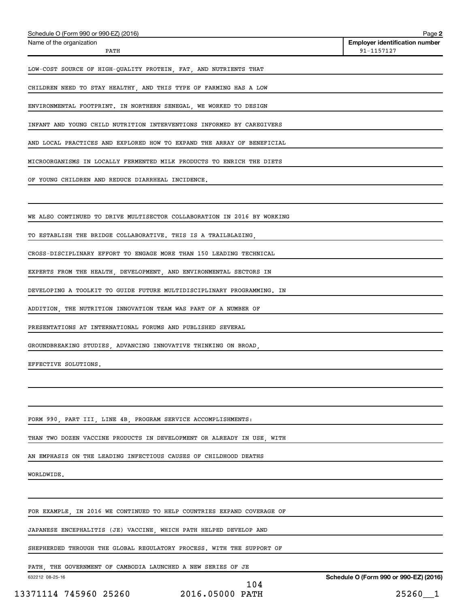| Schedule O (Form 990 or 990-EZ) (2016)                                  | Page 2                                              |
|-------------------------------------------------------------------------|-----------------------------------------------------|
| Name of the organization<br>PATH                                        | <b>Employer identification number</b><br>91-1157127 |
| LOW-COST SOURCE OF HIGH-QUALITY PROTEIN, FAT, AND NUTRIENTS THAT        |                                                     |
| CHILDREN NEED TO STAY HEALTHY, AND THIS TYPE OF FARMING HAS A LOW       |                                                     |
| ENVIRONMENTAL FOOTPRINT. IN NORTHERN SENEGAL, WE WORKED TO DESIGN       |                                                     |
| INFANT AND YOUNG CHILD NUTRITION INTERVENTIONS INFORMED BY CAREGIVERS   |                                                     |
| AND LOCAL PRACTICES AND EXPLORED HOW TO EXPAND THE ARRAY OF BENEFICIAL  |                                                     |
| MICROORGANISMS IN LOCALLY FERMENTED MILK PRODUCTS TO ENRICH THE DIETS   |                                                     |
| OF YOUNG CHILDREN AND REDUCE DIARRHEAL INCIDENCE.                       |                                                     |
| WE ALSO CONTINUED TO DRIVE MULTISECTOR COLLABORATION IN 2016 BY WORKING |                                                     |
| TO ESTABLISH THE BRIDGE COLLABORATIVE. THIS IS A TRAILBLAZING,          |                                                     |
| CROSS-DISCIPLINARY EFFORT TO ENGAGE MORE THAN 150 LEADING TECHNICAL     |                                                     |
| EXPERTS FROM THE HEALTH, DEVELOPMENT, AND ENVIRONMENTAL SECTORS IN      |                                                     |
| DEVELOPING A TOOLKIT TO GUIDE FUTURE MULTIDISCIPLINARY PROGRAMMING. IN  |                                                     |
| ADDITION, THE NUTRITION INNOVATION TEAM WAS PART OF A NUMBER OF         |                                                     |
| PRESENTATIONS AT INTERNATIONAL FORUMS AND PUBLISHED SEVERAL             |                                                     |
| GROUNDBREAKING STUDIES, ADVANCING INNOVATIVE THINKING ON BROAD,         |                                                     |
| EFFECTIVE SOLUTIONS.                                                    |                                                     |
|                                                                         |                                                     |
| FORM 990, PART III, LINE 4B, PROGRAM SERVICE ACCOMPLISHMENTS:           |                                                     |
| THAN TWO DOZEN VACCINE PRODUCTS IN DEVELOPMENT OR ALREADY IN USE. WITH  |                                                     |
| AN EMPHASIS ON THE LEADING INFECTIOUS CAUSES OF CHILDHOOD DEATHS        |                                                     |
| WORLDWIDE.                                                              |                                                     |
| FOR EXAMPLE, IN 2016 WE CONTINUED TO HELP COUNTRIES EXPAND COVERAGE OF  |                                                     |
| JAPANESE ENCEPHALITIS (JE) VACCINE, WHICH PATH HELPED DEVELOP AND       |                                                     |
| SHEPHERDED THROUGH THE GLOBAL REGULATORY PROCESS. WITH THE SUPPORT OF   |                                                     |
| PATH, THE GOVERNMENT OF CAMBODIA LAUNCHED A NEW SERIES OF JE            |                                                     |
| 632212 08-25-16<br>1 0 1                                                | Schedule O (Form 990 or 990-EZ) (2016)              |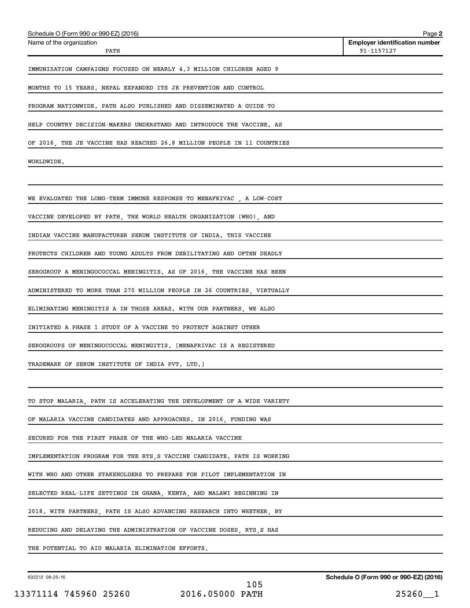| Schedule O (Form 990 or 990-EZ) (2016)                                   | Page 2                                              |
|--------------------------------------------------------------------------|-----------------------------------------------------|
| Name of the organization<br>PATH                                         | <b>Employer identification number</b><br>91-1157127 |
|                                                                          |                                                     |
| IMMUNIZATION CAMPAIGNS FOCUSED ON NEARLY 4.3 MILLION CHILDREN AGED 9     |                                                     |
| MONTHS TO 15 YEARS. NEPAL EXPANDED ITS JE PREVENTION AND CONTROL         |                                                     |
| PROGRAM NATIONWIDE. PATH ALSO PUBLISHED AND DISSEMINATED A GUIDE TO      |                                                     |
| HELP COUNTRY DECISION-MAKERS UNDERSTAND AND INTRODUCE THE VACCINE. AS    |                                                     |
| OF 2016, THE JE VACCINE HAS REACHED 26.8 MILLION PEOPLE IN 11 COUNTRIES  |                                                     |
| WORLDWIDE.                                                               |                                                     |
|                                                                          |                                                     |
| WE EVALUATED THE LONG-TERM IMMUNE RESPONSE TO MENAFRIVAC , A LOW-COST    |                                                     |
| VACCINE DEVELOPED BY PATH, THE WORLD HEALTH ORGANIZATION (WHO), AND      |                                                     |
| INDIAN VACCINE MANUFACTURER SERUM INSTITUTE OF INDIA. THIS VACCINE       |                                                     |
| PROTECTS CHILDREN AND YOUNG ADULTS FROM DEBILITATING AND OFTEN DEADLY    |                                                     |
| SEROGROUP A MENINGOCOCCAL MENINGITIS. AS OF 2016, THE VACCINE HAS BEEN   |                                                     |
| ADMINISTERED TO MORE THAN 270 MILLION PEOPLE IN 26 COUNTRIES, VIRTUALLY  |                                                     |
| ELIMINATING MENINGITIS A IN THOSE AREAS. WITH OUR PARTNERS, WE ALSO      |                                                     |
| INITIATED A PHASE 1 STUDY OF A VACCINE TO PROTECT AGAINST OTHER          |                                                     |
| SEROGROUPS OF MENINGOCOCCAL MENINGITIS. [MENAFRIVAC IS A REGISTERED      |                                                     |
| TRADEMARK OF SERUM INSTITUTE OF INDIA PVT. LTD.]                         |                                                     |
|                                                                          |                                                     |
| TO STOP MALARIA, PATH IS ACCELERATING THE DEVELOPMENT OF A WIDE VARIETY  |                                                     |
| OF MALARIA VACCINE CANDIDATES AND APPROACHES. IN 2016, FUNDING WAS       |                                                     |
| SECURED FOR THE FIRST PHASE OF THE WHO-LED MALARIA VACCINE               |                                                     |
| IMPLEMENTATION PROGRAM FOR THE RTS, S VACCINE CANDIDATE. PATH IS WORKING |                                                     |
| WITH WHO AND OTHER STAKEHOLDERS TO PREPARE FOR PILOT IMPLEMENTATION IN   |                                                     |
| SELECTED REAL-LIFE SETTINGS IN GHANA, KENYA, AND MALAWI BEGINNING IN     |                                                     |
| 2018. WITH PARTNERS, PATH IS ALSO ADVANCING RESEARCH INTO WHETHER, BY    |                                                     |
| REDUCING AND DELAYING THE ADMINISTRATION OF VACCINE DOSES, RTS, S HAS    |                                                     |
| THE POTENTIAL TO AID MALARIA ELIMINATION EFFORTS.                        |                                                     |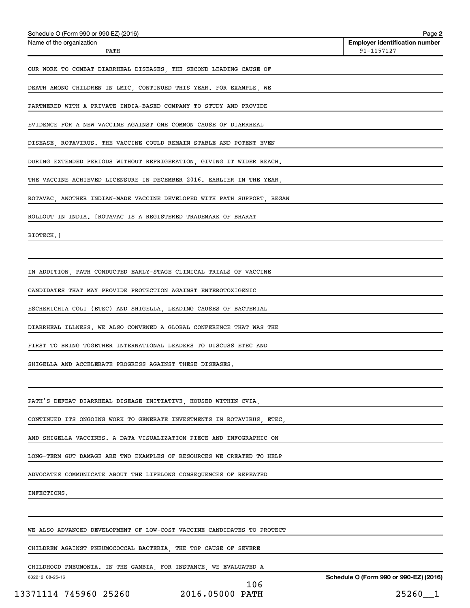| Schedule O (Form 990 or 990-EZ) (2016)                                  | Page 2                                              |
|-------------------------------------------------------------------------|-----------------------------------------------------|
| Name of the organization<br>PATH                                        | <b>Employer identification number</b><br>91-1157127 |
| OUR WORK TO COMBAT DIARRHEAL DISEASES, THE SECOND LEADING CAUSE OF      |                                                     |
| DEATH AMONG CHILDREN IN LMIC, CONTINUED THIS YEAR. FOR EXAMPLE, WE      |                                                     |
| PARTNERED WITH A PRIVATE INDIA-BASED COMPANY TO STUDY AND PROVIDE       |                                                     |
| EVIDENCE FOR A NEW VACCINE AGAINST ONE COMMON CAUSE OF DIARRHEAL        |                                                     |
| DISEASE, ROTAVIRUS. THE VACCINE COULD REMAIN STABLE AND POTENT EVEN     |                                                     |
| DURING EXTENDED PERIODS WITHOUT REFRIGERATION, GIVING IT WIDER REACH.   |                                                     |
| THE VACCINE ACHIEVED LICENSURE IN DECEMBER 2016. EARLIER IN THE YEAR,   |                                                     |
| ROTAVAC, ANOTHER INDIAN-MADE VACCINE DEVELOPED WITH PATH SUPPORT, BEGAN |                                                     |
| ROLLOUT IN INDIA. [ROTAVAC IS A REGISTERED TRADEMARK OF BHARAT          |                                                     |
| BIOTECH.]                                                               |                                                     |
|                                                                         |                                                     |
| IN ADDITION, PATH CONDUCTED EARLY-STAGE CLINICAL TRIALS OF VACCINE      |                                                     |
| CANDIDATES THAT MAY PROVIDE PROTECTION AGAINST ENTEROTOXIGENIC          |                                                     |
| ESCHERICHIA COLI (ETEC) AND SHIGELLA, LEADING CAUSES OF BACTERIAL       |                                                     |
| DIARRHEAL ILLNESS. WE ALSO CONVENED A GLOBAL CONFERENCE THAT WAS THE    |                                                     |
| FIRST TO BRING TOGETHER INTERNATIONAL LEADERS TO DISCUSS ETEC AND       |                                                     |
| SHIGELLA AND ACCELERATE PROGRESS AGAINST THESE DISEASES.                |                                                     |
|                                                                         |                                                     |
| PATH'S DEFEAT DIARRHEAL DISEASE INITIATIVE, HOUSED WITHIN CVIA,         |                                                     |
| CONTINUED ITS ONGOING WORK TO GENERATE INVESTMENTS IN ROTAVIRUS, ETEC,  |                                                     |
| AND SHIGELLA VACCINES. A DATA VISUALIZATION PIECE AND INFOGRAPHIC ON    |                                                     |
| LONG-TERM GUT DAMAGE ARE TWO EXAMPLES OF RESOURCES WE CREATED TO HELP   |                                                     |
| ADVOCATES COMMUNICATE ABOUT THE LIFELONG CONSEQUENCES OF REPEATED       |                                                     |
| INFECTIONS.                                                             |                                                     |
|                                                                         |                                                     |
| WE ALSO ADVANCED DEVELOPMENT OF LOW-COST VACCINE CANDIDATES TO PROTECT  |                                                     |
| CHILDREN AGAINST PNEUMOCOCCAL BACTERIA, THE TOP CAUSE OF SEVERE         |                                                     |
| CHILDHOOD PNEUMONIA. IN THE GAMBIA, FOR INSTANCE, WE EVALUATED A        |                                                     |

13371114 745960 25260 2016.05000 PATH 25260\_\_1 106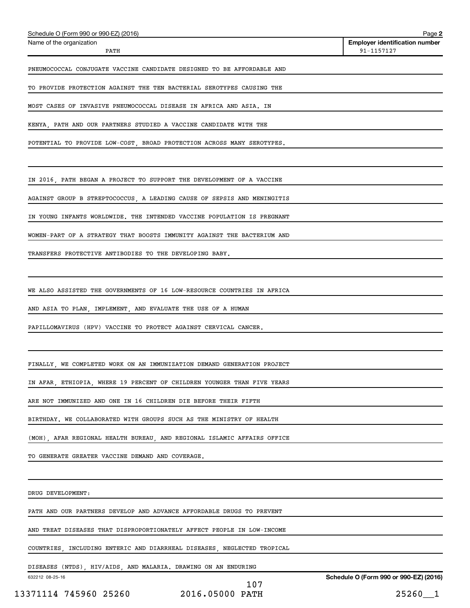| Schedule O (Form 990 or 990-EZ) (2016)                                  | Page 2                                              |
|-------------------------------------------------------------------------|-----------------------------------------------------|
| Name of the organization<br>PATH                                        | <b>Employer identification number</b><br>91-1157127 |
| PNEUMOCOCCAL CONJUGATE VACCINE CANDIDATE DESIGNED TO BE AFFORDABLE AND  |                                                     |
| TO PROVIDE PROTECTION AGAINST THE TEN BACTERIAL SEROTYPES CAUSING THE   |                                                     |
| MOST CASES OF INVASIVE PNEUMOCOCCAL DISEASE IN AFRICA AND ASIA. IN      |                                                     |
| KENYA, PATH AND OUR PARTNERS STUDIED A VACCINE CANDIDATE WITH THE       |                                                     |
| POTENTIAL TO PROVIDE LOW-COST, BROAD PROTECTION ACROSS MANY SEROTYPES.  |                                                     |
|                                                                         |                                                     |
| IN 2016, PATH BEGAN A PROJECT TO SUPPORT THE DEVELOPMENT OF A VACCINE   |                                                     |
| AGAINST GROUP B STREPTOCOCCUS, A LEADING CAUSE OF SEPSIS AND MENINGITIS |                                                     |
| IN YOUNG INFANTS WORLDWIDE. THE INTENDED VACCINE POPULATION IS PREGNANT |                                                     |
| WOMEN-PART OF A STRATEGY THAT BOOSTS IMMUNITY AGAINST THE BACTERIUM AND |                                                     |
| TRANSFERS PROTECTIVE ANTIBODIES TO THE DEVELOPING BABY.                 |                                                     |
|                                                                         |                                                     |
| WE ALSO ASSISTED THE GOVERNMENTS OF 16 LOW-RESOURCE COUNTRIES IN AFRICA |                                                     |
| AND ASIA TO PLAN, IMPLEMENT, AND EVALUATE THE USE OF A HUMAN            |                                                     |
| PAPILLOMAVIRUS (HPV) VACCINE TO PROTECT AGAINST CERVICAL CANCER.        |                                                     |
|                                                                         |                                                     |
| FINALLY, WE COMPLETED WORK ON AN IMMUNIZATION DEMAND GENERATION PROJECT |                                                     |
| IN AFAR, ETHIOPIA, WHERE 19 PERCENT OF CHILDREN YOUNGER THAN FIVE YEARS |                                                     |
| ARE NOT IMMUNIZED AND ONE IN 16 CHILDREN DIE BEFORE THEIR FIFTH         |                                                     |
| BIRTHDAY. WE COLLABORATED WITH GROUPS SUCH AS THE MINISTRY OF HEALTH    |                                                     |
| (MOH), AFAR REGIONAL HEALTH BUREAU, AND REGIONAL ISLAMIC AFFAIRS OFFICE |                                                     |
| TO GENERATE GREATER VACCINE DEMAND AND COVERAGE.                        |                                                     |
|                                                                         |                                                     |
| DRUG DEVELOPMENT:                                                       |                                                     |
| PATH AND OUR PARTNERS DEVELOP AND ADVANCE AFFORDABLE DRUGS TO PREVENT   |                                                     |
| AND TREAT DISEASES THAT DISPROPORTIONATELY AFFECT PEOPLE IN LOW-INCOME  |                                                     |
| COUNTRIES, INCLUDING ENTERIC AND DIARRHEAL DISEASES, NEGLECTED TROPICAL |                                                     |

DISEASES (NTDS), HIV/AIDS, AND MALARIA. DRAWING ON AN ENDURING

632212 08-25-16

**Schedule O (Form 990 or 990-EZ) (2016)**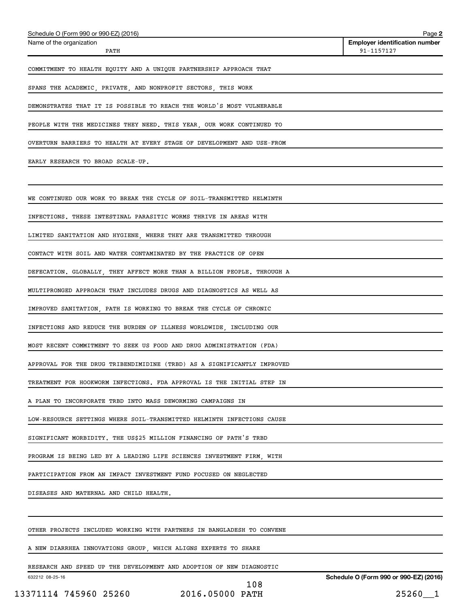| Schedule O (Form 990 or 990-EZ) (2016)                                  | Page 2                                              |
|-------------------------------------------------------------------------|-----------------------------------------------------|
| Name of the organization<br>PATH                                        | <b>Employer identification number</b><br>91-1157127 |
| COMMITMENT TO HEALTH EQUITY AND A UNIQUE PARTNERSHIP APPROACH THAT      |                                                     |
| SPANS THE ACADEMIC, PRIVATE, AND NONPROFIT SECTORS, THIS WORK           |                                                     |
| DEMONSTRATES THAT IT IS POSSIBLE TO REACH THE WORLD'S MOST VULNERABLE   |                                                     |
| PEOPLE WITH THE MEDICINES THEY NEED. THIS YEAR, OUR WORK CONTINUED TO   |                                                     |
| OVERTURN BARRIERS TO HEALTH AT EVERY STAGE OF DEVELOPMENT AND USE-FROM  |                                                     |
| EARLY RESEARCH TO BROAD SCALE-UP.                                       |                                                     |
|                                                                         |                                                     |
| WE CONTINUED OUR WORK TO BREAK THE CYCLE OF SOIL-TRANSMITTED HELMINTH   |                                                     |
| INFECTIONS. THESE INTESTINAL PARASITIC WORMS THRIVE IN AREAS WITH       |                                                     |
| LIMITED SANITATION AND HYGIENE, WHERE THEY ARE TRANSMITTED THROUGH      |                                                     |
| CONTACT WITH SOIL AND WATER CONTAMINATED BY THE PRACTICE OF OPEN        |                                                     |
| DEFECATION. GLOBALLY, THEY AFFECT MORE THAN A BILLION PEOPLE. THROUGH A |                                                     |
| MULTIPRONGED APPROACH THAT INCLUDES DRUGS AND DIAGNOSTICS AS WELL AS    |                                                     |
| IMPROVED SANITATION, PATH IS WORKING TO BREAK THE CYCLE OF CHRONIC      |                                                     |
| INFECTIONS AND REDUCE THE BURDEN OF ILLNESS WORLDWIDE, INCLUDING OUR    |                                                     |
| MOST RECENT COMMITMENT TO SEEK US FOOD AND DRUG ADMINISTRATION (FDA)    |                                                     |
| APPROVAL FOR THE DRUG TRIBENDIMIDINE (TRBD) AS A SIGNIFICANTLY IMPROVED |                                                     |
| TREATMENT FOR HOOKWORM INFECTIONS. FDA APPROVAL IS THE INITIAL STEP IN  |                                                     |
| A PLAN TO INCORPORATE TRBD INTO MASS DEWORMING CAMPAIGNS IN             |                                                     |
| LOW-RESOURCE SETTINGS WHERE SOIL-TRANSMITTED HELMINTH INFECTIONS CAUSE  |                                                     |
| SIGNIFICANT MORBIDITY. THE US\$25 MILLION FINANCING OF PATH'S TRBD      |                                                     |
| PROGRAM IS BEING LED BY A LEADING LIFE SCIENCES INVESTMENT FIRM, WITH   |                                                     |
| PARTICIPATION FROM AN IMPACT INVESTMENT FUND FOCUSED ON NEGLECTED       |                                                     |
| DISEASES AND MATERNAL AND CHILD HEALTH.                                 |                                                     |
|                                                                         |                                                     |
| OTHER PROJECTS INCLUDED WORKING WITH PARTNERS IN BANGLADESH TO CONVENE  |                                                     |
| A NEW DIARRHEA INNOVATIONS GROUP, WHICH ALIGNS EXPERTS TO SHARE         |                                                     |
| RESEARCH AND SPEED UP THE DEVELOPMENT AND ADOPTION OF NEW DIAGNOSTIC    |                                                     |
| 632212 08-25-16                                                         | Schedule O (Form 990 or 990-EZ) (2016)              |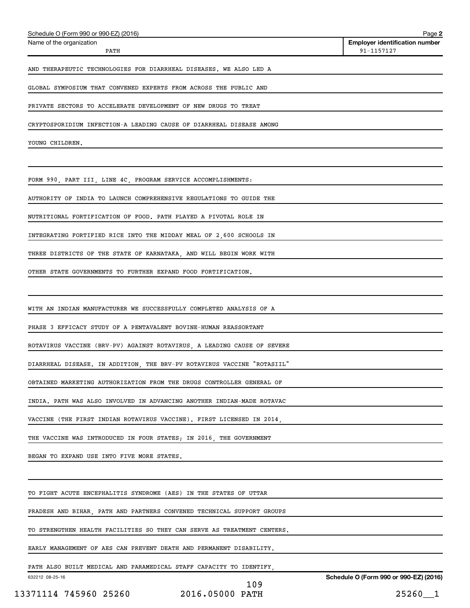| Schedule O (Form 990 or 990-EZ) (2016)<br>Name of the organization      | Page 2<br><b>Employer identification number</b> |
|-------------------------------------------------------------------------|-------------------------------------------------|
| PATH                                                                    | 91-1157127                                      |
| AND THERAPEUTIC TECHNOLOGIES FOR DIARRHEAL DISEASES. WE ALSO LED A      |                                                 |
| GLOBAL SYMPOSIUM THAT CONVENED EXPERTS FROM ACROSS THE PUBLIC AND       |                                                 |
| PRIVATE SECTORS TO ACCELERATE DEVELOPMENT OF NEW DRUGS TO TREAT         |                                                 |
| CRYPTOSPORIDIUM INFECTION-A LEADING CAUSE OF DIARRHEAL DISEASE AMONG    |                                                 |
| YOUNG CHILDREN.                                                         |                                                 |
|                                                                         |                                                 |
| FORM 990, PART III, LINE 4C, PROGRAM SERVICE ACCOMPLISHMENTS:           |                                                 |
| AUTHORITY OF INDIA TO LAUNCH COMPREHENSIVE REGULATIONS TO GUIDE THE     |                                                 |
| NUTRITIONAL FORTIFICATION OF FOOD. PATH PLAYED A PIVOTAL ROLE IN        |                                                 |
| INTEGRATING FORTIFIED RICE INTO THE MIDDAY MEAL OF 2,600 SCHOOLS IN     |                                                 |
| THREE DISTRICTS OF THE STATE OF KARNATAKA, AND WILL BEGIN WORK WITH     |                                                 |
| OTHER STATE GOVERNMENTS TO FURTHER EXPAND FOOD FORTIFICATION.           |                                                 |
|                                                                         |                                                 |
| WITH AN INDIAN MANUFACTURER WE SUCCESSFULLY COMPLETED ANALYSIS OF A     |                                                 |
| PHASE 3 EFFICACY STUDY OF A PENTAVALENT BOVINE-HUMAN REASSORTANT        |                                                 |
| ROTAVIRUS VACCINE (BRV-PV) AGAINST ROTAVIRUS, A LEADING CAUSE OF SEVERE |                                                 |
| DIARRHEAL DISEASE. IN ADDITION, THE BRV-PV ROTAVIRUS VACCINE "ROTASIIL" |                                                 |
| OBTAINED MARKETING AUTHORIZATION FROM THE DRUGS CONTROLLER GENERAL OF   |                                                 |
| INDIA. PATH WAS ALSO INVOLVED IN ADVANCING ANOTHER INDIAN-MADE ROTAVAC  |                                                 |

VACCINE (THE FIRST INDIAN ROTAVIRUS VACCINE). FIRST LICENSED IN 2014,

THE VACCINE WAS INTRODUCED IN FOUR STATES; IN 2016, THE GOVERNMENT

BEGAN TO EXPAND USE INTO FIVE MORE STATES.

TO FIGHT ACUTE ENCEPHALITIS SYNDROME (AES) IN THE STATES OF UTTAR

PRADESH AND BIHAR, PATH AND PARTNERS CONVENED TECHNICAL SUPPORT GROUPS

TO STRENGTHEN HEALTH FACILITIES SO THEY CAN SERVE AS TREATMENT CENTERS.

EARLY MANAGEMENT OF AES CAN PREVENT DEATH AND PERMANENT DISABILITY.

PATH ALSO BUILT MEDICAL AND PARAMEDICAL STAFF CAPACITY TO IDENTIFY,

632212 08-25-16

109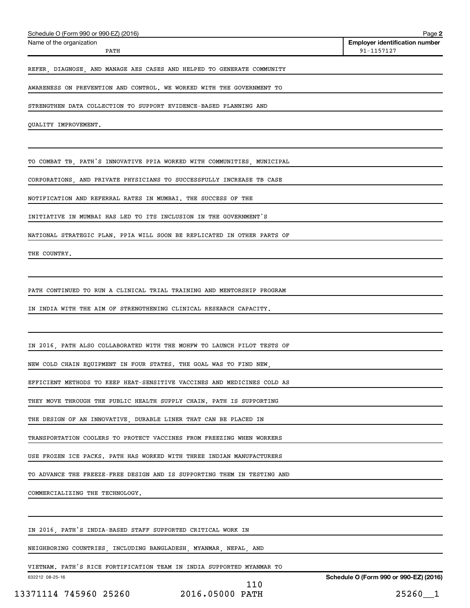| Schedule O (Form 990 or 990-EZ) (2016)<br>Name of the organization<br>PATH | Page 2<br><b>Employer identification number</b> |
|----------------------------------------------------------------------------|-------------------------------------------------|
|                                                                            | 91-1157127                                      |
| REFER DIAGNOSE AND MANAGE AES CASES AND HELPED TO GENERATE COMMUNITY       |                                                 |
| AWARENESS ON PREVENTION AND CONTROL. WE WORKED WITH THE GOVERNMENT TO      |                                                 |
| STRENGTHEN DATA COLLECTION TO SUPPORT EVIDENCE-BASED PLANNING AND          |                                                 |
| QUALITY IMPROVEMENT.                                                       |                                                 |
|                                                                            |                                                 |
| TO COMBAT TB, PATH'S INNOVATIVE PPIA WORKED WITH COMMUNITIES, MUNICIPAL    |                                                 |
| CORPORATIONS, AND PRIVATE PHYSICIANS TO SUCCESSFULLY INCREASE TB CASE      |                                                 |
| NOTIFICATION AND REFERRAL RATES IN MUMBAI. THE SUCCESS OF THE              |                                                 |
| INITIATIVE IN MUMBAI HAS LED TO ITS INCLUSION IN THE GOVERNMENT'S          |                                                 |
| NATIONAL STRATEGIC PLAN. PPIA WILL SOON BE REPLICATED IN OTHER PARTS OF    |                                                 |
| THE COUNTRY.                                                               |                                                 |
|                                                                            |                                                 |
| PATH CONTINUED TO RUN A CLINICAL TRIAL TRAINING AND MENTORSHIP PROGRAM     |                                                 |
| IN INDIA WITH THE AIM OF STRENGTHENING CLINICAL RESEARCH CAPACITY.         |                                                 |
|                                                                            |                                                 |
| IN 2016, PATH ALSO COLLABORATED WITH THE MOHFW TO LAUNCH PILOT TESTS OF    |                                                 |
| NEW COLD CHAIN EQUIPMENT IN FOUR STATES. THE GOAL WAS TO FIND NEW,         |                                                 |
| EFFICIENT METHODS TO KEEP HEAT-SENSITIVE VACCINES AND MEDICINES COLD AS    |                                                 |
| THEY MOVE THROUGH THE PUBLIC HEALTH SUPPLY CHAIN. PATH IS SUPPORTING       |                                                 |
| THE DESIGN OF AN INNOVATIVE, DURABLE LINER THAT CAN BE PLACED IN           |                                                 |
| TRANSPORTATION COOLERS TO PROTECT VACCINES FROM FREEZING WHEN WORKERS      |                                                 |
| USE FROZEN ICE PACKS. PATH HAS WORKED WITH THREE INDIAN MANUFACTURERS      |                                                 |
| TO ADVANCE THE FREEZE-FREE DESIGN AND IS SUPPORTING THEM IN TESTING AND    |                                                 |
| COMMERCIALIZING THE TECHNOLOGY.                                            |                                                 |
|                                                                            |                                                 |
| IN 2016, PATH'S INDIA-BASED STAFF SUPPORTED CRITICAL WORK IN               |                                                 |

NEIGHBORING COUNTRIES, INCLUDING BANGLADESH, MYANMAR, NEPAL, AND

VIETNAM. PATH'S RICE FORTIFICATION TEAM IN INDIA SUPPORTED MYANMAR TO

632212 08-25-16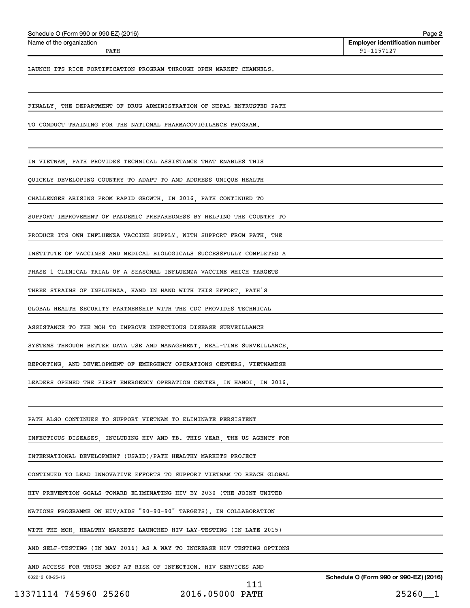PATH 91-1157127

LAUNCH ITS RICE FORTIFICATION PROGRAM THROUGH OPEN MARKET CHANNELS.

FINALLY, THE DEPARTMENT OF DRUG ADMINISTRATION OF NEPAL ENTRUSTED PATH

TO CONDUCT TRAINING FOR THE NATIONAL PHARMACOVIGILANCE PROGRAM.

IN VIETNAM, PATH PROVIDES TECHNICAL ASSISTANCE THAT ENABLES THIS

QUICKLY DEVELOPING COUNTRY TO ADAPT TO AND ADDRESS UNIQUE HEALTH

CHALLENGES ARISING FROM RAPID GROWTH. IN 2016, PATH CONTINUED TO

SUPPORT IMPROVEMENT OF PANDEMIC PREPAREDNESS BY HELPING THE COUNTRY TO

PRODUCE ITS OWN INFLUENZA VACCINE SUPPLY. WITH SUPPORT FROM PATH, THE

INSTITUTE OF VACCINES AND MEDICAL BIOLOGICALS SUCCESSFULLY COMPLETED A

PHASE 1 CLINICAL TRIAL OF A SEASONAL INFLUENZA VACCINE WHICH TARGETS

THREE STRAINS OF INFLUENZA. HAND IN HAND WITH THIS EFFORT, PATH'S

GLOBAL HEALTH SECURITY PARTNERSHIP WITH THE CDC PROVIDES TECHNICAL

ASSISTANCE TO THE MOH TO IMPROVE INFECTIOUS DISEASE SURVEILLANCE

SYSTEMS THROUGH BETTER DATA USE AND MANAGEMENT, REAL-TIME SURVEILLANCE,

REPORTING, AND DEVELOPMENT OF EMERGENCY OPERATIONS CENTERS. VIETNAMESE

LEADERS OPENED THE FIRST EMERGENCY OPERATION CENTER, IN HANOI, IN 2016.

PATH ALSO CONTINUES TO SUPPORT VIETNAM TO ELIMINATE PERSISTENT

INFECTIOUS DISEASES, INCLUDING HIV AND TB. THIS YEAR, THE US AGENCY FOR

INTERNATIONAL DEVELOPMENT (USAID)/PATH HEALTHY MARKETS PROJECT

CONTINUED TO LEAD INNOVATIVE EFFORTS TO SUPPORT VIETNAM TO REACH GLOBAL

HIV PREVENTION GOALS TOWARD ELIMINATING HIV BY 2030 (THE JOINT UNITED

NATIONS PROGRAMME ON HIV/AIDS "90-90-90" TARGETS). IN COLLABORATION

WITH THE MOH, HEALTHY MARKETS LAUNCHED HIV LAY-TESTING (IN LATE 2015)

AND SELF-TESTING (IN MAY 2016) AS A WAY TO INCREASE HIV TESTING OPTIONS

AND ACCESS FOR THOSE MOST AT RISK OF INFECTION. HIV SERVICES AND

111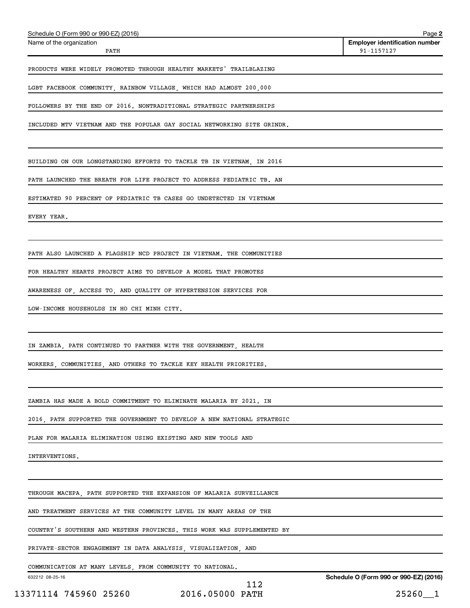| Schedule O (Form 990 or 990-EZ) (2016)                                  | Page 2                                              |
|-------------------------------------------------------------------------|-----------------------------------------------------|
| Name of the organization<br>PATH                                        | <b>Employer identification number</b><br>91-1157127 |
| PRODUCTS WERE WIDELY PROMOTED THROUGH HEALTHY MARKETS' TRAILBLAZING     |                                                     |
| LGBT FACEBOOK COMMUNITY, RAINBOW VILLAGE, WHICH HAD ALMOST 200,000      |                                                     |
| FOLLOWERS BY THE END OF 2016. NONTRADITIONAL STRATEGIC PARTNERSHIPS     |                                                     |
| INCLUDED MTV VIETNAM AND THE POPULAR GAY SOCIAL NETWORKING SITE GRINDR. |                                                     |
| BUILDING ON OUR LONGSTANDING EFFORTS TO TACKLE TB IN VIETNAM, IN 2016   |                                                     |
| PATH LAUNCHED THE BREATH FOR LIFE PROJECT TO ADDRESS PEDIATRIC TB. AN   |                                                     |
| ESTIMATED 90 PERCENT OF PEDIATRIC TB CASES GO UNDETECTED IN VIETNAM     |                                                     |
| EVERY YEAR.                                                             |                                                     |
| PATH ALSO LAUNCHED A FLAGSHIP NCD PROJECT IN VIETNAM. THE COMMUNITIES   |                                                     |
| FOR HEALTHY HEARTS PROJECT AIMS TO DEVELOP A MODEL THAT PROMOTES        |                                                     |
| AWARENESS OF, ACCESS TO, AND QUALITY OF HYPERTENSION SERVICES FOR       |                                                     |
| LOW-INCOME HOUSEHOLDS IN HO CHI MINH CITY.                              |                                                     |
| IN ZAMBIA, PATH CONTINUED TO PARTNER WITH THE GOVERNMENT, HEALTH        |                                                     |
| WORKERS, COMMUNITIES, AND OTHERS TO TACKLE KEY HEALTH PRIORITIES.       |                                                     |
| ZAMBIA HAS MADE A BOLD COMMITMENT TO ELIMINATE MALARIA BY 2021. IN      |                                                     |
| 2016, PATH SUPPORTED THE GOVERNMENT TO DEVELOP A NEW NATIONAL STRATEGIC |                                                     |
| PLAN FOR MALARIA ELIMINATION USING EXISTING AND NEW TOOLS AND           |                                                     |
| INTERVENTIONS.                                                          |                                                     |
|                                                                         |                                                     |
| THROUGH MACEPA, PATH SUPPORTED THE EXPANSION OF MALARIA SURVEILLANCE    |                                                     |
| AND TREATMENT SERVICES AT THE COMMUNITY LEVEL IN MANY AREAS OF THE      |                                                     |
| COUNTRY'S SOUTHERN AND WESTERN PROVINCES. THIS WORK WAS SUPPLEMENTED BY |                                                     |
| PRIVATE-SECTOR ENGAGEMENT IN DATA ANALYSIS, VISUALIZATION, AND          |                                                     |
| COMMUNICATION AT MANY LEVELS, FROM COMMUNITY TO NATIONAL.               |                                                     |

632212 08-25-16

112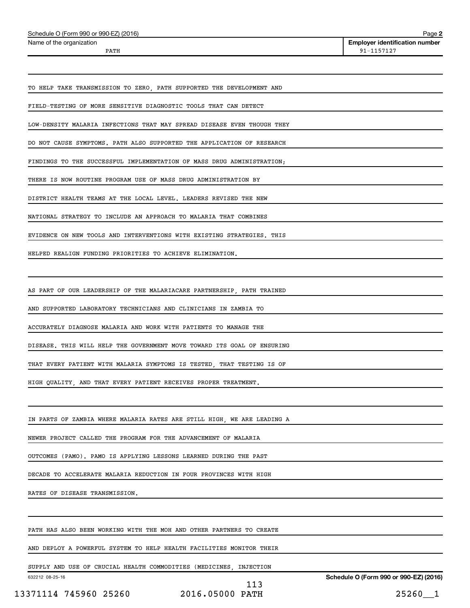**2 Employer identification number** PATH 91-1157127

TO HELP TAKE TRANSMISSION TO ZERO, PATH SUPPORTED THE DEVELOPMENT AND

FIELD-TESTING OF MORE SENSITIVE DIAGNOSTIC TOOLS THAT CAN DETECT

LOW-DENSITY MALARIA INFECTIONS THAT MAY SPREAD DISEASE EVEN THOUGH THEY

DO NOT CAUSE SYMPTOMS. PATH ALSO SUPPORTED THE APPLICATION OF RESEARCH

FINDINGS TO THE SUCCESSFUL IMPLEMENTATION OF MASS DRUG ADMINISTRATION;

THERE IS NOW ROUTINE PROGRAM USE OF MASS DRUG ADMINISTRATION BY

DISTRICT HEALTH TEAMS AT THE LOCAL LEVEL. LEADERS REVISED THE NEW

NATIONAL STRATEGY TO INCLUDE AN APPROACH TO MALARIA THAT COMBINES

EVIDENCE ON NEW TOOLS AND INTERVENTIONS WITH EXISTING STRATEGIES. THIS

HELPED REALIGN FUNDING PRIORITIES TO ACHIEVE ELIMINATION.

AS PART OF OUR LEADERSHIP OF THE MALARIACARE PARTNERSHIP, PATH TRAINED

AND SUPPORTED LABORATORY TECHNICIANS AND CLINICIANS IN ZAMBIA TO

ACCURATELY DIAGNOSE MALARIA AND WORK WITH PATIENTS TO MANAGE THE

DISEASE. THIS WILL HELP THE GOVERNMENT MOVE TOWARD ITS GOAL OF ENSURING

THAT EVERY PATIENT WITH MALARIA SYMPTOMS IS TESTED, THAT TESTING IS OF

HIGH QUALITY, AND THAT EVERY PATIENT RECEIVES PROPER TREATMENT.

IN PARTS OF ZAMBIA WHERE MALARIA RATES ARE STILL HIGH, WE ARE LEADING A

NEWER PROJECT CALLED THE PROGRAM FOR THE ADVANCEMENT OF MALARIA

OUTCOMES (PAMO). PAMO IS APPLYING LESSONS LEARNED DURING THE PAST

DECADE TO ACCELERATE MALARIA REDUCTION IN FOUR PROVINCES WITH HIGH

RATES OF DISEASE TRANSMISSION.

PATH HAS ALSO BEEN WORKING WITH THE MOH AND OTHER PARTNERS TO CREATE

AND DEPLOY A POWERFUL SYSTEM TO HELP HEALTH FACILITIES MONITOR THEIR

SUPPLY AND USE OF CRUCIAL HEALTH COMMODITIES (MEDICINES, INJECTION

632212 08-25-16

113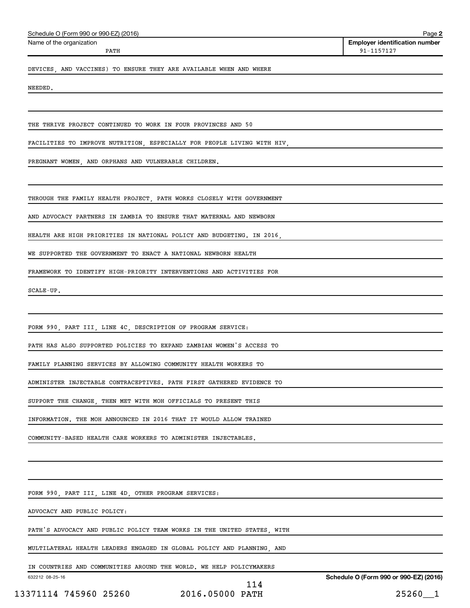| Schedule O (Form 990 or 990-EZ) (2016) | Page $\lambda$                        |
|----------------------------------------|---------------------------------------|
| Name of the organization               | <b>Employer identification number</b> |
| PATH                                   | 91-1157127                            |
|                                        |                                       |

DEVICES, AND VACCINES) TO ENSURE THEY ARE AVAILABLE WHEN AND WHERE

NEEDED.

THE THRIVE PROJECT CONTINUED TO WORK IN FOUR PROVINCES AND 50

FACILITIES TO IMPROVE NUTRITION, ESPECIALLY FOR PEOPLE LIVING WITH HIV,

PREGNANT WOMEN, AND ORPHANS AND VULNERABLE CHILDREN.

THROUGH THE FAMILY HEALTH PROJECT, PATH WORKS CLOSELY WITH GOVERNMENT

AND ADVOCACY PARTNERS IN ZAMBIA TO ENSURE THAT MATERNAL AND NEWBORN

HEALTH ARE HIGH PRIORITIES IN NATIONAL POLICY AND BUDGETING. IN 2016,

WE SUPPORTED THE GOVERNMENT TO ENACT A NATIONAL NEWBORN HEALTH

FRAMEWORK TO IDENTIFY HIGH-PRIORITY INTERVENTIONS AND ACTIVITIES FOR

SCALE-UP.

FORM 990, PART III, LINE 4C, DESCRIPTION OF PROGRAM SERVICE:

PATH HAS ALSO SUPPORTED POLICIES TO EXPAND ZAMBIAN WOMEN'S ACCESS TO

FAMILY PLANNING SERVICES BY ALLOWING COMMUNITY HEALTH WORKERS TO

ADMINISTER INJECTABLE CONTRACEPTIVES. PATH FIRST GATHERED EVIDENCE TO

SUPPORT THE CHANGE, THEN MET WITH MOH OFFICIALS TO PRESENT THIS

INFORMATION. THE MOH ANNOUNCED IN 2016 THAT IT WOULD ALLOW TRAINED

COMMUNITY-BASED HEALTH CARE WORKERS TO ADMINISTER INJECTABLES.

FORM 990, PART III, LINE 4D, OTHER PROGRAM SERVICES:

ADVOCACY AND PUBLIC POLICY:

PATH'S ADVOCACY AND PUBLIC POLICY TEAM WORKS IN THE UNITED STATES, WITH

MULTILATERAL HEALTH LEADERS ENGAGED IN GLOBAL POLICY AND PLANNING, AND

IN COUNTRIES AND COMMUNITIES AROUND THE WORLD. WE HELP POLICYMAKERS

632212 08-25-16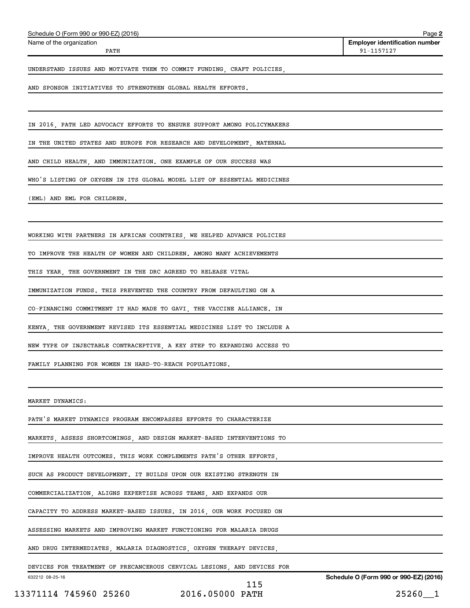| Schedule O (Form 990 or 990-EZ) (2016) |  | Page |
|----------------------------------------|--|------|
|                                        |  |      |

PATH 91-1157127

**2 Employer identification number**

UNDERSTAND ISSUES AND MOTIVATE THEM TO COMMIT FUNDING, CRAFT POLICIES,

AND SPONSOR INITIATIVES TO STRENGTHEN GLOBAL HEALTH EFFORTS.

IN 2016, PATH LED ADVOCACY EFFORTS TO ENSURE SUPPORT AMONG POLICYMAKERS

IN THE UNITED STATES AND EUROPE FOR RESEARCH AND DEVELOPMENT, MATERNAL

AND CHILD HEALTH, AND IMMUNIZATION. ONE EXAMPLE OF OUR SUCCESS WAS

WHO'S LISTING OF OXYGEN IN ITS GLOBAL MODEL LIST OF ESSENTIAL MEDICINES

(EML) AND EML FOR CHILDREN.

WORKING WITH PARTNERS IN AFRICAN COUNTRIES, WE HELPED ADVANCE POLICIES

TO IMPROVE THE HEALTH OF WOMEN AND CHILDREN. AMONG MANY ACHIEVEMENTS

THIS YEAR, THE GOVERNMENT IN THE DRC AGREED TO RELEASE VITAL

IMMUNIZATION FUNDS. THIS PREVENTED THE COUNTRY FROM DEFAULTING ON A

CO-FINANCING COMMITMENT IT HAD MADE TO GAVI, THE VACCINE ALLIANCE. IN

KENYA, THE GOVERNMENT REVISED ITS ESSENTIAL MEDICINES LIST TO INCLUDE A

NEW TYPE OF INJECTABLE CONTRACEPTIVE, A KEY STEP TO EXPANDING ACCESS TO

FAMILY PLANNING FOR WOMEN IN HARD-TO-REACH POPULATIONS.

MARKET DYNAMICS:

PATH'S MARKET DYNAMICS PROGRAM ENCOMPASSES EFFORTS TO CHARACTERIZE

MARKETS, ASSESS SHORTCOMINGS, AND DESIGN MARKET-BASED INTERVENTIONS TO

IMPROVE HEALTH OUTCOMES. THIS WORK COMPLEMENTS PATH'S OTHER EFFORTS,

SUCH AS PRODUCT DEVELOPMENT. IT BUILDS UPON OUR EXISTING STRENGTH IN

COMMERCIALIZATION, ALIGNS EXPERTISE ACROSS TEAMS, AND EXPANDS OUR

CAPACITY TO ADDRESS MARKET-BASED ISSUES. IN 2016, OUR WORK FOCUSED ON

ASSESSING MARKETS AND IMPROVING MARKET FUNCTIONING FOR MALARIA DRUGS

AND DRUG INTERMEDIATES, MALARIA DIAGNOSTICS, OXYGEN THERAPY DEVICES,

DEVICES FOR TREATMENT OF PRECANCEROUS CERVICAL LESIONS, AND DEVICES FOR

632212 08-25-16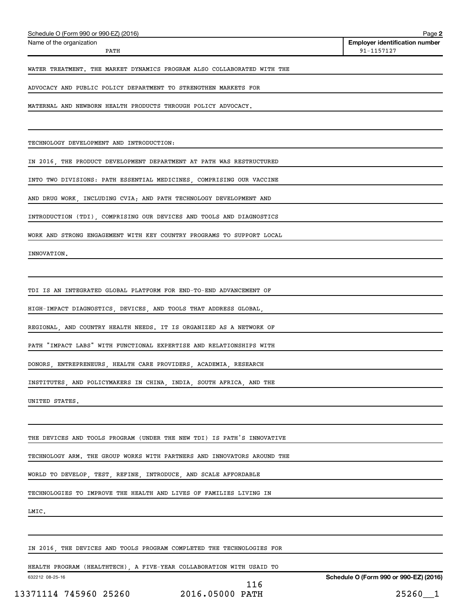| Schedule O (Form 990 or 990-EZ) (2016)                                  | Page 2                                              |
|-------------------------------------------------------------------------|-----------------------------------------------------|
| Name of the organization<br>PATH                                        | <b>Employer identification number</b><br>91-1157127 |
| WATER TREATMENT. THE MARKET DYNAMICS PROGRAM ALSO COLLABORATED WITH THE |                                                     |
| ADVOCACY AND PUBLIC POLICY DEPARTMENT TO STRENGTHEN MARKETS FOR         |                                                     |
| MATERNAL AND NEWBORN HEALTH PRODUCTS THROUGH POLICY ADVOCACY.           |                                                     |
|                                                                         |                                                     |
| TECHNOLOGY DEVELOPMENT AND INTRODUCTION:                                |                                                     |
| IN 2016, THE PRODUCT DEVELOPMENT DEPARTMENT AT PATH WAS RESTRUCTURED    |                                                     |
| INTO TWO DIVISIONS: PATH ESSENTIAL MEDICINES, COMPRISING OUR VACCINE    |                                                     |
| AND DRUG WORK, INCLUDING CVIA; AND PATH TECHNOLOGY DEVELOPMENT AND      |                                                     |
| INTRODUCTION (TDI), COMPRISING OUR DEVICES AND TOOLS AND DIAGNOSTICS    |                                                     |
| WORK AND STRONG ENGAGEMENT WITH KEY COUNTRY PROGRAMS TO SUPPORT LOCAL   |                                                     |
| INNOVATION.                                                             |                                                     |
|                                                                         |                                                     |
| TDI IS AN INTEGRATED GLOBAL PLATFORM FOR END-TO-END ADVANCEMENT OF      |                                                     |
| HIGH-IMPACT DIAGNOSTICS, DEVICES, AND TOOLS THAT ADDRESS GLOBAL,        |                                                     |
| REGIONAL, AND COUNTRY HEALTH NEEDS. IT IS ORGANIZED AS A NETWORK OF     |                                                     |
| PATH "IMPACT LABS" WITH FUNCTIONAL EXPERTISE AND RELATIONSHIPS WITH     |                                                     |
| DONORS, ENTREPRENEURS, HEALTH CARE PROVIDERS, ACADEMIA, RESEARCH        |                                                     |
| INSTITUTES, AND POLICYMAKERS IN CHINA, INDIA, SOUTH AFRICA, AND THE     |                                                     |
| UNITED STATES.                                                          |                                                     |
|                                                                         |                                                     |
| THE DEVICES AND TOOLS PROGRAM (UNDER THE NEW TDI) IS PATH'S INNOVATIVE  |                                                     |
| TECHNOLOGY ARM. THE GROUP WORKS WITH PARTNERS AND INNOVATORS AROUND THE |                                                     |
| WORLD TO DEVELOP, TEST, REFINE, INTRODUCE, AND SCALE AFFORDABLE         |                                                     |
| TECHNOLOGIES TO IMPROVE THE HEALTH AND LIVES OF FAMILIES LIVING IN      |                                                     |
| LMIC.                                                                   |                                                     |
|                                                                         |                                                     |
| IN 2016, THE DEVICES AND TOOLS PROGRAM COMPLETED THE TECHNOLOGIES FOR   |                                                     |
| HEALTH PROGRAM (HEALTHTECH) A FIVE-YEAR COLLABORATION WITH USAID TO     |                                                     |

632212 08-25-16

116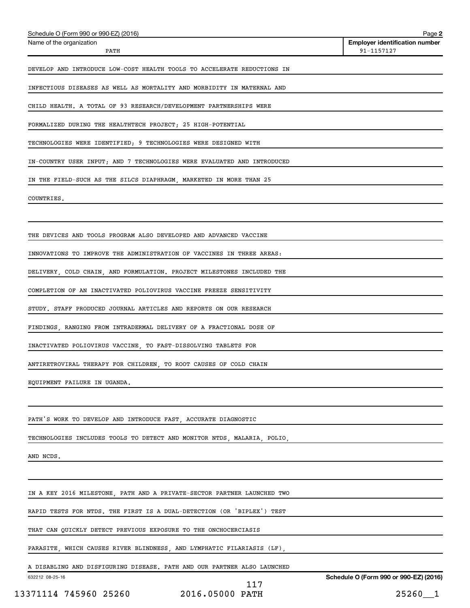| Schedule O (Form 990 or 990-EZ) (2016)                                  | Page 2                                              |
|-------------------------------------------------------------------------|-----------------------------------------------------|
| Name of the organization<br>PATH                                        | <b>Employer identification number</b><br>91-1157127 |
| DEVELOP AND INTRODUCE LOW-COST HEALTH TOOLS TO ACCELERATE REDUCTIONS IN |                                                     |
| INFECTIOUS DISEASES AS WELL AS MORTALITY AND MORBIDITY IN MATERNAL AND  |                                                     |
| CHILD HEALTH. A TOTAL OF 93 RESEARCH/DEVELOPMENT PARTNERSHIPS WERE      |                                                     |
| FORMALIZED DURING THE HEALTHTECH PROJECT; 25 HIGH-POTENTIAL             |                                                     |
| TECHNOLOGIES WERE IDENTIFIED; 9 TECHNOLOGIES WERE DESIGNED WITH         |                                                     |
| IN-COUNTRY USER INPUT; AND 7 TECHNOLOGIES WERE EVALUATED AND INTRODUCED |                                                     |
| IN THE FIELD-SUCH AS THE SILCS DIAPHRAGM, MARKETED IN MORE THAN 25      |                                                     |
| COUNTRIES.                                                              |                                                     |
|                                                                         |                                                     |
| THE DEVICES AND TOOLS PROGRAM ALSO DEVELOPED AND ADVANCED VACCINE       |                                                     |
| INNOVATIONS TO IMPROVE THE ADMINISTRATION OF VACCINES IN THREE AREAS:   |                                                     |
| DELIVERY, COLD CHAIN, AND FORMULATION. PROJECT MILESTONES INCLUDED THE  |                                                     |
| COMPLETION OF AN INACTIVATED POLIOVIRUS VACCINE FREEZE SENSITIVITY      |                                                     |
| STUDY. STAFF PRODUCED JOURNAL ARTICLES AND REPORTS ON OUR RESEARCH      |                                                     |
| FINDINGS RANGING FROM INTRADERMAL DELIVERY OF A FRACTIONAL DOSE OF      |                                                     |
| INACTIVATED POLIOVIRUS VACCINE, TO FAST-DISSOLVING TABLETS FOR          |                                                     |
| ANTIRETROVIRAL THERAPY FOR CHILDREN. TO ROOT CAUSES OF COLD CHAIN       |                                                     |
| EQUIPMENT FAILURE IN UGANDA.                                            |                                                     |
|                                                                         |                                                     |
| PATH'S WORK TO DEVELOP AND INTRODUCE FAST, ACCURATE DIAGNOSTIC          |                                                     |
| TECHNOLOGIES INCLUDES TOOLS TO DETECT AND MONITOR NTDS, MALARIA, POLIO, |                                                     |
| AND NCDS.                                                               |                                                     |
|                                                                         |                                                     |
| IN A KEY 2016 MILESTONE, PATH AND A PRIVATE-SECTOR PARTNER LAUNCHED TWO |                                                     |
| RAPID TESTS FOR NTDS. THE FIRST IS A DUAL-DETECTION (OR 'BIPLEX') TEST  |                                                     |
| THAT CAN QUICKLY DETECT PREVIOUS EXPOSURE TO THE ONCHOCERCIASIS         |                                                     |
| PARASITE, WHICH CAUSES RIVER BLINDNESS, AND LYMPHATIC FILARIASIS (LF),  |                                                     |
| A DISABLING AND DISFIGURING DISEASE. PATH AND OUR PARTNER ALSO LAUNCHED |                                                     |
| 632212 08-25-16                                                         | Schedule O (Form 990 or 990-EZ) (2016)              |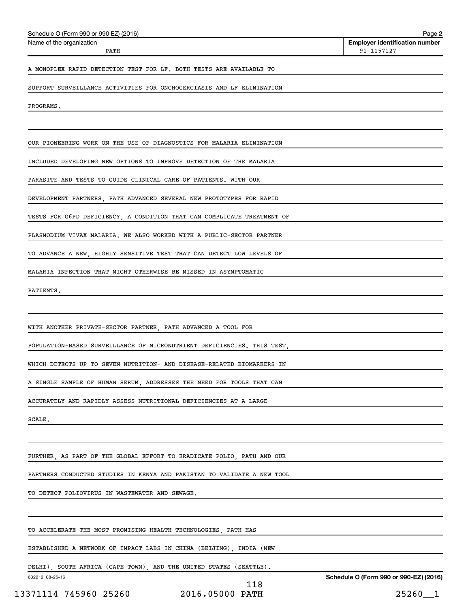| Schedule O (Form 990 or 990-EZ) (2016) | Page 2                                |
|----------------------------------------|---------------------------------------|
| Name of the organization               | <b>Employer identification number</b> |
| <b>PATH</b>                            | 91-1157127                            |
|                                        |                                       |

A MONOPLEX RAPID DETECTION TEST FOR LF. BOTH TESTS ARE AVAILABLE TO

SUPPORT SURVEILLANCE ACTIVITIES FOR ONCHOCERCIASIS AND LF ELIMINATION

PROGRAMS.

OUR PIONEERING WORK ON THE USE OF DIAGNOSTICS FOR MALARIA ELIMINATION

INCLUDED DEVELOPING NEW OPTIONS TO IMPROVE DETECTION OF THE MALARIA

PARASITE AND TESTS TO GUIDE CLINICAL CARE OF PATIENTS. WITH OUR

DEVELOPMENT PARTNERS, PATH ADVANCED SEVERAL NEW PROTOTYPES FOR RAPID

TESTS FOR G6PD DEFICIENCY, A CONDITION THAT CAN COMPLICATE TREATMENT OF

PLASMODIUM VIVAX MALARIA. WE ALSO WORKED WITH A PUBLIC-SECTOR PARTNER

TO ADVANCE A NEW, HIGHLY SENSITIVE TEST THAT CAN DETECT LOW LEVELS OF

MALARIA INFECTION THAT MIGHT OTHERWISE BE MISSED IN ASYMPTOMATIC

PATIENTS.

WITH ANOTHER PRIVATE-SECTOR PARTNER, PATH ADVANCED A TOOL FOR

POPULATION-BASED SURVEILLANCE OF MICRONUTRIENT DEFICIENCIES. THIS TEST,

WHICH DETECTS UP TO SEVEN NUTRITION- AND DISEASE-RELATED BIOMARKERS IN

A SINGLE SAMPLE OF HUMAN SERUM, ADDRESSES THE NEED FOR TOOLS THAT CAN

ACCURATELY AND RAPIDLY ASSESS NUTRITIONAL DEFICIENCIES AT A LARGE

SCALE.

FURTHER, AS PART OF THE GLOBAL EFFORT TO ERADICATE POLIO, PATH AND OUR

PARTNERS CONDUCTED STUDIES IN KENYA AND PAKISTAN TO VALIDATE A NEW TOOL

TO DETECT POLIOVIRUS IN WASTEWATER AND SEWAGE.

TO ACCELERATE THE MOST PROMISING HEALTH TECHNOLOGIES, PATH HAS

ESTABLISHED A NETWORK OF IMPACT LABS IN CHINA (BEIJING), INDIA (NEW

DELHI), SOUTH AFRICA (CAPE TOWN), AND THE UNITED STATES (SEATTLE).

632212 08-25-16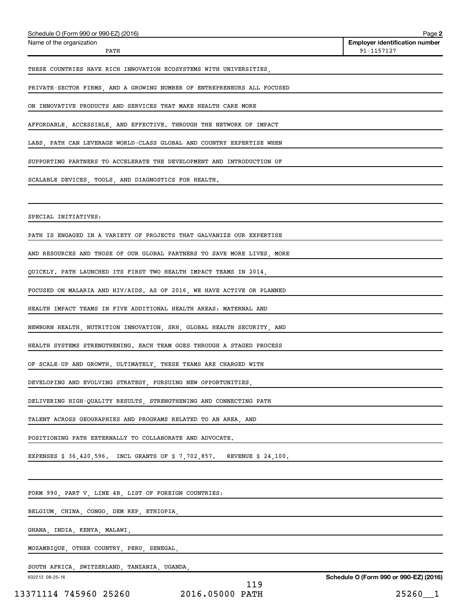| Schedule O (Form 990 or 990-EZ) (2016)                                                                                                                             | Page 2                                              |
|--------------------------------------------------------------------------------------------------------------------------------------------------------------------|-----------------------------------------------------|
| Name of the organization<br>PATH                                                                                                                                   | <b>Employer identification number</b><br>91-1157127 |
| THESE COUNTRIES HAVE RICH INNOVATION ECOSYSTEMS WITH UNIVERSITIES,                                                                                                 |                                                     |
| PRIVATE-SECTOR FIRMS, AND A GROWING NUMBER OF ENTREPRENEURS ALL FOCUSED                                                                                            |                                                     |
| ON INNOVATIVE PRODUCTS AND SERVICES THAT MAKE HEALTH CARE MORE                                                                                                     |                                                     |
| AFFORDABLE, ACCESSIBLE, AND EFFECTIVE. THROUGH THE NETWORK OF IMPACT                                                                                               |                                                     |
| LABS, PATH CAN LEVERAGE WORLD-CLASS GLOBAL AND COUNTRY EXPERTISE WHEN                                                                                              |                                                     |
| SUPPORTING PARTNERS TO ACCELERATE THE DEVELOPMENT AND INTRODUCTION OF                                                                                              |                                                     |
| SCALABLE DEVICES, TOOLS, AND DIAGNOSTICS FOR HEALTH.                                                                                                               |                                                     |
|                                                                                                                                                                    |                                                     |
| SPECIAL INITIATIVES:                                                                                                                                               |                                                     |
| PATH IS ENGAGED IN A VARIETY OF PROJECTS THAT GALVANIZE OUR EXPERTISE                                                                                              |                                                     |
| AND RESOURCES AND THOSE OF OUR GLOBAL PARTNERS TO SAVE MORE LIVES, MORE                                                                                            |                                                     |
| QUICKLY. PATH LAUNCHED ITS FIRST TWO HEALTH IMPACT TEAMS IN 2014,                                                                                                  |                                                     |
| FOCUSED ON MALARIA AND HIV/AIDS. AS OF 2016, WE HAVE ACTIVE OR PLANNED                                                                                             |                                                     |
| HEALTH IMPACT TEAMS IN FIVE ADDITIONAL HEALTH AREAS: MATERNAL AND                                                                                                  |                                                     |
| NEWBORN HEALTH, NUTRITION INNOVATION, SRH, GLOBAL HEALTH SECURITY, AND                                                                                             |                                                     |
| HEALTH SYSTEMS STRENGTHENING. EACH TEAM GOES THROUGH A STAGED PROCESS                                                                                              |                                                     |
| OF SCALE-UP AND GROWTH. ULTIMATELY, THESE TEAMS ARE CHARGED WITH                                                                                                   |                                                     |
| DEVELOPING AND EVOLVING STRATEGY, PURSUING NEW OPPORTUNITIES,                                                                                                      |                                                     |
| DELIVERING HIGH-QUALITY RESULTS, STRENGTHENING AND CONNECTING PATH                                                                                                 |                                                     |
| TALENT ACROSS GEOGRAPHIES AND PROGRAMS RELATED TO AN AREA, AND                                                                                                     |                                                     |
| POSITIONING PATH EXTERNALLY TO COLLABORATE AND ADVOCATE.                                                                                                           |                                                     |
| EXPENSES \$ 36,420,596. INCL GRANTS OF \$ 7,702,857. REVENUE \$ 24,100.                                                                                            |                                                     |
|                                                                                                                                                                    |                                                     |
| FORM 990, PART V, LINE 4B, LIST OF FOREIGN COUNTRIES:                                                                                                              |                                                     |
| BELGIUM, CHINA, CONGO, DEM REP, ETHIOPIA,<br><u> 1989 - Johann Stoff, deutscher Stoff, der Stoff, der Stoff, der Stoff, der Stoff, der Stoff, der Stoff, der S</u> |                                                     |
| GHANA, INDIA, KENYA, MALAWI,                                                                                                                                       |                                                     |
| MOZAMBIQUE, OTHER COUNTRY, PERU, SENEGAL,                                                                                                                          |                                                     |
| SOUTH AFRICA, SWITZERLAND, TANZANIA, UGANDA,<br>632212 08-25-16                                                                                                    | Schedule O (Form 990 or 990-EZ) (2016)              |
| 119                                                                                                                                                                |                                                     |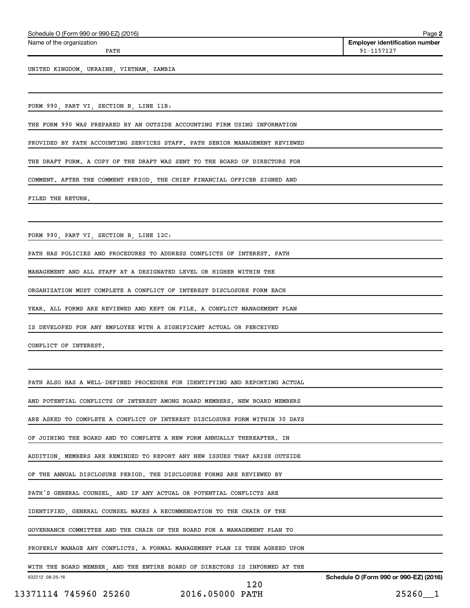| Schedule O (Form 990 or 990-EZ) (2016) |  | Page |
|----------------------------------------|--|------|
|                                        |  |      |

**2 Employer identification number** PATH 91-1157127

UNITED KINGDOM, UKRAINE, VIETNAM, ZAMBIA

FORM 990, PART VI, SECTION B, LINE 11B:

THE FORM 990 WAS PREPARED BY AN OUTSIDE ACCOUNTING FIRM USING INFORMATION

PROVIDED BY PATH ACCOUNTING SERVICES STAFF. PATH SENIOR MANAGEMENT REVIEWED

THE DRAFT FORM. A COPY OF THE DRAFT WAS SENT TO THE BOARD OF DIRECTORS FOR

COMMENT. AFTER THE COMMENT PERIOD, THE CHIEF FINANCIAL OFFICER SIGNED AND

FILED THE RETURN.

FORM 990, PART VI, SECTION B, LINE 12C:

PATH HAS POLICIES AND PROCEDURES TO ADDRESS CONFLICTS OF INTEREST. PATH

MANAGEMENT AND ALL STAFF AT A DESIGNATED LEVEL OR HIGHER WITHIN THE

ORGANIZATION MUST COMPLETE A CONFLICT OF INTEREST DISCLOSURE FORM EACH

YEAR. ALL FORMS ARE REVIEWED AND KEPT ON FILE. A CONFLICT MANAGEMENT PLAN

IS DEVELOPED FOR ANY EMPLOYEE WITH A SIGNIFICANT ACTUAL OR PERCEIVED

CONFLICT OF INTEREST.

PATH ALSO HAS A WELL-DEFINED PROCEDURE FOR IDENTIFYING AND REPORTING ACTUAL

AND POTENTIAL CONFLICTS OF INTEREST AMONG BOARD MEMBERS. NEW BOARD MEMBERS

ARE ASKED TO COMPLETE A CONFLICT OF INTEREST DISCLOSURE FORM WITHIN 30 DAYS

OF JOINING THE BOARD AND TO COMPLETE A NEW FORM ANNUALLY THEREAFTER. IN

ADDITION, MEMBERS ARE REMINDED TO REPORT ANY NEW ISSUES THAT ARISE OUTSIDE

OF THE ANNUAL DISCLOSURE PERIOD. THE DISCLOSURE FORMS ARE REVIEWED BY

PATH'S GENERAL COUNSEL, AND IF ANY ACTUAL OR POTENTIAL CONFLICTS ARE

IDENTIFIED, GENERAL COUNSEL MAKES A RECOMMENDATION TO THE CHAIR OF THE

GOVERNANCE COMMITTEE AND THE CHAIR OF THE BOARD FOR A MANAGEMENT PLAN TO

PROPERLY MANAGE ANY CONFLICTS. A FORMAL MANAGEMENT PLAN IS THEN AGREED UPON

WITH THE BOARD MEMBER, AND THE ENTIRE BOARD OF DIRECTORS IS INFORMED AT THE

632212 08-25-16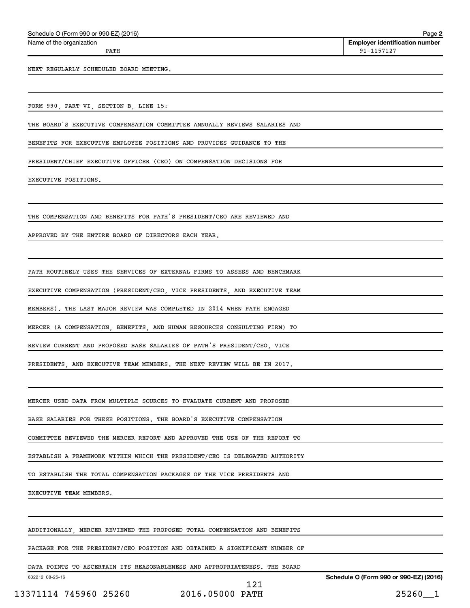**2 Employer identification number** PATH 91-1157127

NEXT REGULARLY SCHEDULED BOARD MEETING.

FORM 990, PART VI, SECTION B, LINE 15:

THE BOARD'S EXECUTIVE COMPENSATION COMMITTEE ANNUALLY REVIEWS SALARIES AND

BENEFITS FOR EXECUTIVE EMPLOYEE POSITIONS AND PROVIDES GUIDANCE TO THE

PRESIDENT/CHIEF EXECUTIVE OFFICER (CEO) ON COMPENSATION DECISIONS FOR

EXECUTIVE POSITIONS.

THE COMPENSATION AND BENEFITS FOR PATH'S PRESIDENT/CEO ARE REVIEWED AND

APPROVED BY THE ENTIRE BOARD OF DIRECTORS EACH YEAR.

PATH ROUTINELY USES THE SERVICES OF EXTERNAL FIRMS TO ASSESS AND BENCHMARK

EXECUTIVE COMPENSATION (PRESIDENT/CEO, VICE PRESIDENTS, AND EXECUTIVE TEAM

MEMBERS). THE LAST MAJOR REVIEW WAS COMPLETED IN 2014 WHEN PATH ENGAGED

MERCER (A COMPENSATION, BENEFITS, AND HUMAN RESOURCES CONSULTING FIRM) TO

REVIEW CURRENT AND PROPOSED BASE SALARIES OF PATH'S PRESIDENT/CEO, VICE

PRESIDENTS, AND EXECUTIVE TEAM MEMBERS. THE NEXT REVIEW WILL BE IN 2017.

MERCER USED DATA FROM MULTIPLE SOURCES TO EVALUATE CURRENT AND PROPOSED

BASE SALARIES FOR THESE POSITIONS. THE BOARD'S EXECUTIVE COMPENSATION

COMMITTEE REVIEWED THE MERCER REPORT AND APPROVED THE USE OF THE REPORT TO

ESTABLISH A FRAMEWORK WITHIN WHICH THE PRESIDENT/CEO IS DELEGATED AUTHORITY

TO ESTABLISH THE TOTAL COMPENSATION PACKAGES OF THE VICE PRESIDENTS AND

EXECUTIVE TEAM MEMBERS.

ADDITIONALLY, MERCER REVIEWED THE PROPOSED TOTAL COMPENSATION AND BENEFITS

PACKAGE FOR THE PRESIDENT/CEO POSITION AND OBTAINED A SIGNIFICANT NUMBER OF

DATA POINTS TO ASCERTAIN ITS REASONABLENESS AND APPROPRIATENESS. THE BOARD

632212 08-25-16

121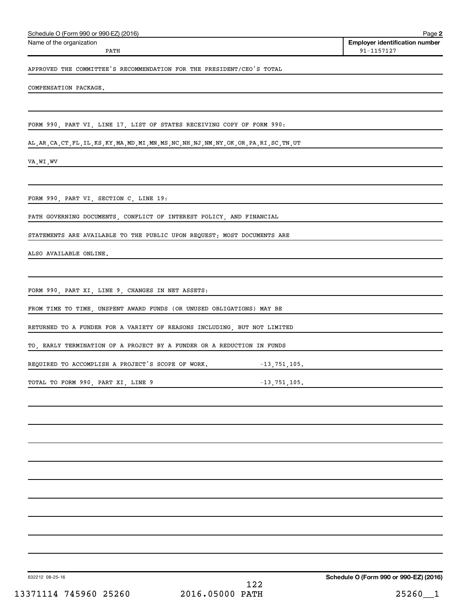| Name of the organization<br>PATH<br>APPROVED THE COMMITTEE'S RECOMMENDATION FOR THE PRESIDENT/CEO'S TOTAL<br>COMPENSATION PACKAGE. | <b>Employer identification number</b><br>91-1157127 |
|------------------------------------------------------------------------------------------------------------------------------------|-----------------------------------------------------|
|                                                                                                                                    |                                                     |
|                                                                                                                                    |                                                     |
|                                                                                                                                    |                                                     |
|                                                                                                                                    |                                                     |
|                                                                                                                                    |                                                     |
|                                                                                                                                    |                                                     |
| FORM 990, PART VI, LINE 17, LIST OF STATES RECEIVING COPY OF FORM 990:                                                             |                                                     |
| AL, AR, CA, CT, FL, IL, KS, KY, MA, MD, MI, MN, MS, NC, NH, NJ, NM, NY, OK, OR, PA, RI, SC, TN, UT                                 |                                                     |
| VA, WI, WV                                                                                                                         |                                                     |
|                                                                                                                                    |                                                     |
|                                                                                                                                    |                                                     |
| FORM 990, PART VI, SECTION C, LINE 19:                                                                                             |                                                     |
| PATH GOVERNING DOCUMENTS, CONFLICT OF INTEREST POLICY, AND FINANCIAL                                                               |                                                     |
|                                                                                                                                    |                                                     |
| STATEMENTS ARE AVAILABLE TO THE PUBLIC UPON REQUEST; MOST DOCUMENTS ARE                                                            |                                                     |
| ALSO AVAILABLE ONLINE.                                                                                                             |                                                     |
|                                                                                                                                    |                                                     |
| FORM 990, PART XI, LINE 9, CHANGES IN NET ASSETS:                                                                                  |                                                     |
|                                                                                                                                    |                                                     |
| FROM TIME TO TIME, UNSPENT AWARD FUNDS (OR UNUSED OBLIGATIONS) MAY BE                                                              |                                                     |
| RETURNED TO A FUNDER FOR A VARIETY OF REASONS INCLUDING, BUT NOT LIMITED                                                           |                                                     |
| TO, EARLY TERMINATION OF A PROJECT BY A FUNDER OR A REDUCTION IN FUNDS                                                             |                                                     |
|                                                                                                                                    |                                                     |
| REQUIRED TO ACCOMPLISH A PROJECT'S SCOPE OF WORK.<br>$-13, 751, 105.$                                                              |                                                     |
| $-13, 751, 105.$<br>TOTAL TO FORM 990, PART XI, LINE 9                                                                             |                                                     |
|                                                                                                                                    |                                                     |
|                                                                                                                                    |                                                     |
|                                                                                                                                    |                                                     |
|                                                                                                                                    |                                                     |
|                                                                                                                                    |                                                     |
|                                                                                                                                    |                                                     |
|                                                                                                                                    |                                                     |
|                                                                                                                                    |                                                     |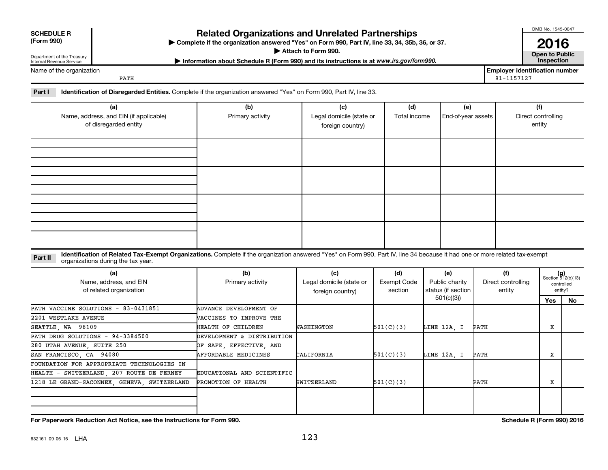| <b>SCHEDULE R</b><br>(Form 990)<br>Department of the Treasury<br>Internal Revenue Service | <b>Related Organizations and Unrelated Partnerships</b><br>► Complete if the organization answered "Yes" on Form 990, Part IV, line 33, 34, 35b, 36, or 37.<br>Attach to Form 990.<br>Information about Schedule R (Form 990) and its instructions is at www.irs.gov/form990. |                         |                                                     |                     |                           |            |                                       |  |
|-------------------------------------------------------------------------------------------|-------------------------------------------------------------------------------------------------------------------------------------------------------------------------------------------------------------------------------------------------------------------------------|-------------------------|-----------------------------------------------------|---------------------|---------------------------|------------|---------------------------------------|--|
| Name of the organization<br>Part I                                                        | PATH<br><b>Identification of Disregarded Entities.</b> Complete if the organization answered "Yes" on Form 990, Part IV, line 33.                                                                                                                                             |                         |                                                     |                     |                           | 91-1157127 | <b>Employer identification number</b> |  |
|                                                                                           | (a)<br>Name, address, and EIN (if applicable)<br>of disregarded entity                                                                                                                                                                                                        | (b)<br>Primary activity | (c)<br>Legal domicile (state or<br>foreign country) | (d)<br>Total income | (e)<br>End-of-year assets |            | (f)<br>Direct controlling<br>entity   |  |
|                                                                                           |                                                                                                                                                                                                                                                                               |                         |                                                     |                     |                           |            |                                       |  |

| ганн<br>organizations during the tax year.                       |                            |                                                     |                               |                                             |                                     |     |                                                      |
|------------------------------------------------------------------|----------------------------|-----------------------------------------------------|-------------------------------|---------------------------------------------|-------------------------------------|-----|------------------------------------------------------|
| (a)<br>Name, address, and EIN<br>of related organization         | (b)<br>Primary activity    | (c)<br>Legal domicile (state or<br>foreign country) | (d)<br>Exempt Code<br>section | (e)<br>Public charity<br>status (if section | (f)<br>Direct controlling<br>entity |     | $(g)$<br>Section 512(b)(13)<br>controlled<br>entity? |
|                                                                  |                            |                                                     |                               | 501(c)(3))                                  |                                     | Yes | No                                                   |
| 83-0431851<br>PATH VACCINE SOLUTIONS<br>$\overline{\phantom{a}}$ | ADVANCE DEVELOPMENT OF     |                                                     |                               |                                             |                                     |     |                                                      |
| 2201 WESTLAKE AVENUE                                             | VACCINES TO IMPROVE THE    |                                                     |                               |                                             |                                     |     |                                                      |
| SEATTLE, WA 98109                                                | HEALTH OF CHILDREN         | WASHINGTON                                          | 501(C)(3)                     | LINE 12A. I                                 | PATH                                | x   |                                                      |
| PATH DRUG SOLUTIONS - 94-3384500                                 | DEVELOPMENT & DISTRIBUTION |                                                     |                               |                                             |                                     |     |                                                      |
| 280 UTAH AVENUE, SUITE 250                                       | OF SAFE, EFFECTIVE, AND    |                                                     |                               |                                             |                                     |     |                                                      |
| SAN FRANCISCO, CA 94080                                          | AFFORDABLE MEDICINES       | CALIFORNIA                                          | 501(C)(3)                     | LINE 12A, I                                 | PATH                                | x   |                                                      |
| FOUNDATION FOR APPROPRIATE TECHNOLOGIES IN                       |                            |                                                     |                               |                                             |                                     |     |                                                      |
| SWITZERLAND, 207 ROUTE DE FERNEY<br>HEALTH -                     | EDUCATIONAL AND SCIENTIFIC |                                                     |                               |                                             |                                     |     |                                                      |
| 1218 LE GRAND-SACONNEX, GENEVA, SWITZERLAND                      | PROMOTION OF HEALTH        | SWITZERLAND                                         | 501(C)(3)                     |                                             | PATH                                | X   |                                                      |
|                                                                  |                            |                                                     |                               |                                             |                                     |     |                                                      |
|                                                                  |                            |                                                     |                               |                                             |                                     |     |                                                      |
|                                                                  |                            |                                                     |                               |                                             |                                     |     |                                                      |

**Part II** Identification of Related Tax-Exempt Organizations. Complete if the organization answered "Yes" on Form 990, Part IV, line 34 because it had one or more related tax-exempt<br>Complete it is a series of the two wears

**For Paperwork Reduction Act Notice, see the Instructions for Form 990. Schedule R (Form 990) 2016**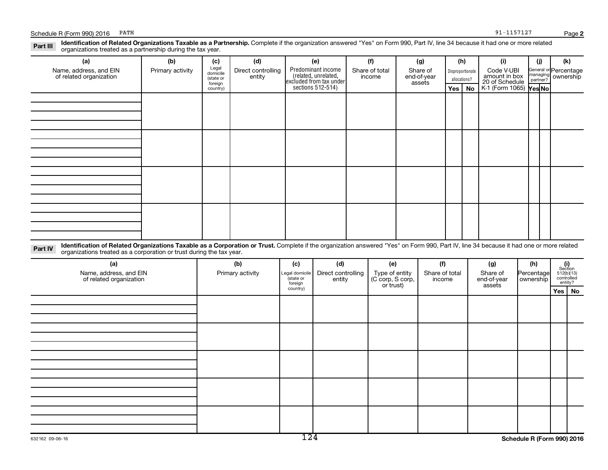| Identification of Related Organizations Taxable as a Partnership. Complete if the organization answered "Yes" on Form 990, Part IV, line 34 because it had one or more related<br>Part III<br>organizations treated as a partnership during the tax year. |                  |                                           |                              |                                                                        |                          |                                   |                                  |                                                  |          |                                               |
|-----------------------------------------------------------------------------------------------------------------------------------------------------------------------------------------------------------------------------------------------------------|------------------|-------------------------------------------|------------------------------|------------------------------------------------------------------------|--------------------------|-----------------------------------|----------------------------------|--------------------------------------------------|----------|-----------------------------------------------|
| (a)                                                                                                                                                                                                                                                       | (b)              | (c)                                       | (d)                          | (e)                                                                    | (f)                      | (g)                               | (h)                              |                                                  |          | (k)                                           |
| Name, address, and EIN<br>of related organization                                                                                                                                                                                                         | Primary activity | Legal<br>domicile<br>(state or<br>foreian | Direct controlling<br>entity | Predominant income<br>(related, unrelated,<br>lexcluded from tax under | Share of total<br>income | Share of<br>end-of-year<br>assets | Disproportionate<br>allocations? | Code V-UBI<br>amount in box<br>20 of Schedule    | partner? | General or Percentage<br>managing   ownership |
|                                                                                                                                                                                                                                                           |                  | country)                                  |                              | sections 512-514)                                                      |                          |                                   | Yes I                            | $No$ K-1 (Form 1065) $\textsf{Yes} \textsf{No} $ |          |                                               |
|                                                                                                                                                                                                                                                           |                  |                                           |                              |                                                                        |                          |                                   |                                  |                                                  |          |                                               |
|                                                                                                                                                                                                                                                           |                  |                                           |                              |                                                                        |                          |                                   |                                  |                                                  |          |                                               |
|                                                                                                                                                                                                                                                           |                  |                                           |                              |                                                                        |                          |                                   |                                  |                                                  |          |                                               |
|                                                                                                                                                                                                                                                           |                  |                                           |                              |                                                                        |                          |                                   |                                  |                                                  |          |                                               |
|                                                                                                                                                                                                                                                           |                  |                                           |                              |                                                                        |                          |                                   |                                  |                                                  |          |                                               |
|                                                                                                                                                                                                                                                           |                  |                                           |                              |                                                                        |                          |                                   |                                  |                                                  |          |                                               |
|                                                                                                                                                                                                                                                           |                  |                                           |                              |                                                                        |                          |                                   |                                  |                                                  |          |                                               |
|                                                                                                                                                                                                                                                           |                  |                                           |                              |                                                                        |                          |                                   |                                  |                                                  |          |                                               |

Part IV Identification of Related Organizations Taxable as a Corporation or Trust. Complete if the organization answered "Yes" on Form 990, Part IV, line 34 because it had one or more related<br>Complete intervals are accompa organizations treated as a corporation or trust during the tax year.

| (a)<br>Name, address, and EIN<br>of related organization | (b)<br>(c)<br>Primary activity<br>Legal domicile<br>(state or<br>foreign |          | (d)<br>Direct controlling<br>entity | (e)<br>Type of entity<br>(C corp, S corp,<br>or trust) | (f)<br>Share of total<br>income | (g)<br>Share of<br>end-of-year<br>assets | (h)<br>Percentage<br>  ownership | $\begin{array}{c} \textbf{(i)}\\ \text{Section}\\ 512 \text{(b)} \text{(13)}\\ \text{controlled}\\ \text{entity?} \end{array}$ |
|----------------------------------------------------------|--------------------------------------------------------------------------|----------|-------------------------------------|--------------------------------------------------------|---------------------------------|------------------------------------------|----------------------------------|--------------------------------------------------------------------------------------------------------------------------------|
|                                                          |                                                                          | country) |                                     |                                                        |                                 |                                          |                                  | Yes   No                                                                                                                       |
|                                                          |                                                                          |          |                                     |                                                        |                                 |                                          |                                  |                                                                                                                                |
|                                                          |                                                                          |          |                                     |                                                        |                                 |                                          |                                  |                                                                                                                                |
|                                                          |                                                                          |          |                                     |                                                        |                                 |                                          |                                  |                                                                                                                                |
|                                                          |                                                                          |          |                                     |                                                        |                                 |                                          |                                  |                                                                                                                                |
|                                                          |                                                                          |          |                                     |                                                        |                                 |                                          |                                  |                                                                                                                                |
|                                                          |                                                                          |          |                                     |                                                        |                                 |                                          |                                  |                                                                                                                                |
|                                                          |                                                                          |          |                                     |                                                        |                                 |                                          |                                  |                                                                                                                                |
|                                                          |                                                                          |          |                                     |                                                        |                                 |                                          |                                  |                                                                                                                                |
|                                                          |                                                                          |          |                                     |                                                        |                                 |                                          |                                  |                                                                                                                                |
|                                                          |                                                                          |          |                                     |                                                        |                                 |                                          |                                  |                                                                                                                                |
|                                                          |                                                                          |          |                                     |                                                        |                                 |                                          |                                  |                                                                                                                                |
|                                                          |                                                                          |          |                                     |                                                        |                                 |                                          |                                  |                                                                                                                                |
|                                                          |                                                                          |          |                                     |                                                        |                                 |                                          |                                  |                                                                                                                                |
|                                                          |                                                                          |          |                                     |                                                        |                                 |                                          |                                  |                                                                                                                                |
|                                                          |                                                                          |          |                                     |                                                        |                                 |                                          |                                  |                                                                                                                                |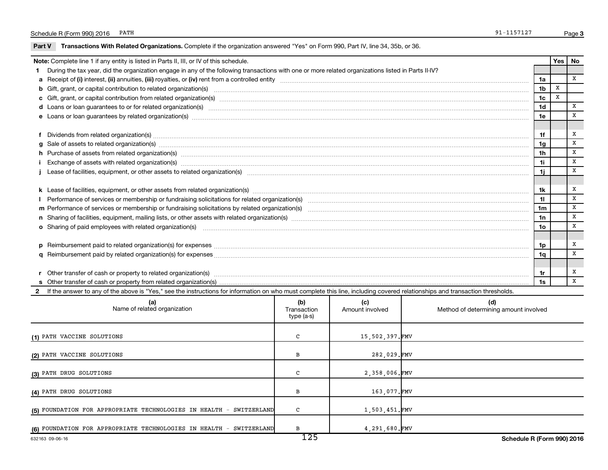Part V Transactions With Related Organizations. Complete if the organization answered "Yes" on Form 990, Part IV, line 34, 35b, or 36.

| Note: Complete line 1 if any entity is listed in Parts II, III, or IV of this schedule.                                                                                                                                        |                |   | Yes   No |
|--------------------------------------------------------------------------------------------------------------------------------------------------------------------------------------------------------------------------------|----------------|---|----------|
| During the tax year, did the organization engage in any of the following transactions with one or more related organizations listed in Parts II-IV?                                                                            |                |   |          |
|                                                                                                                                                                                                                                | 1a             |   | x        |
|                                                                                                                                                                                                                                | 1 <sub>b</sub> | X |          |
|                                                                                                                                                                                                                                | 1 <sub>c</sub> | X |          |
| d Loans or loan guarantees to or for related organization(s) www.communically.com/www.communically.com/www.communically.com/www.communically.com/www.communically.com/www.communically.com/www.communically.com/www.communical | 1 <sub>d</sub> |   | Х        |
|                                                                                                                                                                                                                                | 1e             |   | x        |
|                                                                                                                                                                                                                                |                |   |          |
| Dividends from related organization(s) [11] married and contract the contract of the contract of the contract of the contract of the contract of the contract of the contract of the contract of the contract of the contract  | 1f             |   | х        |
| $g$ Sale of assets to related organization(s) with the contraction control of the control of the control of the control of the control of the control of the control of the control of the control of the control of the cont  | 1g             |   | Х        |
| h Purchase of assets from related organization(s) manufactured content to the content of the content of the content of the content of the content of the content of the content of the content of the content of the content o | 1 <sub>h</sub> |   | X        |
|                                                                                                                                                                                                                                | 1i.            |   | X        |
|                                                                                                                                                                                                                                | 1j.            |   | x        |
|                                                                                                                                                                                                                                |                |   |          |
|                                                                                                                                                                                                                                | 1k             |   | x        |
|                                                                                                                                                                                                                                | 11             |   | Х        |
|                                                                                                                                                                                                                                | 1 <sub>m</sub> |   | Х        |
|                                                                                                                                                                                                                                | 1n             |   | X        |
| o Sharing of paid employees with related organization(s) manufactured and content to the content of the content of the content of the content of the content of the content of the content of the content of the content of th | 1 <sub>o</sub> |   | X        |
|                                                                                                                                                                                                                                |                |   |          |
|                                                                                                                                                                                                                                | 1p             |   | x        |
|                                                                                                                                                                                                                                | 1 <sub>q</sub> |   | X        |
|                                                                                                                                                                                                                                |                |   |          |
|                                                                                                                                                                                                                                | 1r             |   | х        |
|                                                                                                                                                                                                                                |                |   | X        |
| 2 If the answer to any of the above is "Yes," see the instructions for information on who must complete this line, including covered relationships and transaction thresholds.                                                 |                |   |          |

| (b)<br>Transaction<br>type (a-s)                                         | (c)<br>Amount involved | (d)<br>Method of determining amount involved |
|--------------------------------------------------------------------------|------------------------|----------------------------------------------|
| C                                                                        | 15,502,397.FMV         |                                              |
| в                                                                        | 282.029.FMV            |                                              |
| c                                                                        | 2,358,006.FMV          |                                              |
| в                                                                        | 163,077.FMV            |                                              |
| (5) FOUNDATION FOR APPROPRIATE TECHNOLOGIES IN HEALTH - SWITZERLAND<br>C | 1,503,451.FMV          |                                              |
| (6) FOUNDATION FOR APPROPRIATE TECHNOLOGIES IN HEALTH - SWITZERLAND<br>в | 4,291,680.FMV          |                                              |
|                                                                          | <b>1 つに</b>            |                                              |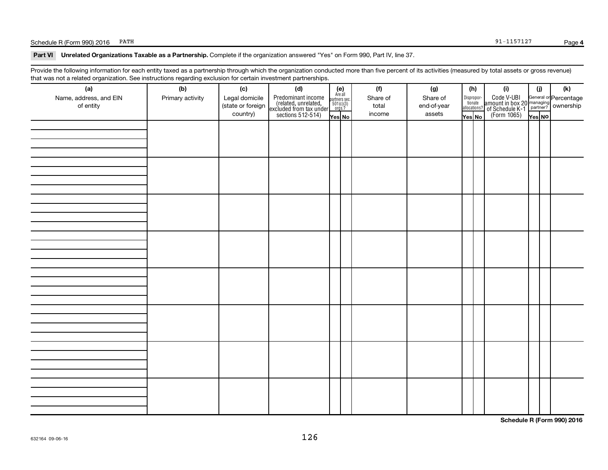## Schedule R (Form 990) 2016 PATH 91-1157127

Part VI Unrelated Organizations Taxable as a Partnership. Complete if the organization answered "Yes" on Form 990, Part IV, line 37.

Provide the following information for each entity taxed as a partnership through which the organization conducted more than five percent of its activities (measured by total assets or gross revenue) that was not a related organization. See instructions regarding exclusion for certain investment partnerships.

| that machieve include eigenmation. See motionene regarding exercision for contain invectment partneremper<br>(a) | (b)              | (c) | (d)                                                                                                                                                                                        |                                                            |  | (f)      | (g)         |                                  | (h) | (i)                                                                                                                                                           | (i)    | (k) |
|------------------------------------------------------------------------------------------------------------------|------------------|-----|--------------------------------------------------------------------------------------------------------------------------------------------------------------------------------------------|------------------------------------------------------------|--|----------|-------------|----------------------------------|-----|---------------------------------------------------------------------------------------------------------------------------------------------------------------|--------|-----|
| Name, address, and EIN                                                                                           | Primary activity |     |                                                                                                                                                                                            | $(e)$<br>Are all<br>partners sec.<br>$501(c)(3)$<br>orgs.? |  | Share of | Share of    |                                  |     |                                                                                                                                                               |        |     |
| of entity                                                                                                        |                  |     | Legal domicile<br>(state or foreign $\left\{\n \begin{array}{c}\n \text{Predicted, unrelated,} \\  \text{(related, unrelated, and the image)} \\  \text{country}\n \end{array}\n \right\}$ |                                                            |  | total    | end-of-year | Disproportionate<br>allocations? |     | Code V-UBI<br>amount in box 20 managing<br>2 of Schedule K-1 partner?<br>(Form 1065)<br>$\frac{1}{\sqrt{1-\frac{1}{2}}}\sqrt{\frac{1}{\sqrt{1-\frac{1}{2}}}}$ |        |     |
|                                                                                                                  |                  |     |                                                                                                                                                                                            | Yes No                                                     |  | income   | assets      | Yes No                           |     |                                                                                                                                                               | Yes NO |     |
|                                                                                                                  |                  |     |                                                                                                                                                                                            |                                                            |  |          |             |                                  |     |                                                                                                                                                               |        |     |
|                                                                                                                  |                  |     |                                                                                                                                                                                            |                                                            |  |          |             |                                  |     |                                                                                                                                                               |        |     |
|                                                                                                                  |                  |     |                                                                                                                                                                                            |                                                            |  |          |             |                                  |     |                                                                                                                                                               |        |     |
|                                                                                                                  |                  |     |                                                                                                                                                                                            |                                                            |  |          |             |                                  |     |                                                                                                                                                               |        |     |
|                                                                                                                  |                  |     |                                                                                                                                                                                            |                                                            |  |          |             |                                  |     |                                                                                                                                                               |        |     |
|                                                                                                                  |                  |     |                                                                                                                                                                                            |                                                            |  |          |             |                                  |     |                                                                                                                                                               |        |     |
|                                                                                                                  |                  |     |                                                                                                                                                                                            |                                                            |  |          |             |                                  |     |                                                                                                                                                               |        |     |
|                                                                                                                  |                  |     |                                                                                                                                                                                            |                                                            |  |          |             |                                  |     |                                                                                                                                                               |        |     |
|                                                                                                                  |                  |     |                                                                                                                                                                                            |                                                            |  |          |             |                                  |     |                                                                                                                                                               |        |     |
|                                                                                                                  |                  |     |                                                                                                                                                                                            |                                                            |  |          |             |                                  |     |                                                                                                                                                               |        |     |
|                                                                                                                  |                  |     |                                                                                                                                                                                            |                                                            |  |          |             |                                  |     |                                                                                                                                                               |        |     |
|                                                                                                                  |                  |     |                                                                                                                                                                                            |                                                            |  |          |             |                                  |     |                                                                                                                                                               |        |     |
|                                                                                                                  |                  |     |                                                                                                                                                                                            |                                                            |  |          |             |                                  |     |                                                                                                                                                               |        |     |
|                                                                                                                  |                  |     |                                                                                                                                                                                            |                                                            |  |          |             |                                  |     |                                                                                                                                                               |        |     |
|                                                                                                                  |                  |     |                                                                                                                                                                                            |                                                            |  |          |             |                                  |     |                                                                                                                                                               |        |     |
|                                                                                                                  |                  |     |                                                                                                                                                                                            |                                                            |  |          |             |                                  |     |                                                                                                                                                               |        |     |
|                                                                                                                  |                  |     |                                                                                                                                                                                            |                                                            |  |          |             |                                  |     |                                                                                                                                                               |        |     |
|                                                                                                                  |                  |     |                                                                                                                                                                                            |                                                            |  |          |             |                                  |     |                                                                                                                                                               |        |     |
|                                                                                                                  |                  |     |                                                                                                                                                                                            |                                                            |  |          |             |                                  |     |                                                                                                                                                               |        |     |
|                                                                                                                  |                  |     |                                                                                                                                                                                            |                                                            |  |          |             |                                  |     |                                                                                                                                                               |        |     |
|                                                                                                                  |                  |     |                                                                                                                                                                                            |                                                            |  |          |             |                                  |     |                                                                                                                                                               |        |     |
|                                                                                                                  |                  |     |                                                                                                                                                                                            |                                                            |  |          |             |                                  |     |                                                                                                                                                               |        |     |
|                                                                                                                  |                  |     |                                                                                                                                                                                            |                                                            |  |          |             |                                  |     |                                                                                                                                                               |        |     |
|                                                                                                                  |                  |     |                                                                                                                                                                                            |                                                            |  |          |             |                                  |     |                                                                                                                                                               |        |     |
|                                                                                                                  |                  |     |                                                                                                                                                                                            |                                                            |  |          |             |                                  |     |                                                                                                                                                               |        |     |
|                                                                                                                  |                  |     |                                                                                                                                                                                            |                                                            |  |          |             |                                  |     |                                                                                                                                                               |        |     |
|                                                                                                                  |                  |     |                                                                                                                                                                                            |                                                            |  |          |             |                                  |     |                                                                                                                                                               |        |     |
|                                                                                                                  |                  |     |                                                                                                                                                                                            |                                                            |  |          |             |                                  |     |                                                                                                                                                               |        |     |
|                                                                                                                  |                  |     |                                                                                                                                                                                            |                                                            |  |          |             |                                  |     |                                                                                                                                                               |        |     |
|                                                                                                                  |                  |     |                                                                                                                                                                                            |                                                            |  |          |             |                                  |     |                                                                                                                                                               |        |     |
|                                                                                                                  |                  |     |                                                                                                                                                                                            |                                                            |  |          |             |                                  |     |                                                                                                                                                               |        |     |
|                                                                                                                  |                  |     |                                                                                                                                                                                            |                                                            |  |          |             |                                  |     |                                                                                                                                                               |        |     |

**Schedule R (Form 990) 2016**